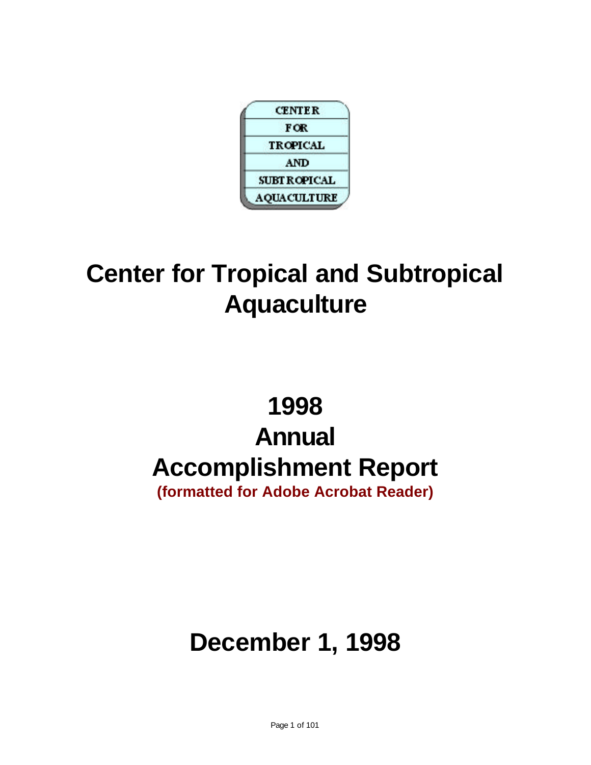

# **Center for Tropical and Subtropical Aquaculture**

# **1998 Annual Accomplishment Report**

**(formatted for Adobe Acrobat Reader)**

# **December 1, 1998**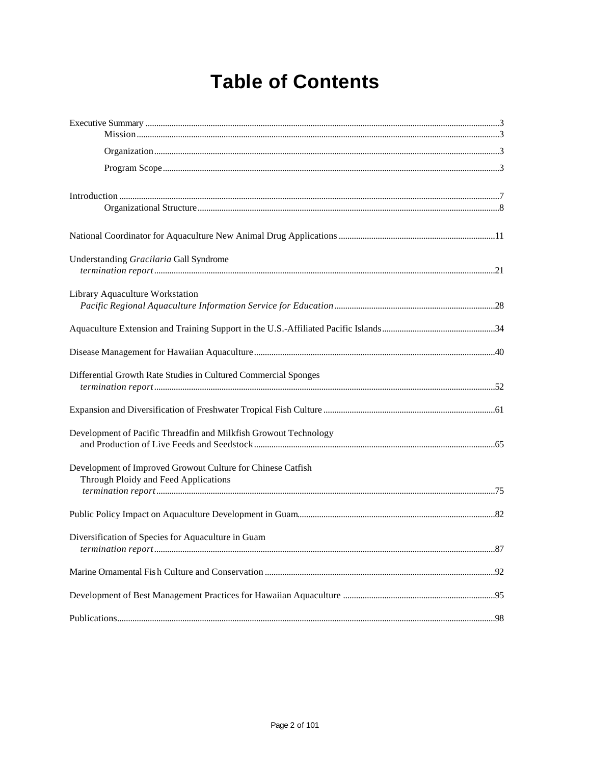# **Table of Contents**

| Understanding Gracilaria Gall Syndrome                                                              |  |
|-----------------------------------------------------------------------------------------------------|--|
| Library Aquaculture Workstation                                                                     |  |
|                                                                                                     |  |
|                                                                                                     |  |
| Differential Growth Rate Studies in Cultured Commercial Sponges                                     |  |
|                                                                                                     |  |
| Development of Pacific Threadfin and Milkfish Growout Technology                                    |  |
| Development of Improved Growout Culture for Chinese Catfish<br>Through Ploidy and Feed Applications |  |
|                                                                                                     |  |
| Diversification of Species for Aquaculture in Guam                                                  |  |
|                                                                                                     |  |
|                                                                                                     |  |
|                                                                                                     |  |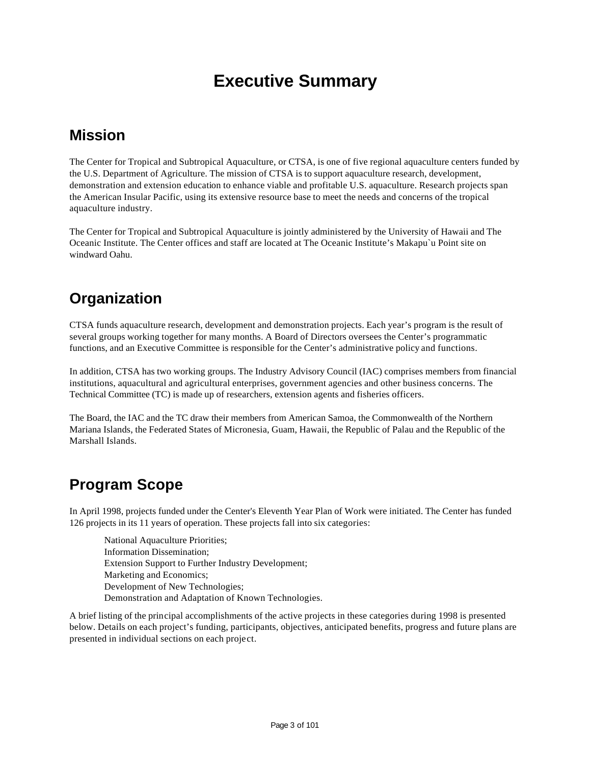## **Executive Summary**

### **Mission**

The Center for Tropical and Subtropical Aquaculture, or CTSA, is one of five regional aquaculture centers funded by the U.S. Department of Agriculture. The mission of CTSA is to support aquaculture research, development, demonstration and extension education to enhance viable and profitable U.S. aquaculture. Research projects span the American Insular Pacific, using its extensive resource base to meet the needs and concerns of the tropical aquaculture industry.

The Center for Tropical and Subtropical Aquaculture is jointly administered by the University of Hawaii and The Oceanic Institute. The Center offices and staff are located at The Oceanic Institute's Makapu`u Point site on windward Oahu.

### **Organization**

CTSA funds aquaculture research, development and demonstration projects. Each year's program is the result of several groups working together for many months. A Board of Directors oversees the Center's programmatic functions, and an Executive Committee is responsible for the Center's administrative policy and functions.

In addition, CTSA has two working groups. The Industry Advisory Council (IAC) comprises members from financial institutions, aquacultural and agricultural enterprises, government agencies and other business concerns. The Technical Committee (TC) is made up of researchers, extension agents and fisheries officers.

The Board, the IAC and the TC draw their members from American Samoa, the Commonwealth of the Northern Mariana Islands, the Federated States of Micronesia, Guam, Hawaii, the Republic of Palau and the Republic of the Marshall Islands.

### **Program Scope**

In April 1998, projects funded under the Center's Eleventh Year Plan of Work were initiated. The Center has funded 126 projects in its 11 years of operation. These projects fall into six categories:

National Aquaculture Priorities; Information Dissemination; Extension Support to Further Industry Development; Marketing and Economics; Development of New Technologies; Demonstration and Adaptation of Known Technologies.

A brief listing of the principal accomplishments of the active projects in these categories during 1998 is presented below. Details on each project's funding, participants, objectives, anticipated benefits, progress and future plans are presented in individual sections on each project.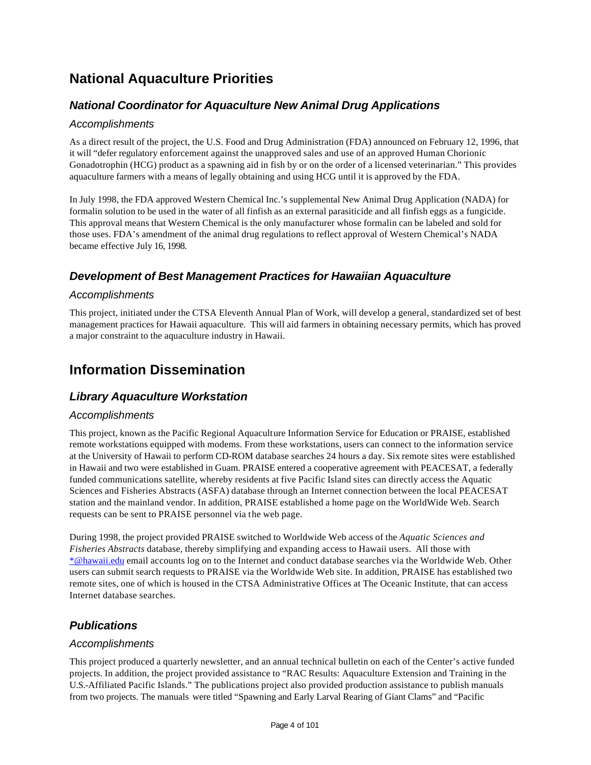### **National Aquaculture Priorities**

#### *National Coordinator for Aquaculture New Animal Drug Applications*

#### *Accomplishments*

As a direct result of the project, the U.S. Food and Drug Administration (FDA) announced on February 12, 1996, that it will "defer regulatory enforcement against the unapproved sales and use of an approved Human Chorionic Gonadotrophin (HCG) product as a spawning aid in fish by or on the order of a licensed veterinarian." This provides aquaculture farmers with a means of legally obtaining and using HCG until it is approved by the FDA.

In July 1998, the FDA approved Western Chemical Inc.'s supplemental New Animal Drug Application (NADA) for formalin solution to be used in the water of all finfish as an external parasiticide and all finfish eggs as a fungicide. This approval means that Western Chemical is the only manufacturer whose formalin can be labeled and sold for those uses. FDA's amendment of the animal drug regulations to reflect approval of Western Chemical's NADA became effective July 16, 1998.

#### *Development of Best Management Practices for Hawaiian Aquaculture*

#### *Accomplishments*

This project, initiated under the CTSA Eleventh Annual Plan of Work, will develop a general, standardized set of best management practices for Hawaii aquaculture. This will aid farmers in obtaining necessary permits, which has proved a major constraint to the aquaculture industry in Hawaii.

### **Information Dissemination**

#### *Library Aquaculture Workstation*

#### *Accomplishments*

This project, known as the Pacific Regional Aquaculture Information Service for Education or PRAISE, established remote workstations equipped with modems. From these workstations, users can connect to the information service at the University of Hawaii to perform CD-ROM database searches 24 hours a day. Six remote sites were established in Hawaii and two were established in Guam. PRAISE entered a cooperative agreement with PEACESAT, a federally funded communications satellite, whereby residents at five Pacific Island sites can directly access the Aquatic Sciences and Fisheries Abstracts (ASFA) database through an Internet connection between the local PEACESAT station and the mainland vendor. In addition, PRAISE established a home page on the WorldWide Web. Search requests can be sent to PRAISE personnel via the web page.

During 1998, the project provided PRAISE switched to Worldwide Web access of the *Aquatic Sciences and Fisheries Abstracts* database, thereby simplifying and expanding access to Hawaii users. All those with \*@hawaii.edu email accounts log on to the Internet and conduct database searches via the Worldwide Web. Other users can submit search requests to PRAISE via the Worldwide Web site. In addition, PRAISE has established two remote sites, one of which is housed in the CTSA Administrative Offices at The Oceanic Institute, that can access Internet database searches.

#### *Publications*

#### *Accomplishments*

This project produced a quarterly newsletter, and an annual technical bulletin on each of the Center's active funded projects. In addition, the project provided assistance to "RAC Results: Aquaculture Extension and Training in the U.S.-Affiliated Pacific Islands." The publications project also provided production assistance to publish manuals from two projects. The manuals were titled "Spawning and Early Larval Rearing of Giant Clams" and "Pacific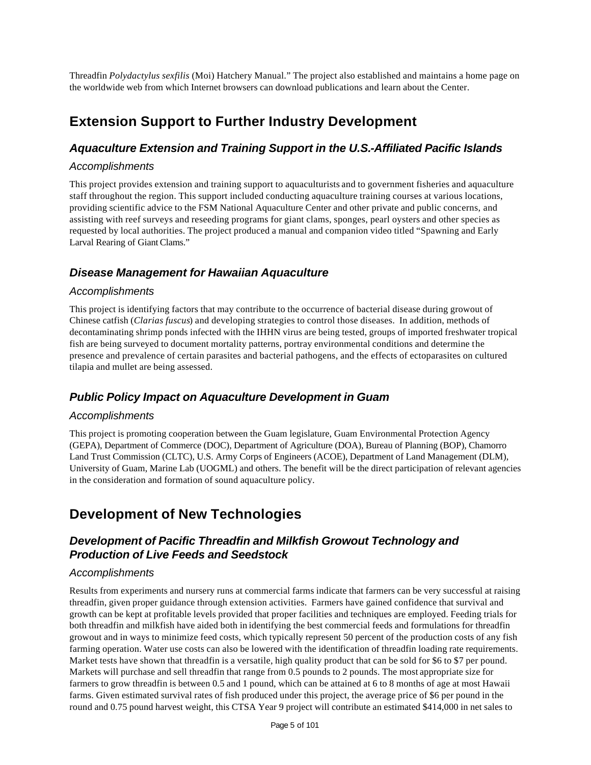Threadfin *Polydactylus sexfilis* (Moi) Hatchery Manual." The project also established and maintains a home page on the worldwide web from which Internet browsers can download publications and learn about the Center.

### **Extension Support to Further Industry Development**

#### *Aquaculture Extension and Training Support in the U.S.-Affiliated Pacific Islands*

#### *Accomplishments*

This project provides extension and training support to aquaculturists and to government fisheries and aquaculture staff throughout the region. This support included conducting aquaculture training courses at various locations, providing scientific advice to the FSM National Aquaculture Center and other private and public concerns, and assisting with reef surveys and reseeding programs for giant clams, sponges, pearl oysters and other species as requested by local authorities. The project produced a manual and companion video titled "Spawning and Early Larval Rearing of Giant Clams."

#### *Disease Management for Hawaiian Aquaculture*

#### *Accomplishments*

This project is identifying factors that may contribute to the occurrence of bacterial disease during growout of Chinese catfish (*Clarias fuscus*) and developing strategies to control those diseases. In addition, methods of decontaminating shrimp ponds infected with the IHHN virus are being tested, groups of imported freshwater tropical fish are being surveyed to document mortality patterns, portray environmental conditions and determine the presence and prevalence of certain parasites and bacterial pathogens, and the effects of ectoparasites on cultured tilapia and mullet are being assessed.

#### *Public Policy Impact on Aquaculture Development in Guam*

#### *Accomplishments*

This project is promoting cooperation between the Guam legislature, Guam Environmental Protection Agency (GEPA), Department of Commerce (DOC), Department of Agriculture (DOA), Bureau of Planning (BOP), Chamorro Land Trust Commission (CLTC), U.S. Army Corps of Engineers (ACOE), Department of Land Management (DLM), University of Guam, Marine Lab (UOGML) and others. The benefit will be the direct participation of relevant agencies in the consideration and formation of sound aquaculture policy.

### **Development of New Technologies**

#### *Development of Pacific Threadfin and Milkfish Growout Technology and Production of Live Feeds and Seedstock*

#### *Accomplishments*

Results from experiments and nursery runs at commercial farms indicate that farmers can be very successful at raising threadfin, given proper guidance through extension activities. Farmers have gained confidence that survival and growth can be kept at profitable levels provided that proper facilities and techniques are employed. Feeding trials for both threadfin and milkfish have aided both in identifying the best commercial feeds and formulations for threadfin growout and in ways to minimize feed costs, which typically represent 50 percent of the production costs of any fish farming operation. Water use costs can also be lowered with the identification of threadfin loading rate requirements. Market tests have shown that threadfin is a versatile, high quality product that can be sold for \$6 to \$7 per pound. Markets will purchase and sell threadfin that range from 0.5 pounds to 2 pounds. The most appropriate size for farmers to grow threadfin is between 0.5 and 1 pound, which can be attained at 6 to 8 months of age at most Hawaii farms. Given estimated survival rates of fish produced under this project, the average price of \$6 per pound in the round and 0.75 pound harvest weight, this CTSA Year 9 project will contribute an estimated \$414,000 in net sales to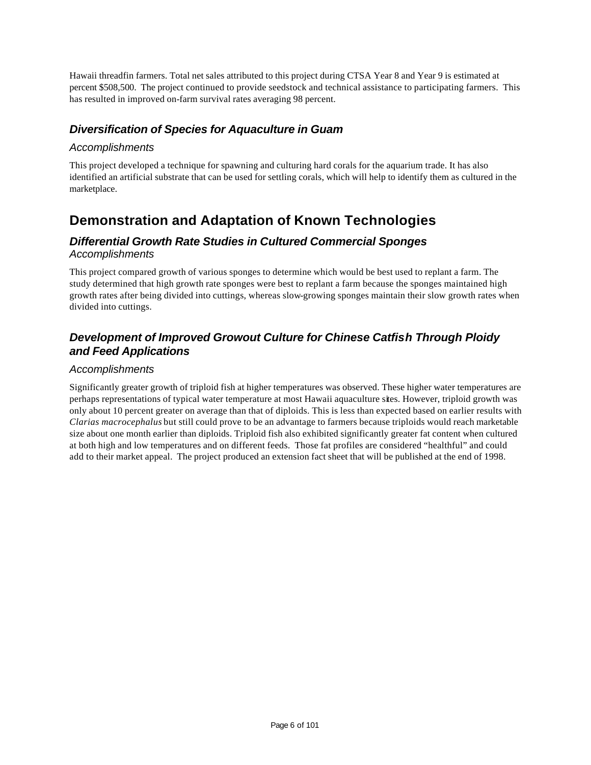Hawaii threadfin farmers. Total net sales attributed to this project during CTSA Year 8 and Year 9 is estimated at percent \$508,500. The project continued to provide seedstock and technical assistance to participating farmers. This has resulted in improved on-farm survival rates averaging 98 percent.

#### *Diversification of Species for Aquaculture in Guam*

#### *Accomplishments*

This project developed a technique for spawning and culturing hard corals for the aquarium trade. It has also identified an artificial substrate that can be used for settling corals, which will help to identify them as cultured in the marketplace.

### **Demonstration and Adaptation of Known Technologies**

#### *Differential Growth Rate Studies in Cultured Commercial Sponges Accomplishments*

This project compared growth of various sponges to determine which would be best used to replant a farm. The study determined that high growth rate sponges were best to replant a farm because the sponges maintained high growth rates after being divided into cuttings, whereas slow-growing sponges maintain their slow growth rates when divided into cuttings.

#### *Development of Improved Growout Culture for Chinese Catfish Through Ploidy and Feed Applications*

#### *Accomplishments*

Significantly greater growth of triploid fish at higher temperatures was observed. These higher water temperatures are perhaps representations of typical water temperature at most Hawaii aquaculture sites. However, triploid growth was only about 10 percent greater on average than that of diploids. This is less than expected based on earlier results with *Clarias macrocephalus* but still could prove to be an advantage to farmers because triploids would reach marketable size about one month earlier than diploids. Triploid fish also exhibited significantly greater fat content when cultured at both high and low temperatures and on different feeds. Those fat profiles are considered "healthful" and could add to their market appeal. The project produced an extension fact sheet that will be published at the end of 1998.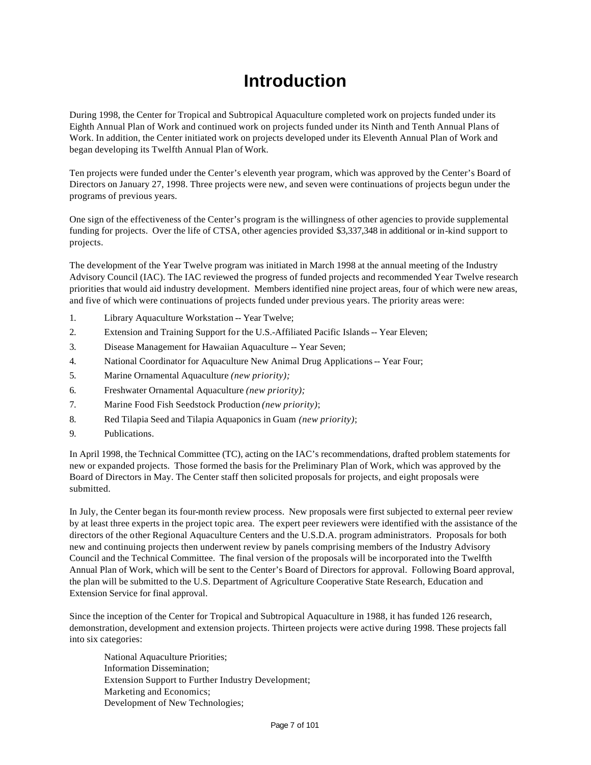## **Introduction**

During 1998, the Center for Tropical and Subtropical Aquaculture completed work on projects funded under its Eighth Annual Plan of Work and continued work on projects funded under its Ninth and Tenth Annual Plans of Work. In addition, the Center initiated work on projects developed under its Eleventh Annual Plan of Work and began developing its Twelfth Annual Plan of Work.

Ten projects were funded under the Center's eleventh year program, which was approved by the Center's Board of Directors on January 27, 1998. Three projects were new, and seven were continuations of projects begun under the programs of previous years.

One sign of the effectiveness of the Center's program is the willingness of other agencies to provide supplemental funding for projects. Over the life of CTSA, other agencies provided \$3,337,348 in additional or in-kind support to projects.

The development of the Year Twelve program was initiated in March 1998 at the annual meeting of the Industry Advisory Council (IAC). The IAC reviewed the progress of funded projects and recommended Year Twelve research priorities that would aid industry development. Members identified nine project areas, four of which were new areas, and five of which were continuations of projects funded under previous years. The priority areas were:

- 1. Library Aquaculture Workstation -- Year Twelve;
- 2. Extension and Training Support for the U.S.-Affiliated Pacific Islands -- Year Eleven;
- 3. Disease Management for Hawaiian Aquaculture -- Year Seven;
- 4. National Coordinator for Aquaculture New Animal Drug Applications -- Year Four;
- 5. Marine Ornamental Aquaculture *(new priority);*
- 6. Freshwater Ornamental Aquaculture *(new priority);*
- 7. Marine Food Fish Seedstock Production *(new priority)*;
- 8. Red Tilapia Seed and Tilapia Aquaponics in Guam *(new priority)*;
- 9. Publications.

In April 1998, the Technical Committee (TC), acting on the IAC's recommendations, drafted problem statements for new or expanded projects. Those formed the basis for the Preliminary Plan of Work, which was approved by the Board of Directors in May. The Center staff then solicited proposals for projects, and eight proposals were submitted.

In July, the Center began its four-month review process. New proposals were first subjected to external peer review by at least three experts in the project topic area. The expert peer reviewers were identified with the assistance of the directors of the other Regional Aquaculture Centers and the U.S.D.A. program administrators. Proposals for both new and continuing projects then underwent review by panels comprising members of the Industry Advisory Council and the Technical Committee. The final version of the proposals will be incorporated into the Twelfth Annual Plan of Work, which will be sent to the Center's Board of Directors for approval. Following Board approval, the plan will be submitted to the U.S. Department of Agriculture Cooperative State Research, Education and Extension Service for final approval.

Since the inception of the Center for Tropical and Subtropical Aquaculture in 1988, it has funded 126 research, demonstration, development and extension projects. Thirteen projects were active during 1998. These projects fall into six categories:

National Aquaculture Priorities; Information Dissemination; Extension Support to Further Industry Development; Marketing and Economics; Development of New Technologies;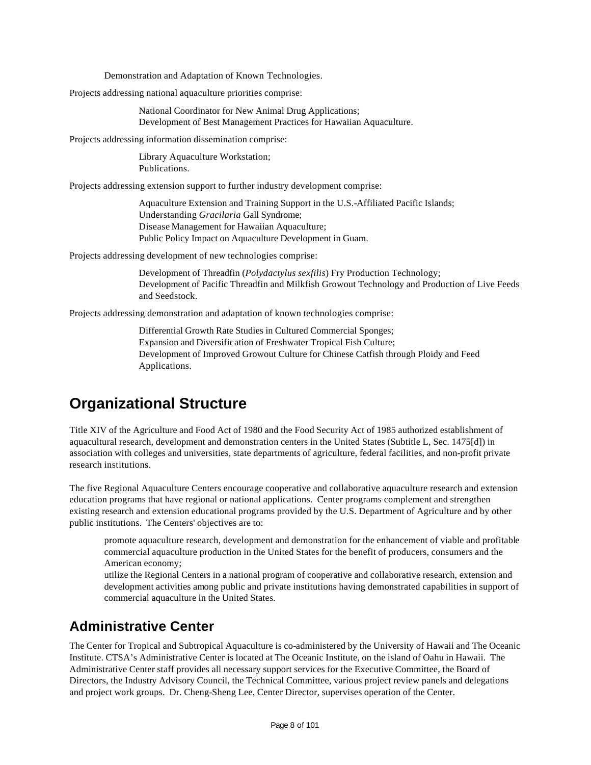Demonstration and Adaptation of Known Technologies.

Projects addressing national aquaculture priorities comprise:

National Coordinator for New Animal Drug Applications; Development of Best Management Practices for Hawaiian Aquaculture.

Projects addressing information dissemination comprise:

Library Aquaculture Workstation; Publications.

Projects addressing extension support to further industry development comprise:

Aquaculture Extension and Training Support in the U.S.-Affiliated Pacific Islands; Understanding *Gracilaria* Gall Syndrome; Disease Management for Hawaiian Aquaculture; Public Policy Impact on Aquaculture Development in Guam.

Projects addressing development of new technologies comprise:

Development of Threadfin (*Polydactylus sexfilis*) Fry Production Technology; Development of Pacific Threadfin and Milkfish Growout Technology and Production of Live Feeds and Seedstock.

Projects addressing demonstration and adaptation of known technologies comprise:

Differential Growth Rate Studies in Cultured Commercial Sponges; Expansion and Diversification of Freshwater Tropical Fish Culture; Development of Improved Growout Culture for Chinese Catfish through Ploidy and Feed Applications.

### **Organizational Structure**

Title XIV of the Agriculture and Food Act of 1980 and the Food Security Act of 1985 authorized establishment of aquacultural research, development and demonstration centers in the United States (Subtitle L, Sec. 1475[d]) in association with colleges and universities, state departments of agriculture, federal facilities, and non-profit private research institutions.

The five Regional Aquaculture Centers encourage cooperative and collaborative aquaculture research and extension education programs that have regional or national applications. Center programs complement and strengthen existing research and extension educational programs provided by the U.S. Department of Agriculture and by other public institutions. The Centers' objectives are to:

promote aquaculture research, development and demonstration for the enhancement of viable and profitable commercial aquaculture production in the United States for the benefit of producers, consumers and the American economy;

utilize the Regional Centers in a national program of cooperative and collaborative research, extension and development activities among public and private institutions having demonstrated capabilities in support of commercial aquaculture in the United States.

### **Administrative Center**

The Center for Tropical and Subtropical Aquaculture is co-administered by the University of Hawaii and The Oceanic Institute. CTSA's Administrative Center is located at The Oceanic Institute, on the island of Oahu in Hawaii. The Administrative Center staff provides all necessary support services for the Executive Committee, the Board of Directors, the Industry Advisory Council, the Technical Committee, various project review panels and delegations and project work groups. Dr. Cheng-Sheng Lee, Center Director, supervises operation of the Center.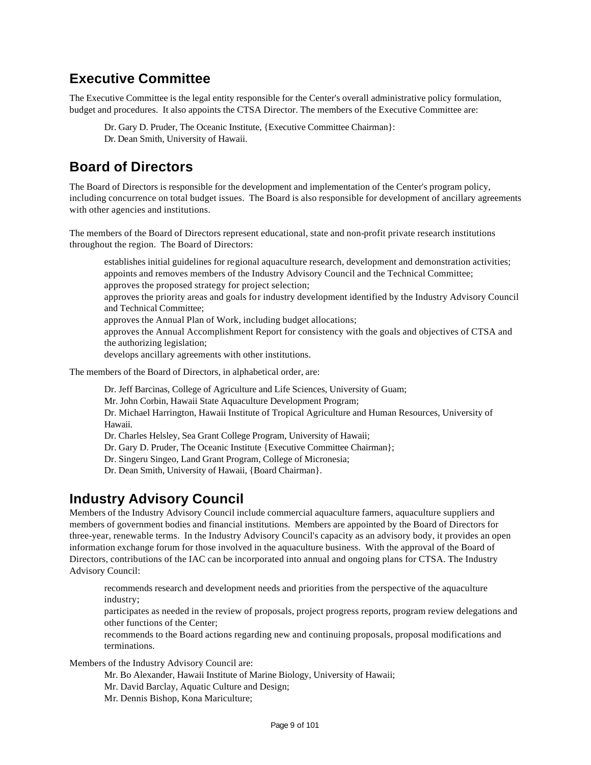### **Executive Committee**

The Executive Committee is the legal entity responsible for the Center's overall administrative policy formulation, budget and procedures. It also appoints the CTSA Director. The members of the Executive Committee are:

Dr. Gary D. Pruder, The Oceanic Institute, {Executive Committee Chairman}: Dr. Dean Smith, University of Hawaii.

### **Board of Directors**

The Board of Directors is responsible for the development and implementation of the Center's program policy, including concurrence on total budget issues. The Board is also responsible for development of ancillary agreements with other agencies and institutions.

The members of the Board of Directors represent educational, state and non-profit private research institutions throughout the region. The Board of Directors:

establishes initial guidelines for regional aquaculture research, development and demonstration activities; appoints and removes members of the Industry Advisory Council and the Technical Committee; approves the proposed strategy for project selection; approves the priority areas and goals for industry development identified by the Industry Advisory Council and Technical Committee; approves the Annual Plan of Work, including budget allocations; approves the Annual Accomplishment Report for consistency with the goals and objectives of CTSA and the authorizing legislation; develops ancillary agreements with other institutions.

The members of the Board of Directors, in alphabetical order, are:

Dr. Jeff Barcinas, College of Agriculture and Life Sciences, University of Guam; Mr. John Corbin, Hawaii State Aquaculture Development Program; Dr. Michael Harrington, Hawaii Institute of Tropical Agriculture and Human Resources, University of Hawaii. Dr. Charles Helsley, Sea Grant College Program, University of Hawaii; Dr. Gary D. Pruder, The Oceanic Institute {Executive Committee Chairman};

Dr. Singeru Singeo, Land Grant Program, College of Micronesia;

Dr. Dean Smith, University of Hawaii, {Board Chairman}.

### **Industry Advisory Council**

Members of the Industry Advisory Council include commercial aquaculture farmers, aquaculture suppliers and members of government bodies and financial institutions. Members are appointed by the Board of Directors for three-year, renewable terms. In the Industry Advisory Council's capacity as an advisory body, it provides an open information exchange forum for those involved in the aquaculture business. With the approval of the Board of Directors, contributions of the IAC can be incorporated into annual and ongoing plans for CTSA. The Industry Advisory Council:

recommends research and development needs and priorities from the perspective of the aquaculture industry;

participates as needed in the review of proposals, project progress reports, program review delegations and other functions of the Center;

recommends to the Board actions regarding new and continuing proposals, proposal modifications and terminations.

Members of the Industry Advisory Council are:

Mr. Bo Alexander, Hawaii Institute of Marine Biology, University of Hawaii;

Mr. David Barclay, Aquatic Culture and Design;

Mr. Dennis Bishop, Kona Mariculture;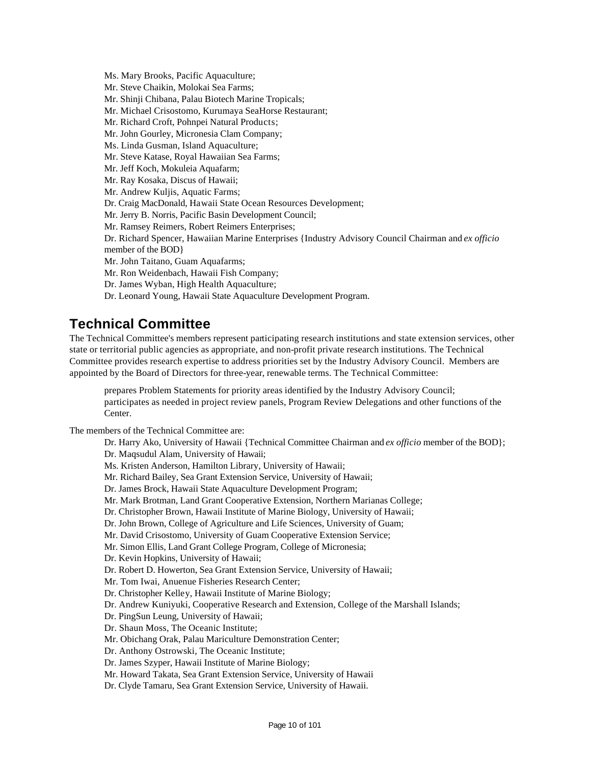Ms. Mary Brooks, Pacific Aquaculture; Mr. Steve Chaikin, Molokai Sea Farms; Mr. Shinji Chibana, Palau Biotech Marine Tropicals; Mr. Michael Crisostomo, Kurumaya SeaHorse Restaurant; Mr. Richard Croft, Pohnpei Natural Products; Mr. John Gourley, Micronesia Clam Company; Ms. Linda Gusman, Island Aquaculture; Mr. Steve Katase, Royal Hawaiian Sea Farms; Mr. Jeff Koch, Mokuleia Aquafarm; Mr. Ray Kosaka, Discus of Hawaii; Mr. Andrew Kuljis, Aquatic Farms; Dr. Craig MacDonald, Hawaii State Ocean Resources Development; Mr. Jerry B. Norris, Pacific Basin Development Council; Mr. Ramsey Reimers, Robert Reimers Enterprises; Dr. Richard Spencer, Hawaiian Marine Enterprises {Industry Advisory Council Chairman and *ex officio* member of the BOD} Mr. John Taitano, Guam Aquafarms; Mr. Ron Weidenbach, Hawaii Fish Company; Dr. James Wyban, High Health Aquaculture; Dr. Leonard Young, Hawaii State Aquaculture Development Program.

### **Technical Committee**

The Technical Committee's members represent participating research institutions and state extension services, other state or territorial public agencies as appropriate, and non-profit private research institutions. The Technical Committee provides research expertise to address priorities set by the Industry Advisory Council. Members are appointed by the Board of Directors for three-year, renewable terms. The Technical Committee:

prepares Problem Statements for priority areas identified by the Industry Advisory Council; participates as needed in project review panels, Program Review Delegations and other functions of the Center.

The members of the Technical Committee are:

Dr. Harry Ako, University of Hawaii {Technical Committee Chairman and *ex officio* member of the BOD}; Dr. Maqsudul Alam, University of Hawaii; Ms. Kristen Anderson, Hamilton Library, University of Hawaii; Mr. Richard Bailey, Sea Grant Extension Service, University of Hawaii; Dr. James Brock, Hawaii State Aquaculture Development Program; Mr. Mark Brotman, Land Grant Cooperative Extension, Northern Marianas College; Dr. Christopher Brown, Hawaii Institute of Marine Biology, University of Hawaii; Dr. John Brown, College of Agriculture and Life Sciences, University of Guam; Mr. David Crisostomo, University of Guam Cooperative Extension Service; Mr. Simon Ellis, Land Grant College Program, College of Micronesia; Dr. Kevin Hopkins, University of Hawaii; Dr. Robert D. Howerton, Sea Grant Extension Service, University of Hawaii; Mr. Tom Iwai, Anuenue Fisheries Research Center; Dr. Christopher Kelley, Hawaii Institute of Marine Biology; Dr. Andrew Kuniyuki, Cooperative Research and Extension, College of the Marshall Islands; Dr. PingSun Leung, University of Hawaii; Dr. Shaun Moss, The Oceanic Institute; Mr. Obichang Orak, Palau Mariculture Demonstration Center; Dr. Anthony Ostrowski, The Oceanic Institute; Dr. James Szyper, Hawaii Institute of Marine Biology; Mr. Howard Takata, Sea Grant Extension Service, University of Hawaii Dr. Clyde Tamaru, Sea Grant Extension Service, University of Hawaii.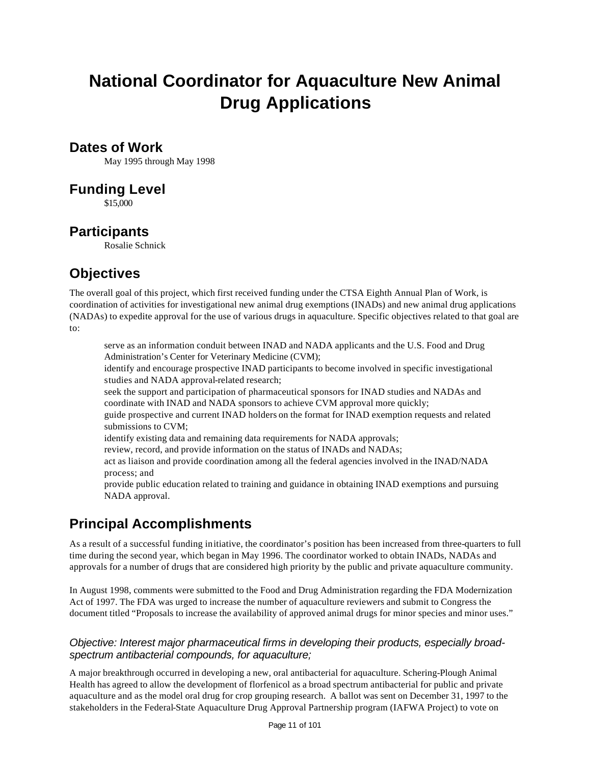# **National Coordinator for Aquaculture New Animal Drug Applications**

#### **Dates of Work**

May 1995 through May 1998

### **Funding Level**

\$15,000

### **Participants**

Rosalie Schnick

### **Objectives**

The overall goal of this project, which first received funding under the CTSA Eighth Annual Plan of Work, is coordination of activities for investigational new animal drug exemptions (INADs) and new animal drug applications (NADAs) to expedite approval for the use of various drugs in aquaculture. Specific objectives related to that goal are to:

serve as an information conduit between INAD and NADA applicants and the U.S. Food and Drug Administration's Center for Veterinary Medicine (CVM);

identify and encourage prospective INAD participants to become involved in specific investigational studies and NADA approval-related research;

seek the support and participation of pharmaceutical sponsors for INAD studies and NADAs and coordinate with INAD and NADA sponsors to achieve CVM approval more quickly;

guide prospective and current INAD holders on the format for INAD exemption requests and related submissions to CVM;

identify existing data and remaining data requirements for NADA approvals;

review, record, and provide information on the status of INADs and NADAs;

act as liaison and provide coordination among all the federal agencies involved in the INAD/NADA process; and

provide public education related to training and guidance in obtaining INAD exemptions and pursuing NADA approval.

### **Principal Accomplishments**

As a result of a successful funding initiative, the coordinator's position has been increased from three-quarters to full time during the second year, which began in May 1996. The coordinator worked to obtain INADs, NADAs and approvals for a number of drugs that are considered high priority by the public and private aquaculture community.

In August 1998, comments were submitted to the Food and Drug Administration regarding the FDA Modernization Act of 1997. The FDA was urged to increase the number of aquaculture reviewers and submit to Congress the document titled "Proposals to increase the availability of approved animal drugs for minor species and minor uses."

#### *Objective: Interest major pharmaceutical firms in developing their products, especially broadspectrum antibacterial compounds, for aquaculture;*

A major breakthrough occurred in developing a new, oral antibacterial for aquaculture. Schering-Plough Animal Health has agreed to allow the development of florfenicol as a broad spectrum antibacterial for public and private aquaculture and as the model oral drug for crop grouping research. A ballot was sent on December 31, 1997 to the stakeholders in the Federal-State Aquaculture Drug Approval Partnership program (IAFWA Project) to vote on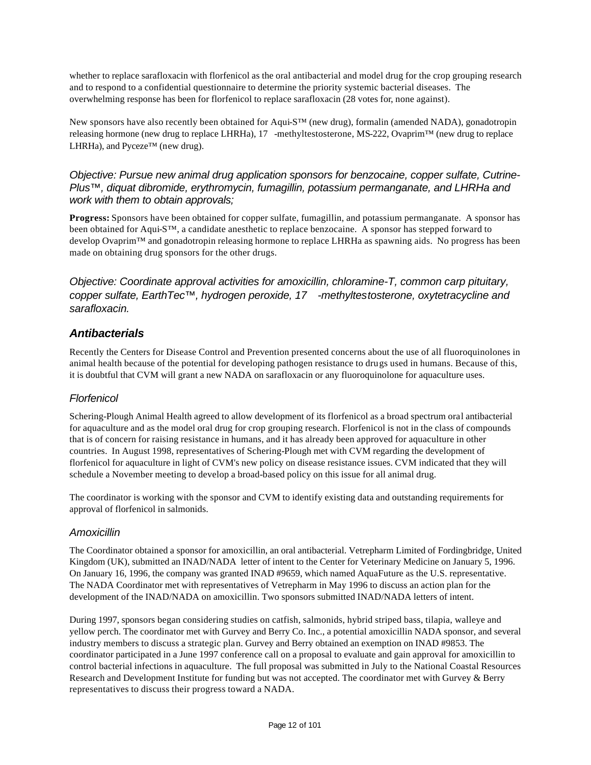whether to replace sarafloxacin with florfenicol as the oral antibacterial and model drug for the crop grouping research and to respond to a confidential questionnaire to determine the priority systemic bacterial diseases. The overwhelming response has been for florfenicol to replace sarafloxacin (28 votes for, none against).

New sponsors have also recently been obtained for Aqui-S™ (new drug), formalin (amended NADA), gonadotropin releasing hormone (new drug to replace LHRHa), 17 -methyltestosterone, MS-222, Ovaprim™ (new drug to replace LHRHa), and Pyceze™ (new drug).

#### *Objective: Pursue new animal drug application sponsors for benzocaine, copper sulfate, Cutrine-Plus™, diquat dibromide, erythromycin, fumagillin, potassium permanganate, and LHRHa and work with them to obtain approvals;*

**Progress:** Sponsors have been obtained for copper sulfate, fumagillin, and potassium permanganate. A sponsor has been obtained for Aqui-S™, a candidate anesthetic to replace benzocaine. A sponsor has stepped forward to develop Ovaprim™ and gonadotropin releasing hormone to replace LHRHa as spawning aids. No progress has been made on obtaining drug sponsors for the other drugs.

*Objective: Coordinate approval activities for amoxicillin, chloramine-T, common carp pituitary, copper sulfate, EarthTec™, hydrogen peroxide, 17 -methyltestosterone, oxytetracycline and sarafloxacin.*

#### *Antibacterials*

Recently the Centers for Disease Control and Prevention presented concerns about the use of all fluoroquinolones in animal health because of the potential for developing pathogen resistance to drugs used in humans. Because of this, it is doubtful that CVM will grant a new NADA on sarafloxacin or any fluoroquinolone for aquaculture uses.

#### *Florfenicol*

Schering-Plough Animal Health agreed to allow development of its florfenicol as a broad spectrum oral antibacterial for aquaculture and as the model oral drug for crop grouping research. Florfenicol is not in the class of compounds that is of concern for raising resistance in humans, and it has already been approved for aquaculture in other countries. In August 1998, representatives of Schering-Plough met with CVM regarding the development of florfenicol for aquaculture in light of CVM's new policy on disease resistance issues. CVM indicated that they will schedule a November meeting to develop a broad-based policy on this issue for all animal drug.

The coordinator is working with the sponsor and CVM to identify existing data and outstanding requirements for approval of florfenicol in salmonids.

#### *Amoxicillin*

The Coordinator obtained a sponsor for amoxicillin, an oral antibacterial. Vetrepharm Limited of Fordingbridge, United Kingdom (UK), submitted an INAD/NADA letter of intent to the Center for Veterinary Medicine on January 5, 1996. On January 16, 1996, the company was granted INAD #9659, which named AquaFuture as the U.S. representative. The NADA Coordinator met with representatives of Vetrepharm in May 1996 to discuss an action plan for the development of the INAD/NADA on amoxicillin. Two sponsors submitted INAD/NADA letters of intent.

During 1997, sponsors began considering studies on catfish, salmonids, hybrid striped bass, tilapia, walleye and yellow perch. The coordinator met with Gurvey and Berry Co. Inc., a potential amoxicillin NADA sponsor, and several industry members to discuss a strategic plan. Gurvey and Berry obtained an exemption on INAD #9853. The coordinator participated in a June 1997 conference call on a proposal to evaluate and gain approval for amoxicillin to control bacterial infections in aquaculture. The full proposal was submitted in July to the National Coastal Resources Research and Development Institute for funding but was not accepted. The coordinator met with Gurvey & Berry representatives to discuss their progress toward a NADA.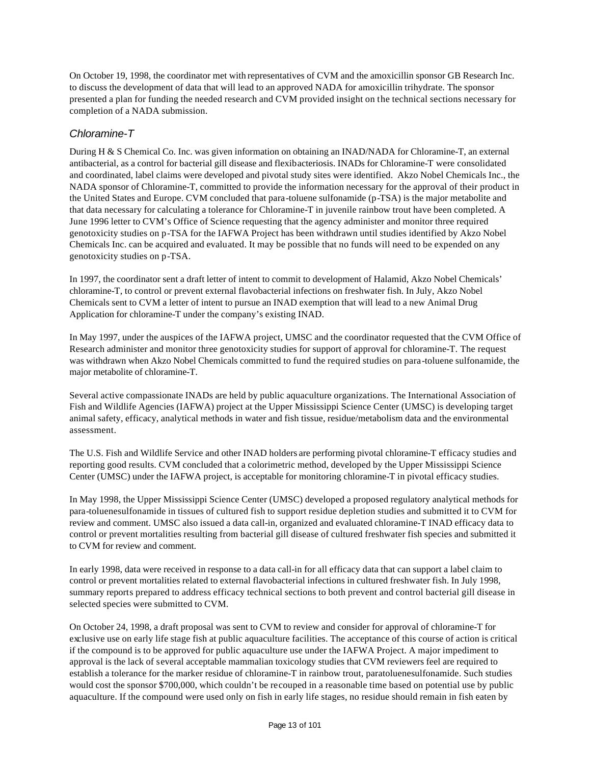On October 19, 1998, the coordinator met with representatives of CVM and the amoxicillin sponsor GB Research Inc. to discuss the development of data that will lead to an approved NADA for amoxicillin trihydrate. The sponsor presented a plan for funding the needed research and CVM provided insight on the technical sections necessary for completion of a NADA submission.

#### *Chloramine-T*

During H & S Chemical Co. Inc. was given information on obtaining an INAD/NADA for Chloramine-T, an external antibacterial, as a control for bacterial gill disease and flexibacteriosis. INADs for Chloramine-T were consolidated and coordinated, label claims were developed and pivotal study sites were identified. Akzo Nobel Chemicals Inc., the NADA sponsor of Chloramine-T, committed to provide the information necessary for the approval of their product in the United States and Europe. CVM concluded that para-toluene sulfonamide (p-TSA) is the major metabolite and that data necessary for calculating a tolerance for Chloramine-T in juvenile rainbow trout have been completed. A June 1996 letter to CVM's Office of Science requesting that the agency administer and monitor three required genotoxicity studies on p-TSA for the IAFWA Project has been withdrawn until studies identified by Akzo Nobel Chemicals Inc. can be acquired and evaluated. It may be possible that no funds will need to be expended on any genotoxicity studies on p-TSA.

In 1997, the coordinator sent a draft letter of intent to commit to development of Halamid, Akzo Nobel Chemicals' chloramine-T, to control or prevent external flavobacterial infections on freshwater fish. In July, Akzo Nobel Chemicals sent to CVM a letter of intent to pursue an INAD exemption that will lead to a new Animal Drug Application for chloramine-T under the company's existing INAD.

In May 1997, under the auspices of the IAFWA project, UMSC and the coordinator requested that the CVM Office of Research administer and monitor three genotoxicity studies for support of approval for chloramine-T. The request was withdrawn when Akzo Nobel Chemicals committed to fund the required studies on para-toluene sulfonamide, the major metabolite of chloramine-T.

Several active compassionate INADs are held by public aquaculture organizations. The International Association of Fish and Wildlife Agencies (IAFWA) project at the Upper Mississippi Science Center (UMSC) is developing target animal safety, efficacy, analytical methods in water and fish tissue, residue/metabolism data and the environmental assessment.

The U.S. Fish and Wildlife Service and other INAD holders are performing pivotal chloramine-T efficacy studies and reporting good results. CVM concluded that a colorimetric method, developed by the Upper Mississippi Science Center (UMSC) under the IAFWA project, is acceptable for monitoring chloramine-T in pivotal efficacy studies.

In May 1998, the Upper Mississippi Science Center (UMSC) developed a proposed regulatory analytical methods for para-toluenesulfonamide in tissues of cultured fish to support residue depletion studies and submitted it to CVM for review and comment. UMSC also issued a data call-in, organized and evaluated chloramine-T INAD efficacy data to control or prevent mortalities resulting from bacterial gill disease of cultured freshwater fish species and submitted it to CVM for review and comment.

In early 1998, data were received in response to a data call-in for all efficacy data that can support a label claim to control or prevent mortalities related to external flavobacterial infections in cultured freshwater fish. In July 1998, summary reports prepared to address efficacy technical sections to both prevent and control bacterial gill disease in selected species were submitted to CVM.

On October 24, 1998, a draft proposal was sent to CVM to review and consider for approval of chloramine-T for exclusive use on early life stage fish at public aquaculture facilities. The acceptance of this course of action is critical if the compound is to be approved for public aquaculture use under the IAFWA Project. A major impediment to approval is the lack of several acceptable mammalian toxicology studies that CVM reviewers feel are required to establish a tolerance for the marker residue of chloramine-T in rainbow trout, paratoluenesulfonamide. Such studies would cost the sponsor \$700,000, which couldn't be recouped in a reasonable time based on potential use by public aquaculture. If the compound were used only on fish in early life stages, no residue should remain in fish eaten by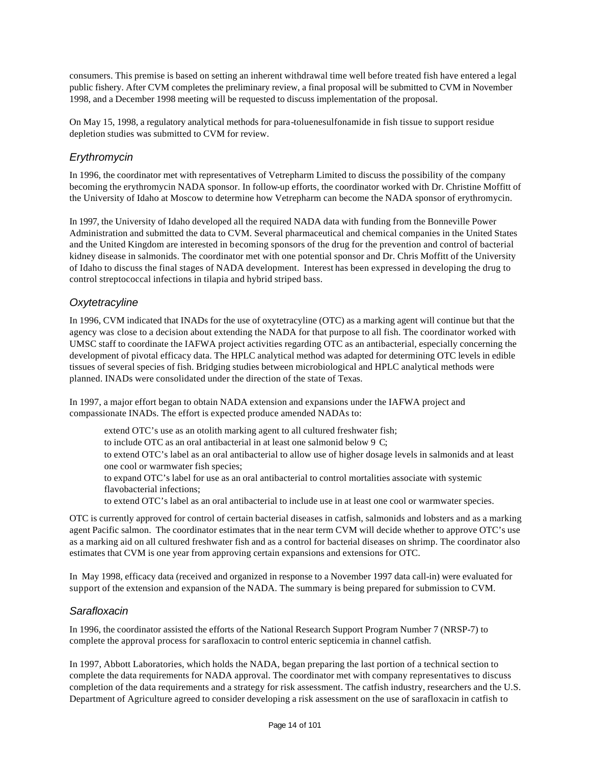consumers. This premise is based on setting an inherent withdrawal time well before treated fish have entered a legal public fishery. After CVM completes the preliminary review, a final proposal will be submitted to CVM in November 1998, and a December 1998 meeting will be requested to discuss implementation of the proposal.

On May 15, 1998, a regulatory analytical methods for para-toluenesulfonamide in fish tissue to support residue depletion studies was submitted to CVM for review.

#### *Erythromycin*

In 1996, the coordinator met with representatives of Vetrepharm Limited to discuss the possibility of the company becoming the erythromycin NADA sponsor. In follow-up efforts, the coordinator worked with Dr. Christine Moffitt of the University of Idaho at Moscow to determine how Vetrepharm can become the NADA sponsor of erythromycin.

In 1997, the University of Idaho developed all the required NADA data with funding from the Bonneville Power Administration and submitted the data to CVM. Several pharmaceutical and chemical companies in the United States and the United Kingdom are interested in becoming sponsors of the drug for the prevention and control of bacterial kidney disease in salmonids. The coordinator met with one potential sponsor and Dr. Chris Moffitt of the University of Idaho to discuss the final stages of NADA development. Interest has been expressed in developing the drug to control streptococcal infections in tilapia and hybrid striped bass.

#### *Oxytetracyline*

In 1996, CVM indicated that INADs for the use of oxytetracyline (OTC) as a marking agent will continue but that the agency was close to a decision about extending the NADA for that purpose to all fish. The coordinator worked with UMSC staff to coordinate the IAFWA project activities regarding OTC as an antibacterial, especially concerning the development of pivotal efficacy data. The HPLC analytical method was adapted for determining OTC levels in edible tissues of several species of fish. Bridging studies between microbiological and HPLC analytical methods were planned. INADs were consolidated under the direction of the state of Texas.

In 1997, a major effort began to obtain NADA extension and expansions under the IAFWA project and compassionate INADs. The effort is expected produce amended NADAs to:

extend OTC's use as an otolith marking agent to all cultured freshwater fish; to include OTC as an oral antibacterial in at least one salmonid below 9 C; to extend OTC's label as an oral antibacterial to allow use of higher dosage levels in salmonids and at least one cool or warmwater fish species; to expand OTC's label for use as an oral antibacterial to control mortalities associate with systemic flavobacterial infections;

to extend OTC's label as an oral antibacterial to include use in at least one cool or warmwater species.

OTC is currently approved for control of certain bacterial diseases in catfish, salmonids and lobsters and as a marking agent Pacific salmon. The coordinator estimates that in the near term CVM will decide whether to approve OTC's use as a marking aid on all cultured freshwater fish and as a control for bacterial diseases on shrimp. The coordinator also estimates that CVM is one year from approving certain expansions and extensions for OTC.

In May 1998, efficacy data (received and organized in response to a November 1997 data call-in) were evaluated for support of the extension and expansion of the NADA. The summary is being prepared for submission to CVM.

#### *Sarafloxacin*

In 1996, the coordinator assisted the efforts of the National Research Support Program Number 7 (NRSP-7) to complete the approval process for sarafloxacin to control enteric septicemia in channel catfish.

In 1997, Abbott Laboratories, which holds the NADA, began preparing the last portion of a technical section to complete the data requirements for NADA approval. The coordinator met with company representatives to discuss completion of the data requirements and a strategy for risk assessment. The catfish industry, researchers and the U.S. Department of Agriculture agreed to consider developing a risk assessment on the use of sarafloxacin in catfish to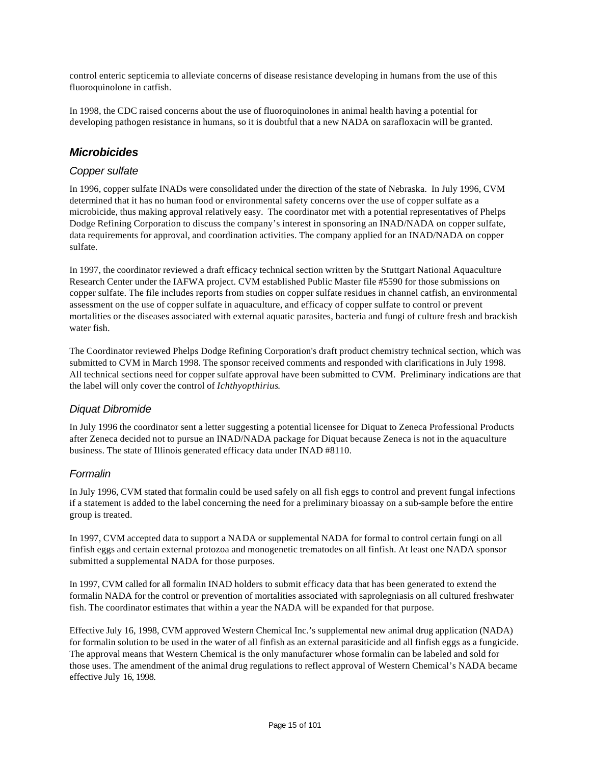control enteric septicemia to alleviate concerns of disease resistance developing in humans from the use of this fluoroquinolone in catfish.

In 1998, the CDC raised concerns about the use of fluoroquinolones in animal health having a potential for developing pathogen resistance in humans, so it is doubtful that a new NADA on sarafloxacin will be granted.

#### *Microbicides*

#### *Copper sulfate*

In 1996, copper sulfate INADs were consolidated under the direction of the state of Nebraska. In July 1996, CVM determined that it has no human food or environmental safety concerns over the use of copper sulfate as a microbicide, thus making approval relatively easy. The coordinator met with a potential representatives of Phelps Dodge Refining Corporation to discuss the company's interest in sponsoring an INAD/NADA on copper sulfate, data requirements for approval, and coordination activities. The company applied for an INAD/NADA on copper sulfate.

In 1997, the coordinator reviewed a draft efficacy technical section written by the Stuttgart National Aquaculture Research Center under the IAFWA project. CVM established Public Master file #5590 for those submissions on copper sulfate. The file includes reports from studies on copper sulfate residues in channel catfish, an environmental assessment on the use of copper sulfate in aquaculture, and efficacy of copper sulfate to control or prevent mortalities or the diseases associated with external aquatic parasites, bacteria and fungi of culture fresh and brackish water fish.

The Coordinator reviewed Phelps Dodge Refining Corporation's draft product chemistry technical section, which was submitted to CVM in March 1998. The sponsor received comments and responded with clarifications in July 1998. All technical sections need for copper sulfate approval have been submitted to CVM. Preliminary indications are that the label will only cover the control of *Ichthyopthirius*.

#### *Diquat Dibromide*

In July 1996 the coordinator sent a letter suggesting a potential licensee for Diquat to Zeneca Professional Products after Zeneca decided not to pursue an INAD/NADA package for Diquat because Zeneca is not in the aquaculture business. The state of Illinois generated efficacy data under INAD #8110.

#### *Formalin*

In July 1996, CVM stated that formalin could be used safely on all fish eggs to control and prevent fungal infections if a statement is added to the label concerning the need for a preliminary bioassay on a sub-sample before the entire group is treated.

In 1997, CVM accepted data to support a NADA or supplemental NADA for formal to control certain fungi on all finfish eggs and certain external protozoa and monogenetic trematodes on all finfish. At least one NADA sponsor submitted a supplemental NADA for those purposes.

In 1997, CVM called for all formalin INAD holders to submit efficacy data that has been generated to extend the formalin NADA for the control or prevention of mortalities associated with saprolegniasis on all cultured freshwater fish. The coordinator estimates that within a year the NADA will be expanded for that purpose.

Effective July 16, 1998, CVM approved Western Chemical Inc.'s supplemental new animal drug application (NADA) for formalin solution to be used in the water of all finfish as an external parasiticide and all finfish eggs as a fungicide. The approval means that Western Chemical is the only manufacturer whose formalin can be labeled and sold for those uses. The amendment of the animal drug regulations to reflect approval of Western Chemical's NADA became effective July 16, 1998.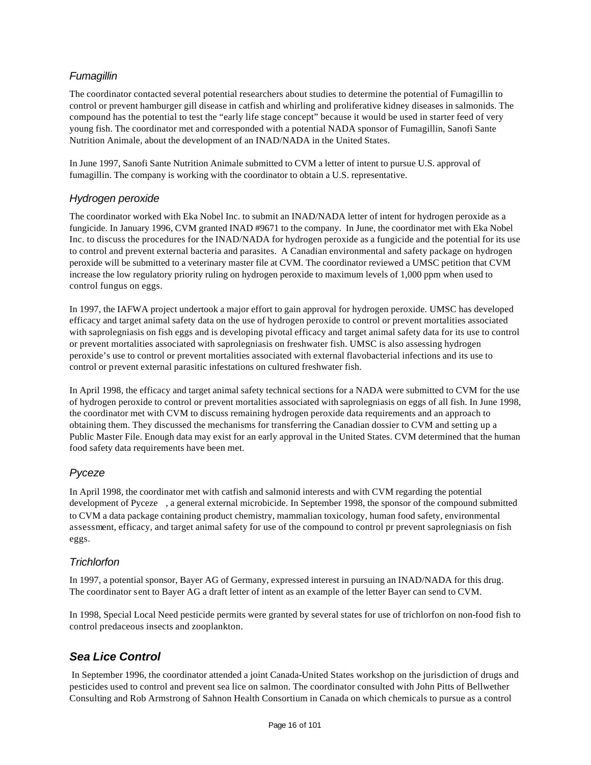#### *Fumagillin*

The coordinator contacted several potential researchers about studies to determine the potential of Fumagillin to control or prevent hamburger gill disease in catfish and whirling and proliferative kidney diseases in salmonids. The compound has the potential to test the "early life stage concept" because it would be used in starter feed of very young fish. The coordinator met and corresponded with a potential NADA sponsor of Fumagillin, Sanofi Sante Nutrition Animale, about the development of an INAD/NADA in the United States.

In June 1997, Sanofi Sante Nutrition Animale submitted to CVM a letter of intent to pursue U.S. approval of fumagillin. The company is working with the coordinator to obtain a U.S. representative.

#### *Hydrogen peroxide*

The coordinator worked with Eka Nobel Inc. to submit an INAD/NADA letter of intent for hydrogen peroxide as a fungicide. In January 1996, CVM granted INAD #9671 to the company. In June, the coordinator met with Eka Nobel Inc. to discuss the procedures for the INAD/NADA for hydrogen peroxide as a fungicide and the potential for its use to control and prevent external bacteria and parasites. A Canadian environmental and safety package on hydrogen peroxide will be submitted to a veterinary master file at CVM. The coordinator reviewed a UMSC petition that CVM increase the low regulatory priority ruling on hydrogen peroxide to maximum levels of 1,000 ppm when used to control fungus on eggs.

In 1997, the IAFWA project undertook a major effort to gain approval for hydrogen peroxide. UMSC has developed efficacy and target animal safety data on the use of hydrogen peroxide to control or prevent mortalities associated with saprolegniasis on fish eggs and is developing pivotal efficacy and target animal safety data for its use to control or prevent mortalities associated with saprolegniasis on freshwater fish. UMSC is also assessing hydrogen peroxide's use to control or prevent mortalities associated with external flavobacterial infections and its use to control or prevent external parasitic infestations on cultured freshwater fish.

In April 1998, the efficacy and target animal safety technical sections for a NADA were submitted to CVM for the use of hydrogen peroxide to control or prevent mortalities associated with saprolegniasis on eggs of all fish. In June 1998, the coordinator met with CVM to discuss remaining hydrogen peroxide data requirements and an approach to obtaining them. They discussed the mechanisms for transferring the Canadian dossier to CVM and setting up a Public Master File. Enough data may exist for an early approval in the United States. CVM determined that the human food safety data requirements have been met.

#### *Pyceze*

In April 1998, the coordinator met with catfish and salmonid interests and with CVM regarding the potential development of Pyceze , a general external microbicide. In September 1998, the sponsor of the compound submitted to CVM a data package containing product chemistry, mammalian toxicology, human food safety, environmental assessment, efficacy, and target animal safety for use of the compound to control pr prevent saprolegniasis on fish eggs.

#### *Trichlorfon*

In 1997, a potential sponsor, Bayer AG of Germany, expressed interest in pursuing an INAD/NADA for this drug. The coordinator sent to Bayer AG a draft letter of intent as an example of the letter Bayer can send to CVM.

In 1998, Special Local Need pesticide permits were granted by several states for use of trichlorfon on non-food fish to control predaceous insects and zooplankton.

#### *Sea Lice Control*

 In September 1996, the coordinator attended a joint Canada-United States workshop on the jurisdiction of drugs and pesticides used to control and prevent sea lice on salmon. The coordinator consulted with John Pitts of Bellwether Consulting and Rob Armstrong of Sahnon Health Consortium in Canada on which chemicals to pursue as a control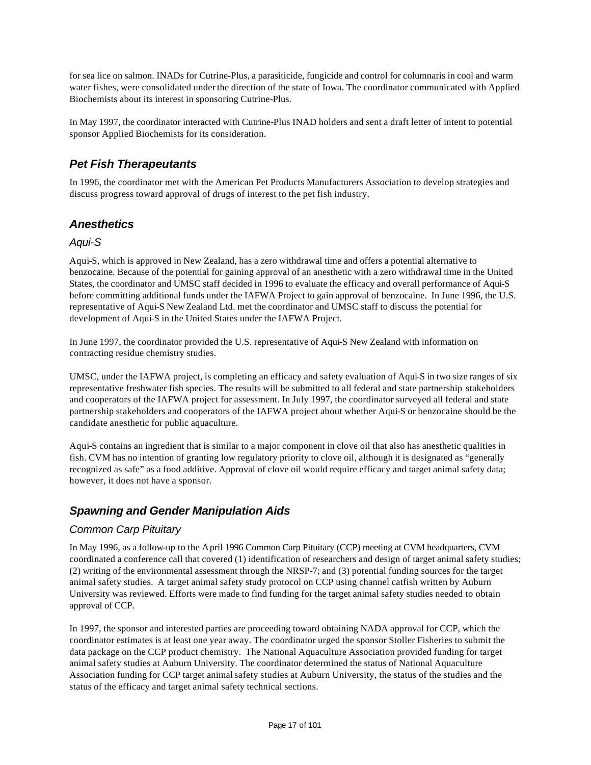for sea lice on salmon. INADs for Cutrine-Plus, a parasiticide, fungicide and control for columnaris in cool and warm water fishes, were consolidated under the direction of the state of Iowa. The coordinator communicated with Applied Biochemists about its interest in sponsoring Cutrine-Plus.

In May 1997, the coordinator interacted with Cutrine-Plus INAD holders and sent a draft letter of intent to potential sponsor Applied Biochemists for its consideration.

#### *Pet Fish Therapeutants*

In 1996, the coordinator met with the American Pet Products Manufacturers Association to develop strategies and discuss progress toward approval of drugs of interest to the pet fish industry.

#### *Anesthetics*

#### *Aqui-S*

Aqui-S, which is approved in New Zealand, has a zero withdrawal time and offers a potential alternative to benzocaine. Because of the potential for gaining approval of an anesthetic with a zero withdrawal time in the United States, the coordinator and UMSC staff decided in 1996 to evaluate the efficacy and overall performance of Aqui-S before committing additional funds under the IAFWA Project to gain approval of benzocaine. In June 1996, the U.S. representative of Aqui-S New Zealand Ltd. met the coordinator and UMSC staff to discuss the potential for development of Aqui-S in the United States under the IAFWA Project.

In June 1997, the coordinator provided the U.S. representative of Aqui-S New Zealand with information on contracting residue chemistry studies.

UMSC, under the IAFWA project, is completing an efficacy and safety evaluation of Aqui-S in two size ranges of six representative freshwater fish species. The results will be submitted to all federal and state partnership stakeholders and cooperators of the IAFWA project for assessment. In July 1997, the coordinator surveyed all federal and state partnership stakeholders and cooperators of the IAFWA project about whether Aqui-S or benzocaine should be the candidate anesthetic for public aquaculture.

Aqui-S contains an ingredient that is similar to a major component in clove oil that also has anesthetic qualities in fish. CVM has no intention of granting low regulatory priority to clove oil, although it is designated as "generally recognized as safe" as a food additive. Approval of clove oil would require efficacy and target animal safety data; however, it does not have a sponsor.

#### *Spawning and Gender Manipulation Aids*

#### *Common Carp Pituitary*

In May 1996, as a follow-up to the April 1996 Common Carp Pituitary (CCP) meeting at CVM headquarters, CVM coordinated a conference call that covered (1) identification of researchers and design of target animal safety studies; (2) writing of the environmental assessment through the NRSP-7; and (3) potential funding sources for the target animal safety studies. A target animal safety study protocol on CCP using channel catfish written by Auburn University was reviewed. Efforts were made to find funding for the target animal safety studies needed to obtain approval of CCP.

In 1997, the sponsor and interested parties are proceeding toward obtaining NADA approval for CCP, which the coordinator estimates is at least one year away. The coordinator urged the sponsor Stoller Fisheries to submit the data package on the CCP product chemistry. The National Aquaculture Association provided funding for target animal safety studies at Auburn University. The coordinator determined the status of National Aquaculture Association funding for CCP target animal safety studies at Auburn University, the status of the studies and the status of the efficacy and target animal safety technical sections.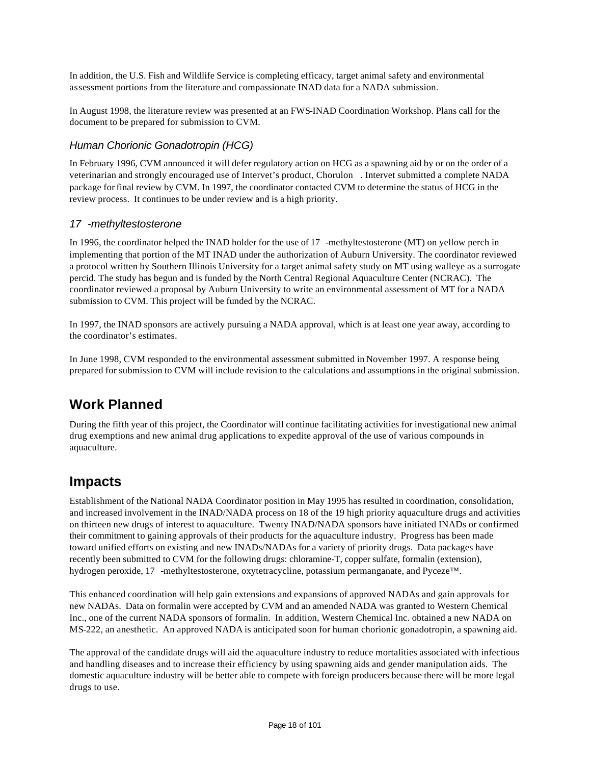In addition, the U.S. Fish and Wildlife Service is completing efficacy, target animal safety and environmental assessment portions from the literature and compassionate INAD data for a NADA submission.

In August 1998, the literature review was presented at an FWS-INAD Coordination Workshop. Plans call for the document to be prepared for submission to CVM.

#### *Human Chorionic Gonadotropin (HCG)*

In February 1996, CVM announced it will defer regulatory action on HCG as a spawning aid by or on the order of a veterinarian and strongly encouraged use of Intervet's product, Chorulon . Intervet submitted a complete NADA package for final review by CVM. In 1997, the coordinator contacted CVM to determine the status of HCG in the review process. It continues to be under review and is a high priority.

#### *17 -methyltestosterone*

In 1996, the coordinator helped the INAD holder for the use of 17 -methyltestosterone (MT) on yellow perch in implementing that portion of the MT INAD under the authorization of Auburn University. The coordinator reviewed a protocol written by Southern Illinois University for a target animal safety study on MT using walleye as a surrogate percid. The study has begun and is funded by the North Central Regional Aquaculture Center (NCRAC). The coordinator reviewed a proposal by Auburn University to write an environmental assessment of MT for a NADA submission to CVM. This project will be funded by the NCRAC.

In 1997, the INAD sponsors are actively pursuing a NADA approval, which is at least one year away, according to the coordinator's estimates.

In June 1998, CVM responded to the environmental assessment submitted in November 1997. A response being prepared for submission to CVM will include revision to the calculations and assumptions in the original submission.

### **Work Planned**

During the fifth year of this project, the Coordinator will continue facilitating activities for investigational new animal drug exemptions and new animal drug applications to expedite approval of the use of various compounds in aquaculture.

### **Impacts**

Establishment of the National NADA Coordinator position in May 1995 has resulted in coordination, consolidation, and increased involvement in the INAD/NADA process on 18 of the 19 high priority aquaculture drugs and activities on thirteen new drugs of interest to aquaculture. Twenty INAD/NADA sponsors have initiated INADs or confirmed their commitment to gaining approvals of their products for the aquaculture industry. Progress has been made toward unified efforts on existing and new INADs/NADAs for a variety of priority drugs. Data packages have recently been submitted to CVM for the following drugs: chloramine-T, copper sulfate, formalin (extension), hydrogen peroxide, 17 -methyltestosterone, oxytetracycline, potassium permanganate, and Pyceze™.

This enhanced coordination will help gain extensions and expansions of approved NADAs and gain approvals for new NADAs. Data on formalin were accepted by CVM and an amended NADA was granted to Western Chemical Inc., one of the current NADA sponsors of formalin. In addition, Western Chemical Inc. obtained a new NADA on MS-222, an anesthetic. An approved NADA is anticipated soon for human chorionic gonadotropin, a spawning aid.

The approval of the candidate drugs will aid the aquaculture industry to reduce mortalities associated with infectious and handling diseases and to increase their efficiency by using spawning aids and gender manipulation aids. The domestic aquaculture industry will be better able to compete with foreign producers because there will be more legal drugs to use.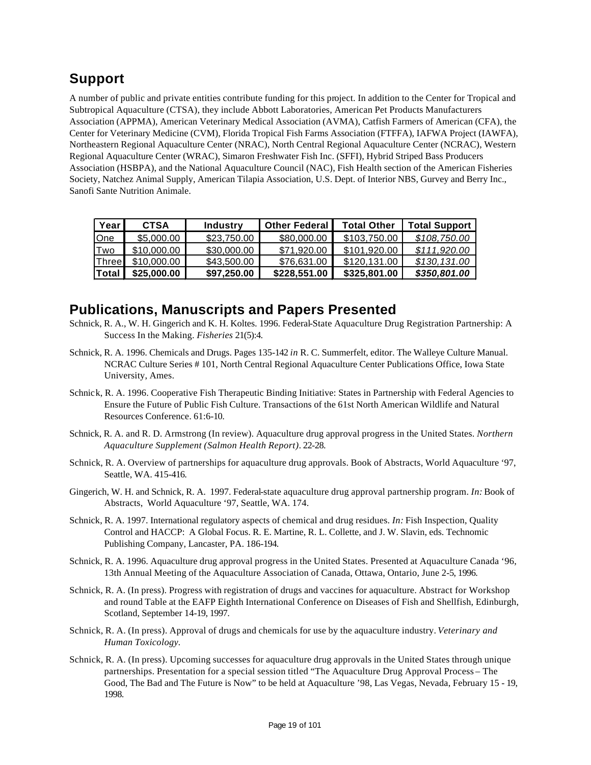### **Support**

A number of public and private entities contribute funding for this project. In addition to the Center for Tropical and Subtropical Aquaculture (CTSA), they include Abbott Laboratories, American Pet Products Manufacturers Association (APPMA), American Veterinary Medical Association (AVMA), Catfish Farmers of American (CFA), the Center for Veterinary Medicine (CVM), Florida Tropical Fish Farms Association (FTFFA), IAFWA Project (IAWFA), Northeastern Regional Aquaculture Center (NRAC), North Central Regional Aquaculture Center (NCRAC), Western Regional Aquaculture Center (WRAC), Simaron Freshwater Fish Inc. (SFFI), Hybrid Striped Bass Producers Association (HSBPA), and the National Aquaculture Council (NAC), Fish Health section of the American Fisheries Society, Natchez Animal Supply, American Tilapia Association, U.S. Dept. of Interior NBS, Gurvey and Berry Inc., Sanofi Sante Nutrition Animale.

| Year         | <b>CTSA</b> | <b>Industry</b> | <b>Other Federal</b> | <b>Total Other</b> | <b>Total Support</b> |
|--------------|-------------|-----------------|----------------------|--------------------|----------------------|
| One          | \$5,000,00  | \$23,750,00     | \$80,000,00          | \$103.750.00       | \$108.750.00         |
| Two          | \$10,000,00 | \$30,000.00     | \$71,920.00          | \$101.920.00       | \$111.920.00         |
| <b>Three</b> | \$10,000,00 | \$43,500,00     | \$76,631,00          | \$120.131.00       | \$130.131.00         |
| Total        | \$25,000,00 | \$97,250.00     | \$228,551.00         | \$325,801.00       | \$350,801.00         |

### **Publications, Manuscripts and Papers Presented**

- Schnick, R. A., W. H. Gingerich and K. H. Koltes. 1996. Federal-State Aquaculture Drug Registration Partnership: A Success In the Making. *Fisheries* 21(5):4.
- Schnick, R. A. 1996. Chemicals and Drugs. Pages 135-142 *in* R. C. Summerfelt, editor. The Walleye Culture Manual. NCRAC Culture Series # 101, North Central Regional Aquaculture Center Publications Office, Iowa State University, Ames.
- Schnick, R. A. 1996. Cooperative Fish Therapeutic Binding Initiative: States in Partnership with Federal Agencies to Ensure the Future of Public Fish Culture. Transactions of the 61st North American Wildlife and Natural Resources Conference. 61:6-10.
- Schnick, R. A. and R. D. Armstrong (In review). Aquaculture drug approval progress in the United States. *Northern Aquaculture Supplement (Salmon Health Report)*. 22-28.
- Schnick, R. A. Overview of partnerships for aquaculture drug approvals. Book of Abstracts, World Aquaculture '97, Seattle, WA. 415-416.
- Gingerich, W. H. and Schnick, R. A. 1997. Federal-state aquaculture drug approval partnership program. *In:* Book of Abstracts, World Aquaculture '97, Seattle, WA. 174.
- Schnick, R. A. 1997. International regulatory aspects of chemical and drug residues. *In:* Fish Inspection, Quality Control and HACCP: A Global Focus. R. E. Martine, R. L. Collette, and J. W. Slavin, eds. Technomic Publishing Company, Lancaster, PA. 186-194.
- Schnick, R. A. 1996. Aquaculture drug approval progress in the United States. Presented at Aquaculture Canada '96, 13th Annual Meeting of the Aquaculture Association of Canada, Ottawa, Ontario, June 2-5, 1996.
- Schnick, R. A. (In press). Progress with registration of drugs and vaccines for aquaculture. Abstract for Workshop and round Table at the EAFP Eighth International Conference on Diseases of Fish and Shellfish, Edinburgh, Scotland, September 14-19, 1997.
- Schnick, R. A. (In press). Approval of drugs and chemicals for use by the aquaculture industry. *Veterinary and Human Toxicology.*
- Schnick, R. A. (In press). Upcoming successes for aquaculture drug approvals in the United States through unique partnerships. Presentation for a special session titled "The Aquaculture Drug Approval Process – The Good, The Bad and The Future is Now" to be held at Aquaculture '98, Las Vegas, Nevada, February 15 - 19, 1998.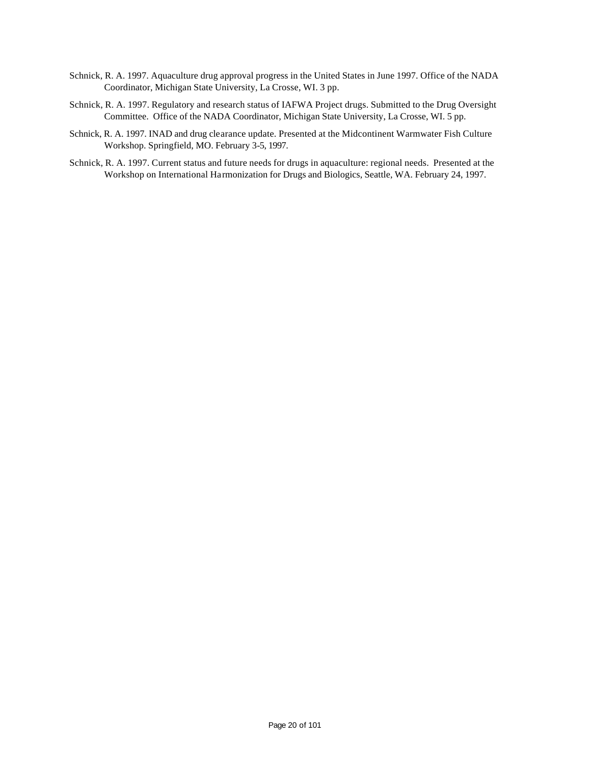- Schnick, R. A. 1997. Aquaculture drug approval progress in the United States in June 1997. Office of the NADA Coordinator, Michigan State University, La Crosse, WI. 3 pp.
- Schnick, R. A. 1997. Regulatory and research status of IAFWA Project drugs. Submitted to the Drug Oversight Committee. Office of the NADA Coordinator, Michigan State University, La Crosse, WI. 5 pp.
- Schnick, R. A. 1997. INAD and drug clearance update. Presented at the Midcontinent Warmwater Fish Culture Workshop. Springfield, MO. February 3-5, 1997.
- Schnick, R. A. 1997. Current status and future needs for drugs in aquaculture: regional needs. Presented at the Workshop on International Harmonization for Drugs and Biologics, Seattle, WA. February 24, 1997.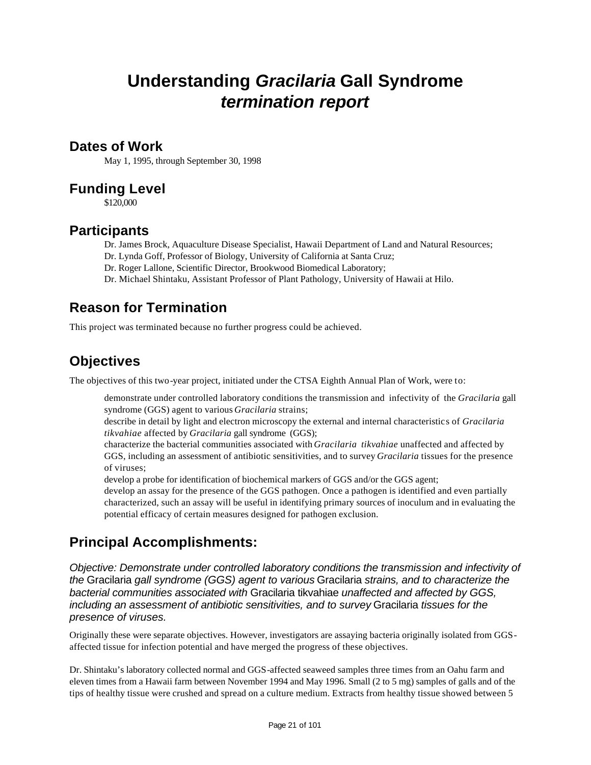## **Understanding** *Gracilaria* **Gall Syndrome** *termination report*

#### **Dates of Work**

May 1, 1995, through September 30, 1998

### **Funding Level**

\$120,000

### **Participants**

Dr. James Brock, Aquaculture Disease Specialist, Hawaii Department of Land and Natural Resources;

Dr. Lynda Goff, Professor of Biology, University of California at Santa Cruz;

Dr. Roger Lallone, Scientific Director, Brookwood Biomedical Laboratory;

Dr. Michael Shintaku, Assistant Professor of Plant Pathology, University of Hawaii at Hilo.

### **Reason for Termination**

This project was terminated because no further progress could be achieved.

### **Objectives**

The objectives of this two-year project, initiated under the CTSA Eighth Annual Plan of Work, were to:

demonstrate under controlled laboratory conditions the transmission and infectivity of the *Gracilaria* gall syndrome (GGS) agent to various *Gracilaria* strains;

describe in detail by light and electron microscopy the external and internal characteristics of *Gracilaria tikvahiae* affected by *Gracilaria* gall syndrome (GGS);

characterize the bacterial communities associated with *Gracilaria tikvahiae* unaffected and affected by GGS, including an assessment of antibiotic sensitivities, and to survey *Gracilaria* tissues for the presence of viruses;

develop a probe for identification of biochemical markers of GGS and/or the GGS agent;

develop an assay for the presence of the GGS pathogen. Once a pathogen is identified and even partially characterized, such an assay will be useful in identifying primary sources of inoculum and in evaluating the potential efficacy of certain measures designed for pathogen exclusion.

### **Principal Accomplishments:**

*Objective: Demonstrate under controlled laboratory conditions the transmission and infectivity of the* Gracilaria *gall syndrome (GGS) agent to various* Gracilaria *strains, and to characterize the bacterial communities associated with* Gracilaria tikvahiae *unaffected and affected by GGS, including an assessment of antibiotic sensitivities, and to survey* Gracilaria *tissues for the presence of viruses.*

Originally these were separate objectives. However, investigators are assaying bacteria originally isolated from GGSaffected tissue for infection potential and have merged the progress of these objectives.

Dr. Shintaku's laboratory collected normal and GGS-affected seaweed samples three times from an Oahu farm and eleven times from a Hawaii farm between November 1994 and May 1996. Small (2 to 5 mg) samples of galls and of the tips of healthy tissue were crushed and spread on a culture medium. Extracts from healthy tissue showed between 5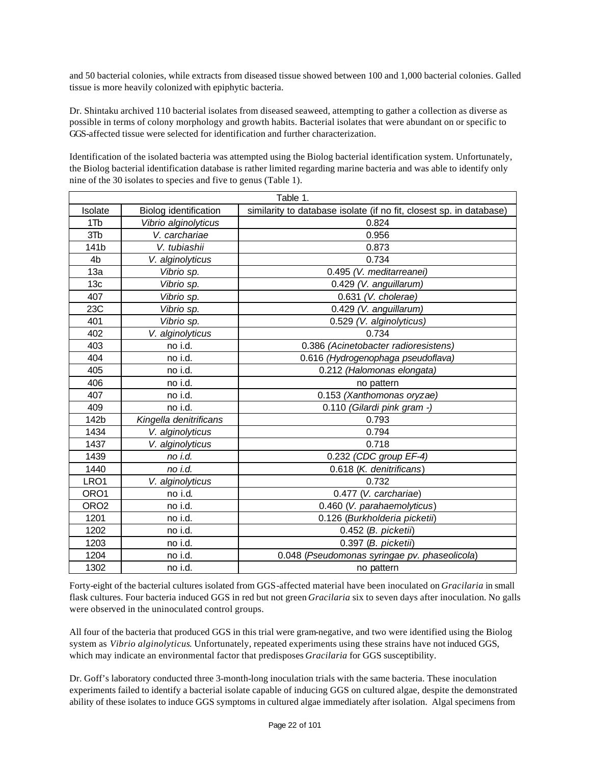and 50 bacterial colonies, while extracts from diseased tissue showed between 100 and 1,000 bacterial colonies. Galled tissue is more heavily colonized with epiphytic bacteria.

Dr. Shintaku archived 110 bacterial isolates from diseased seaweed, attempting to gather a collection as diverse as possible in terms of colony morphology and growth habits. Bacterial isolates that were abundant on or specific to GGS-affected tissue were selected for identification and further characterization.

Identification of the isolated bacteria was attempted using the Biolog bacterial identification system. Unfortunately, the Biolog bacterial identification database is rather limited regarding marine bacteria and was able to identify only nine of the 30 isolates to species and five to genus (Table 1).

| Table 1.         |                                        |                                                                     |  |  |  |  |
|------------------|----------------------------------------|---------------------------------------------------------------------|--|--|--|--|
| Isolate          | Biolog identification                  | similarity to database isolate (if no fit, closest sp. in database) |  |  |  |  |
| 1T <sub>b</sub>  | Vibrio alginolyticus                   | 0.824                                                               |  |  |  |  |
| 3T <sub>b</sub>  | V. carchariae                          | 0.956                                                               |  |  |  |  |
| 141b             | V. tubiashii                           | 0.873                                                               |  |  |  |  |
| 4 <sub>b</sub>   | V. alginolyticus                       | 0.734                                                               |  |  |  |  |
| 13a              | Vibrio sp.                             | 0.495 (V. meditarreanei)                                            |  |  |  |  |
| 13 <sub>c</sub>  | Vibrio sp.                             | 0.429 (V. anguillarum)                                              |  |  |  |  |
| 407              | Vibrio sp.                             | 0.631 (V. cholerae)                                                 |  |  |  |  |
| 23C              | Vibrio sp.                             | 0.429 (V. anguillarum)                                              |  |  |  |  |
| 401              | Vibrio sp.                             | 0.529 (V. alginolyticus)                                            |  |  |  |  |
| 402              | V. alginolyticus                       | 0.734                                                               |  |  |  |  |
| 403              | no i.d.                                | 0.386 (Acinetobacter radioresistens)                                |  |  |  |  |
| 404              | no i.d.                                | 0.616 (Hydrogenophaga pseudoflava)                                  |  |  |  |  |
| 405              | no i.d.                                | 0.212 (Halomonas elongata)                                          |  |  |  |  |
| 406              | no i.d.                                | no pattern                                                          |  |  |  |  |
| 407              | no i.d.                                | 0.153 (Xanthomonas oryzae)                                          |  |  |  |  |
| 409              | no i.d.                                | 0.110 (Gilardi pink gram -)                                         |  |  |  |  |
| 142b             | Kingella denitrificans                 | 0.793                                                               |  |  |  |  |
| 1434             | V. alginolyticus                       | 0.794                                                               |  |  |  |  |
| 1437             | V. alginolyticus                       | 0.718                                                               |  |  |  |  |
| 1439             | no i.d.                                | 0.232 (CDC group EF-4)                                              |  |  |  |  |
| 1440             | no i.d.                                | 0.618 (K. denitrificans)                                            |  |  |  |  |
| LRO1             | V. alginolyticus                       | 0.732                                                               |  |  |  |  |
| ORO1             | no i.d.                                | 0.477 (V. carchariae)                                               |  |  |  |  |
| ORO <sub>2</sub> | no i.d.<br>0.460 (V. parahaemolyticus) |                                                                     |  |  |  |  |
| 1201             | no i.d.                                | 0.126 (Burkholderia picketii)                                       |  |  |  |  |
| 1202             | no i.d.                                | 0.452 (B. picketii)                                                 |  |  |  |  |
| 1203             | no i.d.                                | 0.397 (B. picketii)                                                 |  |  |  |  |
| 1204             | no i.d.                                | 0.048 (Pseudomonas syringae pv. phaseolicola)                       |  |  |  |  |
| 1302             | no i.d.                                | no pattern                                                          |  |  |  |  |

Forty-eight of the bacterial cultures isolated from GGS-affected material have been inoculated on *Gracilaria* in small flask cultures. Four bacteria induced GGS in red but not green *Gracilaria* six to seven days after inoculation*.* No galls were observed in the uninoculated control groups.

All four of the bacteria that produced GGS in this trial were gram-negative, and two were identified using the Biolog system as *Vibrio alginolyticus*. Unfortunately, repeated experiments using these strains have not induced GGS, which may indicate an environmental factor that predisposes *Gracilaria* for GGS susceptibility.

Dr. Goff's laboratory conducted three 3-month-long inoculation trials with the same bacteria. These inoculation experiments failed to identify a bacterial isolate capable of inducing GGS on cultured algae, despite the demonstrated ability of these isolates to induce GGS symptoms in cultured algae immediately after isolation. Algal specimens from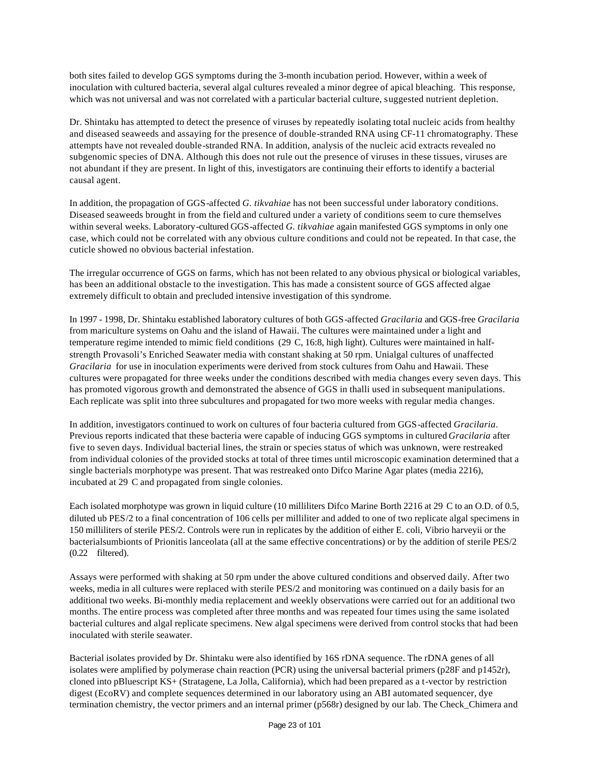both sites failed to develop GGS symptoms during the 3-month incubation period. However, within a week of inoculation with cultured bacteria, several algal cultures revealed a minor degree of apical bleaching. This response, which was not universal and was not correlated with a particular bacterial culture, suggested nutrient depletion.

Dr. Shintaku has attempted to detect the presence of viruses by repeatedly isolating total nucleic acids from healthy and diseased seaweeds and assaying for the presence of double-stranded RNA using CF-11 chromatography. These attempts have not revealed double-stranded RNA. In addition, analysis of the nucleic acid extracts revealed no subgenomic species of DNA. Although this does not rule out the presence of viruses in these tissues, viruses are not abundant if they are present. In light of this, investigators are continuing their efforts to identify a bacterial causal agent.

In addition, the propagation of GGS-affected *G. tikvahiae* has not been successful under laboratory conditions. Diseased seaweeds brought in from the field and cultured under a variety of conditions seem to cure themselves within several weeks. Laboratory-cultured GGS-affected *G. tikvahiae* again manifested GGS symptoms in only one case, which could not be correlated with any obvious culture conditions and could not be repeated. In that case, the cuticle showed no obvious bacterial infestation.

The irregular occurrence of GGS on farms, which has not been related to any obvious physical or biological variables, has been an additional obstacle to the investigation. This has made a consistent source of GGS affected algae extremely difficult to obtain and precluded intensive investigation of this syndrome.

In 1997 - 1998, Dr. Shintaku established laboratory cultures of both GGS-affected *Gracilaria* and GGS-free *Gracilaria* from mariculture systems on Oahu and the island of Hawaii. The cultures were maintained under a light and temperature regime intended to mimic field conditions (29 C, 16:8, high light). Cultures were maintained in halfstrength Provasoli's Enriched Seawater media with constant shaking at 50 rpm. Unialgal cultures of unaffected *Gracilaria* for use in inoculation experiments were derived from stock cultures from Oahu and Hawaii. These cultures were propagated for three weeks under the conditions described with media changes every seven days. This has promoted vigorous growth and demonstrated the absence of GGS in thalli used in subsequent manipulations. Each replicate was split into three subcultures and propagated for two more weeks with regular media changes.

In addition, investigators continued to work on cultures of four bacteria cultured from GGS-affected *Gracilaria*. Previous reports indicated that these bacteria were capable of inducing GGS symptoms in cultured *Gracilaria* after five to seven days. Individual bacterial lines, the strain or species status of which was unknown, were restreaked from individual colonies of the provided stocks at total of three times until microscopic examination determined that a single bacterials morphotype was present. That was restreaked onto Difco Marine Agar plates (media 2216), incubated at 29 C and propagated from single colonies.

Each isolated morphotype was grown in liquid culture (10 milliliters Difco Marine Borth 2216 at 29 C to an O.D. of 0.5, diluted ub PES/2 to a final concentration of 106 cells per milliliter and added to one of two replicate algal specimens in 150 milliliters of sterile PES/2. Controls were run in replicates by the addition of either E. coli, Vibrio harveyii or the bacterialsumbionts of Prionitis lanceolata (all at the same effective concentrations) or by the addition of sterile PES/2 (0.22 filtered).

Assays were performed with shaking at 50 rpm under the above cultured conditions and observed daily. After two weeks, media in all cultures were replaced with sterile PES/2 and monitoring was continued on a daily basis for an additional two weeks. Bi-monthly media replacement and weekly observations were carried out for an additional two months. The entire process was completed after three months and was repeated four times using the same isolated bacterial cultures and algal replicate specimens. New algal specimens were derived from control stocks that had been inoculated with sterile seawater.

Bacterial isolates provided by Dr. Shintaku were also identified by 16S rDNA sequence. The rDNA genes of all isolates were amplified by polymerase chain reaction (PCR) using the universal bacterial primers (p28F and p1452r), cloned into pBluescript KS+ (Stratagene, La Jolla, California), which had been prepared as a t-vector by restriction digest (EcoRV) and complete sequences determined in our laboratory using an ABI automated sequencer, dye termination chemistry, the vector primers and an internal primer (p568r) designed by our lab. The Check\_Chimera and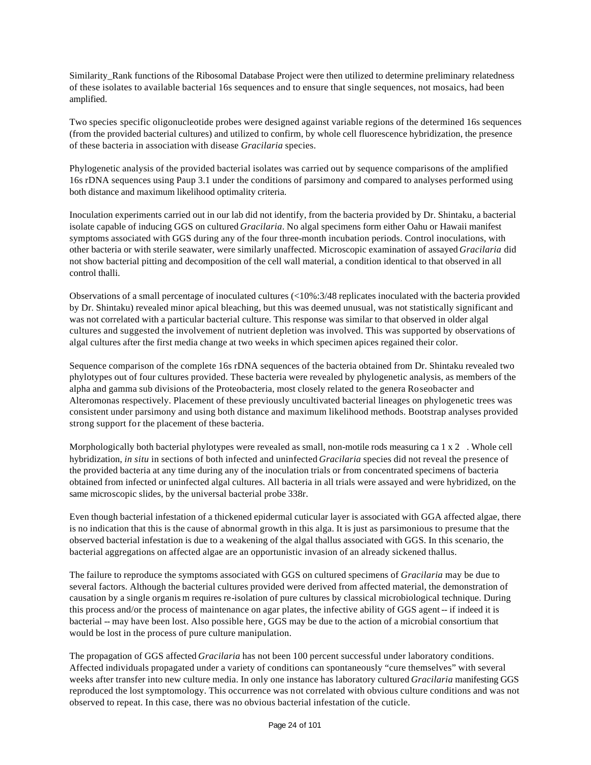Similarity Rank functions of the Ribosomal Database Project were then utilized to determine preliminary relatedness of these isolates to available bacterial 16s sequences and to ensure that single sequences, not mosaics, had been amplified.

Two species specific oligonucleotide probes were designed against variable regions of the determined 16s sequences (from the provided bacterial cultures) and utilized to confirm, by whole cell fluorescence hybridization, the presence of these bacteria in association with disease *Gracilaria* species.

Phylogenetic analysis of the provided bacterial isolates was carried out by sequence comparisons of the amplified 16s rDNA sequences using Paup 3.1 under the conditions of parsimony and compared to analyses performed using both distance and maximum likelihood optimality criteria.

Inoculation experiments carried out in our lab did not identify, from the bacteria provided by Dr. Shintaku, a bacterial isolate capable of inducing GGS on cultured *Gracilaria*. No algal specimens form either Oahu or Hawaii manifest symptoms associated with GGS during any of the four three-month incubation periods. Control inoculations, with other bacteria or with sterile seawater, were similarly unaffected. Microscopic examination of assayed *Gracilaria* did not show bacterial pitting and decomposition of the cell wall material, a condition identical to that observed in all control thalli.

Observations of a small percentage of inoculated cultures (<10%:3/48 replicates inoculated with the bacteria provided by Dr. Shintaku) revealed minor apical bleaching, but this was deemed unusual, was not statistically significant and was not correlated with a particular bacterial culture. This response was similar to that observed in older algal cultures and suggested the involvement of nutrient depletion was involved. This was supported by observations of algal cultures after the first media change at two weeks in which specimen apices regained their color.

Sequence comparison of the complete 16s rDNA sequences of the bacteria obtained from Dr. Shintaku revealed two phylotypes out of four cultures provided. These bacteria were revealed by phylogenetic analysis, as members of the alpha and gamma sub divisions of the Proteobacteria, most closely related to the genera Roseobacter and Alteromonas respectively. Placement of these previously uncultivated bacterial lineages on phylogenetic trees was consistent under parsimony and using both distance and maximum likelihood methods. Bootstrap analyses provided strong support for the placement of these bacteria.

Morphologically both bacterial phylotypes were revealed as small, non-motile rods measuring ca 1 x 2 . Whole cell hybridization, *in situ* in sections of both infected and uninfected *Gracilaria* species did not reveal the presence of the provided bacteria at any time during any of the inoculation trials or from concentrated specimens of bacteria obtained from infected or uninfected algal cultures. All bacteria in all trials were assayed and were hybridized, on the same microscopic slides, by the universal bacterial probe 338r.

Even though bacterial infestation of a thickened epidermal cuticular layer is associated with GGA affected algae, there is no indication that this is the cause of abnormal growth in this alga. It is just as parsimonious to presume that the observed bacterial infestation is due to a weakening of the algal thallus associated with GGS. In this scenario, the bacterial aggregations on affected algae are an opportunistic invasion of an already sickened thallus.

The failure to reproduce the symptoms associated with GGS on cultured specimens of *Gracilaria* may be due to several factors. Although the bacterial cultures provided were derived from affected material, the demonstration of causation by a single organis m requires re-isolation of pure cultures by classical microbiological technique. During this process and/or the process of maintenance on agar plates, the infective ability of GGS agent -- if indeed it is bacterial -- may have been lost. Also possible here, GGS may be due to the action of a microbial consortium that would be lost in the process of pure culture manipulation.

The propagation of GGS affected *Gracilaria* has not been 100 percent successful under laboratory conditions. Affected individuals propagated under a variety of conditions can spontaneously "cure themselves" with several weeks after transfer into new culture media. In only one instance has laboratory cultured *Gracilaria* manifesting GGS reproduced the lost symptomology. This occurrence was not correlated with obvious culture conditions and was not observed to repeat. In this case, there was no obvious bacterial infestation of the cuticle.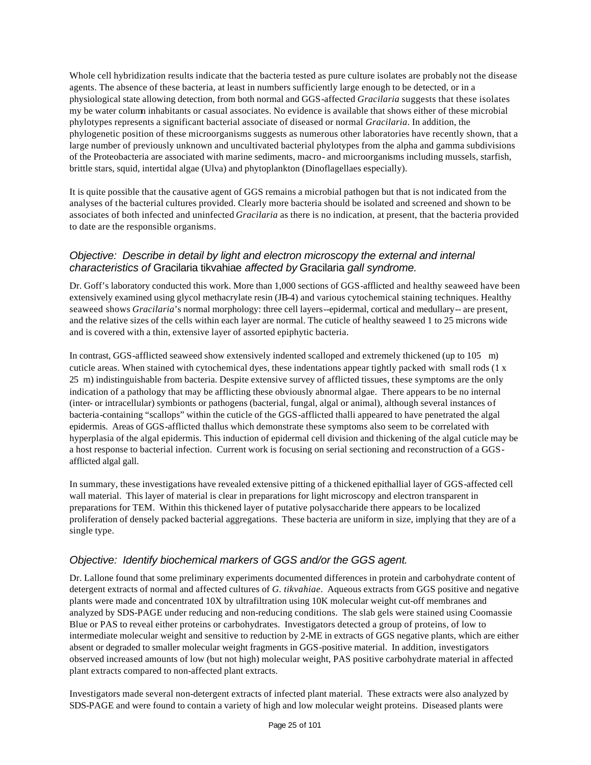Whole cell hybridization results indicate that the bacteria tested as pure culture isolates are probably not the disease agents. The absence of these bacteria, at least in numbers sufficiently large enough to be detected, or in a physiological state allowing detection, from both normal and GGS-affected *Gracilaria* suggests that these isolates my be water column inhabitants or casual associates. No evidence is available that shows either of these microbial phylotypes represents a significant bacterial associate of diseased or normal *Gracilaria*. In addition, the phylogenetic position of these microorganisms suggests as numerous other laboratories have recently shown, that a large number of previously unknown and uncultivated bacterial phylotypes from the alpha and gamma subdivisions of the Proteobacteria are associated with marine sediments, macro- and microorganisms including mussels, starfish, brittle stars, squid, intertidal algae (Ulva) and phytoplankton (Dinoflagellaes especially).

It is quite possible that the causative agent of GGS remains a microbial pathogen but that is not indicated from the analyses of the bacterial cultures provided. Clearly more bacteria should be isolated and screened and shown to be associates of both infected and uninfected *Gracilaria* as there is no indication, at present, that the bacteria provided to date are the responsible organisms.

#### *Objective: Describe in detail by light and electron microscopy the external and internal characteristics of* Gracilaria tikvahiae *affected by* Gracilaria *gall syndrome.*

Dr. Goff's laboratory conducted this work. More than 1,000 sections of GGS-afflicted and healthy seaweed have been extensively examined using glycol methacrylate resin (JB-4) and various cytochemical staining techniques. Healthy seaweed shows *Gracilaria*'s normal morphology: three cell layers--epidermal, cortical and medullary-- are present, and the relative sizes of the cells within each layer are normal. The cuticle of healthy seaweed 1 to 25 microns wide and is covered with a thin, extensive layer of assorted epiphytic bacteria.

In contrast, GGS-afflicted seaweed show extensively indented scalloped and extremely thickened (up to 105 m) cuticle areas. When stained with cytochemical dyes, these indentations appear tightly packed with small rods (1 x 25 m) indistinguishable from bacteria. Despite extensive survey of afflicted tissues, these symptoms are the only indication of a pathology that may be afflicting these obviously abnormal algae. There appears to be no internal (inter- or intracellular) symbionts or pathogens (bacterial, fungal, algal or animal), although several instances of bacteria-containing "scallops" within the cuticle of the GGS-afflicted thalli appeared to have penetrated the algal epidermis. Areas of GGS-afflicted thallus which demonstrate these symptoms also seem to be correlated with hyperplasia of the algal epidermis. This induction of epidermal cell division and thickening of the algal cuticle may be a host response to bacterial infection. Current work is focusing on serial sectioning and reconstruction of a GGSafflicted algal gall.

In summary, these investigations have revealed extensive pitting of a thickened epithallial layer of GGS-affected cell wall material. This layer of material is clear in preparations for light microscopy and electron transparent in preparations for TEM. Within this thickened layer of putative polysaccharide there appears to be localized proliferation of densely packed bacterial aggregations. These bacteria are uniform in size, implying that they are of a single type.

#### *Objective: Identify biochemical markers of GGS and/or the GGS agent.*

Dr. Lallone found that some preliminary experiments documented differences in protein and carbohydrate content of detergent extracts of normal and affected cultures of *G. tikvahiae*. Aqueous extracts from GGS positive and negative plants were made and concentrated 10X by ultrafiltration using 10K molecular weight cut-off membranes and analyzed by SDS-PAGE under reducing and non-reducing conditions. The slab gels were stained using Coomassie Blue or PAS to reveal either proteins or carbohydrates. Investigators detected a group of proteins, of low to intermediate molecular weight and sensitive to reduction by 2-ME in extracts of GGS negative plants, which are either absent or degraded to smaller molecular weight fragments in GGS-positive material. In addition, investigators observed increased amounts of low (but not high) molecular weight, PAS positive carbohydrate material in affected plant extracts compared to non-affected plant extracts.

Investigators made several non-detergent extracts of infected plant material. These extracts were also analyzed by SDS-PAGE and were found to contain a variety of high and low molecular weight proteins. Diseased plants were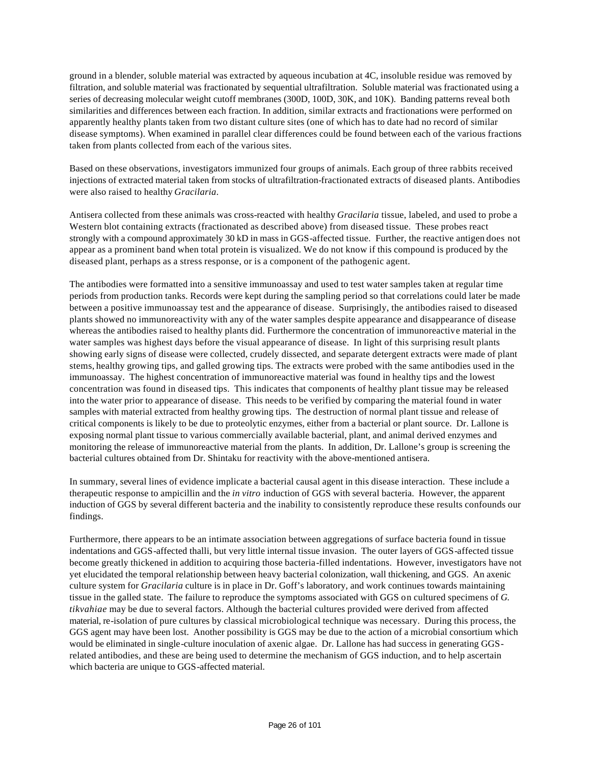ground in a blender, soluble material was extracted by aqueous incubation at 4C, insoluble residue was removed by filtration, and soluble material was fractionated by sequential ultrafiltration. Soluble material was fractionated using a series of decreasing molecular weight cutoff membranes (300D, 100D, 30K, and 10K). Banding patterns reveal both similarities and differences between each fraction. In addition, similar extracts and fractionations were performed on apparently healthy plants taken from two distant culture sites (one of which has to date had no record of similar disease symptoms). When examined in parallel clear differences could be found between each of the various fractions taken from plants collected from each of the various sites.

Based on these observations, investigators immunized four groups of animals. Each group of three rabbits received injections of extracted material taken from stocks of ultrafiltration-fractionated extracts of diseased plants. Antibodies were also raised to healthy *Gracilaria*.

Antisera collected from these animals was cross-reacted with healthy *Gracilaria* tissue, labeled, and used to probe a Western blot containing extracts (fractionated as described above) from diseased tissue. These probes react strongly with a compound approximately 30 kD in mass in GGS-affected tissue. Further, the reactive antigen does not appear as a prominent band when total protein is visualized. We do not know if this compound is produced by the diseased plant, perhaps as a stress response, or is a component of the pathogenic agent.

The antibodies were formatted into a sensitive immunoassay and used to test water samples taken at regular time periods from production tanks. Records were kept during the sampling period so that correlations could later be made between a positive immunoassay test and the appearance of disease. Surprisingly, the antibodies raised to diseased plants showed no immunoreactivity with any of the water samples despite appearance and disappearance of disease whereas the antibodies raised to healthy plants did. Furthermore the concentration of immunoreactive material in the water samples was highest days before the visual appearance of disease. In light of this surprising result plants showing early signs of disease were collected, crudely dissected, and separate detergent extracts were made of plant stems, healthy growing tips, and galled growing tips. The extracts were probed with the same antibodies used in the immunoassay. The highest concentration of immunoreactive material was found in healthy tips and the lowest concentration was found in diseased tips. This indicates that components of healthy plant tissue may be released into the water prior to appearance of disease. This needs to be verified by comparing the material found in water samples with material extracted from healthy growing tips. The destruction of normal plant tissue and release of critical components is likely to be due to proteolytic enzymes, either from a bacterial or plant source. Dr. Lallone is exposing normal plant tissue to various commercially available bacterial, plant, and animal derived enzymes and monitoring the release of immunoreactive material from the plants. In addition, Dr. Lallone's group is screening the bacterial cultures obtained from Dr. Shintaku for reactivity with the above-mentioned antisera.

In summary, several lines of evidence implicate a bacterial causal agent in this disease interaction. These include a therapeutic response to ampicillin and the *in vitro* induction of GGS with several bacteria. However, the apparent induction of GGS by several different bacteria and the inability to consistently reproduce these results confounds our findings.

Furthermore, there appears to be an intimate association between aggregations of surface bacteria found in tissue indentations and GGS-affected thalli, but very little internal tissue invasion. The outer layers of GGS-affected tissue become greatly thickened in addition to acquiring those bacteria-filled indentations. However, investigators have not yet elucidated the temporal relationship between heavy bacterial colonization, wall thickening, and GGS. An axenic culture system for *Gracilaria* culture is in place in Dr. Goff's laboratory, and work continues towards maintaining tissue in the galled state. The failure to reproduce the symptoms associated with GGS on cultured specimens of *G. tikvahiae* may be due to several factors. Although the bacterial cultures provided were derived from affected material, re-isolation of pure cultures by classical microbiological technique was necessary. During this process, the GGS agent may have been lost. Another possibility is GGS may be due to the action of a microbial consortium which would be eliminated in single-culture inoculation of axenic algae. Dr. Lallone has had success in generating GGSrelated antibodies, and these are being used to determine the mechanism of GGS induction, and to help ascertain which bacteria are unique to GGS-affected material.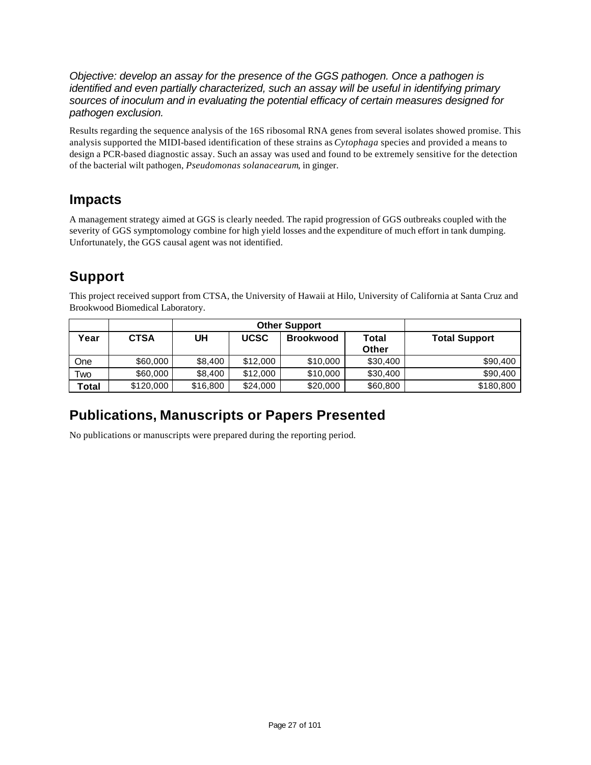*Objective: develop an assay for the presence of the GGS pathogen. Once a pathogen is identified and even partially characterized, such an assay will be useful in identifying primary sources of inoculum and in evaluating the potential efficacy of certain measures designed for pathogen exclusion.*

Results regarding the sequence analysis of the 16S ribosomal RNA genes from several isolates showed promise. This analysis supported the MIDI-based identification of these strains as *Cytophaga* species and provided a means to design a PCR-based diagnostic assay. Such an assay was used and found to be extremely sensitive for the detection of the bacterial wilt pathogen, *Pseudomonas solanacearum*, in ginger.

### **Impacts**

A management strategy aimed at GGS is clearly needed. The rapid progression of GGS outbreaks coupled with the severity of GGS symptomology combine for high yield losses and the expenditure of much effort in tank dumping. Unfortunately, the GGS causal agent was not identified.

### **Support**

This project received support from CTSA, the University of Hawaii at Hilo, University of California at Santa Cruz and Brookwood Biomedical Laboratory.

|       |             |                   | <b>Other Support</b> |                                    |          |                      |  |
|-------|-------------|-------------------|----------------------|------------------------------------|----------|----------------------|--|
| Year  | <b>CTSA</b> | <b>UCSC</b><br>UH |                      | <b>Brookwood</b><br>Total<br>Other |          | <b>Total Support</b> |  |
| One   | \$60,000    | \$8,400           | \$12,000             | \$10,000                           | \$30,400 | \$90,400             |  |
| Two   | \$60,000    | \$8,400           | \$12,000             | \$10,000                           | \$30,400 | \$90,400             |  |
| Total | \$120,000   | \$16,800          | \$24,000             | \$20,000                           | \$60,800 | \$180,800            |  |

### **Publications, Manuscripts or Papers Presented**

No publications or manuscripts were prepared during the reporting period.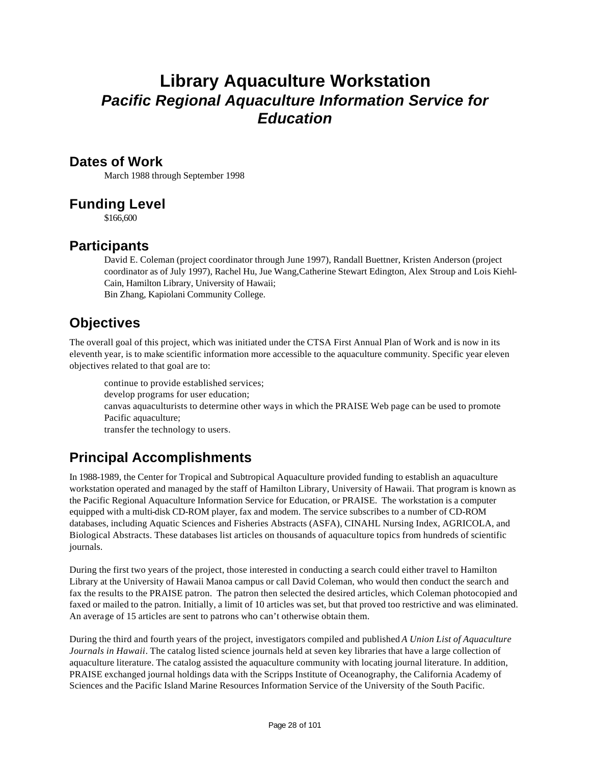### **Library Aquaculture Workstation** *Pacific Regional Aquaculture Information Service for Education*

#### **Dates of Work**

March 1988 through September 1998

### **Funding Level**

\$166,600

### **Participants**

David E. Coleman (project coordinator through June 1997), Randall Buettner, Kristen Anderson (project coordinator as of July 1997), Rachel Hu, Jue Wang,Catherine Stewart Edington, Alex Stroup and Lois Kiehl-Cain, Hamilton Library, University of Hawaii; Bin Zhang, Kapiolani Community College.

### **Objectives**

The overall goal of this project, which was initiated under the CTSA First Annual Plan of Work and is now in its eleventh year, is to make scientific information more accessible to the aquaculture community. Specific year eleven objectives related to that goal are to:

continue to provide established services; develop programs for user education; canvas aquaculturists to determine other ways in which the PRAISE Web page can be used to promote Pacific aquaculture; transfer the technology to users.

### **Principal Accomplishments**

In 1988-1989, the Center for Tropical and Subtropical Aquaculture provided funding to establish an aquaculture workstation operated and managed by the staff of Hamilton Library, University of Hawaii. That program is known as the Pacific Regional Aquaculture Information Service for Education, or PRAISE. The workstation is a computer equipped with a multi-disk CD-ROM player, fax and modem. The service subscribes to a number of CD-ROM databases, including Aquatic Sciences and Fisheries Abstracts (ASFA), CINAHL Nursing Index, AGRICOLA, and Biological Abstracts. These databases list articles on thousands of aquaculture topics from hundreds of scientific journals.

During the first two years of the project, those interested in conducting a search could either travel to Hamilton Library at the University of Hawaii Manoa campus or call David Coleman, who would then conduct the search and fax the results to the PRAISE patron. The patron then selected the desired articles, which Coleman photocopied and faxed or mailed to the patron. Initially, a limit of 10 articles was set, but that proved too restrictive and was eliminated. An average of 15 articles are sent to patrons who can't otherwise obtain them.

During the third and fourth years of the project, investigators compiled and published *A Union List of Aquaculture Journals in Hawaii*. The catalog listed science journals held at seven key libraries that have a large collection of aquaculture literature. The catalog assisted the aquaculture community with locating journal literature. In addition, PRAISE exchanged journal holdings data with the Scripps Institute of Oceanography, the California Academy of Sciences and the Pacific Island Marine Resources Information Service of the University of the South Pacific.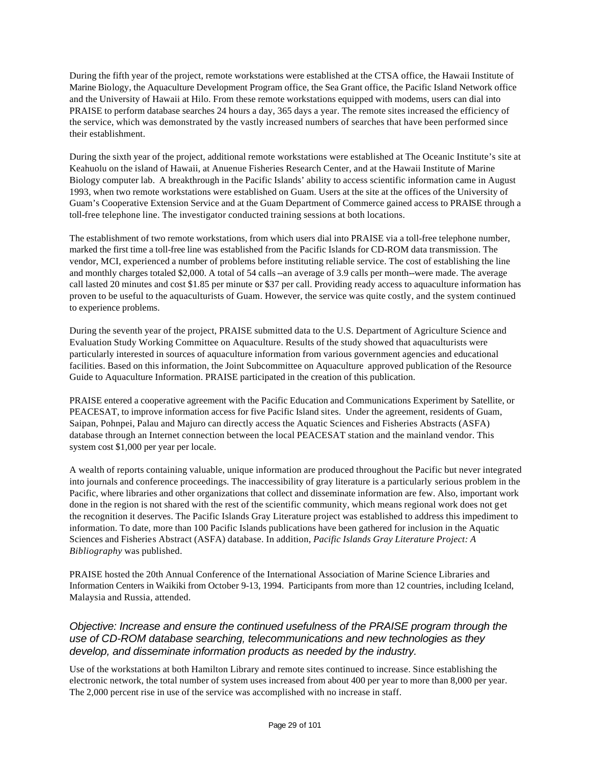During the fifth year of the project, remote workstations were established at the CTSA office, the Hawaii Institute of Marine Biology, the Aquaculture Development Program office, the Sea Grant office, the Pacific Island Network office and the University of Hawaii at Hilo. From these remote workstations equipped with modems, users can dial into PRAISE to perform database searches 24 hours a day, 365 days a year. The remote sites increased the efficiency of the service, which was demonstrated by the vastly increased numbers of searches that have been performed since their establishment.

During the sixth year of the project, additional remote workstations were established at The Oceanic Institute's site at Keahuolu on the island of Hawaii, at Anuenue Fisheries Research Center, and at the Hawaii Institute of Marine Biology computer lab. A breakthrough in the Pacific Islands' ability to access scientific information came in August 1993, when two remote workstations were established on Guam. Users at the site at the offices of the University of Guam's Cooperative Extension Service and at the Guam Department of Commerce gained access to PRAISE through a toll-free telephone line. The investigator conducted training sessions at both locations.

The establishment of two remote workstations, from which users dial into PRAISE via a toll-free telephone number, marked the first time a toll-free line was established from the Pacific Islands for CD-ROM data transmission. The vendor, MCI, experienced a number of problems before instituting reliable service. The cost of establishing the line and monthly charges totaled \$2,000. A total of 54 calls--an average of 3.9 calls per month--were made. The average call lasted 20 minutes and cost \$1.85 per minute or \$37 per call. Providing ready access to aquaculture information has proven to be useful to the aquaculturists of Guam. However, the service was quite costly, and the system continued to experience problems.

During the seventh year of the project, PRAISE submitted data to the U.S. Department of Agriculture Science and Evaluation Study Working Committee on Aquaculture. Results of the study showed that aquaculturists were particularly interested in sources of aquaculture information from various government agencies and educational facilities. Based on this information, the Joint Subcommittee on Aquaculture approved publication of the Resource Guide to Aquaculture Information. PRAISE participated in the creation of this publication.

PRAISE entered a cooperative agreement with the Pacific Education and Communications Experiment by Satellite, or PEACESAT, to improve information access for five Pacific Island sites. Under the agreement, residents of Guam, Saipan, Pohnpei, Palau and Majuro can directly access the Aquatic Sciences and Fisheries Abstracts (ASFA) database through an Internet connection between the local PEACESAT station and the mainland vendor. This system cost \$1,000 per year per locale.

A wealth of reports containing valuable, unique information are produced throughout the Pacific but never integrated into journals and conference proceedings. The inaccessibility of gray literature is a particularly serious problem in the Pacific, where libraries and other organizations that collect and disseminate information are few. Also, important work done in the region is not shared with the rest of the scientific community, which means regional work does not get the recognition it deserves. The Pacific Islands Gray Literature project was established to address this impediment to information. To date, more than 100 Pacific Islands publications have been gathered for inclusion in the Aquatic Sciences and Fisheries Abstract (ASFA) database. In addition, *Pacific Islands Gray Literature Project: A Bibliography* was published.

PRAISE hosted the 20th Annual Conference of the International Association of Marine Science Libraries and Information Centers in Waikiki from October 9-13, 1994. Participants from more than 12 countries, including Iceland, Malaysia and Russia, attended.

#### *Objective: Increase and ensure the continued usefulness of the PRAISE program through the use of CD-ROM database searching, telecommunications and new technologies as they develop, and disseminate information products as needed by the industry.*

Use of the workstations at both Hamilton Library and remote sites continued to increase. Since establishing the electronic network, the total number of system uses increased from about 400 per year to more than 8,000 per year. The 2,000 percent rise in use of the service was accomplished with no increase in staff.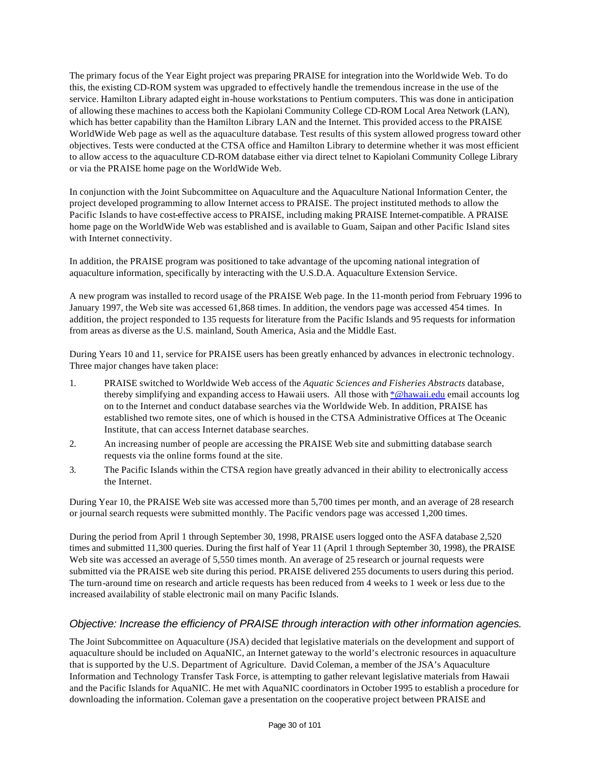The primary focus of the Year Eight project was preparing PRAISE for integration into the Worldwide Web. To do this, the existing CD-ROM system was upgraded to effectively handle the tremendous increase in the use of the service. Hamilton Library adapted eight in-house workstations to Pentium computers. This was done in anticipation of allowing these machines to access both the Kapiolani Community College CD-ROM Local Area Network (LAN), which has better capability than the Hamilton Library LAN and the Internet. This provided access to the PRAISE WorldWide Web page as well as the aquaculture database. Test results of this system allowed progress toward other objectives. Tests were conducted at the CTSA office and Hamilton Library to determine whether it was most efficient to allow access to the aquaculture CD-ROM database either via direct telnet to Kapiolani Community College Library or via the PRAISE home page on the WorldWide Web.

In conjunction with the Joint Subcommittee on Aquaculture and the Aquaculture National Information Center, the project developed programming to allow Internet access to PRAISE. The project instituted methods to allow the Pacific Islands to have cost-effective access to PRAISE, including making PRAISE Internet-compatible. A PRAISE home page on the WorldWide Web was established and is available to Guam, Saipan and other Pacific Island sites with Internet connectivity.

In addition, the PRAISE program was positioned to take advantage of the upcoming national integration of aquaculture information, specifically by interacting with the U.S.D.A. Aquaculture Extension Service.

A new program was installed to record usage of the PRAISE Web page. In the 11-month period from February 1996 to January 1997, the Web site was accessed 61,868 times. In addition, the vendors page was accessed 454 times. In addition, the project responded to 135 requests for literature from the Pacific Islands and 95 requests for information from areas as diverse as the U.S. mainland, South America, Asia and the Middle East.

During Years 10 and 11, service for PRAISE users has been greatly enhanced by advances in electronic technology. Three major changes have taken place:

- 1. PRAISE switched to Worldwide Web access of the *Aquatic Sciences and Fisheries Abstracts* database, thereby simplifying and expanding access to Hawaii users. All those with \*@hawaii.edu email accounts log on to the Internet and conduct database searches via the Worldwide Web. In addition, PRAISE has established two remote sites, one of which is housed in the CTSA Administrative Offices at The Oceanic Institute, that can access Internet database searches.
- 2. An increasing number of people are accessing the PRAISE Web site and submitting database search requests via the online forms found at the site.
- 3. The Pacific Islands within the CTSA region have greatly advanced in their ability to electronically access the Internet.

During Year 10, the PRAISE Web site was accessed more than 5,700 times per month, and an average of 28 research or journal search requests were submitted monthly. The Pacific vendors page was accessed 1,200 times.

During the period from April 1 through September 30, 1998, PRAISE users logged onto the ASFA database 2,520 times and submitted 11,300 queries. During the first half of Year 11 (April 1 through September 30, 1998), the PRAISE Web site was accessed an average of 5,550 times month. An average of 25 research or journal requests were submitted via the PRAISE web site during this period. PRAISE delivered 255 documents to users during this period. The turn-around time on research and article requests has been reduced from 4 weeks to 1 week or less due to the increased availability of stable electronic mail on many Pacific Islands.

#### *Objective: Increase the efficiency of PRAISE through interaction with other information agencies.*

The Joint Subcommittee on Aquaculture (JSA) decided that legislative materials on the development and support of aquaculture should be included on AquaNIC, an Internet gateway to the world's electronic resources in aquaculture that is supported by the U.S. Department of Agriculture. David Coleman, a member of the JSA's Aquaculture Information and Technology Transfer Task Force, is attempting to gather relevant legislative materials from Hawaii and the Pacific Islands for AquaNIC. He met with AquaNIC coordinators in October 1995 to establish a procedure for downloading the information. Coleman gave a presentation on the cooperative project between PRAISE and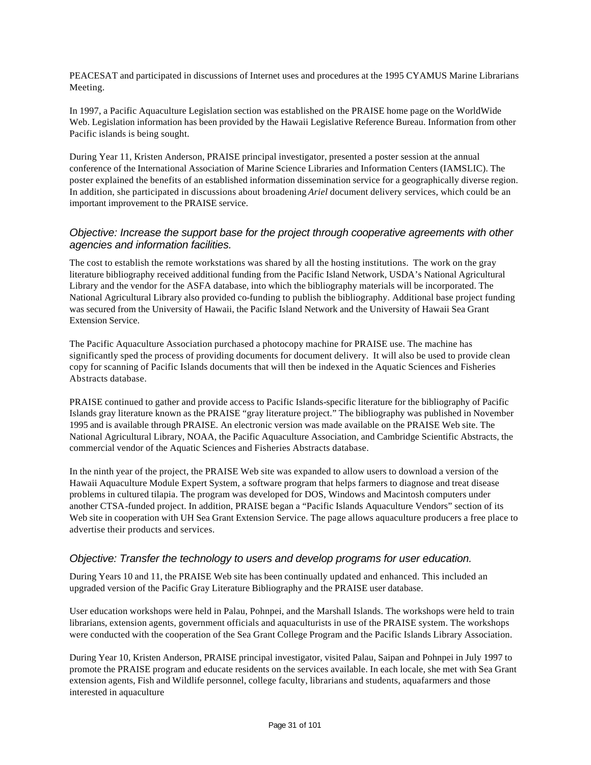PEACESAT and participated in discussions of Internet uses and procedures at the 1995 CYAMUS Marine Librarians Meeting.

In 1997, a Pacific Aquaculture Legislation section was established on the PRAISE home page on the WorldWide Web. Legislation information has been provided by the Hawaii Legislative Reference Bureau. Information from other Pacific islands is being sought.

During Year 11, Kristen Anderson, PRAISE principal investigator, presented a poster session at the annual conference of the International Association of Marine Science Libraries and Information Centers (IAMSLIC). The poster explained the benefits of an established information dissemination service for a geographically diverse region. In addition, she participated in discussions about broadening *Ariel* document delivery services, which could be an important improvement to the PRAISE service.

#### *Objective: Increase the support base for the project through cooperative agreements with other agencies and information facilities.*

The cost to establish the remote workstations was shared by all the hosting institutions. The work on the gray literature bibliography received additional funding from the Pacific Island Network, USDA's National Agricultural Library and the vendor for the ASFA database, into which the bibliography materials will be incorporated. The National Agricultural Library also provided co-funding to publish the bibliography. Additional base project funding was secured from the University of Hawaii, the Pacific Island Network and the University of Hawaii Sea Grant Extension Service.

The Pacific Aquaculture Association purchased a photocopy machine for PRAISE use. The machine has significantly sped the process of providing documents for document delivery. It will also be used to provide clean copy for scanning of Pacific Islands documents that will then be indexed in the Aquatic Sciences and Fisheries Abstracts database.

PRAISE continued to gather and provide access to Pacific Islands-specific literature for the bibliography of Pacific Islands gray literature known as the PRAISE "gray literature project." The bibliography was published in November 1995 and is available through PRAISE. An electronic version was made available on the PRAISE Web site. The National Agricultural Library, NOAA, the Pacific Aquaculture Association, and Cambridge Scientific Abstracts, the commercial vendor of the Aquatic Sciences and Fisheries Abstracts database.

In the ninth year of the project, the PRAISE Web site was expanded to allow users to download a version of the Hawaii Aquaculture Module Expert System, a software program that helps farmers to diagnose and treat disease problems in cultured tilapia. The program was developed for DOS, Windows and Macintosh computers under another CTSA-funded project. In addition, PRAISE began a "Pacific Islands Aquaculture Vendors" section of its Web site in cooperation with UH Sea Grant Extension Service. The page allows aquaculture producers a free place to advertise their products and services.

#### *Objective: Transfer the technology to users and develop programs for user education.*

During Years 10 and 11, the PRAISE Web site has been continually updated and enhanced. This included an upgraded version of the Pacific Gray Literature Bibliography and the PRAISE user database.

User education workshops were held in Palau, Pohnpei, and the Marshall Islands. The workshops were held to train librarians, extension agents, government officials and aquaculturists in use of the PRAISE system. The workshops were conducted with the cooperation of the Sea Grant College Program and the Pacific Islands Library Association.

During Year 10, Kristen Anderson, PRAISE principal investigator, visited Palau, Saipan and Pohnpei in July 1997 to promote the PRAISE program and educate residents on the services available. In each locale, she met with Sea Grant extension agents, Fish and Wildlife personnel, college faculty, librarians and students, aquafarmers and those interested in aquaculture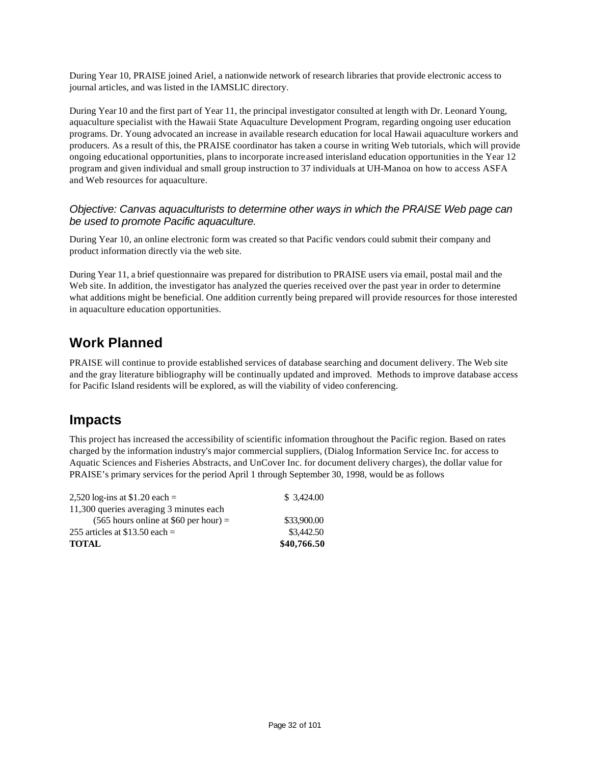During Year 10, PRAISE joined Ariel, a nationwide network of research libraries that provide electronic access to journal articles, and was listed in the IAMSLIC directory.

During Year 10 and the first part of Year 11, the principal investigator consulted at length with Dr. Leonard Young, aquaculture specialist with the Hawaii State Aquaculture Development Program, regarding ongoing user education programs. Dr. Young advocated an increase in available research education for local Hawaii aquaculture workers and producers. As a result of this, the PRAISE coordinator has taken a course in writing Web tutorials, which will provide ongoing educational opportunities, plans to incorporate increased interisland education opportunities in the Year 12 program and given individual and small group instruction to 37 individuals at UH-Manoa on how to access ASFA and Web resources for aquaculture.

#### *Objective: Canvas aquaculturists to determine other ways in which the PRAISE Web page can be used to promote Pacific aquaculture.*

During Year 10, an online electronic form was created so that Pacific vendors could submit their company and product information directly via the web site.

During Year 11, a brief questionnaire was prepared for distribution to PRAISE users via email, postal mail and the Web site. In addition, the investigator has analyzed the queries received over the past year in order to determine what additions might be beneficial. One addition currently being prepared will provide resources for those interested in aquaculture education opportunities.

### **Work Planned**

PRAISE will continue to provide established services of database searching and document delivery. The Web site and the gray literature bibliography will be continually updated and improved. Methods to improve database access for Pacific Island residents will be explored, as will the viability of video conferencing.

### **Impacts**

This project has increased the accessibility of scientific information throughout the Pacific region. Based on rates charged by the information industry's major commercial suppliers, (Dialog Information Service Inc. for access to Aquatic Sciences and Fisheries Abstracts, and UnCover Inc. for document delivery charges), the dollar value for PRAISE's primary services for the period April 1 through September 30, 1998, would be as follows

| 2,520 log-ins at \$1.20 each =          | \$3,424.00  |
|-----------------------------------------|-------------|
| 11,300 queries averaging 3 minutes each |             |
| $(565$ hours online at \$60 per hour) = | \$33,900.00 |
| 255 articles at $$13.50$ each =         | \$3,442.50  |
| <b>TOTAL</b>                            | \$40,766.50 |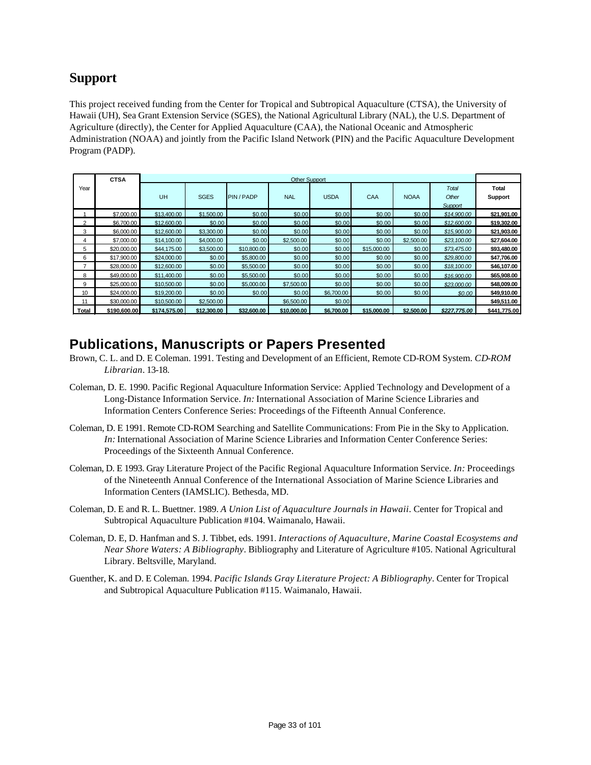### **Support**

This project received funding from the Center for Tropical and Subtropical Aquaculture (CTSA), the University of Hawaii (UH), Sea Grant Extension Service (SGES), the National Agricultural Library (NAL), the U.S. Department of Agriculture (directly), the Center for Applied Aquaculture (CAA), the National Oceanic and Atmospheric Administration (NOAA) and jointly from the Pacific Island Network (PIN) and the Pacific Aquaculture Development Program (PADP).

|                | <b>CTSA</b>  | <b>Other Support</b> |             |             |             |             |             |             |              |              |
|----------------|--------------|----------------------|-------------|-------------|-------------|-------------|-------------|-------------|--------------|--------------|
| Year           |              |                      |             |             |             |             |             |             | Total        | <b>Total</b> |
|                |              | UH                   | <b>SGES</b> | PIN / PADP  | <b>NAL</b>  | <b>USDA</b> | CAA         | <b>NOAA</b> | Other        | Support      |
|                |              |                      |             |             |             |             |             |             | Support      |              |
|                | \$7,000.00   | \$13,400.00          | \$1,500.00  | \$0.00      | \$0.00      | \$0.00      | \$0.00      | \$0.00      | \$14,900.00  | \$21,901.00  |
| $\overline{2}$ | \$6,700.00   | \$12,600.00          | \$0.00      | \$0.00      | \$0.00      | \$0.00      | \$0.00      | \$0.00      | \$12,600.00  | \$19,302.00  |
| 3              | \$6,000.00   | \$12,600.00          | \$3,300.00  | \$0.00      | \$0.00      | \$0.00      | \$0.00      | \$0.00      | \$15,900.00  | \$21,903.00  |
| 4              | \$7,000.00   | \$14,100.00          | \$4,000.00  | \$0.00      | \$2,500.00  | \$0.00      | \$0.00      | \$2,500.00  | \$23,100.00  | \$27,604.00  |
| 5              | \$20,000.00  | \$44,175.00          | \$3,500.00  | \$10,800.00 | \$0.00      | \$0.00      | \$15,000.00 | \$0.00      | \$73,475.00  | \$93,480.00  |
| 6              | \$17,900.00  | \$24,000.00          | \$0.00      | \$5,800.00  | \$0.00      | \$0.00      | \$0.00      | \$0.00      | \$29,800.00  | \$47,706.00  |
| 7              | \$28,000.00  | \$12,600.00          | \$0.00      | \$5,500.00  | \$0.00      | \$0.00      | \$0.00      | \$0.00      | \$18,100.00  | \$46,107.00  |
| 8              | \$49,000.00  | \$11,400.00          | \$0.00      | \$5,500.00  | \$0.00      | \$0.00      | \$0.00      | \$0.00      | \$16,900.00  | \$65,908.00  |
| 9              | \$25,000.00  | \$10,500.00          | \$0.00      | \$5,000.00  | \$7,500.00  | \$0.00      | \$0.00      | \$0.00      | \$23,000.00  | \$48,009.00  |
| 10             | \$24,000.00  | \$19,200.00          | \$0.00      | \$0.00      | \$0.00      | \$6,700.00  | \$0.00      | \$0.00      | \$0.00       | \$49,910.00  |
| 11             | \$30,000.00  | \$10,500.00          | \$2,500.00  |             | \$6,500.00  | \$0.00      |             |             |              | \$49,511.00  |
| Total          | \$190,600.00 | \$174,575.00         | \$12,300.00 | \$32,600.00 | \$10,000.00 | \$6,700.00  | \$15,000.00 | \$2,500.00  | \$227,775.00 | \$441,775.00 |

### **Publications, Manuscripts or Papers Presented**

- Brown, C. L. and D. E Coleman. 1991. Testing and Development of an Efficient, Remote CD-ROM System. *CD-ROM Librarian*. 13-18.
- Coleman, D. E. 1990. Pacific Regional Aquaculture Information Service: Applied Technology and Development of a Long-Distance Information Service. *In:* International Association of Marine Science Libraries and Information Centers Conference Series: Proceedings of the Fifteenth Annual Conference.
- Coleman, D. E 1991. Remote CD-ROM Searching and Satellite Communications: From Pie in the Sky to Application. *In:* International Association of Marine Science Libraries and Information Center Conference Series: Proceedings of the Sixteenth Annual Conference.
- Coleman, D. E 1993. Gray Literature Project of the Pacific Regional Aquaculture Information Service. *In:* Proceedings of the Nineteenth Annual Conference of the International Association of Marine Science Libraries and Information Centers (IAMSLIC). Bethesda, MD.
- Coleman, D. E and R. L. Buettner. 1989. *A Union List of Aquaculture Journals in Hawaii*. Center for Tropical and Subtropical Aquaculture Publication #104. Waimanalo, Hawaii.
- Coleman, D. E, D. Hanfman and S. J. Tibbet, eds. 1991. *Interactions of Aquaculture, Marine Coastal Ecosystems and Near Shore Waters: A Bibliography*. Bibliography and Literature of Agriculture #105. National Agricultural Library. Beltsville, Maryland.
- Guenther, K. and D. E Coleman. 1994. *Pacific Islands Gray Literature Project: A Bibliography*. Center for Tropical and Subtropical Aquaculture Publication #115. Waimanalo, Hawaii.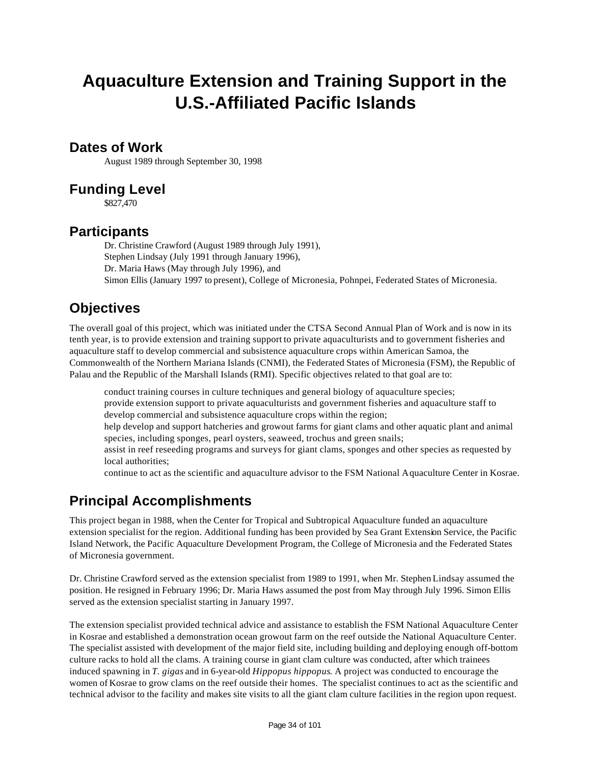# **Aquaculture Extension and Training Support in the U.S.-Affiliated Pacific Islands**

### **Dates of Work**

August 1989 through September 30, 1998

### **Funding Level**

\$827,470

### **Participants**

Dr. Christine Crawford (August 1989 through July 1991), Stephen Lindsay (July 1991 through January 1996), Dr. Maria Haws (May through July 1996), and Simon Ellis (January 1997 to present), College of Micronesia, Pohnpei, Federated States of Micronesia.

### **Objectives**

The overall goal of this project, which was initiated under the CTSA Second Annual Plan of Work and is now in its tenth year, is to provide extension and training support to private aquaculturists and to government fisheries and aquaculture staff to develop commercial and subsistence aquaculture crops within American Samoa, the Commonwealth of the Northern Mariana Islands (CNMI), the Federated States of Micronesia (FSM), the Republic of Palau and the Republic of the Marshall Islands (RMI). Specific objectives related to that goal are to:

conduct training courses in culture techniques and general biology of aquaculture species; provide extension support to private aquaculturists and government fisheries and aquaculture staff to develop commercial and subsistence aquaculture crops within the region; help develop and support hatcheries and growout farms for giant clams and other aquatic plant and animal species, including sponges, pearl oysters, seaweed, trochus and green snails;

assist in reef reseeding programs and surveys for giant clams, sponges and other species as requested by local authorities;

continue to act as the scientific and aquaculture advisor to the FSM National Aquaculture Center in Kosrae.

### **Principal Accomplishments**

This project began in 1988, when the Center for Tropical and Subtropical Aquaculture funded an aquaculture extension specialist for the region. Additional funding has been provided by Sea Grant Extension Service, the Pacific Island Network, the Pacific Aquaculture Development Program, the College of Micronesia and the Federated States of Micronesia government.

Dr. Christine Crawford served as the extension specialist from 1989 to 1991, when Mr. Stephen Lindsay assumed the position. He resigned in February 1996; Dr. Maria Haws assumed the post from May through July 1996. Simon Ellis served as the extension specialist starting in January 1997.

The extension specialist provided technical advice and assistance to establish the FSM National Aquaculture Center in Kosrae and established a demonstration ocean growout farm on the reef outside the National Aquaculture Center. The specialist assisted with development of the major field site, including building and deploying enough off-bottom culture racks to hold all the clams. A training course in giant clam culture was conducted, after which trainees induced spawning in *T. gigas* and in 6-year-old *Hippopus hippopus*. A project was conducted to encourage the women of Kosrae to grow clams on the reef outside their homes. The specialist continues to act as the scientific and technical advisor to the facility and makes site visits to all the giant clam culture facilities in the region upon request.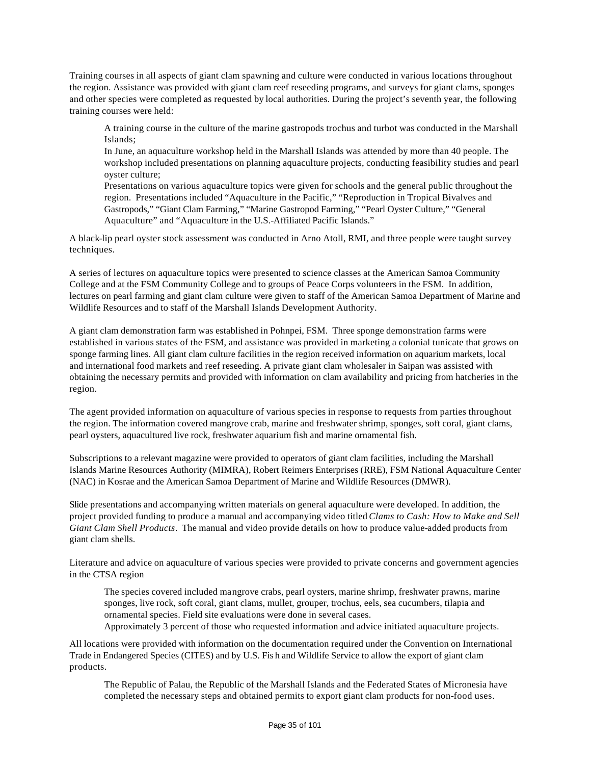Training courses in all aspects of giant clam spawning and culture were conducted in various locations throughout the region. Assistance was provided with giant clam reef reseeding programs, and surveys for giant clams, sponges and other species were completed as requested by local authorities. During the project's seventh year, the following training courses were held:

A training course in the culture of the marine gastropods trochus and turbot was conducted in the Marshall Islands;

In June, an aquaculture workshop held in the Marshall Islands was attended by more than 40 people. The workshop included presentations on planning aquaculture projects, conducting feasibility studies and pearl oyster culture;

Presentations on various aquaculture topics were given for schools and the general public throughout the region. Presentations included "Aquaculture in the Pacific," "Reproduction in Tropical Bivalves and Gastropods," "Giant Clam Farming," "Marine Gastropod Farming," "Pearl Oyster Culture," "General Aquaculture" and "Aquaculture in the U.S.-Affiliated Pacific Islands."

A black-lip pearl oyster stock assessment was conducted in Arno Atoll, RMI, and three people were taught survey techniques.

A series of lectures on aquaculture topics were presented to science classes at the American Samoa Community College and at the FSM Community College and to groups of Peace Corps volunteers in the FSM. In addition, lectures on pearl farming and giant clam culture were given to staff of the American Samoa Department of Marine and Wildlife Resources and to staff of the Marshall Islands Development Authority.

A giant clam demonstration farm was established in Pohnpei, FSM. Three sponge demonstration farms were established in various states of the FSM, and assistance was provided in marketing a colonial tunicate that grows on sponge farming lines. All giant clam culture facilities in the region received information on aquarium markets, local and international food markets and reef reseeding. A private giant clam wholesaler in Saipan was assisted with obtaining the necessary permits and provided with information on clam availability and pricing from hatcheries in the region.

The agent provided information on aquaculture of various species in response to requests from parties throughout the region. The information covered mangrove crab, marine and freshwater shrimp, sponges, soft coral, giant clams, pearl oysters, aquacultured live rock, freshwater aquarium fish and marine ornamental fish.

Subscriptions to a relevant magazine were provided to operators of giant clam facilities, including the Marshall Islands Marine Resources Authority (MIMRA), Robert Reimers Enterprises (RRE), FSM National Aquaculture Center (NAC) in Kosrae and the American Samoa Department of Marine and Wildlife Resources (DMWR).

Slide presentations and accompanying written materials on general aquaculture were developed. In addition, the project provided funding to produce a manual and accompanying video titled *Clams to Cash: How to Make and Sell Giant Clam Shell Products*. The manual and video provide details on how to produce value-added products from giant clam shells.

Literature and advice on aquaculture of various species were provided to private concerns and government agencies in the CTSA region

The species covered included mangrove crabs, pearl oysters, marine shrimp, freshwater prawns, marine sponges, live rock, soft coral, giant clams, mullet, grouper, trochus, eels, sea cucumbers, tilapia and ornamental species. Field site evaluations were done in several cases.

Approximately 3 percent of those who requested information and advice initiated aquaculture projects.

All locations were provided with information on the documentation required under the Convention on International Trade in Endangered Species (CITES) and by U.S. Fis h and Wildlife Service to allow the export of giant clam products.

The Republic of Palau, the Republic of the Marshall Islands and the Federated States of Micronesia have completed the necessary steps and obtained permits to export giant clam products for non-food uses.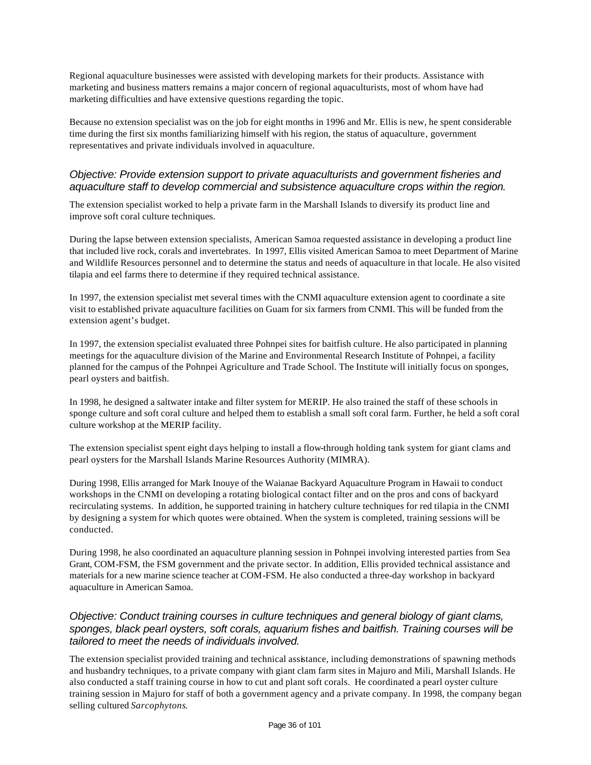Regional aquaculture businesses were assisted with developing markets for their products. Assistance with marketing and business matters remains a major concern of regional aquaculturists, most of whom have had marketing difficulties and have extensive questions regarding the topic.

Because no extension specialist was on the job for eight months in 1996 and Mr. Ellis is new, he spent considerable time during the first six months familiarizing himself with his region, the status of aquaculture, government representatives and private individuals involved in aquaculture.

#### *Objective: Provide extension support to private aquaculturists and government fisheries and aquaculture staff to develop commercial and subsistence aquaculture crops within the region.*

The extension specialist worked to help a private farm in the Marshall Islands to diversify its product line and improve soft coral culture techniques.

During the lapse between extension specialists, American Samoa requested assistance in developing a product line that included live rock, corals and invertebrates. In 1997, Ellis visited American Samoa to meet Department of Marine and Wildlife Resources personnel and to determine the status and needs of aquaculture in that locale. He also visited tilapia and eel farms there to determine if they required technical assistance.

In 1997, the extension specialist met several times with the CNMI aquaculture extension agent to coordinate a site visit to established private aquaculture facilities on Guam for six farmers from CNMI. This will be funded from the extension agent's budget.

In 1997, the extension specialist evaluated three Pohnpei sites for baitfish culture. He also participated in planning meetings for the aquaculture division of the Marine and Environmental Research Institute of Pohnpei, a facility planned for the campus of the Pohnpei Agriculture and Trade School. The Institute will initially focus on sponges, pearl oysters and baitfish.

In 1998, he designed a saltwater intake and filter system for MERIP. He also trained the staff of these schools in sponge culture and soft coral culture and helped them to establish a small soft coral farm. Further, he held a soft coral culture workshop at the MERIP facility.

The extension specialist spent eight days helping to install a flow-through holding tank system for giant clams and pearl oysters for the Marshall Islands Marine Resources Authority (MIMRA).

During 1998, Ellis arranged for Mark Inouye of the Waianae Backyard Aquaculture Program in Hawaii to conduct workshops in the CNMI on developing a rotating biological contact filter and on the pros and cons of backyard recirculating systems. In addition, he supported training in hatchery culture techniques for red tilapia in the CNMI by designing a system for which quotes were obtained. When the system is completed, training sessions will be conducted.

During 1998, he also coordinated an aquaculture planning session in Pohnpei involving interested parties from Sea Grant, COM-FSM, the FSM government and the private sector. In addition, Ellis provided technical assistance and materials for a new marine science teacher at COM-FSM. He also conducted a three-day workshop in backyard aquaculture in American Samoa.

#### *Objective: Conduct training courses in culture techniques and general biology of giant clams, sponges, black pearl oysters, soft corals, aquarium fishes and baitfish. Training courses will be tailored to meet the needs of individuals involved.*

The extension specialist provided training and technical assistance, including demonstrations of spawning methods and husbandry techniques, to a private company with giant clam farm sites in Majuro and Mili, Marshall Islands. He also conducted a staff training course in how to cut and plant soft corals. He coordinated a pearl oyster culture training session in Majuro for staff of both a government agency and a private company. In 1998, the company began selling cultured *Sarcophytons*.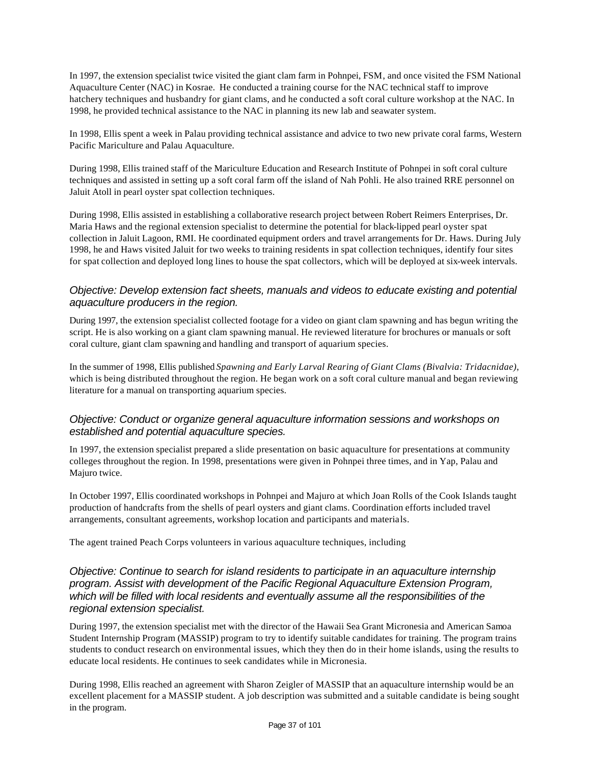In 1997, the extension specialist twice visited the giant clam farm in Pohnpei, FSM, and once visited the FSM National Aquaculture Center (NAC) in Kosrae. He conducted a training course for the NAC technical staff to improve hatchery techniques and husbandry for giant clams, and he conducted a soft coral culture workshop at the NAC. In 1998, he provided technical assistance to the NAC in planning its new lab and seawater system.

In 1998, Ellis spent a week in Palau providing technical assistance and advice to two new private coral farms, Western Pacific Mariculture and Palau Aquaculture.

During 1998, Ellis trained staff of the Mariculture Education and Research Institute of Pohnpei in soft coral culture techniques and assisted in setting up a soft coral farm off the island of Nah Pohli. He also trained RRE personnel on Jaluit Atoll in pearl oyster spat collection techniques.

During 1998, Ellis assisted in establishing a collaborative research project between Robert Reimers Enterprises, Dr. Maria Haws and the regional extension specialist to determine the potential for black-lipped pearl oyster spat collection in Jaluit Lagoon, RMI. He coordinated equipment orders and travel arrangements for Dr. Haws. During July 1998, he and Haws visited Jaluit for two weeks to training residents in spat collection techniques, identify four sites for spat collection and deployed long lines to house the spat collectors, which will be deployed at six-week intervals.

### *Objective: Develop extension fact sheets, manuals and videos to educate existing and potential aquaculture producers in the region.*

During 1997, the extension specialist collected footage for a video on giant clam spawning and has begun writing the script. He is also working on a giant clam spawning manual. He reviewed literature for brochures or manuals or soft coral culture, giant clam spawning and handling and transport of aquarium species.

In the summer of 1998, Ellis published *Spawning and Early Larval Rearing of Giant Clams (Bivalvia: Tridacnidae)*, which is being distributed throughout the region. He began work on a soft coral culture manual and began reviewing literature for a manual on transporting aquarium species.

#### *Objective: Conduct or organize general aquaculture information sessions and workshops on established and potential aquaculture species.*

In 1997, the extension specialist prepared a slide presentation on basic aquaculture for presentations at community colleges throughout the region. In 1998, presentations were given in Pohnpei three times, and in Yap, Palau and Majuro twice.

In October 1997, Ellis coordinated workshops in Pohnpei and Majuro at which Joan Rolls of the Cook Islands taught production of handcrafts from the shells of pearl oysters and giant clams. Coordination efforts included travel arrangements, consultant agreements, workshop location and participants and materials.

The agent trained Peach Corps volunteers in various aquaculture techniques, including

### *Objective: Continue to search for island residents to participate in an aquaculture internship program. Assist with development of the Pacific Regional Aquaculture Extension Program, which will be filled with local residents and eventually assume all the responsibilities of the regional extension specialist.*

During 1997, the extension specialist met with the director of the Hawaii Sea Grant Micronesia and American Samoa Student Internship Program (MASSIP) program to try to identify suitable candidates for training. The program trains students to conduct research on environmental issues, which they then do in their home islands, using the results to educate local residents. He continues to seek candidates while in Micronesia.

During 1998, Ellis reached an agreement with Sharon Zeigler of MASSIP that an aquaculture internship would be an excellent placement for a MASSIP student. A job description was submitted and a suitable candidate is being sought in the program.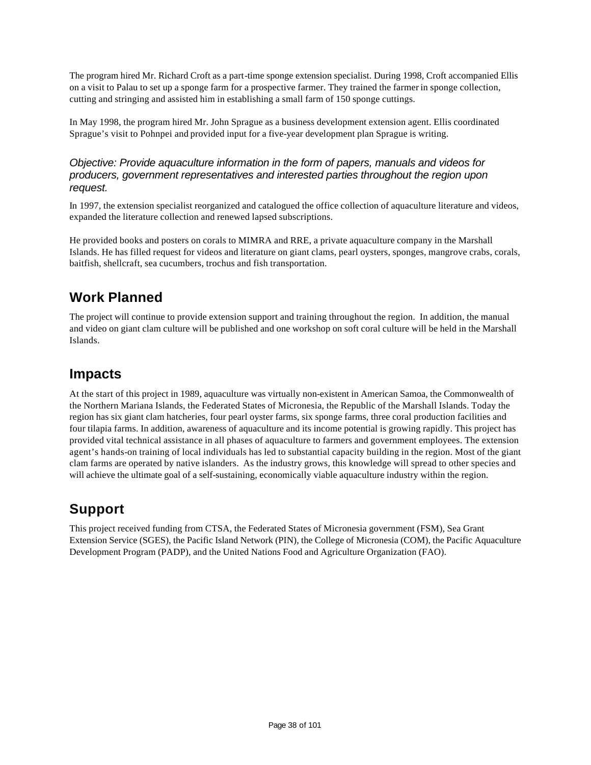The program hired Mr. Richard Croft as a part-time sponge extension specialist. During 1998, Croft accompanied Ellis on a visit to Palau to set up a sponge farm for a prospective farmer. They trained the farmer in sponge collection, cutting and stringing and assisted him in establishing a small farm of 150 sponge cuttings.

In May 1998, the program hired Mr. John Sprague as a business development extension agent. Ellis coordinated Sprague's visit to Pohnpei and provided input for a five-year development plan Sprague is writing.

#### *Objective: Provide aquaculture information in the form of papers, manuals and videos for producers, government representatives and interested parties throughout the region upon request.*

In 1997, the extension specialist reorganized and catalogued the office collection of aquaculture literature and videos, expanded the literature collection and renewed lapsed subscriptions.

He provided books and posters on corals to MIMRA and RRE, a private aquaculture company in the Marshall Islands. He has filled request for videos and literature on giant clams, pearl oysters, sponges, mangrove crabs, corals, baitfish, shellcraft, sea cucumbers, trochus and fish transportation.

## **Work Planned**

The project will continue to provide extension support and training throughout the region. In addition, the manual and video on giant clam culture will be published and one workshop on soft coral culture will be held in the Marshall Islands.

### **Impacts**

At the start of this project in 1989, aquaculture was virtually non-existent in American Samoa, the Commonwealth of the Northern Mariana Islands, the Federated States of Micronesia, the Republic of the Marshall Islands. Today the region has six giant clam hatcheries, four pearl oyster farms, six sponge farms, three coral production facilities and four tilapia farms. In addition, awareness of aquaculture and its income potential is growing rapidly. This project has provided vital technical assistance in all phases of aquaculture to farmers and government employees. The extension agent's hands-on training of local individuals has led to substantial capacity building in the region. Most of the giant clam farms are operated by native islanders. As the industry grows, this knowledge will spread to other species and will achieve the ultimate goal of a self-sustaining, economically viable aquaculture industry within the region.

## **Support**

This project received funding from CTSA, the Federated States of Micronesia government (FSM), Sea Grant Extension Service (SGES), the Pacific Island Network (PIN), the College of Micronesia (COM), the Pacific Aquaculture Development Program (PADP), and the United Nations Food and Agriculture Organization (FAO).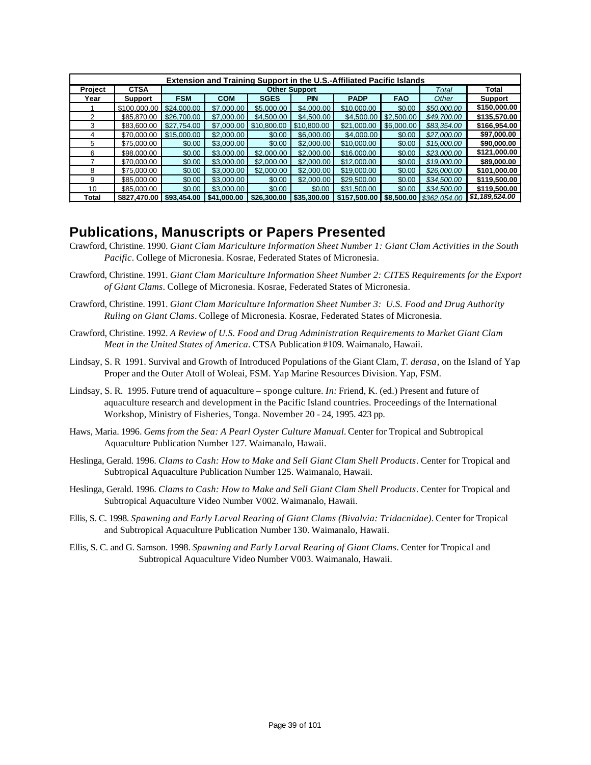|         | <b>Extension and Training Support in the U.S.-Affiliated Pacific Islands</b> |             |                                                                      |             |                      |              |            |              |                |  |  |  |  |
|---------|------------------------------------------------------------------------------|-------------|----------------------------------------------------------------------|-------------|----------------------|--------------|------------|--------------|----------------|--|--|--|--|
| Project | <b>CTSA</b>                                                                  |             |                                                                      |             | <b>Other Support</b> |              |            | Total        | Total          |  |  |  |  |
| Year    | <b>Support</b>                                                               | <b>FSM</b>  | <b>COM</b><br><b>SGES</b><br><b>PIN</b><br><b>PADP</b><br><b>FAO</b> |             |                      |              |            |              | <b>Support</b> |  |  |  |  |
|         | \$100,000.00                                                                 | \$24,000.00 | \$7,000.00                                                           | \$5,000.00  | \$4,000.00           | \$10,000,00  | \$0.00     | \$50,000.00  | \$150,000.00   |  |  |  |  |
|         | \$85,870,00                                                                  | \$26,700.00 | \$7,000.00                                                           | \$4,500.00  | \$4,500.00           | \$4,500.00   | \$2,500.00 | \$49.700.00  | \$135,570.00   |  |  |  |  |
| 3       | \$83,600.00                                                                  | \$27,754.00 | \$7,000.00                                                           | \$10,800.00 | \$10,800,00          | \$21,000.00  | \$6,000.00 | \$83,354.00  | \$166,954.00   |  |  |  |  |
| 4       | \$70,000.00                                                                  | \$15,000,00 | \$2,000.00                                                           | \$0.00      | \$6,000,00           | \$4,000,00   | \$0.00     | \$27,000.00  | \$97,000.00    |  |  |  |  |
| 5.      | \$75,000.00                                                                  | \$0.00      | \$3,000.00                                                           | \$0.00      | \$2,000.00           | \$10,000,00  | \$0.00     | \$15,000.00  | \$90,000.00    |  |  |  |  |
| 6       | \$98,000,00                                                                  | \$0.00      | \$3,000.00                                                           | \$2,000.00  | \$2,000.00           | \$16,000,00  | \$0.00     | \$23,000.00  | \$121,000.00   |  |  |  |  |
|         | \$70,000,00                                                                  | \$0.00      | \$3,000.00                                                           | \$2,000.00  | \$2,000.00           | \$12,000.00  | \$0.00     | \$19,000.00  | \$89,000.00    |  |  |  |  |
| 8       | \$75,000,00                                                                  | \$0.00      | \$3,000.00                                                           | \$2,000.00  | \$2,000.00           | \$19,000.00  | \$0.00     | \$26,000.00  | \$101,000.00   |  |  |  |  |
| 9       | \$85,000,00                                                                  | \$0.00      | \$3,000.00                                                           | \$0.00      | \$2,000.00           | \$29,500.00  | \$0.00     | \$34,500.00  | \$119,500.00   |  |  |  |  |
| 10      | \$85,000.00                                                                  | \$0.00      | \$3,000.00                                                           | \$0.00      | \$0.00               | \$31,500.00  | \$0.00     | \$34,500.00  | \$119,500.00   |  |  |  |  |
| Total   | \$827,470.00 \$93,454.00                                                     |             | \$41,000.00                                                          | \$26,300,00 | \$35,300.00          | \$157,500.00 | \$8,500.00 | \$362.054.00 | \$1,189,524.00 |  |  |  |  |

### **Publications, Manuscripts or Papers Presented**

- Crawford, Christine. 1990. *Giant Clam Mariculture Information Sheet Number 1: Giant Clam Activities in the South Pacific*. College of Micronesia. Kosrae, Federated States of Micronesia.
- Crawford, Christine. 1991. *Giant Clam Mariculture Information Sheet Number 2: CITES Requirements for the Export of Giant Clams*. College of Micronesia. Kosrae, Federated States of Micronesia.
- Crawford, Christine. 1991. *Giant Clam Mariculture Information Sheet Number 3: U.S. Food and Drug Authority Ruling on Giant Clams*. College of Micronesia. Kosrae, Federated States of Micronesia.
- Crawford, Christine. 1992. *A Review of U.S. Food and Drug Administration Requirements to Market Giant Clam Meat in the United States of America*. CTSA Publication #109. Waimanalo, Hawaii.
- Lindsay, S. R 1991. Survival and Growth of Introduced Populations of the Giant Clam, *T. derasa*, on the Island of Yap Proper and the Outer Atoll of Woleai, FSM. Yap Marine Resources Division. Yap, FSM.
- Lindsay, S. R. 1995. Future trend of aquaculture sponge culture. *In:* Friend, K. (ed.) Present and future of aquaculture research and development in the Pacific Island countries. Proceedings of the International Workshop, Ministry of Fisheries, Tonga. November 20 - 24, 1995. 423 pp.
- Haws, Maria. 1996. *Gems from the Sea: A Pearl Oyster Culture Manual.* Center for Tropical and Subtropical Aquaculture Publication Number 127. Waimanalo, Hawaii.
- Heslinga, Gerald. 1996. *Clams to Cash: How to Make and Sell Giant Clam Shell Products*. Center for Tropical and Subtropical Aquaculture Publication Number 125. Waimanalo, Hawaii.
- Heslinga, Gerald. 1996. *Clams to Cash: How to Make and Sell Giant Clam Shell Products*. Center for Tropical and Subtropical Aquaculture Video Number V002. Waimanalo, Hawaii.
- Ellis, S. C. 1998. *Spawning and Early Larval Rearing of Giant Clams (Bivalvia: Tridacnidae).* Center for Tropical and Subtropical Aquaculture Publication Number 130. Waimanalo, Hawaii.
- Ellis, S. C. and G. Samson. 1998. *Spawning and Early Larval Rearing of Giant Clams*. Center for Tropical and Subtropical Aquaculture Video Number V003. Waimanalo, Hawaii.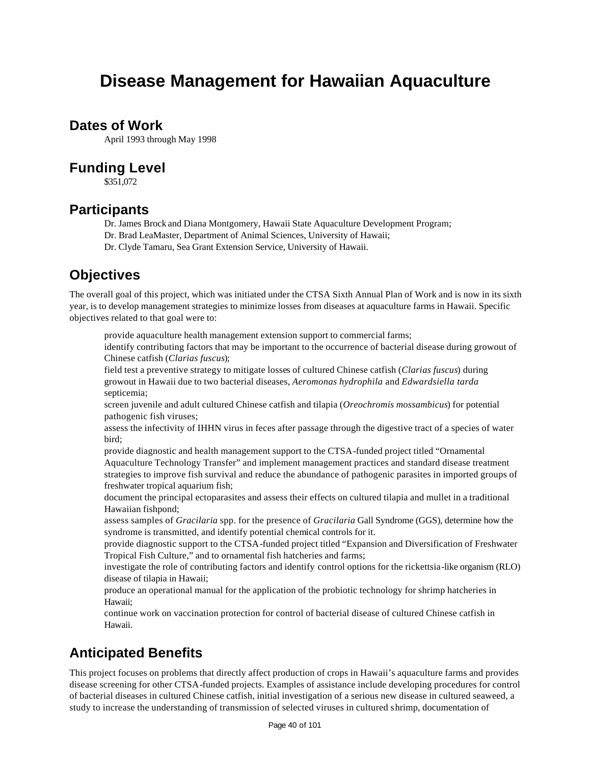# **Disease Management for Hawaiian Aquaculture**

### **Dates of Work**

April 1993 through May 1998

### **Funding Level**

\$351,072

### **Participants**

- Dr. James Brock and Diana Montgomery, Hawaii State Aquaculture Development Program;
- Dr. Brad LeaMaster, Department of Animal Sciences, University of Hawaii;
- Dr. Clyde Tamaru, Sea Grant Extension Service, University of Hawaii.

## **Objectives**

The overall goal of this project, which was initiated under the CTSA Sixth Annual Plan of Work and is now in its sixth year, is to develop management strategies to minimize losses from diseases at aquaculture farms in Hawaii. Specific objectives related to that goal were to:

provide aquaculture health management extension support to commercial farms;

identify contributing factors that may be important to the occurrence of bacterial disease during growout of Chinese catfish (*Clarias fuscus*);

field test a preventive strategy to mitigate losses of cultured Chinese catfish (*Clarias fuscus*) during growout in Hawaii due to two bacterial diseases, *Aeromonas hydrophila* and *Edwardsiella tarda*  septicemia;

screen juvenile and adult cultured Chinese catfish and tilapia (*Oreochromis mossambicus*) for potential pathogenic fish viruses;

assess the infectivity of IHHN virus in feces after passage through the digestive tract of a species of water bird;

provide diagnostic and health management support to the CTSA-funded project titled "Ornamental Aquaculture Technology Transfer" and implement management practices and standard disease treatment strategies to improve fish survival and reduce the abundance of pathogenic parasites in imported groups of freshwater tropical aquarium fish;

document the principal ectoparasites and assess their effects on cultured tilapia and mullet in a traditional Hawaiian fishpond;

assess samples of *Gracilaria* spp. for the presence of *Gracilaria* Gall Syndrome (GGS), determine how the syndrome is transmitted, and identify potential chemical controls for it.

provide diagnostic support to the CTSA-funded project titled "Expansion and Diversification of Freshwater Tropical Fish Culture," and to ornamental fish hatcheries and farms;

investigate the role of contributing factors and identify control options for the rickettsia-like organism (RLO) disease of tilapia in Hawaii;

produce an operational manual for the application of the probiotic technology for shrimp hatcheries in Hawaii;

continue work on vaccination protection for control of bacterial disease of cultured Chinese catfish in Hawaii.

## **Anticipated Benefits**

This project focuses on problems that directly affect production of crops in Hawaii's aquaculture farms and provides disease screening for other CTSA-funded projects. Examples of assistance include developing procedures for control of bacterial diseases in cultured Chinese catfish, initial investigation of a serious new disease in cultured seaweed, a study to increase the understanding of transmission of selected viruses in cultured shrimp, documentation of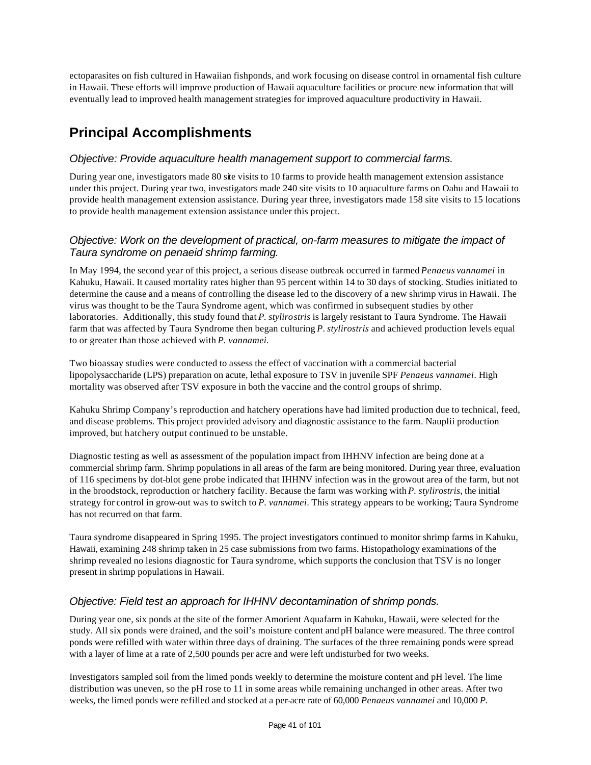ectoparasites on fish cultured in Hawaiian fishponds, and work focusing on disease control in ornamental fish culture in Hawaii. These efforts will improve production of Hawaii aquaculture facilities or procure new information that will eventually lead to improved health management strategies for improved aquaculture productivity in Hawaii.

# **Principal Accomplishments**

### *Objective: Provide aquaculture health management support to commercial farms.*

During year one, investigators made 80 site visits to 10 farms to provide health management extension assistance under this project. During year two, investigators made 240 site visits to 10 aquaculture farms on Oahu and Hawaii to provide health management extension assistance. During year three, investigators made 158 site visits to 15 locations to provide health management extension assistance under this project.

### *Objective: Work on the development of practical, on-farm measures to mitigate the impact of Taura syndrome on penaeid shrimp farming.*

In May 1994, the second year of this project, a serious disease outbreak occurred in farmed *Penaeus vannamei* in Kahuku, Hawaii. It caused mortality rates higher than 95 percent within 14 to 30 days of stocking. Studies initiated to determine the cause and a means of controlling the disease led to the discovery of a new shrimp virus in Hawaii. The virus was thought to be the Taura Syndrome agent, which was confirmed in subsequent studies by other laboratories. Additionally, this study found that *P. stylirostris* is largely resistant to Taura Syndrome. The Hawaii farm that was affected by Taura Syndrome then began culturing *P*. *stylirostris* and achieved production levels equal to or greater than those achieved with *P. vannamei.*

Two bioassay studies were conducted to assess the effect of vaccination with a commercial bacterial lipopolysaccharide (LPS) preparation on acute, lethal exposure to TSV in juvenile SPF *Penaeus vannamei*. High mortality was observed after TSV exposure in both the vaccine and the control groups of shrimp.

Kahuku Shrimp Company's reproduction and hatchery operations have had limited production due to technical, feed, and disease problems. This project provided advisory and diagnostic assistance to the farm. Nauplii production improved, but hatchery output continued to be unstable.

Diagnostic testing as well as assessment of the population impact from IHHNV infection are being done at a commercial shrimp farm. Shrimp populations in all areas of the farm are being monitored. During year three, evaluation of 116 specimens by dot-blot gene probe indicated that IHHNV infection was in the growout area of the farm, but not in the broodstock, reproduction or hatchery facility. Because the farm was working with *P. stylirostris*, the initial strategy for control in grow-out was to switch to *P. vannamei*. This strategy appears to be working; Taura Syndrome has not recurred on that farm.

Taura syndrome disappeared in Spring 1995. The project investigators continued to monitor shrimp farms in Kahuku, Hawaii, examining 248 shrimp taken in 25 case submissions from two farms. Histopathology examinations of the shrimp revealed no lesions diagnostic for Taura syndrome, which supports the conclusion that TSV is no longer present in shrimp populations in Hawaii.

### *Objective: Field test an approach for IHHNV decontamination of shrimp ponds.*

During year one, six ponds at the site of the former Amorient Aquafarm in Kahuku, Hawaii, were selected for the study. All six ponds were drained, and the soil's moisture content and pH balance were measured. The three control ponds were refilled with water within three days of draining. The surfaces of the three remaining ponds were spread with a layer of lime at a rate of 2,500 pounds per acre and were left undisturbed for two weeks.

Investigators sampled soil from the limed ponds weekly to determine the moisture content and pH level. The lime distribution was uneven, so the pH rose to 11 in some areas while remaining unchanged in other areas. After two weeks, the limed ponds were refilled and stocked at a per-acre rate of 60,000 *Penaeus vannamei* and 10,000 *P.*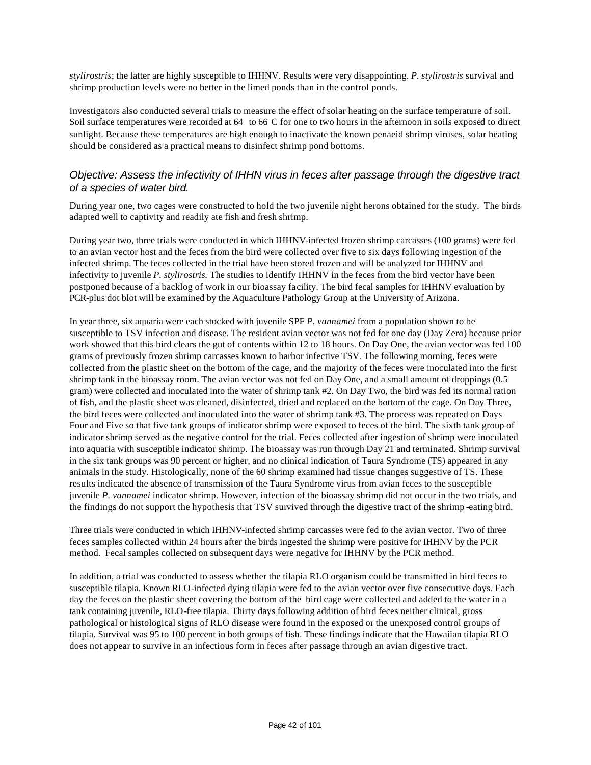*stylirostris*; the latter are highly susceptible to IHHNV. Results were very disappointing. *P. stylirostris* survival and shrimp production levels were no better in the limed ponds than in the control ponds.

Investigators also conducted several trials to measure the effect of solar heating on the surface temperature of soil. Soil surface temperatures were recorded at 64 to 66 C for one to two hours in the afternoon in soils exposed to direct sunlight. Because these temperatures are high enough to inactivate the known penaeid shrimp viruses, solar heating should be considered as a practical means to disinfect shrimp pond bottoms.

#### *Objective: Assess the infectivity of IHHN virus in feces after passage through the digestive tract of a species of water bird.*

During year one, two cages were constructed to hold the two juvenile night herons obtained for the study. The birds adapted well to captivity and readily ate fish and fresh shrimp.

During year two, three trials were conducted in which IHHNV-infected frozen shrimp carcasses (100 grams) were fed to an avian vector host and the feces from the bird were collected over five to six days following ingestion of the infected shrimp. The feces collected in the trial have been stored frozen and will be analyzed for IHHNV and infectivity to juvenile *P. stylirostris.* The studies to identify IHHNV in the feces from the bird vector have been postponed because of a backlog of work in our bioassay facility. The bird fecal samples for IHHNV evaluation by PCR-plus dot blot will be examined by the Aquaculture Pathology Group at the University of Arizona.

In year three, six aquaria were each stocked with juvenile SPF *P. vannamei* from a population shown to be susceptible to TSV infection and disease. The resident avian vector was not fed for one day (Day Zero) because prior work showed that this bird clears the gut of contents within 12 to 18 hours. On Day One, the avian vector was fed 100 grams of previously frozen shrimp carcasses known to harbor infective TSV. The following morning, feces were collected from the plastic sheet on the bottom of the cage, and the majority of the feces were inoculated into the first shrimp tank in the bioassay room. The avian vector was not fed on Day One, and a small amount of droppings (0.5 gram) were collected and inoculated into the water of shrimp tank #2. On Day Two, the bird was fed its normal ration of fish, and the plastic sheet was cleaned, disinfected, dried and replaced on the bottom of the cage. On Day Three, the bird feces were collected and inoculated into the water of shrimp tank #3. The process was repeated on Days Four and Five so that five tank groups of indicator shrimp were exposed to feces of the bird. The sixth tank group of indicator shrimp served as the negative control for the trial. Feces collected after ingestion of shrimp were inoculated into aquaria with susceptible indicator shrimp. The bioassay was run through Day 21 and terminated. Shrimp survival in the six tank groups was 90 percent or higher, and no clinical indication of Taura Syndrome (TS) appeared in any animals in the study. Histologically, none of the 60 shrimp examined had tissue changes suggestive of TS. These results indicated the absence of transmission of the Taura Syndrome virus from avian feces to the susceptible juvenile *P. vannamei* indicator shrimp. However, infection of the bioassay shrimp did not occur in the two trials, and the findings do not support the hypothesis that TSV survived through the digestive tract of the shrimp -eating bird.

Three trials were conducted in which IHHNV-infected shrimp carcasses were fed to the avian vector. Two of three feces samples collected within 24 hours after the birds ingested the shrimp were positive for IHHNV by the PCR method. Fecal samples collected on subsequent days were negative for IHHNV by the PCR method.

In addition, a trial was conducted to assess whether the tilapia RLO organism could be transmitted in bird feces to susceptible tilapia. Known RLO-infected dying tilapia were fed to the avian vector over five consecutive days. Each day the feces on the plastic sheet covering the bottom of the bird cage were collected and added to the water in a tank containing juvenile, RLO-free tilapia. Thirty days following addition of bird feces neither clinical, gross pathological or histological signs of RLO disease were found in the exposed or the unexposed control groups of tilapia. Survival was 95 to 100 percent in both groups of fish. These findings indicate that the Hawaiian tilapia RLO does not appear to survive in an infectious form in feces after passage through an avian digestive tract.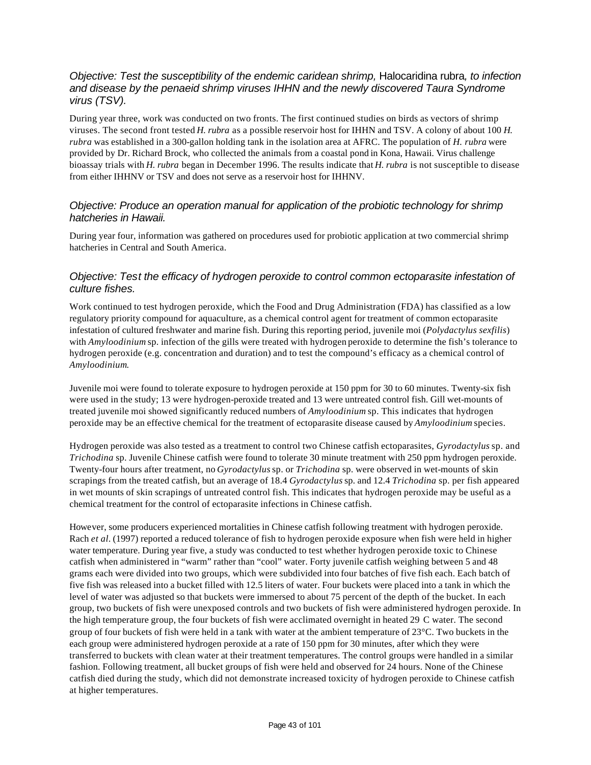### *Objective: Test the susceptibility of the endemic caridean shrimp,* Halocaridina rubra*, to infection and disease by the penaeid shrimp viruses IHHN and the newly discovered Taura Syndrome virus (TSV).*

During year three, work was conducted on two fronts. The first continued studies on birds as vectors of shrimp viruses. The second front tested *H. rubra* as a possible reservoir host for IHHN and TSV. A colony of about 100 *H. rubra* was established in a 300-gallon holding tank in the isolation area at AFRC. The population of *H. rubra* were provided by Dr. Richard Brock, who collected the animals from a coastal pond in Kona, Hawaii. Virus challenge bioassay trials with *H. rubra* began in December 1996. The results indicate that *H. rubra* is not susceptible to disease from either IHHNV or TSV and does not serve as a reservoir host for IHHNV.

### *Objective: Produce an operation manual for application of the probiotic technology for shrimp hatcheries in Hawaii.*

During year four, information was gathered on procedures used for probiotic application at two commercial shrimp hatcheries in Central and South America.

### *Objective: Test the efficacy of hydrogen peroxide to control common ectoparasite infestation of culture fishes.*

Work continued to test hydrogen peroxide, which the Food and Drug Administration (FDA) has classified as a low regulatory priority compound for aquaculture, as a chemical control agent for treatment of common ectoparasite infestation of cultured freshwater and marine fish. During this reporting period, juvenile moi (*Polydactylus sexfilis*) with *Amyloodinium* sp. infection of the gills were treated with hydrogen peroxide to determine the fish's tolerance to hydrogen peroxide (e.g. concentration and duration) and to test the compound's efficacy as a chemical control of *Amyloodinium*.

Juvenile moi were found to tolerate exposure to hydrogen peroxide at 150 ppm for 30 to 60 minutes. Twenty-six fish were used in the study; 13 were hydrogen-peroxide treated and 13 were untreated control fish. Gill wet-mounts of treated juvenile moi showed significantly reduced numbers of *Amyloodinium* sp. This indicates that hydrogen peroxide may be an effective chemical for the treatment of ectoparasite disease caused by *Amyloodinium* species.

Hydrogen peroxide was also tested as a treatment to control two Chinese catfish ectoparasites, *Gyrodactylus* sp. and *Trichodina* sp. Juvenile Chinese catfish were found to tolerate 30 minute treatment with 250 ppm hydrogen peroxide. Twenty-four hours after treatment, no *Gyrodactylus* sp. or *Trichodina* sp. were observed in wet-mounts of skin scrapings from the treated catfish, but an average of 18.4 *Gyrodactylus* sp. and 12.4 *Trichodina* sp. per fish appeared in wet mounts of skin scrapings of untreated control fish. This indicates that hydrogen peroxide may be useful as a chemical treatment for the control of ectoparasite infections in Chinese catfish.

However, some producers experienced mortalities in Chinese catfish following treatment with hydrogen peroxide. Rach *et al.* (1997) reported a reduced tolerance of fish to hydrogen peroxide exposure when fish were held in higher water temperature. During year five, a study was conducted to test whether hydrogen peroxide toxic to Chinese catfish when administered in "warm" rather than "cool" water. Forty juvenile catfish weighing between 5 and 48 grams each were divided into two groups, which were subdivided into four batches of five fish each. Each batch of five fish was released into a bucket filled with 12.5 liters of water. Four buckets were placed into a tank in which the level of water was adjusted so that buckets were immersed to about 75 percent of the depth of the bucket. In each group, two buckets of fish were unexposed controls and two buckets of fish were administered hydrogen peroxide. In the high temperature group, the four buckets of fish were acclimated overnight in heated 29 C water. The second group of four buckets of fish were held in a tank with water at the ambient temperature of 23°C. Two buckets in the each group were administered hydrogen peroxide at a rate of 150 ppm for 30 minutes, after which they were transferred to buckets with clean water at their treatment temperatures. The control groups were handled in a similar fashion. Following treatment, all bucket groups of fish were held and observed for 24 hours. None of the Chinese catfish died during the study, which did not demonstrate increased toxicity of hydrogen peroxide to Chinese catfish at higher temperatures.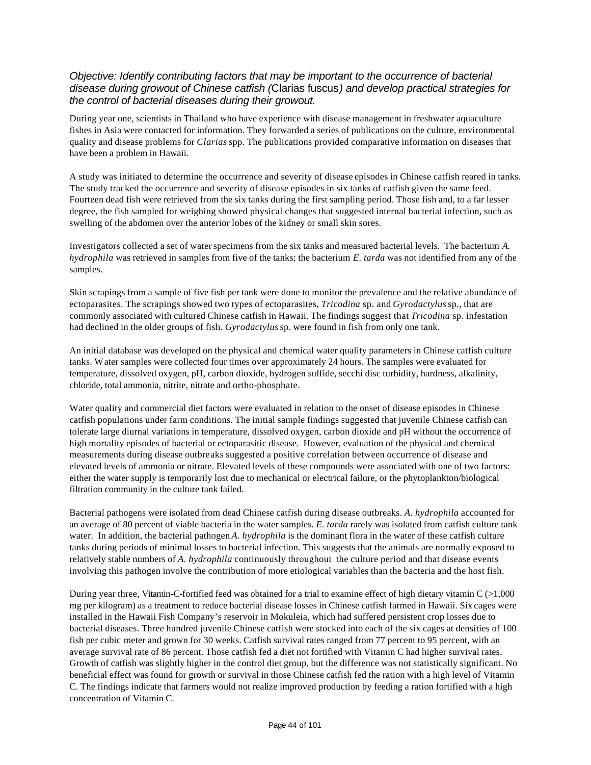#### *Objective: Identify contributing factors that may be important to the occurrence of bacterial disease during growout of Chinese catfish (*Clarias fuscus*) and develop practical strategies for the control of bacterial diseases during their growout.*

During year one, scientists in Thailand who have experience with disease management in freshwater aquaculture fishes in Asia were contacted for information. They forwarded a series of publications on the culture, environmental quality and disease problems for *Clarias* spp. The publications provided comparative information on diseases that have been a problem in Hawaii.

A study was initiated to determine the occurrence and severity of disease episodes in Chinese catfish reared in tanks. The study tracked the occurrence and severity of disease episodes in six tanks of catfish given the same feed. Fourteen dead fish were retrieved from the six tanks during the first sampling period. Those fish and, to a far lesser degree, the fish sampled for weighing showed physical changes that suggested internal bacterial infection, such as swelling of the abdomen over the anterior lobes of the kidney or small skin sores.

Investigators collected a set of water specimens from the six tanks and measured bacterial levels. The bacterium *A. hydrophila* was retrieved in samples from five of the tanks; the bacterium *E. tarda* was not identified from any of the samples.

Skin scrapings from a sample of five fish per tank were done to monitor the prevalence and the relative abundance of ectoparasites. The scrapings showed two types of ectoparasites, *Tricodina* sp. and *Gyrodactylus* sp., that are commonly associated with cultured Chinese catfish in Hawaii. The findings suggest that *Tricodina* sp. infestation had declined in the older groups of fish. *Gyrodactylus* sp. were found in fish from only one tank.

An initial database was developed on the physical and chemical water quality parameters in Chinese catfish culture tanks. Water samples were collected four times over approximately 24 hours. The samples were evaluated for temperature, dissolved oxygen, pH, carbon dioxide, hydrogen sulfide, secchi disc turbidity, hardness, alkalinity, chloride, total ammonia, nitrite, nitrate and ortho-phosphate.

Water quality and commercial diet factors were evaluated in relation to the onset of disease episodes in Chinese catfish populations under farm conditions. The initial sample findings suggested that juvenile Chinese catfish can tolerate large diurnal variations in temperature, dissolved oxygen, carbon dioxide and pH without the occurrence of high mortality episodes of bacterial or ectoparasitic disease. However, evaluation of the physical and chemical measurements during disease outbreaks suggested a positive correlation between occurrence of disease and elevated levels of ammonia or nitrate. Elevated levels of these compounds were associated with one of two factors: either the water supply is temporarily lost due to mechanical or electrical failure, or the phytoplankton/biological filtration community in the culture tank failed.

Bacterial pathogens were isolated from dead Chinese catfish during disease outbreaks. *A. hydrophila* accounted for an average of 80 percent of viable bacteria in the water samples. *E. tarda* rarely was isolated from catfish culture tank water. In addition, the bacterial pathogen *A. hydrophila* is the dominant flora in the water of these catfish culture tanks during periods of minimal losses to bacterial infection. This suggests that the animals are normally exposed to relatively stable numbers of *A. hydrophila* continuously throughout the culture period and that disease events involving this pathogen involve the contribution of more etiological variables than the bacteria and the host fish.

During year three, Vitamin-C-fortified feed was obtained for a trial to examine effect of high dietary vitamin  $C \geq 1,000$ mg per kilogram) as a treatment to reduce bacterial disease losses in Chinese catfish farmed in Hawaii. Six cages were installed in the Hawaii Fish Company's reservoir in Mokuleia, which had suffered persistent crop losses due to bacterial diseases. Three hundred juvenile Chinese catfish were stocked into each of the six cages at densities of 100 fish per cubic meter and grown for 30 weeks. Catfish survival rates ranged from 77 percent to 95 percent, with an average survival rate of 86 percent. Those catfish fed a diet not fortified with Vitamin C had higher survival rates. Growth of catfish was slightly higher in the control diet group, but the difference was not statistically significant. No beneficial effect was found for growth or survival in those Chinese catfish fed the ration with a high level of Vitamin C. The findings indicate that farmers would not realize improved production by feeding a ration fortified with a high concentration of Vitamin C.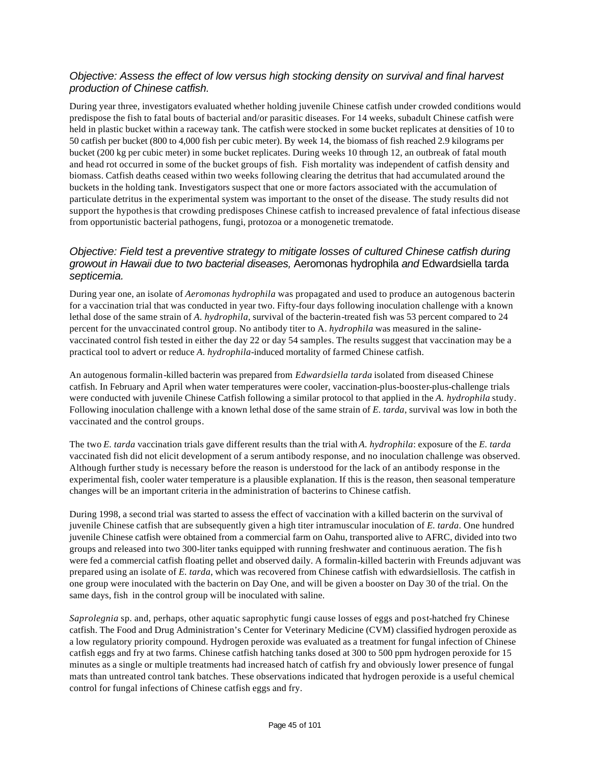#### *Objective: Assess the effect of low versus high stocking density on survival and final harvest production of Chinese catfish.*

During year three, investigators evaluated whether holding juvenile Chinese catfish under crowded conditions would predispose the fish to fatal bouts of bacterial and/or parasitic diseases. For 14 weeks, subadult Chinese catfish were held in plastic bucket within a raceway tank. The catfish were stocked in some bucket replicates at densities of 10 to 50 catfish per bucket (800 to 4,000 fish per cubic meter). By week 14, the biomass of fish reached 2.9 kilograms per bucket (200 kg per cubic meter) in some bucket replicates. During weeks 10 through 12, an outbreak of fatal mouth and head rot occurred in some of the bucket groups of fish. Fish mortality was independent of catfish density and biomass. Catfish deaths ceased within two weeks following clearing the detritus that had accumulated around the buckets in the holding tank. Investigators suspect that one or more factors associated with the accumulation of particulate detritus in the experimental system was important to the onset of the disease. The study results did not support the hypothesis that crowding predisposes Chinese catfish to increased prevalence of fatal infectious disease from opportunistic bacterial pathogens, fungi, protozoa or a monogenetic trematode.

### *Objective: Field test a preventive strategy to mitigate losses of cultured Chinese catfish during growout in Hawaii due to two bacterial diseases,* Aeromonas hydrophila *and* Edwardsiella tarda *septicemia.*

During year one, an isolate of *Aeromonas hydrophila* was propagated and used to produce an autogenous bacterin for a vaccination trial that was conducted in year two. Fifty-four days following inoculation challenge with a known lethal dose of the same strain of *A. hydrophila*, survival of the bacterin-treated fish was 53 percent compared to 24 percent for the unvaccinated control group. No antibody titer to A. *hydrophila* was measured in the salinevaccinated control fish tested in either the day 22 or day 54 samples. The results suggest that vaccination may be a practical tool to advert or reduce *A. hydrophila*-induced mortality of farmed Chinese catfish.

An autogenous formalin-killed bacterin was prepared from *Edwardsiella tarda* isolated from diseased Chinese catfish. In February and April when water temperatures were cooler, vaccination-plus-booster-plus-challenge trials were conducted with juvenile Chinese Catfish following a similar protocol to that applied in the *A. hydrophila* study. Following inoculation challenge with a known lethal dose of the same strain of *E. tarda*, survival was low in both the vaccinated and the control groups.

The two *E. tarda* vaccination trials gave different results than the trial with *A. hydrophila*: exposure of the *E. tarda* vaccinated fish did not elicit development of a serum antibody response, and no inoculation challenge was observed. Although further study is necessary before the reason is understood for the lack of an antibody response in the experimental fish, cooler water temperature is a plausible explanation. If this is the reason, then seasonal temperature changes will be an important criteria in the administration of bacterins to Chinese catfish.

During 1998, a second trial was started to assess the effect of vaccination with a killed bacterin on the survival of juvenile Chinese catfish that are subsequently given a high titer intramuscular inoculation of *E. tarda*. One hundred juvenile Chinese catfish were obtained from a commercial farm on Oahu, transported alive to AFRC, divided into two groups and released into two 300-liter tanks equipped with running freshwater and continuous aeration. The fis h were fed a commercial catfish floating pellet and observed daily. A formalin-killed bacterin with Freunds adjuvant was prepared using an isolate of *E. tarda*, which was recovered from Chinese catfish with edwardsiellosis. The catfish in one group were inoculated with the bacterin on Day One, and will be given a booster on Day 30 of the trial. On the same days, fish in the control group will be inoculated with saline.

*Saprolegnia* sp. and, perhaps, other aquatic saprophytic fungi cause losses of eggs and post-hatched fry Chinese catfish. The Food and Drug Administration's Center for Veterinary Medicine (CVM) classified hydrogen peroxide as a low regulatory priority compound. Hydrogen peroxide was evaluated as a treatment for fungal infection of Chinese catfish eggs and fry at two farms. Chinese catfish hatching tanks dosed at 300 to 500 ppm hydrogen peroxide for 15 minutes as a single or multiple treatments had increased hatch of catfish fry and obviously lower presence of fungal mats than untreated control tank batches. These observations indicated that hydrogen peroxide is a useful chemical control for fungal infections of Chinese catfish eggs and fry.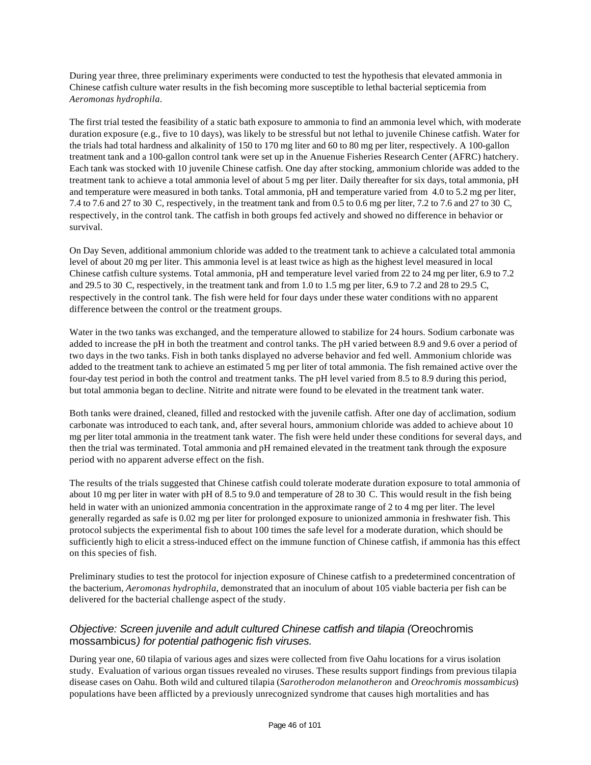During year three, three preliminary experiments were conducted to test the hypothesis that elevated ammonia in Chinese catfish culture water results in the fish becoming more susceptible to lethal bacterial septicemia from *Aeromonas hydrophila*.

The first trial tested the feasibility of a static bath exposure to ammonia to find an ammonia level which, with moderate duration exposure (e.g., five to 10 days), was likely to be stressful but not lethal to juvenile Chinese catfish. Water for the trials had total hardness and alkalinity of 150 to 170 mg liter and 60 to 80 mg per liter, respectively. A 100-gallon treatment tank and a 100-gallon control tank were set up in the Anuenue Fisheries Research Center (AFRC) hatchery. Each tank was stocked with 10 juvenile Chinese catfish. One day after stocking, ammonium chloride was added to the treatment tank to achieve a total ammonia level of about 5 mg per liter. Daily thereafter for six days, total ammonia, pH and temperature were measured in both tanks. Total ammonia, pH and temperature varied from 4.0 to 5.2 mg per liter, 7.4 to 7.6 and 27 to 30 C, respectively, in the treatment tank and from 0.5 to 0.6 mg per liter, 7.2 to 7.6 and 27 to 30 C, respectively, in the control tank. The catfish in both groups fed actively and showed no difference in behavior or survival.

On Day Seven, additional ammonium chloride was added to the treatment tank to achieve a calculated total ammonia level of about 20 mg per liter. This ammonia level is at least twice as high as the highest level measured in local Chinese catfish culture systems. Total ammonia, pH and temperature level varied from 22 to 24 mg per liter, 6.9 to 7.2 and 29.5 to 30 C, respectively, in the treatment tank and from 1.0 to 1.5 mg per liter, 6.9 to 7.2 and 28 to 29.5 C, respectively in the control tank. The fish were held for four days under these water conditions with no apparent difference between the control or the treatment groups.

Water in the two tanks was exchanged, and the temperature allowed to stabilize for 24 hours. Sodium carbonate was added to increase the pH in both the treatment and control tanks. The pH varied between 8.9 and 9.6 over a period of two days in the two tanks. Fish in both tanks displayed no adverse behavior and fed well. Ammonium chloride was added to the treatment tank to achieve an estimated 5 mg per liter of total ammonia. The fish remained active over the four-day test period in both the control and treatment tanks. The pH level varied from 8.5 to 8.9 during this period, but total ammonia began to decline. Nitrite and nitrate were found to be elevated in the treatment tank water.

Both tanks were drained, cleaned, filled and restocked with the juvenile catfish. After one day of acclimation, sodium carbonate was introduced to each tank, and, after several hours, ammonium chloride was added to achieve about 10 mg per liter total ammonia in the treatment tank water. The fish were held under these conditions for several days, and then the trial was terminated. Total ammonia and pH remained elevated in the treatment tank through the exposure period with no apparent adverse effect on the fish.

The results of the trials suggested that Chinese catfish could tolerate moderate duration exposure to total ammonia of about 10 mg per liter in water with pH of 8.5 to 9.0 and temperature of 28 to 30 C. This would result in the fish being held in water with an unionized ammonia concentration in the approximate range of 2 to 4 mg per liter. The level generally regarded as safe is 0.02 mg per liter for prolonged exposure to unionized ammonia in freshwater fish. This protocol subjects the experimental fish to about 100 times the safe level for a moderate duration, which should be sufficiently high to elicit a stress-induced effect on the immune function of Chinese catfish, if ammonia has this effect on this species of fish.

Preliminary studies to test the protocol for injection exposure of Chinese catfish to a predetermined concentration of the bacterium, *Aeromonas hydrophila*, demonstrated that an inoculum of about 105 viable bacteria per fish can be delivered for the bacterial challenge aspect of the study.

### *Objective: Screen juvenile and adult cultured Chinese catfish and tilapia (*Oreochromis mossambicus*) for potential pathogenic fish viruses.*

During year one, 60 tilapia of various ages and sizes were collected from five Oahu locations for a virus isolation study. Evaluation of various organ tissues revealed no viruses. These results support findings from previous tilapia disease cases on Oahu. Both wild and cultured tilapia (*Sarotherodon melanotheron* and *Oreochromis mossambicus*) populations have been afflicted by a previously unrecognized syndrome that causes high mortalities and has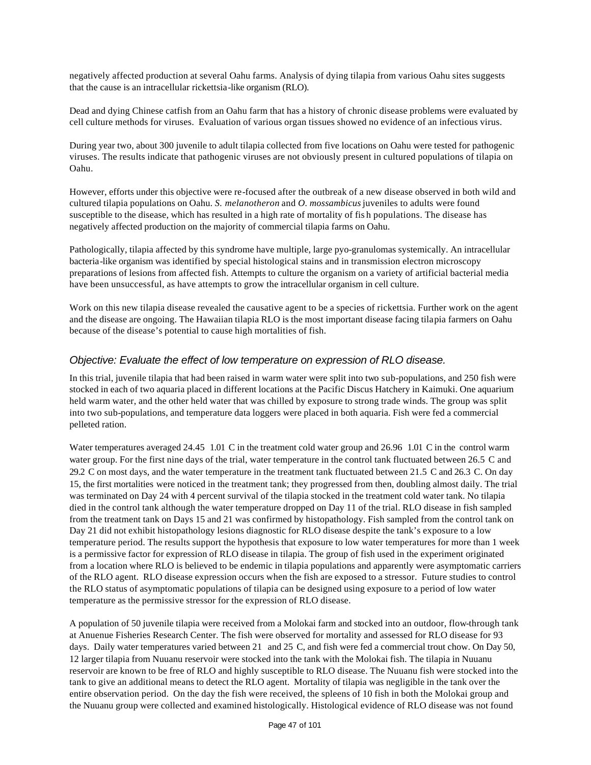negatively affected production at several Oahu farms. Analysis of dying tilapia from various Oahu sites suggests that the cause is an intracellular rickettsia-like organism (RLO).

Dead and dying Chinese catfish from an Oahu farm that has a history of chronic disease problems were evaluated by cell culture methods for viruses. Evaluation of various organ tissues showed no evidence of an infectious virus.

During year two, about 300 juvenile to adult tilapia collected from five locations on Oahu were tested for pathogenic viruses. The results indicate that pathogenic viruses are not obviously present in cultured populations of tilapia on Oahu.

However, efforts under this objective were re-focused after the outbreak of a new disease observed in both wild and cultured tilapia populations on Oahu. *S. melanotheron* and *O. mossambicus* juveniles to adults were found susceptible to the disease, which has resulted in a high rate of mortality of fis h populations. The disease has negatively affected production on the majority of commercial tilapia farms on Oahu.

Pathologically, tilapia affected by this syndrome have multiple, large pyo-granulomas systemically. An intracellular bacteria-like organism was identified by special histological stains and in transmission electron microscopy preparations of lesions from affected fish. Attempts to culture the organism on a variety of artificial bacterial media have been unsuccessful, as have attempts to grow the intracellular organism in cell culture.

Work on this new tilapia disease revealed the causative agent to be a species of rickettsia. Further work on the agent and the disease are ongoing. The Hawaiian tilapia RLO is the most important disease facing tilapia farmers on Oahu because of the disease's potential to cause high mortalities of fish.

#### *Objective: Evaluate the effect of low temperature on expression of RLO disease.*

In this trial, juvenile tilapia that had been raised in warm water were split into two sub-populations, and 250 fish were stocked in each of two aquaria placed in different locations at the Pacific Discus Hatchery in Kaimuki. One aquarium held warm water, and the other held water that was chilled by exposure to strong trade winds. The group was split into two sub-populations, and temperature data loggers were placed in both aquaria. Fish were fed a commercial pelleted ration.

Water temperatures averaged 24.45 1.01 C in the treatment cold water group and 26.96 1.01 C in the control warm water group. For the first nine days of the trial, water temperature in the control tank fluctuated between 26.5 C and 29.2 C on most days, and the water temperature in the treatment tank fluctuated between 21.5 C and 26.3 C. On day 15, the first mortalities were noticed in the treatment tank; they progressed from then, doubling almost daily. The trial was terminated on Day 24 with 4 percent survival of the tilapia stocked in the treatment cold water tank. No tilapia died in the control tank although the water temperature dropped on Day 11 of the trial. RLO disease in fish sampled from the treatment tank on Days 15 and 21 was confirmed by histopathology. Fish sampled from the control tank on Day 21 did not exhibit histopathology lesions diagnostic for RLO disease despite the tank's exposure to a low temperature period. The results support the hypothesis that exposure to low water temperatures for more than 1 week is a permissive factor for expression of RLO disease in tilapia. The group of fish used in the experiment originated from a location where RLO is believed to be endemic in tilapia populations and apparently were asymptomatic carriers of the RLO agent. RLO disease expression occurs when the fish are exposed to a stressor. Future studies to control the RLO status of asymptomatic populations of tilapia can be designed using exposure to a period of low water temperature as the permissive stressor for the expression of RLO disease.

A population of 50 juvenile tilapia were received from a Molokai farm and stocked into an outdoor, flow-through tank at Anuenue Fisheries Research Center. The fish were observed for mortality and assessed for RLO disease for 93 days. Daily water temperatures varied between 21 and 25 C, and fish were fed a commercial trout chow. On Day 50, 12 larger tilapia from Nuuanu reservoir were stocked into the tank with the Molokai fish. The tilapia in Nuuanu reservoir are known to be free of RLO and highly susceptible to RLO disease. The Nuuanu fish were stocked into the tank to give an additional means to detect the RLO agent. Mortality of tilapia was negligible in the tank over the entire observation period. On the day the fish were received, the spleens of 10 fish in both the Molokai group and the Nuuanu group were collected and examined histologically. Histological evidence of RLO disease was not found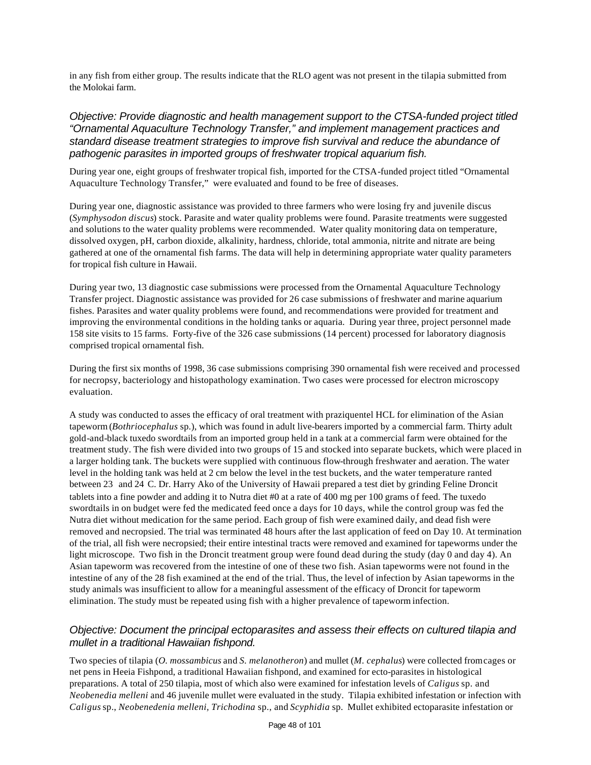in any fish from either group. The results indicate that the RLO agent was not present in the tilapia submitted from the Molokai farm.

#### *Objective: Provide diagnostic and health management support to the CTSA-funded project titled "Ornamental Aquaculture Technology Transfer," and implement management practices and standard disease treatment strategies to improve fish survival and reduce the abundance of pathogenic parasites in imported groups of freshwater tropical aquarium fish.*

During year one, eight groups of freshwater tropical fish, imported for the CTSA-funded project titled "Ornamental Aquaculture Technology Transfer," were evaluated and found to be free of diseases.

During year one, diagnostic assistance was provided to three farmers who were losing fry and juvenile discus (*Symphysodon discus*) stock. Parasite and water quality problems were found. Parasite treatments were suggested and solutions to the water quality problems were recommended. Water quality monitoring data on temperature, dissolved oxygen, pH, carbon dioxide, alkalinity, hardness, chloride, total ammonia, nitrite and nitrate are being gathered at one of the ornamental fish farms. The data will help in determining appropriate water quality parameters for tropical fish culture in Hawaii.

During year two, 13 diagnostic case submissions were processed from the Ornamental Aquaculture Technology Transfer project. Diagnostic assistance was provided for 26 case submissions of freshwater and marine aquarium fishes. Parasites and water quality problems were found, and recommendations were provided for treatment and improving the environmental conditions in the holding tanks or aquaria. During year three, project personnel made 158 site visits to 15 farms. Forty-five of the 326 case submissions (14 percent) processed for laboratory diagnosis comprised tropical ornamental fish.

During the first six months of 1998, 36 case submissions comprising 390 ornamental fish were received and processed for necropsy, bacteriology and histopathology examination. Two cases were processed for electron microscopy evaluation.

A study was conducted to asses the efficacy of oral treatment with praziquentel HCL for elimination of the Asian tapeworm (*Bothriocephalus* sp.), which was found in adult live-bearers imported by a commercial farm. Thirty adult gold-and-black tuxedo swordtails from an imported group held in a tank at a commercial farm were obtained for the treatment study. The fish were divided into two groups of 15 and stocked into separate buckets, which were placed in a larger holding tank. The buckets were supplied with continuous flow-through freshwater and aeration. The water level in the holding tank was held at 2 cm below the level in the test buckets, and the water temperature ranted between 23 and 24 C. Dr. Harry Ako of the University of Hawaii prepared a test diet by grinding Feline Droncit tablets into a fine powder and adding it to Nutra diet #0 at a rate of 400 mg per 100 grams of feed. The tuxedo swordtails in on budget were fed the medicated feed once a days for 10 days, while the control group was fed the Nutra diet without medication for the same period. Each group of fish were examined daily, and dead fish were removed and necropsied. The trial was terminated 48 hours after the last application of feed on Day 10. At termination of the trial, all fish were necropsied; their entire intestinal tracts were removed and examined for tapeworms under the light microscope. Two fish in the Droncit treatment group were found dead during the study (day 0 and day 4). An Asian tapeworm was recovered from the intestine of one of these two fish. Asian tapeworms were not found in the intestine of any of the 28 fish examined at the end of the trial. Thus, the level of infection by Asian tapeworms in the study animals was insufficient to allow for a meaningful assessment of the efficacy of Droncit for tapeworm elimination. The study must be repeated using fish with a higher prevalence of tapeworm infection.

### *Objective: Document the principal ectoparasites and assess their effects on cultured tilapia and mullet in a traditional Hawaiian fishpond.*

Two species of tilapia (*O. mossambicus* and *S. melanotheron*) and mullet (*M. cephalus*) were collected from cages or net pens in Heeia Fishpond, a traditional Hawaiian fishpond, and examined for ecto-parasites in histological preparations. A total of 250 tilapia, most of which also were examined for infestation levels of *Caligus* sp. and *Neobenedia melleni* and 46 juvenile mullet were evaluated in the study. Tilapia exhibited infestation or infection with *Caligus* sp., *Neobenedenia melleni, Trichodina* sp., and *Scyphidia* sp. Mullet exhibited ectoparasite infestation or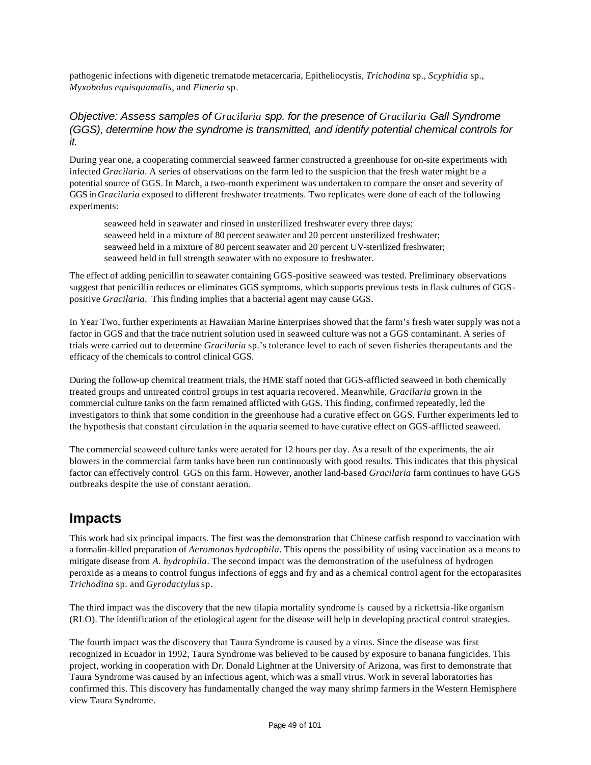pathogenic infections with digenetic trematode metacercaria, Epitheliocystis, *Trichodina* sp., *Scyphidia* sp., *Myxobolus equisquamalis,* and *Eimeria* sp.

### *Objective: Assess samples of Gracilaria spp. for the presence of Gracilaria Gall Syndrome (GGS), determine how the syndrome is transmitted, and identify potential chemical controls for it.*

During year one, a cooperating commercial seaweed farmer constructed a greenhouse for on-site experiments with infected *Gracilaria*. A series of observations on the farm led to the suspicion that the fresh water might be a potential source of GGS. In March, a two-month experiment was undertaken to compare the onset and severity of GGS in *Gracilaria* exposed to different freshwater treatments. Two replicates were done of each of the following experiments:

seaweed held in seawater and rinsed in unsterilized freshwater every three days; seaweed held in a mixture of 80 percent seawater and 20 percent unsterilized freshwater; seaweed held in a mixture of 80 percent seawater and 20 percent UV-sterilized freshwater; seaweed held in full strength seawater with no exposure to freshwater.

The effect of adding penicillin to seawater containing GGS-positive seaweed was tested. Preliminary observations suggest that penicillin reduces or eliminates GGS symptoms, which supports previous tests in flask cultures of GGSpositive *Gracilaria*. This finding implies that a bacterial agent may cause GGS.

In Year Two, further experiments at Hawaiian Marine Enterprises showed that the farm's fresh water supply was not a factor in GGS and that the trace nutrient solution used in seaweed culture was not a GGS contaminant. A series of trials were carried out to determine *Gracilaria* sp.'s tolerance level to each of seven fisheries therapeutants and the efficacy of the chemicals to control clinical GGS.

During the follow-up chemical treatment trials, the HME staff noted that GGS-afflicted seaweed in both chemically treated groups and untreated control groups in test aquaria recovered. Meanwhile, *Gracilaria* grown in the commercial culture tanks on the farm remained afflicted with GGS. This finding, confirmed repeatedly, led the investigators to think that some condition in the greenhouse had a curative effect on GGS. Further experiments led to the hypothesis that constant circulation in the aquaria seemed to have curative effect on GGS-afflicted seaweed.

The commercial seaweed culture tanks were aerated for 12 hours per day. As a result of the experiments, the air blowers in the commercial farm tanks have been run continuously with good results. This indicates that this physical factor can effectively control GGS on this farm. However, another land-based *Gracilaria* farm continues to have GGS outbreaks despite the use of constant aeration.

### **Impacts**

This work had six principal impacts. The first was the demonstration that Chinese catfish respond to vaccination with a formalin-killed preparation of *Aeromonas hydrophila*. This opens the possibility of using vaccination as a means to mitigate disease from *A. hydrophila*. The second impact was the demonstration of the usefulness of hydrogen peroxide as a means to control fungus infections of eggs and fry and as a chemical control agent for the ectoparasites *Trichodina* sp. and *Gyrodactylus* sp.

The third impact was the discovery that the new tilapia mortality syndrome is caused by a rickettsia-like organism (RLO). The identification of the etiological agent for the disease will help in developing practical control strategies.

The fourth impact was the discovery that Taura Syndrome is caused by a virus. Since the disease was first recognized in Ecuador in 1992, Taura Syndrome was believed to be caused by exposure to banana fungicides. This project, working in cooperation with Dr. Donald Lightner at the University of Arizona, was first to demonstrate that Taura Syndrome was caused by an infectious agent, which was a small virus. Work in several laboratories has confirmed this. This discovery has fundamentally changed the way many shrimp farmers in the Western Hemisphere view Taura Syndrome.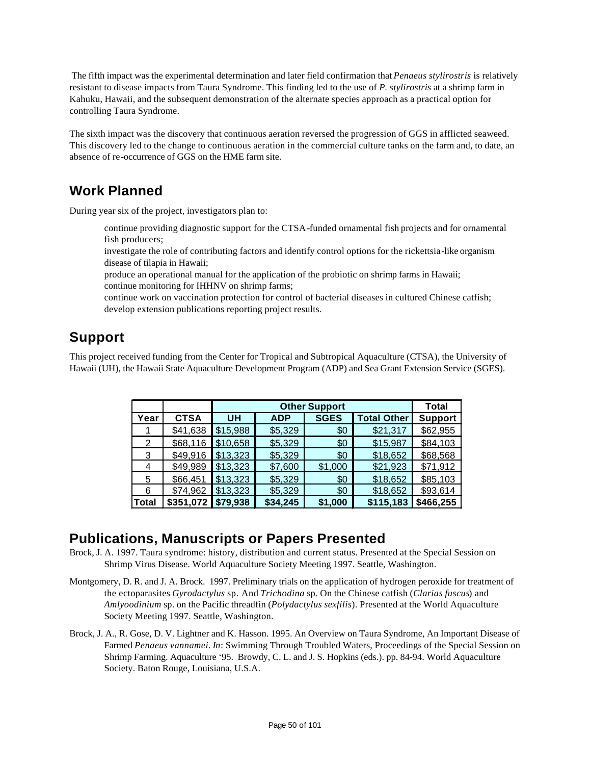The fifth impact was the experimental determination and later field confirmation that *Penaeus stylirostris* is relatively resistant to disease impacts from Taura Syndrome. This finding led to the use of *P. stylirostris* at a shrimp farm in Kahuku, Hawaii, and the subsequent demonstration of the alternate species approach as a practical option for controlling Taura Syndrome.

The sixth impact was the discovery that continuous aeration reversed the progression of GGS in afflicted seaweed. This discovery led to the change to continuous aeration in the commercial culture tanks on the farm and, to date, an absence of re-occurrence of GGS on the HME farm site.

# **Work Planned**

During year six of the project, investigators plan to:

- continue providing diagnostic support for the CTSA-funded ornamental fish projects and for ornamental fish producers;
- investigate the role of contributing factors and identify control options for the rickettsia-like organism disease of tilapia in Hawaii;
- produce an operational manual for the application of the probiotic on shrimp farms in Hawaii; continue monitoring for IHHNV on shrimp farms;
- continue work on vaccination protection for control of bacterial diseases in cultured Chinese catfish; develop extension publications reporting project results.

# **Support**

This project received funding from the Center for Tropical and Subtropical Aquaculture (CTSA), the University of Hawaii (UH), the Hawaii State Aquaculture Development Program (ADP) and Sea Grant Extension Service (SGES).

|              |             |          | <b>Other Support</b> |                    |                |           |  |  |  |  |  |
|--------------|-------------|----------|----------------------|--------------------|----------------|-----------|--|--|--|--|--|
| Year         | <b>CTSA</b> | UH       | <b>ADP</b>           | <b>Total Other</b> | <b>Support</b> |           |  |  |  |  |  |
|              | \$41,638    | \$15,988 | \$5,329              | \$0                | \$21,317       | \$62,955  |  |  |  |  |  |
| 2            | \$68,116    | \$10,658 | \$5,329              | \$0                | \$15,987       | \$84,103  |  |  |  |  |  |
| 3            | \$49,916    | \$13,323 | \$5,329              | \$0                | \$18,652       | \$68,568  |  |  |  |  |  |
| 4            | \$49,989    | \$13,323 | \$7,600              | \$1,000            | \$21,923       | \$71,912  |  |  |  |  |  |
| 5            | \$66,451    | \$13,323 | \$5,329              | \$0                | \$18,652       | \$85,103  |  |  |  |  |  |
| 6            | \$74,962    | \$13,323 | \$5,329              | \$0                | \$18,652       | \$93,614  |  |  |  |  |  |
| <b>Total</b> | \$351,072   | \$79,938 | \$34,245             | \$1,000            | \$115,183      | \$466,255 |  |  |  |  |  |

### **Publications, Manuscripts or Papers Presented**

- Brock, J. A. 1997. Taura syndrome: history, distribution and current status. Presented at the Special Session on Shrimp Virus Disease. World Aquaculture Society Meeting 1997. Seattle, Washington.
- Montgomery, D. R. and J. A. Brock. 1997. Preliminary trials on the application of hydrogen peroxide for treatment of the ectoparasites *Gyrodactylus* sp. And *Trichodina* sp. On the Chinese catfish (*Clarias fuscus*) and *Amlyoodinium* sp. on the Pacific threadfin (*Polydactylus sexfilis*). Presented at the World Aquaculture Society Meeting 1997. Seattle, Washington.
- Brock, J. A., R. Gose, D. V. Lightner and K. Hasson. 1995. An Overview on Taura Syndrome, An Important Disease of Farmed *Penaeus vannamei*. *In*: Swimming Through Troubled Waters, Proceedings of the Special Session on Shrimp Farming. Aquaculture '95. Browdy, C. L. and J. S. Hopkins (eds.). pp. 84-94. World Aquaculture Society. Baton Rouge, Louisiana, U.S.A.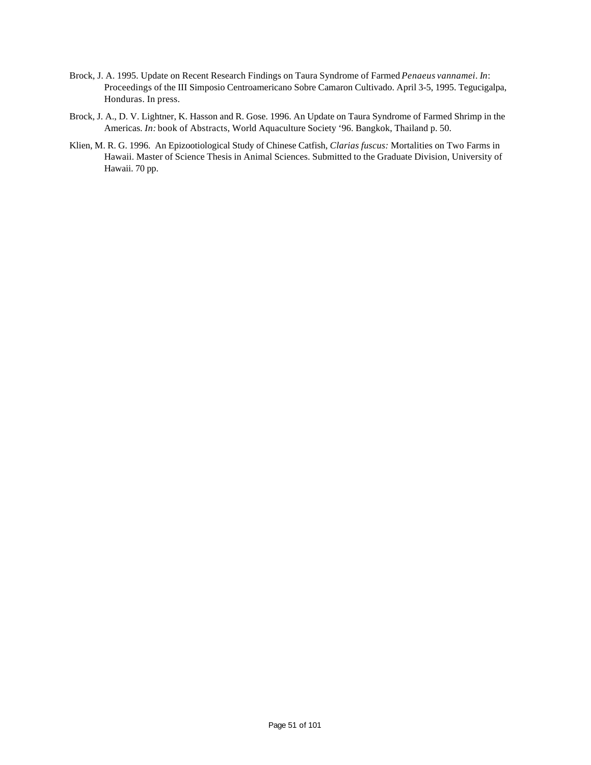- Brock, J. A. 1995. Update on Recent Research Findings on Taura Syndrome of Farmed *Penaeus vannamei*. *In*: Proceedings of the III Simposio Centroamericano Sobre Camaron Cultivado. April 3-5, 1995. Tegucigalpa, Honduras. In press.
- Brock, J. A., D. V. Lightner, K. Hasson and R. Gose. 1996. An Update on Taura Syndrome of Farmed Shrimp in the Americas. *In:* book of Abstracts, World Aquaculture Society '96. Bangkok, Thailand p. 50.
- Klien, M. R. G. 1996. An Epizootiological Study of Chinese Catfish, *Clarias fuscus:* Mortalities on Two Farms in Hawaii. Master of Science Thesis in Animal Sciences. Submitted to the Graduate Division, University of Hawaii. 70 pp.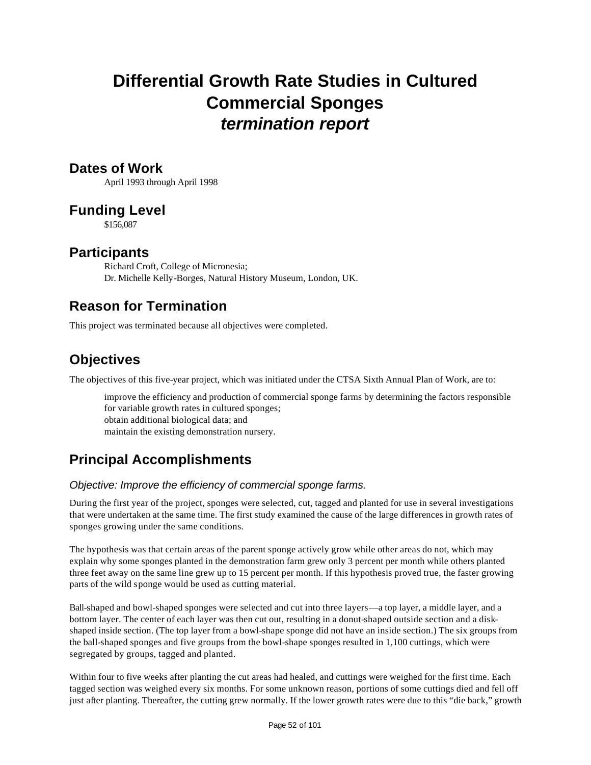# **Differential Growth Rate Studies in Cultured Commercial Sponges** *termination report*

### **Dates of Work**

April 1993 through April 1998

### **Funding Level**

\$156,087

### **Participants**

Richard Croft, College of Micronesia; Dr. Michelle Kelly-Borges, Natural History Museum, London, UK.

# **Reason for Termination**

This project was terminated because all objectives were completed.

# **Objectives**

The objectives of this five-year project, which was initiated under the CTSA Sixth Annual Plan of Work, are to:

improve the efficiency and production of commercial sponge farms by determining the factors responsible for variable growth rates in cultured sponges; obtain additional biological data; and maintain the existing demonstration nursery.

# **Principal Accomplishments**

### *Objective: Improve the efficiency of commercial sponge farms.*

During the first year of the project, sponges were selected, cut, tagged and planted for use in several investigations that were undertaken at the same time. The first study examined the cause of the large differences in growth rates of sponges growing under the same conditions.

The hypothesis was that certain areas of the parent sponge actively grow while other areas do not, which may explain why some sponges planted in the demonstration farm grew only 3 percent per month while others planted three feet away on the same line grew up to 15 percent per month. If this hypothesis proved true, the faster growing parts of the wild sponge would be used as cutting material.

Ball-shaped and bowl-shaped sponges were selected and cut into three layers—a top layer, a middle layer, and a bottom layer. The center of each layer was then cut out, resulting in a donut-shaped outside section and a diskshaped inside section. (The top layer from a bowl-shape sponge did not have an inside section.) The six groups from the ball-shaped sponges and five groups from the bowl-shape sponges resulted in 1,100 cuttings, which were segregated by groups, tagged and planted.

Within four to five weeks after planting the cut areas had healed, and cuttings were weighed for the first time. Each tagged section was weighed every six months. For some unknown reason, portions of some cuttings died and fell off just after planting. Thereafter, the cutting grew normally. If the lower growth rates were due to this "die back," growth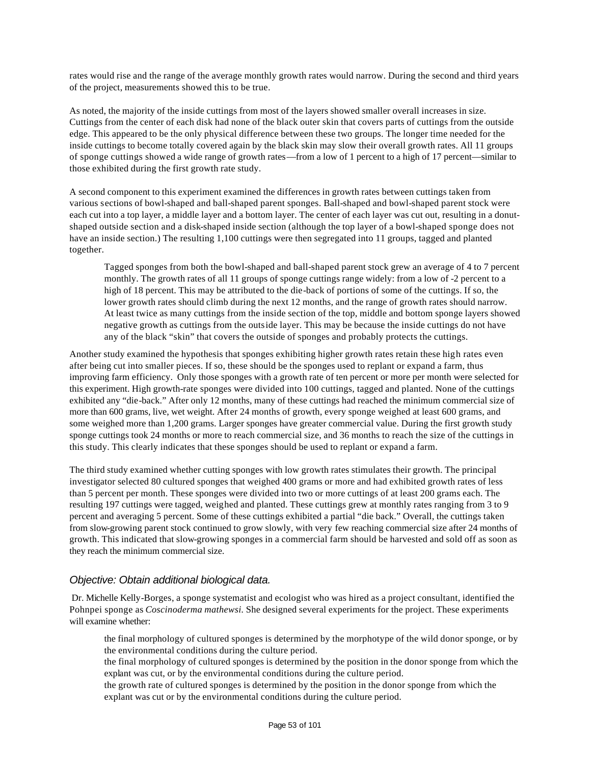rates would rise and the range of the average monthly growth rates would narrow. During the second and third years of the project, measurements showed this to be true.

As noted, the majority of the inside cuttings from most of the layers showed smaller overall increases in size. Cuttings from the center of each disk had none of the black outer skin that covers parts of cuttings from the outside edge. This appeared to be the only physical difference between these two groups. The longer time needed for the inside cuttings to become totally covered again by the black skin may slow their overall growth rates. All 11 groups of sponge cuttings showed a wide range of growth rates—from a low of 1 percent to a high of 17 percent—similar to those exhibited during the first growth rate study.

A second component to this experiment examined the differences in growth rates between cuttings taken from various sections of bowl-shaped and ball-shaped parent sponges. Ball-shaped and bowl-shaped parent stock were each cut into a top layer, a middle layer and a bottom layer. The center of each layer was cut out, resulting in a donutshaped outside section and a disk-shaped inside section (although the top layer of a bowl-shaped sponge does not have an inside section.) The resulting 1,100 cuttings were then segregated into 11 groups, tagged and planted together.

Tagged sponges from both the bowl-shaped and ball-shaped parent stock grew an average of 4 to 7 percent monthly. The growth rates of all 11 groups of sponge cuttings range widely: from a low of -2 percent to a high of 18 percent. This may be attributed to the die-back of portions of some of the cuttings. If so, the lower growth rates should climb during the next 12 months, and the range of growth rates should narrow. At least twice as many cuttings from the inside section of the top, middle and bottom sponge layers showed negative growth as cuttings from the outside layer. This may be because the inside cuttings do not have any of the black "skin" that covers the outside of sponges and probably protects the cuttings.

Another study examined the hypothesis that sponges exhibiting higher growth rates retain these high rates even after being cut into smaller pieces. If so, these should be the sponges used to replant or expand a farm, thus improving farm efficiency. Only those sponges with a growth rate of ten percent or more per month were selected for this experiment. High growth-rate sponges were divided into 100 cuttings, tagged and planted. None of the cuttings exhibited any "die-back." After only 12 months, many of these cuttings had reached the minimum commercial size of more than 600 grams, live, wet weight. After 24 months of growth, every sponge weighed at least 600 grams, and some weighed more than 1,200 grams. Larger sponges have greater commercial value. During the first growth study sponge cuttings took 24 months or more to reach commercial size, and 36 months to reach the size of the cuttings in this study. This clearly indicates that these sponges should be used to replant or expand a farm.

The third study examined whether cutting sponges with low growth rates stimulates their growth. The principal investigator selected 80 cultured sponges that weighed 400 grams or more and had exhibited growth rates of less than 5 percent per month. These sponges were divided into two or more cuttings of at least 200 grams each. The resulting 197 cuttings were tagged, weighed and planted. These cuttings grew at monthly rates ranging from 3 to 9 percent and averaging 5 percent. Some of these cuttings exhibited a partial "die back." Overall, the cuttings taken from slow-growing parent stock continued to grow slowly, with very few reaching commercial size after 24 months of growth. This indicated that slow-growing sponges in a commercial farm should be harvested and sold off as soon as they reach the minimum commercial size.

#### *Objective: Obtain additional biological data.*

 Dr. Michelle Kelly-Borges, a sponge systematist and ecologist who was hired as a project consultant, identified the Pohnpei sponge as *Coscinoderma mathewsi.* She designed several experiments for the project. These experiments will examine whether:

the final morphology of cultured sponges is determined by the morphotype of the wild donor sponge, or by the environmental conditions during the culture period.

the final morphology of cultured sponges is determined by the position in the donor sponge from which the explant was cut, or by the environmental conditions during the culture period.

the growth rate of cultured sponges is determined by the position in the donor sponge from which the explant was cut or by the environmental conditions during the culture period.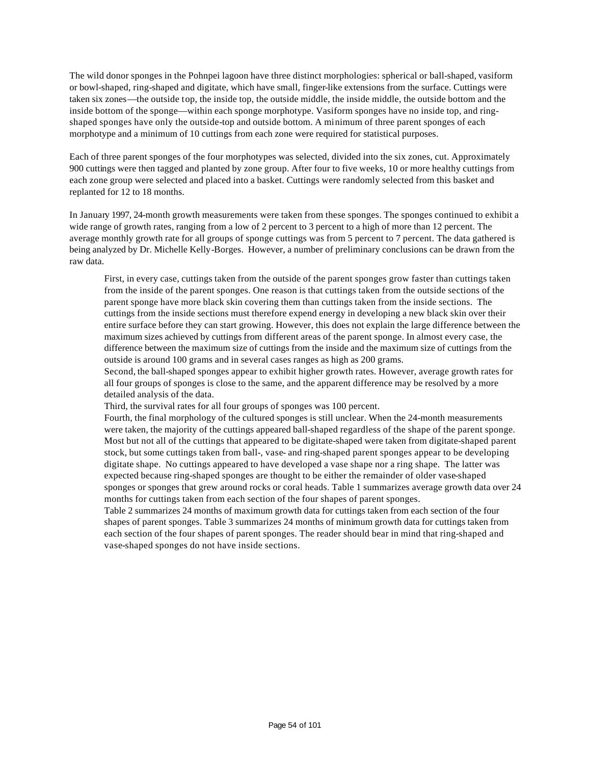The wild donor sponges in the Pohnpei lagoon have three distinct morphologies: spherical or ball-shaped, vasiform or bowl-shaped, ring-shaped and digitate, which have small, finger-like extensions from the surface. Cuttings were taken six zones—the outside top, the inside top, the outside middle, the inside middle, the outside bottom and the inside bottom of the sponge—within each sponge morphotype. Vasiform sponges have no inside top, and ringshaped sponges have only the outside-top and outside bottom. A minimum of three parent sponges of each morphotype and a minimum of 10 cuttings from each zone were required for statistical purposes.

Each of three parent sponges of the four morphotypes was selected, divided into the six zones, cut. Approximately 900 cuttings were then tagged and planted by zone group. After four to five weeks, 10 or more healthy cuttings from each zone group were selected and placed into a basket. Cuttings were randomly selected from this basket and replanted for 12 to 18 months.

In January 1997, 24-month growth measurements were taken from these sponges. The sponges continued to exhibit a wide range of growth rates, ranging from a low of 2 percent to 3 percent to a high of more than 12 percent. The average monthly growth rate for all groups of sponge cuttings was from 5 percent to 7 percent. The data gathered is being analyzed by Dr. Michelle Kelly-Borges. However, a number of preliminary conclusions can be drawn from the raw data.

First, in every case, cuttings taken from the outside of the parent sponges grow faster than cuttings taken from the inside of the parent sponges. One reason is that cuttings taken from the outside sections of the parent sponge have more black skin covering them than cuttings taken from the inside sections. The cuttings from the inside sections must therefore expend energy in developing a new black skin over their entire surface before they can start growing. However, this does not explain the large difference between the maximum sizes achieved by cuttings from different areas of the parent sponge. In almost every case, the difference between the maximum size of cuttings from the inside and the maximum size of cuttings from the outside is around 100 grams and in several cases ranges as high as 200 grams.

Second, the ball-shaped sponges appear to exhibit higher growth rates. However, average growth rates for all four groups of sponges is close to the same, and the apparent difference may be resolved by a more detailed analysis of the data.

Third, the survival rates for all four groups of sponges was 100 percent.

Fourth, the final morphology of the cultured sponges is still unclear. When the 24-month measurements were taken, the majority of the cuttings appeared ball-shaped regardless of the shape of the parent sponge. Most but not all of the cuttings that appeared to be digitate-shaped were taken from digitate-shaped parent stock, but some cuttings taken from ball-, vase- and ring-shaped parent sponges appear to be developing digitate shape. No cuttings appeared to have developed a vase shape nor a ring shape. The latter was expected because ring-shaped sponges are thought to be either the remainder of older vase-shaped sponges or sponges that grew around rocks or coral heads. Table 1 summarizes average growth data over 24 months for cuttings taken from each section of the four shapes of parent sponges.

Table 2 summarizes 24 months of maximum growth data for cuttings taken from each section of the four shapes of parent sponges. Table 3 summarizes 24 months of minimum growth data for cuttings taken from each section of the four shapes of parent sponges. The reader should bear in mind that ring-shaped and vase-shaped sponges do not have inside sections.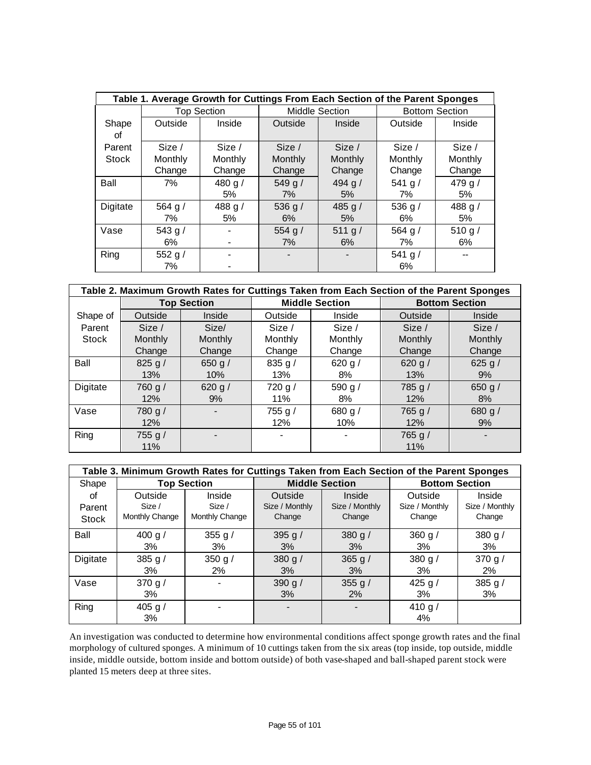|              |           |                    | Table 1. Average Growth for Cuttings From Each Section of the Parent Sponges |                       |                       |         |  |
|--------------|-----------|--------------------|------------------------------------------------------------------------------|-----------------------|-----------------------|---------|--|
|              |           | <b>Top Section</b> |                                                                              | <b>Middle Section</b> | <b>Bottom Section</b> |         |  |
| Shape        | Outside   | Inside             | Outside                                                                      | Inside                | Outside               | Inside  |  |
| οf           |           |                    |                                                                              |                       |                       |         |  |
| Parent       | Size /    | Size /             | Size /                                                                       | Size /                | Size /                | Size /  |  |
| <b>Stock</b> | Monthly   | Monthly            | Monthly                                                                      | Monthly               | Monthly               | Monthly |  |
|              | Change    | Change             | Change                                                                       | Change                | Change                | Change  |  |
| Ball         | 7%        | 480 g/             | 549 g/                                                                       | 494 g $/$             | 541 g/                | 479 g/  |  |
|              |           | 5%                 | 7%                                                                           | 5%                    | 7%                    | 5%      |  |
| Digitate     | 564 g $/$ | 488 g/             | 536 g $/$                                                                    | 485 g $/$             | 536 g/                | 488 g/  |  |
|              | 7%        | 5%                 | 6%                                                                           | 5%                    | 6%                    | 5%      |  |
| Vase         | 543 g/    |                    | 554 g/                                                                       | 511 g/                | 564 g $/$             | 510 g/  |  |
|              | 6%        |                    | 7%                                                                           | 6%                    | 7%                    | 6%      |  |
| Ring         | 552 g $/$ |                    |                                                                              |                       | 541 g $/$             |         |  |
|              | 7%        |                    |                                                                              |                       | 6%                    |         |  |

|          |                | Table 2. Maximum Growth Rates for Cuttings Taken from Each Section of the Parent Sponges |           |                       |                       |         |  |
|----------|----------------|------------------------------------------------------------------------------------------|-----------|-----------------------|-----------------------|---------|--|
|          |                | <b>Top Section</b>                                                                       |           | <b>Middle Section</b> | <b>Bottom Section</b> |         |  |
| Shape of | Outside        | Inside                                                                                   | Outside   | Inside                | Outside               | Inside  |  |
| Parent   | Size /         | Size/                                                                                    | Size /    | Size /                | Size /                | Size /  |  |
| Stock    | <b>Monthly</b> | Monthly                                                                                  | Monthly   | Monthly               | Monthly               | Monthly |  |
|          | Change         | Change                                                                                   | Change    | Change                | Change                | Change  |  |
| Ball     | 825 g $/$      | 650 g $/$                                                                                | 835 g/    | 620 g $/$             | 620 g $/$             | 625 g/  |  |
|          | 13%            | 10%                                                                                      | 13%       | 8%                    | 13%                   | 9%      |  |
| Digitate | 760 g/         | 620 g $/$                                                                                | 720 g/    | 590 g/                | 785 g/                | 650 g/  |  |
|          | 12%            | 9%                                                                                       | 11%       | 8%                    | 12%                   | 8%      |  |
| Vase     | 780 g/         |                                                                                          | 755 g $/$ | 680 g $/$             | 765 g/                | 680 g/  |  |
|          | 12%            |                                                                                          | 12%       | 10%                   | 12%                   | 9%      |  |
| Ring     | 755 g $/$      |                                                                                          |           |                       | 765 g /               |         |  |
|          | 11%            |                                                                                          |           |                       | 11%                   |         |  |

|              | Table 3. Minimum Growth Rates for Cuttings Taken from Each Section of the Parent Sponges |                    |                       |                |                       |                |  |  |  |  |  |  |  |
|--------------|------------------------------------------------------------------------------------------|--------------------|-----------------------|----------------|-----------------------|----------------|--|--|--|--|--|--|--|
| Shape        |                                                                                          | <b>Top Section</b> | <b>Middle Section</b> |                | <b>Bottom Section</b> |                |  |  |  |  |  |  |  |
| οf           | Outside                                                                                  | Inside             | Outside               | Inside         | Outside               | Inside         |  |  |  |  |  |  |  |
| Parent       | Size /                                                                                   | Size /             | Size / Monthly        | Size / Monthly | Size / Monthly        | Size / Monthly |  |  |  |  |  |  |  |
| <b>Stock</b> | Monthly Change                                                                           | Monthly Change     | Change                | Change         | Change                | Change         |  |  |  |  |  |  |  |
| Ball         | 400 g $/$                                                                                | 355 g $/$          | 395 g $/$             | 380 g $/$      | 360 g $/$             | 380 g $/$      |  |  |  |  |  |  |  |
|              | 3%                                                                                       | 3%                 | 3%                    | 3%             | 3%                    | 3%             |  |  |  |  |  |  |  |
| Digitate     | 385 g $/$                                                                                | 350 g $/$          | 380 g $/$             | 365 g $/$      | 380 g/                | 370 g $/$      |  |  |  |  |  |  |  |
|              | 3%                                                                                       | 2%                 | 3%                    | 3%             | 3%                    | 2%             |  |  |  |  |  |  |  |
| Vase         | 370 g/                                                                                   |                    | 390 g $/$             | 355 g $/$      | 425 g/                | 385 g/         |  |  |  |  |  |  |  |
|              | 3%                                                                                       |                    | 3%                    | $2\%$          | 3%                    | 3%             |  |  |  |  |  |  |  |
| Ring         | 405 g $/$                                                                                |                    |                       |                | 410 g/                |                |  |  |  |  |  |  |  |
|              | 3%                                                                                       |                    |                       |                | 4%                    |                |  |  |  |  |  |  |  |

An investigation was conducted to determine how environmental conditions affect sponge growth rates and the final morphology of cultured sponges. A minimum of 10 cuttings taken from the six areas (top inside, top outside, middle inside, middle outside, bottom inside and bottom outside) of both vase-shaped and ball-shaped parent stock were planted 15 meters deep at three sites.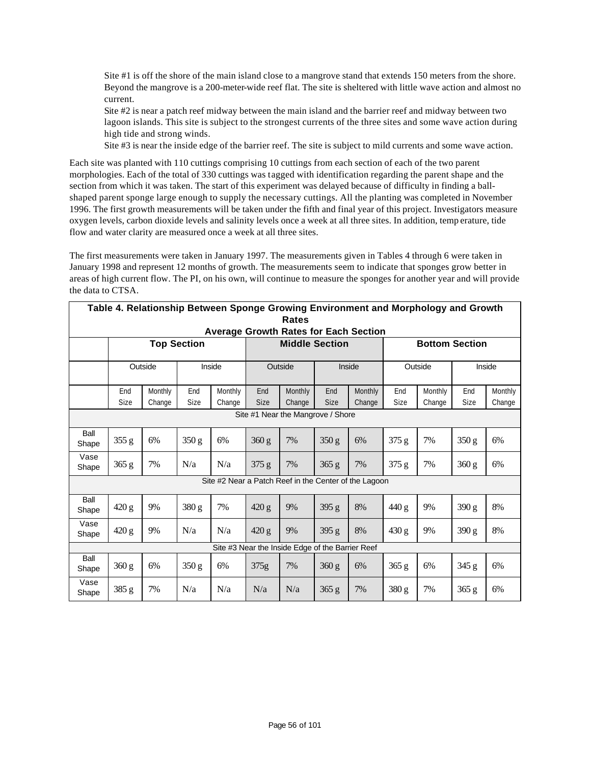Site #1 is off the shore of the main island close to a mangrove stand that extends 150 meters from the shore. Beyond the mangrove is a 200-meter-wide reef flat. The site is sheltered with little wave action and almost no current.

Site #2 is near a patch reef midway between the main island and the barrier reef and midway between two lagoon islands. This site is subject to the strongest currents of the three sites and some wave action during high tide and strong winds.

Site #3 is near the inside edge of the barrier reef. The site is subject to mild currents and some wave action.

Each site was planted with 110 cuttings comprising 10 cuttings from each section of each of the two parent morphologies. Each of the total of 330 cuttings was tagged with identification regarding the parent shape and the section from which it was taken. The start of this experiment was delayed because of difficulty in finding a ballshaped parent sponge large enough to supply the necessary cuttings. All the planting was completed in November 1996. The first growth measurements will be taken under the fifth and final year of this project. Investigators measure oxygen levels, carbon dioxide levels and salinity levels once a week at all three sites. In addition, temp erature, tide flow and water clarity are measured once a week at all three sites.

The first measurements were taken in January 1997. The measurements given in Tables 4 through 6 were taken in January 1998 and represent 12 months of growth. The measurements seem to indicate that sponges grow better in areas of high current flow. The PI, on his own, will continue to measure the sponges for another year and will provide the data to CTSA.

|               | Table 4. Relationship Between Sponge Growing Environment and Morphology and Growth<br><b>Rates</b> |         |                    |                                                       |             |                                                  |             |         |         |                       |       |         |  |
|---------------|----------------------------------------------------------------------------------------------------|---------|--------------------|-------------------------------------------------------|-------------|--------------------------------------------------|-------------|---------|---------|-----------------------|-------|---------|--|
|               |                                                                                                    |         |                    | <b>Average Growth Rates for Each Section</b>          |             |                                                  |             |         |         |                       |       |         |  |
|               |                                                                                                    |         | <b>Top Section</b> |                                                       |             | <b>Middle Section</b>                            |             |         |         | <b>Bottom Section</b> |       |         |  |
|               |                                                                                                    | Outside |                    | Inside                                                | Outside     |                                                  | Inside      |         | Outside |                       |       | Inside  |  |
|               |                                                                                                    |         |                    |                                                       |             |                                                  |             |         |         |                       |       |         |  |
|               | End                                                                                                | Monthly | End                | Monthly                                               | End         | Monthly                                          | End         | Monthly | End     | Monthly               | End   | Monthly |  |
|               | Size                                                                                               | Change  | Size               | Change                                                | <b>Size</b> | Change                                           | <b>Size</b> | Change  | Size    | Change                | Size  | Change  |  |
|               | Site #1 Near the Mangrove / Shore                                                                  |         |                    |                                                       |             |                                                  |             |         |         |                       |       |         |  |
| Ball<br>Shape | 355 g                                                                                              | 6%      | 350 g              | 6%                                                    | 360 g       | 7%                                               | 350 g       | 6%      | 375 g   | 7%                    | 350 g | 6%      |  |
| Vase<br>Shape | 365 g                                                                                              | 7%      | N/a                | N/a                                                   | 375 g       | 7%                                               | 365 g       | 7%      | 375 g   | 7%                    | 360 g | 6%      |  |
|               |                                                                                                    |         |                    | Site #2 Near a Patch Reef in the Center of the Lagoon |             |                                                  |             |         |         |                       |       |         |  |
| Ball<br>Shape | 420 g                                                                                              | 9%      | 380 g              | 7%                                                    | 420 g       | 9%                                               | 395 g       | 8%      | 440 g   | 9%                    | 390 g | 8%      |  |
| Vase<br>Shape | 420 g                                                                                              | 9%      | N/a                | N/a                                                   | 420 g       | 9%                                               | 395 g       | 8%      | 430 g   | 9%                    | 390 g | 8%      |  |
|               |                                                                                                    |         |                    |                                                       |             | Site #3 Near the Inside Edge of the Barrier Reef |             |         |         |                       |       |         |  |
| Ball<br>Shape | 360 g                                                                                              | 6%      | 350 g              | 6%                                                    | 375g        | 7%                                               | 360 g       | 6%      | 365 g   | 6%                    | 345 g | 6%      |  |
| Vase<br>Shape | 385 g                                                                                              | 7%      | N/a                | N/a                                                   | N/a         | N/a                                              | 365 g       | 7%      | 380 g   | 7%                    | 365 g | 6%      |  |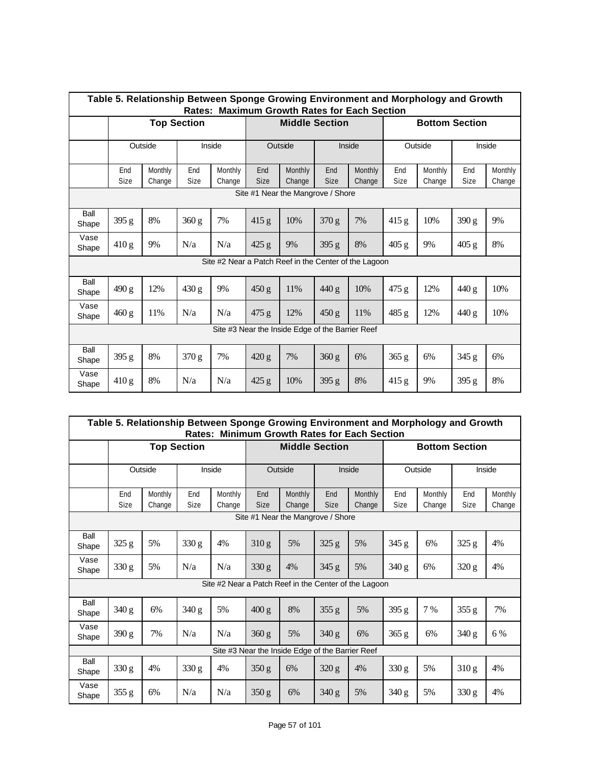|               | Table 5. Relationship Between Sponge Growing Environment and Morphology and Growth<br>Rates: Maximum Growth Rates for Each Section |                   |                    |                   |                    |                                                       |             |                   |                       |                   |             |                   |  |
|---------------|------------------------------------------------------------------------------------------------------------------------------------|-------------------|--------------------|-------------------|--------------------|-------------------------------------------------------|-------------|-------------------|-----------------------|-------------------|-------------|-------------------|--|
|               |                                                                                                                                    |                   | <b>Top Section</b> |                   |                    | <b>Middle Section</b>                                 |             |                   | <b>Bottom Section</b> |                   |             |                   |  |
|               |                                                                                                                                    | Outside           |                    | Inside            | Outside            |                                                       | Inside      |                   | Outside               |                   | Inside      |                   |  |
|               | End<br>Size                                                                                                                        | Monthly<br>Change | <b>End</b><br>Size | Monthly<br>Change | End<br><b>Size</b> | Monthly<br>Change                                     | End<br>Size | Monthly<br>Change | End<br><b>Size</b>    | Monthly<br>Change | End<br>Size | Monthly<br>Change |  |
|               | Site #1 Near the Mangrove / Shore                                                                                                  |                   |                    |                   |                    |                                                       |             |                   |                       |                   |             |                   |  |
| Ball<br>Shape | 395 g                                                                                                                              | 8%                | 360 g              | 7%                | 415 g              | 10%                                                   | 370 g       | 7%                | 415 g                 | 10%               | 390 g       | 9%                |  |
| Vase<br>Shape | 410 g                                                                                                                              | 9%                | N/a                | N/a               | 425 g              | 9%                                                    | 395 g       | 8%                | 405 g                 | 9%                | 405 g       | 8%                |  |
|               |                                                                                                                                    |                   |                    |                   |                    | Site #2 Near a Patch Reef in the Center of the Lagoon |             |                   |                       |                   |             |                   |  |
| Ball<br>Shape | 490 g                                                                                                                              | 12%               | 430 g              | 9%                | 450 g              | 11%                                                   | 440 g       | 10%               | 475 g                 | 12%               | 440 g       | 10%               |  |
| Vase<br>Shape | 460 g                                                                                                                              | 11%               | N/a                | N/a               | 475 g              | 12%                                                   | 450 g       | 11%               | 485 g                 | 12%               | 440 g       | 10%               |  |
|               | Site #3 Near the Inside Edge of the Barrier Reef                                                                                   |                   |                    |                   |                    |                                                       |             |                   |                       |                   |             |                   |  |
| Ball<br>Shape | 395 g                                                                                                                              | 8%                | 370 g              | 7%                | 420 g              | 7%                                                    | 360 g       | 6%                | 365 g                 | 6%                | 345 g       | 6%                |  |
| Vase<br>Shape | 410 g                                                                                                                              | 8%                | N/a                | N/a               | 425 g              | 10%                                                   | 395 g       | 8%                | 415 g                 | 9%                | 395 g       | 8%                |  |

|               | Table 5. Relationship Between Sponge Growing Environment and Morphology and Growth<br>Rates: Minimum Growth Rates for Each Section |                   |                    |                   |                    |                                                  |                    |                                                       |             |                       |             |                   |  |
|---------------|------------------------------------------------------------------------------------------------------------------------------------|-------------------|--------------------|-------------------|--------------------|--------------------------------------------------|--------------------|-------------------------------------------------------|-------------|-----------------------|-------------|-------------------|--|
|               |                                                                                                                                    |                   | <b>Top Section</b> |                   |                    | <b>Middle Section</b>                            |                    |                                                       |             | <b>Bottom Section</b> |             |                   |  |
|               |                                                                                                                                    | Outside           | Inside             |                   |                    | Outside                                          |                    | Inside                                                | Outside     |                       | Inside      |                   |  |
|               | End<br>Size                                                                                                                        | Monthly<br>Change | End<br>Size        | Monthly<br>Change | End<br><b>Size</b> | Monthly<br>Change                                | End<br><b>Size</b> | Monthly<br>Change                                     | End<br>Size | Monthly<br>Change     | End<br>Size | Monthly<br>Change |  |
|               | Site #1 Near the Mangrove / Shore                                                                                                  |                   |                    |                   |                    |                                                  |                    |                                                       |             |                       |             |                   |  |
| Ball<br>Shape | 325 g                                                                                                                              | 5%                | 330 g              | 4%                | 310 g              | 5%                                               | 325 g              | 5%                                                    | 345 g       | 6%                    | 325 g       | 4%                |  |
| Vase<br>Shape | 330 g                                                                                                                              | 5%                | N/a                | N/a               | 330 g              | 4%                                               | 345 g              | 5%                                                    | 340 g       | 6%                    | 320 g       | 4%                |  |
|               |                                                                                                                                    |                   |                    |                   |                    |                                                  |                    | Site #2 Near a Patch Reef in the Center of the Lagoon |             |                       |             |                   |  |
| Ball<br>Shape | 340 g                                                                                                                              | 6%                | 340 g              | 5%                | 400 g              | 8%                                               | 355 g              | 5%                                                    | 395 g       | 7 %                   | 355 g       | 7%                |  |
| Vase<br>Shape | 390 g                                                                                                                              | 7%                | N/a                | N/a               | 360 g              | 5%                                               | 340 g              | 6%                                                    | 365 g       | 6%                    | 340 g       | 6 %               |  |
|               |                                                                                                                                    |                   |                    |                   |                    | Site #3 Near the Inside Edge of the Barrier Reef |                    |                                                       |             |                       |             |                   |  |
| Ball<br>Shape | 330 g                                                                                                                              | 4%                | 330 g              | 4%                | 350 g              | 6%                                               | 320 g              | 4%                                                    | 330 g       | 5%                    | 310 g       | 4%                |  |
| Vase<br>Shape | 355 g                                                                                                                              | 6%                | N/a                | N/a               | 350 g              | 6%                                               | 340 g              | 5%                                                    | 340 g       | 5%                    | 330 g       | 4%                |  |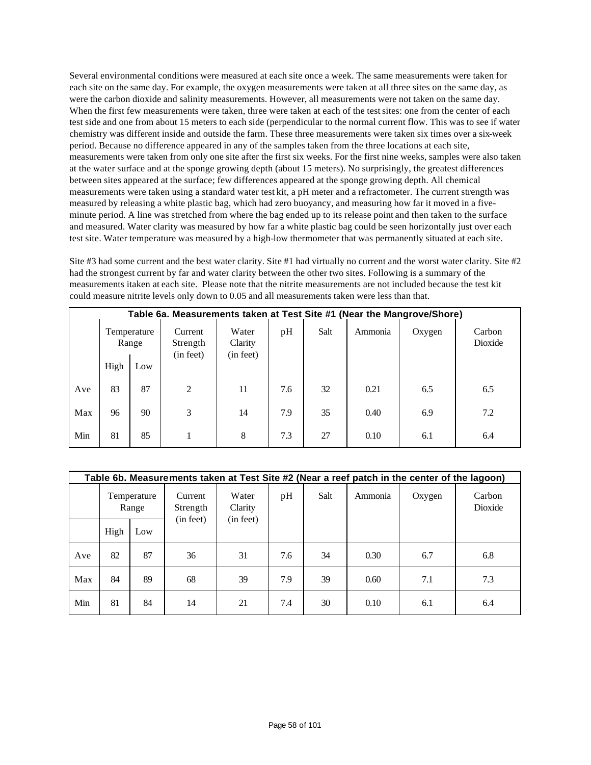Several environmental conditions were measured at each site once a week. The same measurements were taken for each site on the same day. For example, the oxygen measurements were taken at all three sites on the same day, as were the carbon dioxide and salinity measurements. However, all measurements were not taken on the same day. When the first few measurements were taken, three were taken at each of the test sites: one from the center of each test side and one from about 15 meters to each side (perpendicular to the normal current flow. This was to see if water chemistry was different inside and outside the farm. These three measurements were taken six times over a six-week period. Because no difference appeared in any of the samples taken from the three locations at each site, measurements were taken from only one site after the first six weeks. For the first nine weeks, samples were also taken at the water surface and at the sponge growing depth (about 15 meters). No surprisingly, the greatest differences between sites appeared at the surface; few differences appeared at the sponge growing depth. All chemical measurements were taken using a standard water test kit, a pH meter and a refractometer. The current strength was measured by releasing a white plastic bag, which had zero buoyancy, and measuring how far it moved in a fiveminute period. A line was stretched from where the bag ended up to its release point and then taken to the surface and measured. Water clarity was measured by how far a white plastic bag could be seen horizontally just over each test site. Water temperature was measured by a high-low thermometer that was permanently situated at each site.

Site #3 had some current and the best water clarity. Site #1 had virtually no current and the worst water clarity. Site #2 had the strongest current by far and water clarity between the other two sites. Following is a summary of the measurements itaken at each site. Please note that the nitrite measurements are not included because the test kit could measure nitrite levels only down to 0.05 and all measurements taken were less than that.

|     | Table 6a. Measurements taken at Test Site #1 (Near the Mangrove/Shore) |                      |                                  |                               |     |      |         |        |                   |  |  |  |  |
|-----|------------------------------------------------------------------------|----------------------|----------------------------------|-------------------------------|-----|------|---------|--------|-------------------|--|--|--|--|
|     |                                                                        | Temperature<br>Range | Current<br>Strength<br>(in feet) | Water<br>Clarity<br>(in feet) | pH  | Salt | Ammonia | Oxygen | Carbon<br>Dioxide |  |  |  |  |
|     | High                                                                   | Low                  |                                  |                               |     |      |         |        |                   |  |  |  |  |
| Ave | 83                                                                     | 87                   | 2                                | 11                            | 7.6 | 32   | 0.21    | 6.5    | 6.5               |  |  |  |  |
| Max | 96                                                                     | 90                   | 3                                | 14                            | 7.9 | 35   | 0.40    | 6.9    | 7.2               |  |  |  |  |
| Min | 81                                                                     | 85                   |                                  | 8                             | 7.3 | 27   | 0.10    | 6.1    | 6.4               |  |  |  |  |

|     |                      |     |                                  |                               |     |      |         | Table 6b. Measurements taken at Test Site #2 (Near a reef patch in the center of the lagoon) |                   |
|-----|----------------------|-----|----------------------------------|-------------------------------|-----|------|---------|----------------------------------------------------------------------------------------------|-------------------|
|     | Temperature<br>Range |     | Current<br>Strength<br>(in feet) | Water<br>Clarity<br>(in feet) | pH  | Salt | Ammonia | Oxygen                                                                                       | Carbon<br>Dioxide |
|     | High                 | Low |                                  |                               |     |      |         |                                                                                              |                   |
| Ave | 82                   | 87  | 36                               | 31                            | 7.6 | 34   | 0.30    | 6.7                                                                                          | 6.8               |
| Max | 84                   | 89  | 68                               | 39                            | 7.9 | 39   | 0.60    | 7.1                                                                                          | 7.3               |
| Min | 81                   | 84  | 14                               | 21                            | 7.4 | 30   | 0.10    | 6.1                                                                                          | 6.4               |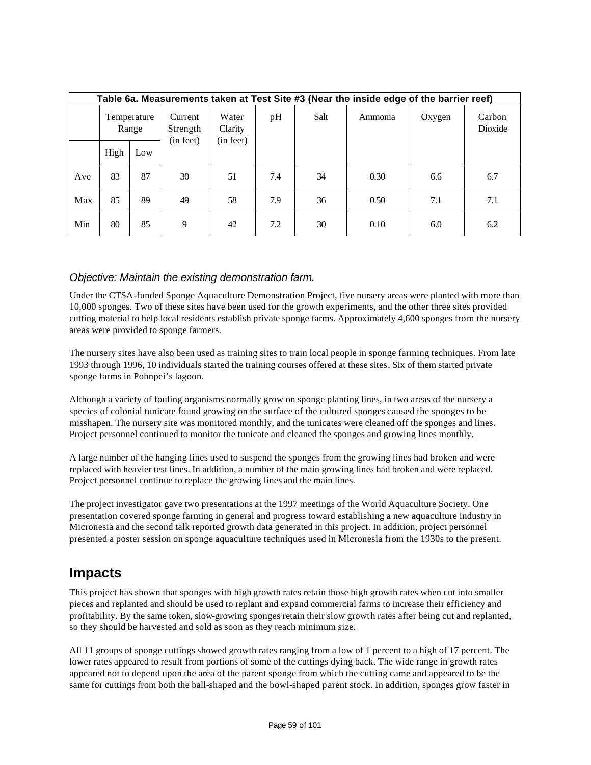|     | Table 6a. Measurements taken at Test Site #3 (Near the inside edge of the barrier reef) |                      |                                  |                               |     |      |         |        |                   |  |  |  |  |
|-----|-----------------------------------------------------------------------------------------|----------------------|----------------------------------|-------------------------------|-----|------|---------|--------|-------------------|--|--|--|--|
|     |                                                                                         | Temperature<br>Range | Current<br>Strength<br>(in feet) | Water<br>Clarity<br>(in feet) | pH  | Salt | Ammonia | Oxygen | Carbon<br>Dioxide |  |  |  |  |
|     | High                                                                                    | Low                  |                                  |                               |     |      |         |        |                   |  |  |  |  |
| Ave | 83                                                                                      | 87                   | 30                               | 51                            | 7.4 | 34   | 0.30    | 6.6    | 6.7               |  |  |  |  |
| Max | 85                                                                                      | 89                   | 49                               | 58                            | 7.9 | 36   | 0.50    | 7.1    | 7.1               |  |  |  |  |
| Min | 80                                                                                      | 85                   | 9                                | 42                            | 7.2 | 30   | 0.10    | 6.0    | 6.2               |  |  |  |  |

### *Objective: Maintain the existing demonstration farm.*

Under the CTSA-funded Sponge Aquaculture Demonstration Project, five nursery areas were planted with more than 10,000 sponges. Two of these sites have been used for the growth experiments, and the other three sites provided cutting material to help local residents establish private sponge farms. Approximately 4,600 sponges from the nursery areas were provided to sponge farmers.

The nursery sites have also been used as training sites to train local people in sponge farming techniques. From late 1993 through 1996, 10 individuals started the training courses offered at these sites. Six of them started private sponge farms in Pohnpei's lagoon.

Although a variety of fouling organisms normally grow on sponge planting lines, in two areas of the nursery a species of colonial tunicate found growing on the surface of the cultured sponges caused the sponges to be misshapen. The nursery site was monitored monthly, and the tunicates were cleaned off the sponges and lines. Project personnel continued to monitor the tunicate and cleaned the sponges and growing lines monthly.

A large number of the hanging lines used to suspend the sponges from the growing lines had broken and were replaced with heavier test lines. In addition, a number of the main growing lines had broken and were replaced. Project personnel continue to replace the growing lines and the main lines.

The project investigator gave two presentations at the 1997 meetings of the World Aquaculture Society. One presentation covered sponge farming in general and progress toward establishing a new aquaculture industry in Micronesia and the second talk reported growth data generated in this project. In addition, project personnel presented a poster session on sponge aquaculture techniques used in Micronesia from the 1930s to the present.

### **Impacts**

This project has shown that sponges with high growth rates retain those high growth rates when cut into smaller pieces and replanted and should be used to replant and expand commercial farms to increase their efficiency and profitability. By the same token, slow-growing sponges retain their slow growth rates after being cut and replanted, so they should be harvested and sold as soon as they reach minimum size.

All 11 groups of sponge cuttings showed growth rates ranging from a low of 1 percent to a high of 17 percent. The lower rates appeared to result from portions of some of the cuttings dying back. The wide range in growth rates appeared not to depend upon the area of the parent sponge from which the cutting came and appeared to be the same for cuttings from both the ball-shaped and the bowl-shaped parent stock. In addition, sponges grow faster in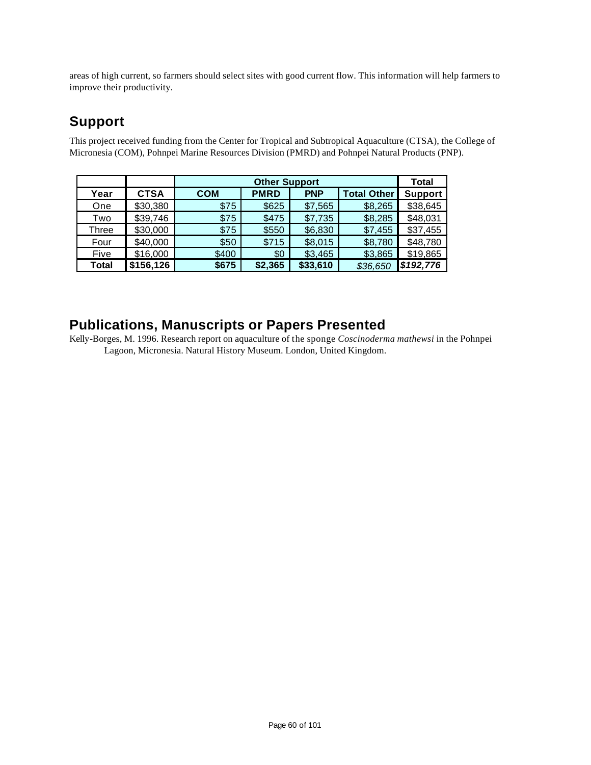areas of high current, so farmers should select sites with good current flow. This information will help farmers to improve their productivity.

# **Support**

This project received funding from the Center for Tropical and Subtropical Aquaculture (CTSA), the College of Micronesia (COM), Pohnpei Marine Resources Division (PMRD) and Pohnpei Natural Products (PNP).

|              |             |            |             | Total      |                    |                |
|--------------|-------------|------------|-------------|------------|--------------------|----------------|
| Year         | <b>CTSA</b> | <b>COM</b> | <b>PMRD</b> | <b>PNP</b> | <b>Total Other</b> | <b>Support</b> |
| One          | \$30,380    | \$75       | \$625       | \$7,565    | \$8,265            | \$38,645       |
| Two          | \$39,746    | \$75       | \$475       | \$7,735    | \$8,285            | \$48,031       |
| Three        | \$30,000    | \$75       | \$550       | \$6,830    | \$7,455            | \$37,455       |
| Four         | \$40,000    | \$50       | \$715       | \$8,015    | \$8,780            | \$48,780       |
| Five         | \$16,000    | \$400      | \$0         | \$3,465    | \$3,865            | \$19,865       |
| <b>Total</b> | \$156,126   | \$675      | \$2,365     | \$33,610   | \$36,650           | \$192,776      |

### **Publications, Manuscripts or Papers Presented**

Kelly-Borges, M. 1996. Research report on aquaculture of the sponge *Coscinoderma mathewsi* in the Pohnpei Lagoon, Micronesia. Natural History Museum. London, United Kingdom.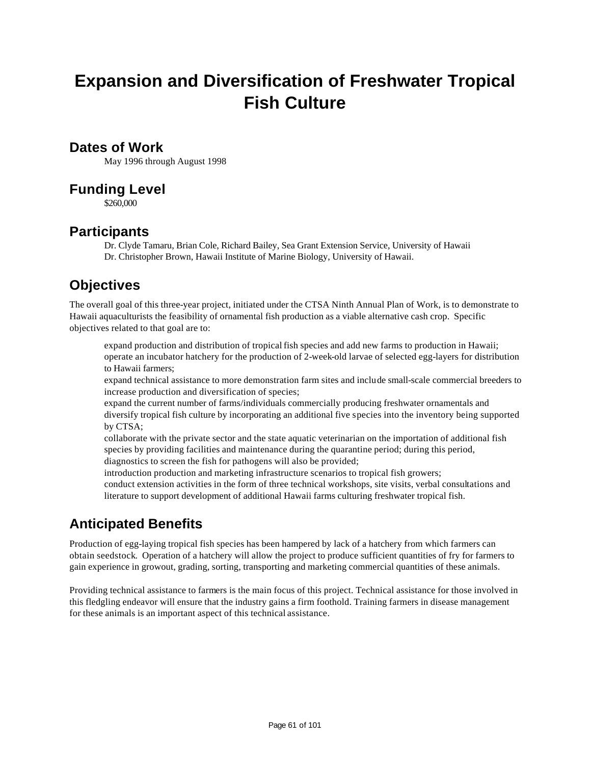# **Expansion and Diversification of Freshwater Tropical Fish Culture**

### **Dates of Work**

May 1996 through August 1998

### **Funding Level**

\$260,000

### **Participants**

Dr. Clyde Tamaru, Brian Cole, Richard Bailey, Sea Grant Extension Service, University of Hawaii Dr. Christopher Brown, Hawaii Institute of Marine Biology, University of Hawaii.

# **Objectives**

The overall goal of this three-year project, initiated under the CTSA Ninth Annual Plan of Work, is to demonstrate to Hawaii aquaculturists the feasibility of ornamental fish production as a viable alternative cash crop. Specific objectives related to that goal are to:

expand production and distribution of tropical fish species and add new farms to production in Hawaii; operate an incubator hatchery for the production of 2-week-old larvae of selected egg-layers for distribution to Hawaii farmers;

expand technical assistance to more demonstration farm sites and include small-scale commercial breeders to increase production and diversification of species;

expand the current number of farms/individuals commercially producing freshwater ornamentals and diversify tropical fish culture by incorporating an additional five species into the inventory being supported by CTSA;

collaborate with the private sector and the state aquatic veterinarian on the importation of additional fish species by providing facilities and maintenance during the quarantine period; during this period, diagnostics to screen the fish for pathogens will also be provided;

introduction production and marketing infrastructure scenarios to tropical fish growers;

conduct extension activities in the form of three technical workshops, site visits, verbal consultations and literature to support development of additional Hawaii farms culturing freshwater tropical fish.

# **Anticipated Benefits**

Production of egg-laying tropical fish species has been hampered by lack of a hatchery from which farmers can obtain seedstock. Operation of a hatchery will allow the project to produce sufficient quantities of fry for farmers to gain experience in growout, grading, sorting, transporting and marketing commercial quantities of these animals.

Providing technical assistance to farmers is the main focus of this project. Technical assistance for those involved in this fledgling endeavor will ensure that the industry gains a firm foothold. Training farmers in disease management for these animals is an important aspect of this technical assistance.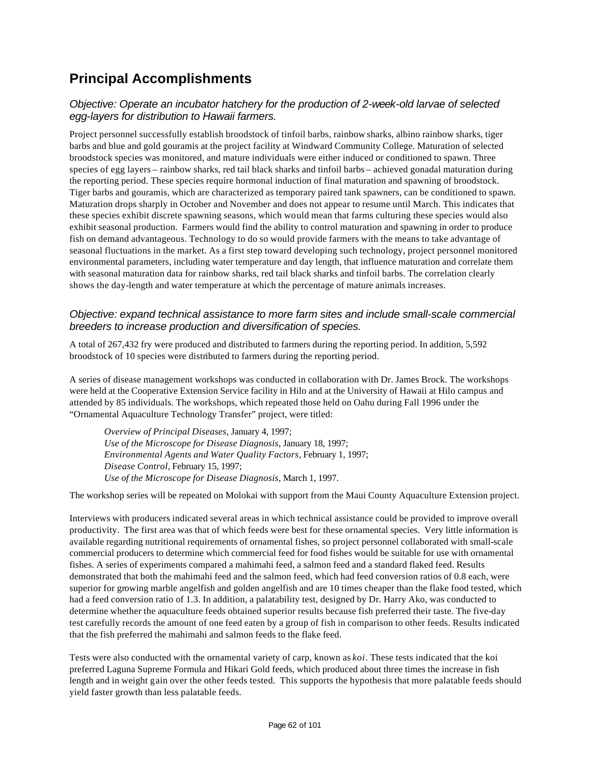# **Principal Accomplishments**

### *Objective: Operate an incubator hatchery for the production of 2-week-old larvae of selected egg-layers for distribution to Hawaii farmers.*

Project personnel successfully establish broodstock of tinfoil barbs, rainbow sharks, albino rainbow sharks, tiger barbs and blue and gold gouramis at the project facility at Windward Community College. Maturation of selected broodstock species was monitored, and mature individuals were either induced or conditioned to spawn. Three species of egg layers – rainbow sharks, red tail black sharks and tinfoil barbs – achieved gonadal maturation during the reporting period. These species require hormonal induction of final maturation and spawning of broodstock. Tiger barbs and gouramis, which are characterized as temporary paired tank spawners, can be conditioned to spawn. Maturation drops sharply in October and November and does not appear to resume until March. This indicates that these species exhibit discrete spawning seasons, which would mean that farms culturing these species would also exhibit seasonal production. Farmers would find the ability to control maturation and spawning in order to produce fish on demand advantageous. Technology to do so would provide farmers with the means to take advantage of seasonal fluctuations in the market. As a first step toward developing such technology, project personnel monitored environmental parameters, including water temperature and day length, that influence maturation and correlate them with seasonal maturation data for rainbow sharks, red tail black sharks and tinfoil barbs. The correlation clearly shows the day-length and water temperature at which the percentage of mature animals increases.

### *Objective: expand technical assistance to more farm sites and include small-scale commercial breeders to increase production and diversification of species.*

A total of 267,432 fry were produced and distributed to farmers during the reporting period. In addition, 5,592 broodstock of 10 species were distributed to farmers during the reporting period.

A series of disease management workshops was conducted in collaboration with Dr. James Brock. The workshops were held at the Cooperative Extension Service facility in Hilo and at the University of Hawaii at Hilo campus and attended by 85 individuals. The workshops, which repeated those held on Oahu during Fall 1996 under the "Ornamental Aquaculture Technology Transfer" project, were titled:

*Overview of Principal Diseases*, January 4, 1997; *Use of the Microscope for Disease Diagnosis*, January 18, 1997; *Environmental Agents and Water Quality Factors*, February 1, 1997; *Disease Control*, February 15, 1997; *Use of the Microscope for Disease Diagnosis*, March 1, 1997.

The workshop series will be repeated on Molokai with support from the Maui County Aquaculture Extension project.

Interviews with producers indicated several areas in which technical assistance could be provided to improve overall productivity. The first area was that of which feeds were best for these ornamental species. Very little information is available regarding nutritional requirements of ornamental fishes, so project personnel collaborated with small-scale commercial producers to determine which commercial feed for food fishes would be suitable for use with ornamental fishes. A series of experiments compared a mahimahi feed, a salmon feed and a standard flaked feed. Results demonstrated that both the mahimahi feed and the salmon feed, which had feed conversion ratios of 0.8 each, were superior for growing marble angelfish and golden angelfish and are 10 times cheaper than the flake food tested, which had a feed conversion ratio of 1.3. In addition, a palatability test, designed by Dr. Harry Ako, was conducted to determine whether the aquaculture feeds obtained superior results because fish preferred their taste. The five-day test carefully records the amount of one feed eaten by a group of fish in comparison to other feeds. Results indicated that the fish preferred the mahimahi and salmon feeds to the flake feed.

Tests were also conducted with the ornamental variety of carp, known as *koi*. These tests indicated that the koi preferred Laguna Supreme Formula and Hikari Gold feeds, which produced about three times the increase in fish length and in weight gain over the other feeds tested. This supports the hypothesis that more palatable feeds should yield faster growth than less palatable feeds.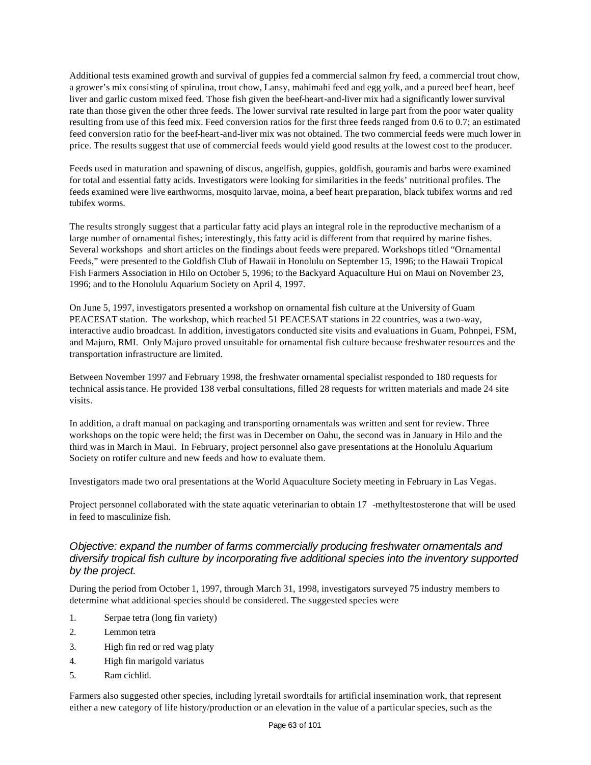Additional tests examined growth and survival of guppies fed a commercial salmon fry feed, a commercial trout chow, a grower's mix consisting of spirulina, trout chow, Lansy, mahimahi feed and egg yolk, and a pureed beef heart, beef liver and garlic custom mixed feed. Those fish given the beef-heart-and-liver mix had a significantly lower survival rate than those given the other three feeds. The lower survival rate resulted in large part from the poor water quality resulting from use of this feed mix. Feed conversion ratios for the first three feeds ranged from 0.6 to 0.7; an estimated feed conversion ratio for the beef-heart-and-liver mix was not obtained. The two commercial feeds were much lower in price. The results suggest that use of commercial feeds would yield good results at the lowest cost to the producer.

Feeds used in maturation and spawning of discus, angelfish, guppies, goldfish, gouramis and barbs were examined for total and essential fatty acids. Investigators were looking for similarities in the feeds' nutritional profiles. The feeds examined were live earthworms, mosquito larvae, moina, a beef heart preparation, black tubifex worms and red tubifex worms.

The results strongly suggest that a particular fatty acid plays an integral role in the reproductive mechanism of a large number of ornamental fishes; interestingly, this fatty acid is different from that required by marine fishes. Several workshops and short articles on the findings about feeds were prepared. Workshops titled "Ornamental Feeds," were presented to the Goldfish Club of Hawaii in Honolulu on September 15, 1996; to the Hawaii Tropical Fish Farmers Association in Hilo on October 5, 1996; to the Backyard Aquaculture Hui on Maui on November 23, 1996; and to the Honolulu Aquarium Society on April 4, 1997.

On June 5, 1997, investigators presented a workshop on ornamental fish culture at the University of Guam PEACESAT station. The workshop, which reached 51 PEACESAT stations in 22 countries, was a two-way, interactive audio broadcast. In addition, investigators conducted site visits and evaluations in Guam, Pohnpei, FSM, and Majuro, RMI. Only Majuro proved unsuitable for ornamental fish culture because freshwater resources and the transportation infrastructure are limited.

Between November 1997 and February 1998, the freshwater ornamental specialist responded to 180 requests for technical assistance. He provided 138 verbal consultations, filled 28 requests for written materials and made 24 site visits.

In addition, a draft manual on packaging and transporting ornamentals was written and sent for review. Three workshops on the topic were held; the first was in December on Oahu, the second was in January in Hilo and the third was in March in Maui. In February, project personnel also gave presentations at the Honolulu Aquarium Society on rotifer culture and new feeds and how to evaluate them.

Investigators made two oral presentations at the World Aquaculture Society meeting in February in Las Vegas.

Project personnel collaborated with the state aquatic veterinarian to obtain 17 -methyltestosterone that will be used in feed to masculinize fish.

### *Objective: expand the number of farms commercially producing freshwater ornamentals and diversify tropical fish culture by incorporating five additional species into the inventory supported by the project.*

During the period from October 1, 1997, through March 31, 1998, investigators surveyed 75 industry members to determine what additional species should be considered. The suggested species were

- 1. Serpae tetra (long fin variety)
- 2. Lemmon tetra
- 3. High fin red or red wag platy
- 4. High fin marigold variatus
- 5. Ram cichlid.

Farmers also suggested other species, including lyretail swordtails for artificial insemination work, that represent either a new category of life history/production or an elevation in the value of a particular species, such as the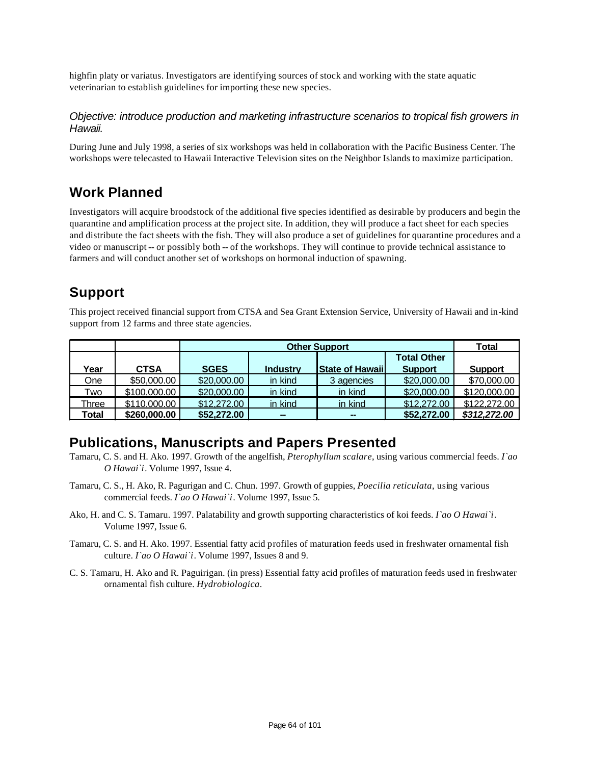highfin platy or variatus. Investigators are identifying sources of stock and working with the state aquatic veterinarian to establish guidelines for importing these new species.

#### *Objective: introduce production and marketing infrastructure scenarios to tropical fish growers in Hawaii.*

During June and July 1998, a series of six workshops was held in collaboration with the Pacific Business Center. The workshops were telecasted to Hawaii Interactive Television sites on the Neighbor Islands to maximize participation.

### **Work Planned**

Investigators will acquire broodstock of the additional five species identified as desirable by producers and begin the quarantine and amplification process at the project site. In addition, they will produce a fact sheet for each species and distribute the fact sheets with the fish. They will also produce a set of guidelines for quarantine procedures and a video or manuscript -- or possibly both -- of the workshops. They will continue to provide technical assistance to farmers and will conduct another set of workshops on hormonal induction of spawning.

### **Support**

This project received financial support from CTSA and Sea Grant Extension Service, University of Hawaii and in-kind support from 12 farms and three state agencies.

|       |              | <b>Other Support</b> |                 |                         |                    | Total          |
|-------|--------------|----------------------|-----------------|-------------------------|--------------------|----------------|
|       |              |                      |                 |                         | <b>Total Other</b> |                |
| Year  | <b>CTSA</b>  | <b>SGES</b>          | <b>Industry</b> | <b>State of Hawaiil</b> | <b>Support</b>     | <b>Support</b> |
| One   | \$50,000.00  | \$20,000.00          | in kind         | 3 agencies              | \$20,000.00        | \$70,000.00    |
| Two   | \$100,000.00 | \$20,000.00          | in kind         | in kind                 | \$20,000.00        | \$120,000.00   |
| Three | \$110,000.00 | \$12,272.00          | in kind         | in kind                 | \$12,272.00        | \$122,272.00   |
| Total | \$260,000.00 | \$52,272.00          | $\sim$          | $\sim$                  | \$52,272.00        | \$312,272,00   |

### **Publications, Manuscripts and Papers Presented**

- Tamaru, C. S. and H. Ako. 1997. Growth of the angelfish, *Pterophyllum scalare*, using various commercial feeds. *I`ao O Hawai`i*. Volume 1997, Issue 4.
- Tamaru, C. S., H. Ako, R. Pagurigan and C. Chun. 1997. Growth of guppies, *Poecilia reticulata*, using various commercial feeds. *I`ao O Hawai`i*. Volume 1997, Issue 5.
- Ako, H. and C. S. Tamaru. 1997. Palatability and growth supporting characteristics of koi feeds. *I`ao O Hawai`i*. Volume 1997, Issue 6.
- Tamaru, C. S. and H. Ako. 1997. Essential fatty acid profiles of maturation feeds used in freshwater ornamental fish culture. *I`ao O Hawai`i*. Volume 1997, Issues 8 and 9.
- C. S. Tamaru, H. Ako and R. Paguirigan. (in press) Essential fatty acid profiles of maturation feeds used in freshwater ornamental fish culture. *Hydrobiologica*.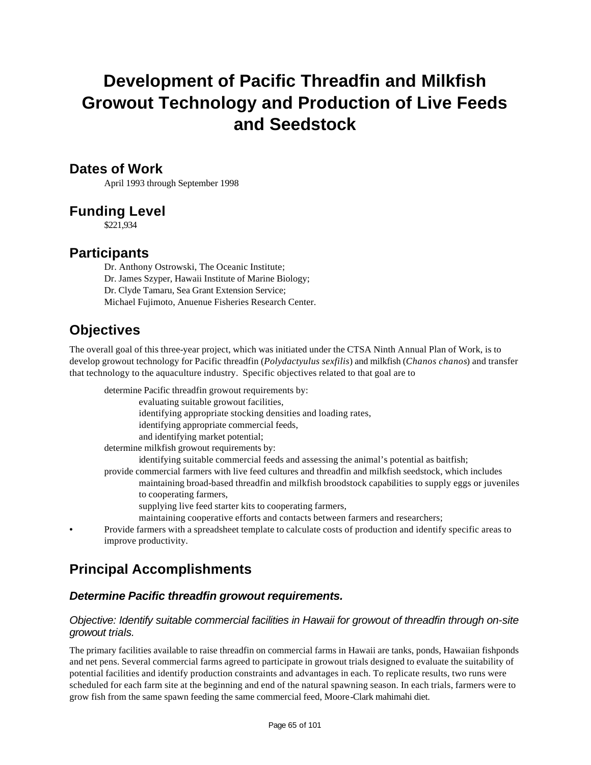# **Development of Pacific Threadfin and Milkfish Growout Technology and Production of Live Feeds and Seedstock**

### **Dates of Work**

April 1993 through September 1998

### **Funding Level**

\$221,934

### **Participants**

Dr. Anthony Ostrowski, The Oceanic Institute; Dr. James Szyper, Hawaii Institute of Marine Biology; Dr. Clyde Tamaru, Sea Grant Extension Service; Michael Fujimoto, Anuenue Fisheries Research Center.

## **Objectives**

The overall goal of this three-year project, which was initiated under the CTSA Ninth Annual Plan of Work, is to develop growout technology for Pacific threadfin (*Polydactyulus sexfilis*) and milkfish (*Chanos chanos*) and transfer that technology to the aquaculture industry. Specific objectives related to that goal are to

determine Pacific threadfin growout requirements by:

evaluating suitable growout facilities,

identifying appropriate stocking densities and loading rates,

identifying appropriate commercial feeds,

and identifying market potential;

determine milkfish growout requirements by:

identifying suitable commercial feeds and assessing the animal's potential as baitfish;

provide commercial farmers with live feed cultures and threadfin and milkfish seedstock, which includes maintaining broad-based threadfin and milkfish broodstock capabilities to supply eggs or juveniles to cooperating farmers,

supplying live feed starter kits to cooperating farmers,

maintaining cooperative efforts and contacts between farmers and researchers;

• Provide farmers with a spreadsheet template to calculate costs of production and identify specific areas to improve productivity.

# **Principal Accomplishments**

### *Determine Pacific threadfin growout requirements.*

### *Objective: Identify suitable commercial facilities in Hawaii for growout of threadfin through on-site growout trials.*

The primary facilities available to raise threadfin on commercial farms in Hawaii are tanks, ponds, Hawaiian fishponds and net pens. Several commercial farms agreed to participate in growout trials designed to evaluate the suitability of potential facilities and identify production constraints and advantages in each. To replicate results, two runs were scheduled for each farm site at the beginning and end of the natural spawning season. In each trials, farmers were to grow fish from the same spawn feeding the same commercial feed, Moore-Clark mahimahi diet.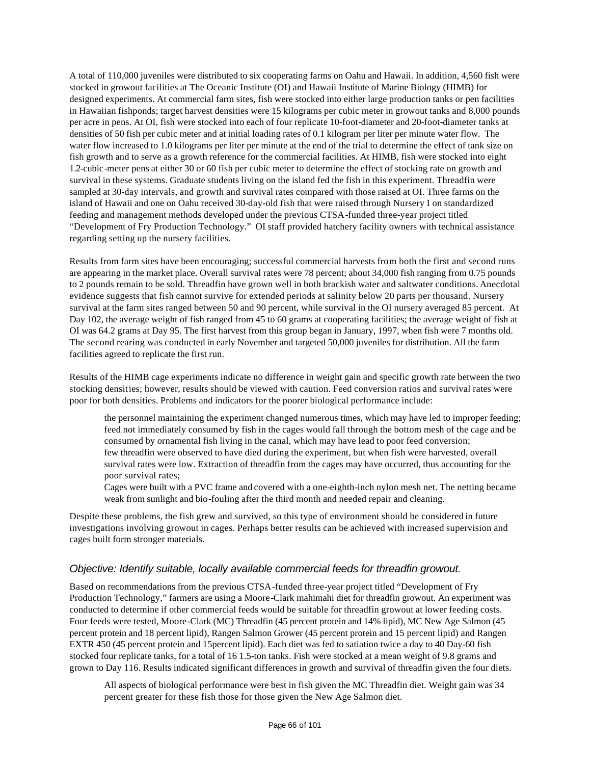A total of 110,000 juveniles were distributed to six cooperating farms on Oahu and Hawaii. In addition, 4,560 fish were stocked in growout facilities at The Oceanic Institute (OI) and Hawaii Institute of Marine Biology (HIMB) for designed experiments. At commercial farm sites, fish were stocked into either large production tanks or pen facilities in Hawaiian fishponds; target harvest densities were 15 kilograms per cubic meter in growout tanks and 8,000 pounds per acre in pens. At OI, fish were stocked into each of four replicate 10-foot-diameter and 20-foot-diameter tanks at densities of 50 fish per cubic meter and at initial loading rates of 0.1 kilogram per liter per minute water flow. The water flow increased to 1.0 kilograms per liter per minute at the end of the trial to determine the effect of tank size on fish growth and to serve as a growth reference for the commercial facilities. At HIMB, fish were stocked into eight 1.2-cubic-meter pens at either 30 or 60 fish per cubic meter to determine the effect of stocking rate on growth and survival in these systems. Graduate students living on the island fed the fish in this experiment. Threadfin were sampled at 30-day intervals, and growth and survival rates compared with those raised at OI. Three farms on the island of Hawaii and one on Oahu received 30-day-old fish that were raised through Nursery I on standardized feeding and management methods developed under the previous CTSA-funded three-year project titled "Development of Fry Production Technology." OI staff provided hatchery facility owners with technical assistance regarding setting up the nursery facilities.

Results from farm sites have been encouraging; successful commercial harvests from both the first and second runs are appearing in the market place. Overall survival rates were 78 percent; about 34,000 fish ranging from 0.75 pounds to 2 pounds remain to be sold. Threadfin have grown well in both brackish water and saltwater conditions. Anecdotal evidence suggests that fish cannot survive for extended periods at salinity below 20 parts per thousand. Nursery survival at the farm sites ranged between 50 and 90 percent, while survival in the OI nursery averaged 85 percent. At Day 102, the average weight of fish ranged from 45 to 60 grams at cooperating facilities; the average weight of fish at OI was 64.2 grams at Day 95. The first harvest from this group began in January, 1997, when fish were 7 months old. The second rearing was conducted in early November and targeted 50,000 juveniles for distribution. All the farm facilities agreed to replicate the first run.

Results of the HIMB cage experiments indicate no difference in weight gain and specific growth rate between the two stocking densities; however, results should be viewed with caution. Feed conversion ratios and survival rates were poor for both densities. Problems and indicators for the poorer biological performance include:

the personnel maintaining the experiment changed numerous times, which may have led to improper feeding; feed not immediately consumed by fish in the cages would fall through the bottom mesh of the cage and be consumed by ornamental fish living in the canal, which may have lead to poor feed conversion; few threadfin were observed to have died during the experiment, but when fish were harvested, overall survival rates were low. Extraction of threadfin from the cages may have occurred, thus accounting for the poor survival rates;

Cages were built with a PVC frame and covered with a one-eighth-inch nylon mesh net. The netting became weak from sunlight and bio-fouling after the third month and needed repair and cleaning.

Despite these problems, the fish grew and survived, so this type of environment should be considered in future investigations involving growout in cages. Perhaps better results can be achieved with increased supervision and cages built form stronger materials.

#### *Objective: Identify suitable, locally available commercial feeds for threadfin growout.*

Based on recommendations from the previous CTSA-funded three-year project titled "Development of Fry Production Technology," farmers are using a Moore-Clark mahimahi diet for threadfin growout. An experiment was conducted to determine if other commercial feeds would be suitable for threadfin growout at lower feeding costs. Four feeds were tested, Moore-Clark (MC) Threadfin (45 percent protein and 14% lipid), MC New Age Salmon (45 percent protein and 18 percent lipid), Rangen Salmon Grower (45 percent protein and 15 percent lipid) and Rangen EXTR 450 (45 percent protein and 15percent lipid). Each diet was fed to satiation twice a day to 40 Day-60 fish stocked four replicate tanks, for a total of 16 1.5-ton tanks. Fish were stocked at a mean weight of 9.8 grams and grown to Day 116. Results indicated significant differences in growth and survival of threadfin given the four diets.

All aspects of biological performance were best in fish given the MC Threadfin diet. Weight gain was 34 percent greater for these fish those for those given the New Age Salmon diet.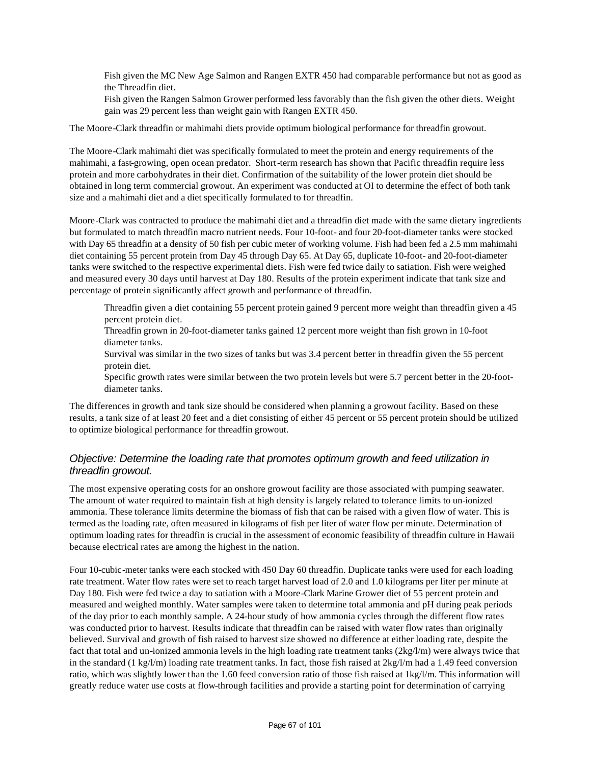Fish given the MC New Age Salmon and Rangen EXTR 450 had comparable performance but not as good as the Threadfin diet.

Fish given the Rangen Salmon Grower performed less favorably than the fish given the other diets. Weight gain was 29 percent less than weight gain with Rangen EXTR 450.

The Moore-Clark threadfin or mahimahi diets provide optimum biological performance for threadfin growout.

The Moore-Clark mahimahi diet was specifically formulated to meet the protein and energy requirements of the mahimahi, a fast-growing, open ocean predator. Short-term research has shown that Pacific threadfin require less protein and more carbohydrates in their diet. Confirmation of the suitability of the lower protein diet should be obtained in long term commercial growout. An experiment was conducted at OI to determine the effect of both tank size and a mahimahi diet and a diet specifically formulated to for threadfin.

Moore-Clark was contracted to produce the mahimahi diet and a threadfin diet made with the same dietary ingredients but formulated to match threadfin macro nutrient needs. Four 10-foot- and four 20-foot-diameter tanks were stocked with Day 65 threadfin at a density of 50 fish per cubic meter of working volume. Fish had been fed a 2.5 mm mahimahi diet containing 55 percent protein from Day 45 through Day 65. At Day 65, duplicate 10-foot- and 20-foot-diameter tanks were switched to the respective experimental diets. Fish were fed twice daily to satiation. Fish were weighed and measured every 30 days until harvest at Day 180. Results of the protein experiment indicate that tank size and percentage of protein significantly affect growth and performance of threadfin.

Threadfin given a diet containing 55 percent protein gained 9 percent more weight than threadfin given a 45 percent protein diet.

Threadfin grown in 20-foot-diameter tanks gained 12 percent more weight than fish grown in 10-foot diameter tanks.

Survival was similar in the two sizes of tanks but was 3.4 percent better in threadfin given the 55 percent protein diet.

Specific growth rates were similar between the two protein levels but were 5.7 percent better in the 20-footdiameter tanks.

The differences in growth and tank size should be considered when planning a growout facility. Based on these results, a tank size of at least 20 feet and a diet consisting of either 45 percent or 55 percent protein should be utilized to optimize biological performance for threadfin growout.

### *Objective: Determine the loading rate that promotes optimum growth and feed utilization in threadfin growout.*

The most expensive operating costs for an onshore growout facility are those associated with pumping seawater. The amount of water required to maintain fish at high density is largely related to tolerance limits to un-ionized ammonia. These tolerance limits determine the biomass of fish that can be raised with a given flow of water. This is termed as the loading rate, often measured in kilograms of fish per liter of water flow per minute. Determination of optimum loading rates for threadfin is crucial in the assessment of economic feasibility of threadfin culture in Hawaii because electrical rates are among the highest in the nation.

Four 10-cubic-meter tanks were each stocked with 450 Day 60 threadfin. Duplicate tanks were used for each loading rate treatment. Water flow rates were set to reach target harvest load of 2.0 and 1.0 kilograms per liter per minute at Day 180. Fish were fed twice a day to satiation with a Moore-Clark Marine Grower diet of 55 percent protein and measured and weighed monthly. Water samples were taken to determine total ammonia and pH during peak periods of the day prior to each monthly sample. A 24-hour study of how ammonia cycles through the different flow rates was conducted prior to harvest. Results indicate that threadfin can be raised with water flow rates than originally believed. Survival and growth of fish raised to harvest size showed no difference at either loading rate, despite the fact that total and un-ionized ammonia levels in the high loading rate treatment tanks (2kg/l/m) were always twice that in the standard (1 kg/l/m) loading rate treatment tanks. In fact, those fish raised at  $2kg/l/m$  had a 1.49 feed conversion ratio, which was slightly lower than the 1.60 feed conversion ratio of those fish raised at 1kg/l/m. This information will greatly reduce water use costs at flow-through facilities and provide a starting point for determination of carrying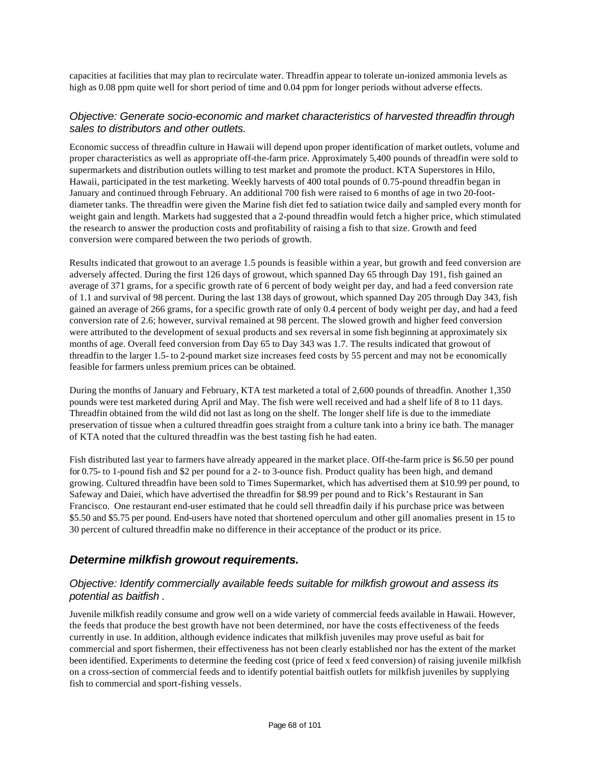capacities at facilities that may plan to recirculate water. Threadfin appear to tolerate un-ionized ammonia levels as high as 0.08 ppm quite well for short period of time and 0.04 ppm for longer periods without adverse effects.

#### *Objective: Generate socio-economic and market characteristics of harvested threadfin through sales to distributors and other outlets.*

Economic success of threadfin culture in Hawaii will depend upon proper identification of market outlets, volume and proper characteristics as well as appropriate off-the-farm price. Approximately 5,400 pounds of threadfin were sold to supermarkets and distribution outlets willing to test market and promote the product. KTA Superstores in Hilo, Hawaii, participated in the test marketing. Weekly harvests of 400 total pounds of 0.75-pound threadfin began in January and continued through February. An additional 700 fish were raised to 6 months of age in two 20-footdiameter tanks. The threadfin were given the Marine fish diet fed to satiation twice daily and sampled every month for weight gain and length. Markets had suggested that a 2-pound threadfin would fetch a higher price, which stimulated the research to answer the production costs and profitability of raising a fish to that size. Growth and feed conversion were compared between the two periods of growth.

Results indicated that growout to an average 1.5 pounds is feasible within a year, but growth and feed conversion are adversely affected. During the first 126 days of growout, which spanned Day 65 through Day 191, fish gained an average of 371 grams, for a specific growth rate of 6 percent of body weight per day, and had a feed conversion rate of 1.1 and survival of 98 percent. During the last 138 days of growout, which spanned Day 205 through Day 343, fish gained an average of 266 grams, for a specific growth rate of only 0.4 percent of body weight per day, and had a feed conversion rate of 2.6; however, survival remained at 98 percent. The slowed growth and higher feed conversion were attributed to the development of sexual products and sex reversal in some fish beginning at approximately six months of age. Overall feed conversion from Day 65 to Day 343 was 1.7. The results indicated that growout of threadfin to the larger 1.5- to 2-pound market size increases feed costs by 55 percent and may not be economically feasible for farmers unless premium prices can be obtained.

During the months of January and February, KTA test marketed a total of 2,600 pounds of threadfin. Another 1,350 pounds were test marketed during April and May. The fish were well received and had a shelf life of 8 to 11 days. Threadfin obtained from the wild did not last as long on the shelf. The longer shelf life is due to the immediate preservation of tissue when a cultured threadfin goes straight from a culture tank into a briny ice bath. The manager of KTA noted that the cultured threadfin was the best tasting fish he had eaten.

Fish distributed last year to farmers have already appeared in the market place. Off-the-farm price is \$6.50 per pound for 0.75- to 1-pound fish and \$2 per pound for a 2- to 3-ounce fish. Product quality has been high, and demand growing. Cultured threadfin have been sold to Times Supermarket, which has advertised them at \$10.99 per pound, to Safeway and Daiei, which have advertised the threadfin for \$8.99 per pound and to Rick's Restaurant in San Francisco. One restaurant end-user estimated that he could sell threadfin daily if his purchase price was between \$5.50 and \$5.75 per pound. End-users have noted that shortened operculum and other gill anomalies present in 15 to 30 percent of cultured threadfin make no difference in their acceptance of the product or its price.

### *Determine milkfish growout requirements.*

### *Objective: Identify commercially available feeds suitable for milkfish growout and assess its potential as baitfish .*

Juvenile milkfish readily consume and grow well on a wide variety of commercial feeds available in Hawaii. However, the feeds that produce the best growth have not been determined, nor have the costs effectiveness of the feeds currently in use. In addition, although evidence indicates that milkfish juveniles may prove useful as bait for commercial and sport fishermen, their effectiveness has not been clearly established nor has the extent of the market been identified. Experiments to determine the feeding cost (price of feed x feed conversion) of raising juvenile milkfish on a cross-section of commercial feeds and to identify potential baitfish outlets for milkfish juveniles by supplying fish to commercial and sport-fishing vessels.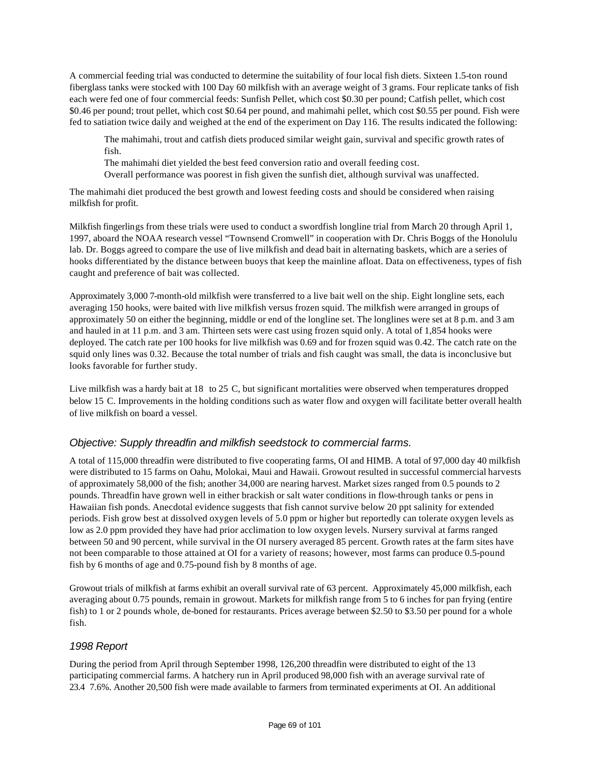A commercial feeding trial was conducted to determine the suitability of four local fish diets. Sixteen 1.5-ton round fiberglass tanks were stocked with 100 Day 60 milkfish with an average weight of 3 grams. Four replicate tanks of fish each were fed one of four commercial feeds: Sunfish Pellet, which cost \$0.30 per pound; Catfish pellet, which cost \$0.46 per pound; trout pellet, which cost \$0.64 per pound, and mahimahi pellet, which cost \$0.55 per pound. Fish were fed to satiation twice daily and weighed at the end of the experiment on Day 116. The results indicated the following:

The mahimahi, trout and catfish diets produced similar weight gain, survival and specific growth rates of fish.

The mahimahi diet yielded the best feed conversion ratio and overall feeding cost.

Overall performance was poorest in fish given the sunfish diet, although survival was unaffected.

The mahimahi diet produced the best growth and lowest feeding costs and should be considered when raising milkfish for profit.

Milkfish fingerlings from these trials were used to conduct a swordfish longline trial from March 20 through April 1, 1997, aboard the NOAA research vessel "Townsend Cromwell" in cooperation with Dr. Chris Boggs of the Honolulu lab. Dr. Boggs agreed to compare the use of live milkfish and dead bait in alternating baskets, which are a series of hooks differentiated by the distance between buoys that keep the mainline afloat. Data on effectiveness, types of fish caught and preference of bait was collected.

Approximately 3,000 7-month-old milkfish were transferred to a live bait well on the ship. Eight longline sets, each averaging 150 hooks, were baited with live milkfish versus frozen squid. The milkfish were arranged in groups of approximately 50 on either the beginning, middle or end of the longline set. The longlines were set at 8 p.m. and 3 am and hauled in at 11 p.m. and 3 am. Thirteen sets were cast using frozen squid only. A total of 1,854 hooks were deployed. The catch rate per 100 hooks for live milkfish was 0.69 and for frozen squid was 0.42. The catch rate on the squid only lines was 0.32. Because the total number of trials and fish caught was small, the data is inconclusive but looks favorable for further study.

Live milkfish was a hardy bait at 18 to 25 C, but significant mortalities were observed when temperatures dropped below 15 C. Improvements in the holding conditions such as water flow and oxygen will facilitate better overall health of live milkfish on board a vessel.

#### *Objective: Supply threadfin and milkfish seedstock to commercial farms.*

A total of 115,000 threadfin were distributed to five cooperating farms, OI and HIMB. A total of 97,000 day 40 milkfish were distributed to 15 farms on Oahu, Molokai, Maui and Hawaii. Growout resulted in successful commercial harvests of approximately 58,000 of the fish; another 34,000 are nearing harvest. Market sizes ranged from 0.5 pounds to 2 pounds. Threadfin have grown well in either brackish or salt water conditions in flow-through tanks or pens in Hawaiian fish ponds. Anecdotal evidence suggests that fish cannot survive below 20 ppt salinity for extended periods. Fish grow best at dissolved oxygen levels of 5.0 ppm or higher but reportedly can tolerate oxygen levels as low as 2.0 ppm provided they have had prior acclimation to low oxygen levels. Nursery survival at farms ranged between 50 and 90 percent, while survival in the OI nursery averaged 85 percent. Growth rates at the farm sites have not been comparable to those attained at OI for a variety of reasons; however, most farms can produce 0.5-pound fish by 6 months of age and 0.75-pound fish by 8 months of age.

Growout trials of milkfish at farms exhibit an overall survival rate of 63 percent. Approximately 45,000 milkfish, each averaging about 0.75 pounds, remain in growout. Markets for milkfish range from 5 to 6 inches for pan frying (entire fish) to 1 or 2 pounds whole, de-boned for restaurants. Prices average between \$2.50 to \$3.50 per pound for a whole fish.

#### *1998 Report*

During the period from April through September 1998, 126,200 threadfin were distributed to eight of the 13 participating commercial farms. A hatchery run in April produced 98,000 fish with an average survival rate of 23.4 7.6%. Another 20,500 fish were made available to farmers from terminated experiments at OI. An additional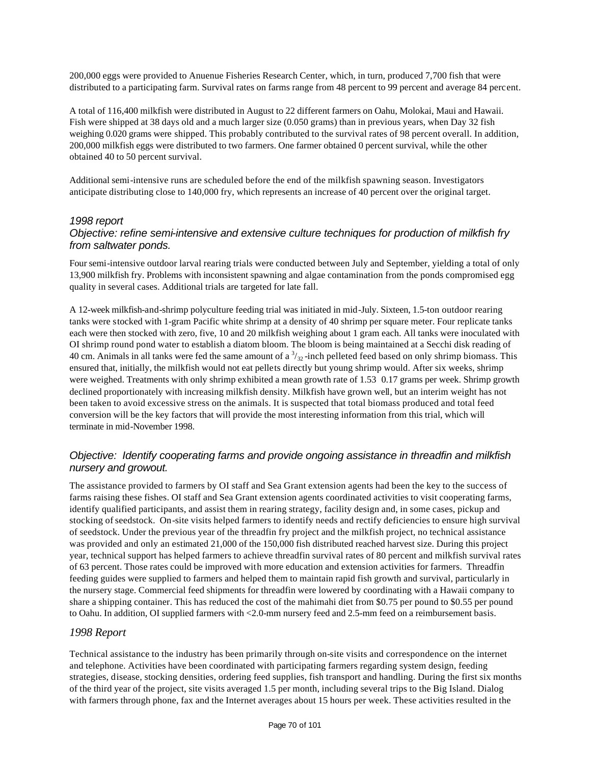200,000 eggs were provided to Anuenue Fisheries Research Center, which, in turn, produced 7,700 fish that were distributed to a participating farm. Survival rates on farms range from 48 percent to 99 percent and average 84 percent.

A total of 116,400 milkfish were distributed in August to 22 different farmers on Oahu, Molokai, Maui and Hawaii. Fish were shipped at 38 days old and a much larger size (0.050 grams) than in previous years, when Day 32 fish weighing 0.020 grams were shipped. This probably contributed to the survival rates of 98 percent overall. In addition, 200,000 milkfish eggs were distributed to two farmers. One farmer obtained 0 percent survival, while the other obtained 40 to 50 percent survival.

Additional semi-intensive runs are scheduled before the end of the milkfish spawning season. Investigators anticipate distributing close to 140,000 fry, which represents an increase of 40 percent over the original target.

#### *1998 report*

### *Objective: refine semi-intensive and extensive culture techniques for production of milkfish fry from saltwater ponds.*

Four semi-intensive outdoor larval rearing trials were conducted between July and September, yielding a total of only 13,900 milkfish fry. Problems with inconsistent spawning and algae contamination from the ponds compromised egg quality in several cases. Additional trials are targeted for late fall.

A 12-week milkfish-and-shrimp polyculture feeding trial was initiated in mid-July. Sixteen, 1.5-ton outdoor rearing tanks were stocked with 1-gram Pacific white shrimp at a density of 40 shrimp per square meter. Four replicate tanks each were then stocked with zero, five, 10 and 20 milkfish weighing about 1 gram each. All tanks were inoculated with OI shrimp round pond water to establish a diatom bloom. The bloom is being maintained at a Secchi disk reading of 40 cm. Animals in all tanks were fed the same amount of a  $\frac{3}{32}$ -inch pelleted feed based on only shrimp biomass. This ensured that, initially, the milkfish would not eat pellets directly but young shrimp would. After six weeks, shrimp were weighed. Treatments with only shrimp exhibited a mean growth rate of 1.53 0.17 grams per week. Shrimp growth declined proportionately with increasing milkfish density. Milkfish have grown well, but an interim weight has not been taken to avoid excessive stress on the animals. It is suspected that total biomass produced and total feed conversion will be the key factors that will provide the most interesting information from this trial, which will terminate in mid-November 1998.

### *Objective: Identify cooperating farms and provide ongoing assistance in threadfin and milkfish nursery and growout.*

The assistance provided to farmers by OI staff and Sea Grant extension agents had been the key to the success of farms raising these fishes. OI staff and Sea Grant extension agents coordinated activities to visit cooperating farms, identify qualified participants, and assist them in rearing strategy, facility design and, in some cases, pickup and stocking of seedstock. On-site visits helped farmers to identify needs and rectify deficiencies to ensure high survival of seedstock. Under the previous year of the threadfin fry project and the milkfish project, no technical assistance was provided and only an estimated 21,000 of the 150,000 fish distributed reached harvest size. During this project year, technical support has helped farmers to achieve threadfin survival rates of 80 percent and milkfish survival rates of 63 percent. Those rates could be improved with more education and extension activities for farmers. Threadfin feeding guides were supplied to farmers and helped them to maintain rapid fish growth and survival, particularly in the nursery stage. Commercial feed shipments for threadfin were lowered by coordinating with a Hawaii company to share a shipping container. This has reduced the cost of the mahimahi diet from \$0.75 per pound to \$0.55 per pound to Oahu. In addition, OI supplied farmers with <2.0-mm nursery feed and 2.5-mm feed on a reimbursement basis.

#### *1998 Report*

Technical assistance to the industry has been primarily through on-site visits and correspondence on the internet and telephone. Activities have been coordinated with participating farmers regarding system design, feeding strategies, disease, stocking densities, ordering feed supplies, fish transport and handling. During the first six months of the third year of the project, site visits averaged 1.5 per month, including several trips to the Big Island. Dialog with farmers through phone, fax and the Internet averages about 15 hours per week. These activities resulted in the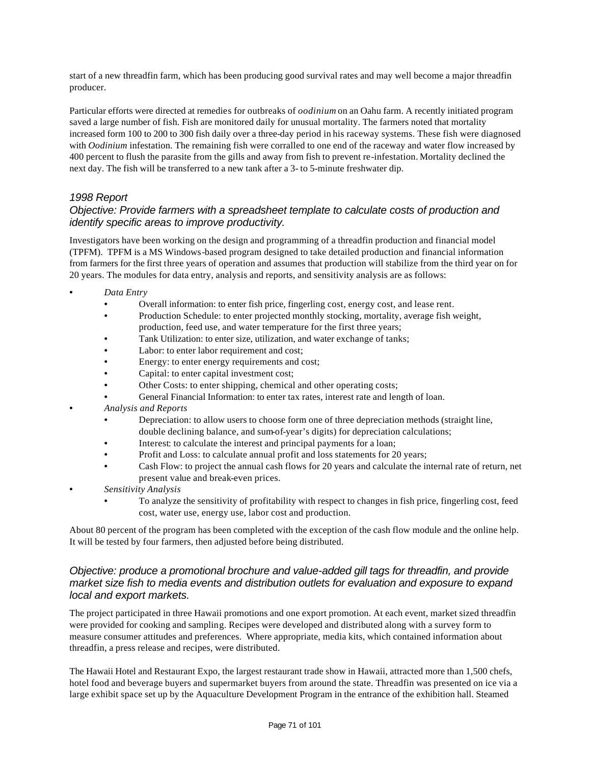start of a new threadfin farm, which has been producing good survival rates and may well become a major threadfin producer.

Particular efforts were directed at remedies for outbreaks of *oodinium* on an Oahu farm. A recently initiated program saved a large number of fish. Fish are monitored daily for unusual mortality. The farmers noted that mortality increased form 100 to 200 to 300 fish daily over a three-day period in his raceway systems. These fish were diagnosed with *Oodinium* infestation. The remaining fish were corralled to one end of the raceway and water flow increased by 400 percent to flush the parasite from the gills and away from fish to prevent re-infestation. Mortality declined the next day. The fish will be transferred to a new tank after a 3- to 5-minute freshwater dip.

#### *1998 Report*

#### *Objective: Provide farmers with a spreadsheet template to calculate costs of production and identify specific areas to improve productivity.*

Investigators have been working on the design and programming of a threadfin production and financial model (TPFM). TPFM is a MS Windows-based program designed to take detailed production and financial information from farmers for the first three years of operation and assumes that production will stabilize from the third year on for 20 years. The modules for data entry, analysis and reports, and sensitivity analysis are as follows:

- *Data Entry*
	- Overall information: to enter fish price, fingerling cost, energy cost, and lease rent.
	- Production Schedule: to enter projected monthly stocking, mortality, average fish weight, production, feed use, and water temperature for the first three years;
	- Tank Utilization: to enter size, utilization, and water exchange of tanks;
	- Labor: to enter labor requirement and cost;
	- Energy: to enter energy requirements and cost;
	- Capital: to enter capital investment cost;
	- Other Costs: to enter shipping, chemical and other operating costs;
	- General Financial Information: to enter tax rates, interest rate and length of loan.
- *Analysis and Reports*
	- Depreciation: to allow users to choose form one of three depreciation methods (straight line, double declining balance, and sum-of-year's digits) for depreciation calculations;
	- Interest: to calculate the interest and principal payments for a loan;
	- Profit and Loss: to calculate annual profit and loss statements for 20 years;
	- Cash Flow: to project the annual cash flows for 20 years and calculate the internal rate of return, net present value and break-even prices.
- *Sensitivity Analysis*
	- To analyze the sensitivity of profitability with respect to changes in fish price, fingerling cost, feed cost, water use, energy use, labor cost and production.

About 80 percent of the program has been completed with the exception of the cash flow module and the online help. It will be tested by four farmers, then adjusted before being distributed.

### *Objective: produce a promotional brochure and value-added gill tags for threadfin, and provide market size fish to media events and distribution outlets for evaluation and exposure to expand local and export markets.*

The project participated in three Hawaii promotions and one export promotion. At each event, market sized threadfin were provided for cooking and sampling. Recipes were developed and distributed along with a survey form to measure consumer attitudes and preferences. Where appropriate, media kits, which contained information about threadfin, a press release and recipes, were distributed.

The Hawaii Hotel and Restaurant Expo, the largest restaurant trade show in Hawaii, attracted more than 1,500 chefs, hotel food and beverage buyers and supermarket buyers from around the state. Threadfin was presented on ice via a large exhibit space set up by the Aquaculture Development Program in the entrance of the exhibition hall. Steamed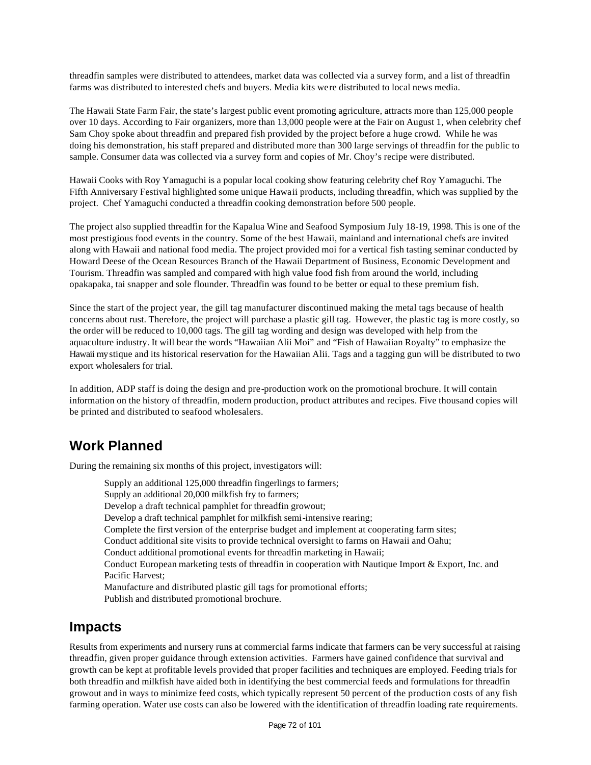threadfin samples were distributed to attendees, market data was collected via a survey form, and a list of threadfin farms was distributed to interested chefs and buyers. Media kits were distributed to local news media.

The Hawaii State Farm Fair, the state's largest public event promoting agriculture, attracts more than 125,000 people over 10 days. According to Fair organizers, more than 13,000 people were at the Fair on August 1, when celebrity chef Sam Choy spoke about threadfin and prepared fish provided by the project before a huge crowd. While he was doing his demonstration, his staff prepared and distributed more than 300 large servings of threadfin for the public to sample. Consumer data was collected via a survey form and copies of Mr. Choy's recipe were distributed.

Hawaii Cooks with Roy Yamaguchi is a popular local cooking show featuring celebrity chef Roy Yamaguchi. The Fifth Anniversary Festival highlighted some unique Hawaii products, including threadfin, which was supplied by the project. Chef Yamaguchi conducted a threadfin cooking demonstration before 500 people.

The project also supplied threadfin for the Kapalua Wine and Seafood Symposium July 18-19, 1998. This is one of the most prestigious food events in the country. Some of the best Hawaii, mainland and international chefs are invited along with Hawaii and national food media. The project provided moi for a vertical fish tasting seminar conducted by Howard Deese of the Ocean Resources Branch of the Hawaii Department of Business, Economic Development and Tourism. Threadfin was sampled and compared with high value food fish from around the world, including opakapaka, tai snapper and sole flounder. Threadfin was found to be better or equal to these premium fish.

Since the start of the project year, the gill tag manufacturer discontinued making the metal tags because of health concerns about rust. Therefore, the project will purchase a plastic gill tag. However, the plastic tag is more costly, so the order will be reduced to 10,000 tags. The gill tag wording and design was developed with help from the aquaculture industry. It will bear the words "Hawaiian Alii Moi" and "Fish of Hawaiian Royalty" to emphasize the Hawaii mystique and its historical reservation for the Hawaiian Alii. Tags and a tagging gun will be distributed to two export wholesalers for trial.

In addition, ADP staff is doing the design and pre-production work on the promotional brochure. It will contain information on the history of threadfin, modern production, product attributes and recipes. Five thousand copies will be printed and distributed to seafood wholesalers.

# **Work Planned**

During the remaining six months of this project, investigators will:

Supply an additional 125,000 threadfin fingerlings to farmers; Supply an additional 20,000 milkfish fry to farmers; Develop a draft technical pamphlet for threadfin growout; Develop a draft technical pamphlet for milkfish semi-intensive rearing; Complete the first version of the enterprise budget and implement at cooperating farm sites; Conduct additional site visits to provide technical oversight to farms on Hawaii and Oahu; Conduct additional promotional events for threadfin marketing in Hawaii; Conduct European marketing tests of threadfin in cooperation with Nautique Import & Export, Inc. and Pacific Harvest; Manufacture and distributed plastic gill tags for promotional efforts; Publish and distributed promotional brochure.

### **Impacts**

Results from experiments and nursery runs at commercial farms indicate that farmers can be very successful at raising threadfin, given proper guidance through extension activities. Farmers have gained confidence that survival and growth can be kept at profitable levels provided that proper facilities and techniques are employed. Feeding trials for both threadfin and milkfish have aided both in identifying the best commercial feeds and formulations for threadfin growout and in ways to minimize feed costs, which typically represent 50 percent of the production costs of any fish farming operation. Water use costs can also be lowered with the identification of threadfin loading rate requirements.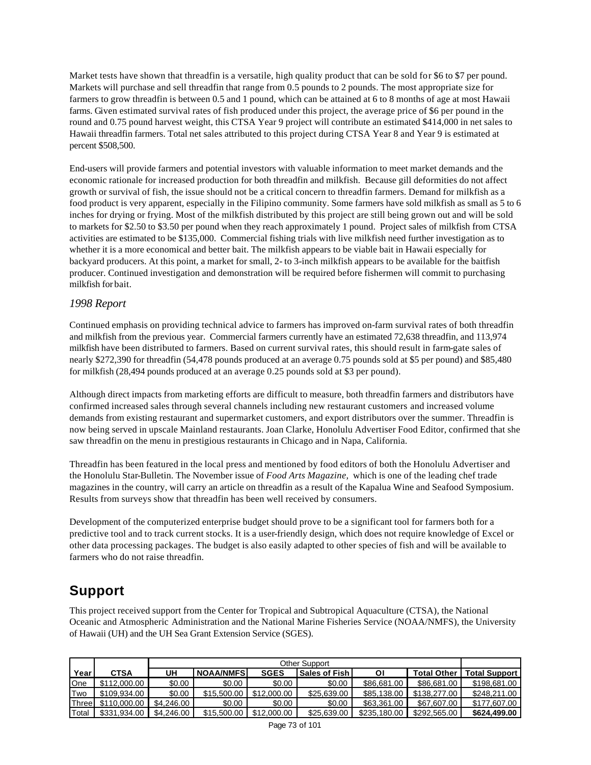Market tests have shown that threadfin is a versatile, high quality product that can be sold for \$6 to \$7 per pound. Markets will purchase and sell threadfin that range from 0.5 pounds to 2 pounds. The most appropriate size for farmers to grow threadfin is between 0.5 and 1 pound, which can be attained at 6 to 8 months of age at most Hawaii farms. Given estimated survival rates of fish produced under this project, the average price of \$6 per pound in the round and 0.75 pound harvest weight, this CTSA Year 9 project will contribute an estimated \$414,000 in net sales to Hawaii threadfin farmers. Total net sales attributed to this project during CTSA Year 8 and Year 9 is estimated at percent \$508,500.

End-users will provide farmers and potential investors with valuable information to meet market demands and the economic rationale for increased production for both threadfin and milkfish. Because gill deformities do not affect growth or survival of fish, the issue should not be a critical concern to threadfin farmers. Demand for milkfish as a food product is very apparent, especially in the Filipino community. Some farmers have sold milkfish as small as 5 to 6 inches for drying or frying. Most of the milkfish distributed by this project are still being grown out and will be sold to markets for \$2.50 to \$3.50 per pound when they reach approximately 1 pound. Project sales of milkfish from CTSA activities are estimated to be \$135,000. Commercial fishing trials with live milkfish need further investigation as to whether it is a more economical and better bait. The milkfish appears to be viable bait in Hawaii especially for backyard producers. At this point, a market for small, 2- to 3-inch milkfish appears to be available for the baitfish producer. Continued investigation and demonstration will be required before fishermen will commit to purchasing milkfish for bait.

#### *1998 Report*

Continued emphasis on providing technical advice to farmers has improved on-farm survival rates of both threadfin and milkfish from the previous year. Commercial farmers currently have an estimated 72,638 threadfin, and 113,974 milkfish have been distributed to farmers. Based on current survival rates, this should result in farm-gate sales of nearly \$272,390 for threadfin (54,478 pounds produced at an average 0.75 pounds sold at \$5 per pound) and \$85,480 for milkfish (28,494 pounds produced at an average 0.25 pounds sold at \$3 per pound).

Although direct impacts from marketing efforts are difficult to measure, both threadfin farmers and distributors have confirmed increased sales through several channels including new restaurant customers and increased volume demands from existing restaurant and supermarket customers, and export distributors over the summer. Threadfin is now being served in upscale Mainland restaurants. Joan Clarke, Honolulu Advertiser Food Editor, confirmed that she saw threadfin on the menu in prestigious restaurants in Chicago and in Napa, California.

Threadfin has been featured in the local press and mentioned by food editors of both the Honolulu Advertiser and the Honolulu Star-Bulletin. The November issue of *Food Arts Magazine,* which is one of the leading chef trade magazines in the country, will carry an article on threadfin as a result of the Kapalua Wine and Seafood Symposium. Results from surveys show that threadfin has been well received by consumers.

Development of the computerized enterprise budget should prove to be a significant tool for farmers both for a predictive tool and to track current stocks. It is a user-friendly design, which does not require knowledge of Excel or other data processing packages. The budget is also easily adapted to other species of fish and will be available to farmers who do not raise threadfin.

## **Support**

This project received support from the Center for Tropical and Subtropical Aquaculture (CTSA), the National Oceanic and Atmospheric Administration and the National Marine Fisheries Service (NOAA/NMFS), the University of Hawaii (UH) and the UH Sea Grant Extension Service (SGES).

|       |              | Other Support |                   |             |                      |              |                    |                      |
|-------|--------------|---------------|-------------------|-------------|----------------------|--------------|--------------------|----------------------|
| Year  | CTSA         | UH            | <b>NOAA/NMFSI</b> | <b>SGES</b> | <b>Sales of Fish</b> | ΟI           | <b>Total Other</b> | <b>Total Support</b> |
| One   | \$112,000.00 | \$0.00        | \$0.00            | \$0.00      | \$0.00               | \$86,681,00  | \$86,681,00        | \$198,681,00         |
| Two   | \$109.934.00 | \$0.00        | \$15,500.00       | \$12,000.00 | \$25,639,00          | \$85.138.00  | \$138,277.00       | \$248,211,00         |
| Three | \$110,000,00 | \$4,246,00    | \$0.00            | \$0.00      | \$0.00               | \$63,361,00  | \$67,607.00        | \$177,607.00         |
| Total | \$331.934.00 | \$4,246,00    | \$15,500.00       | \$12,000.00 | \$25,639,00          | \$235.180.00 | \$292,565.00       | \$624.499.00         |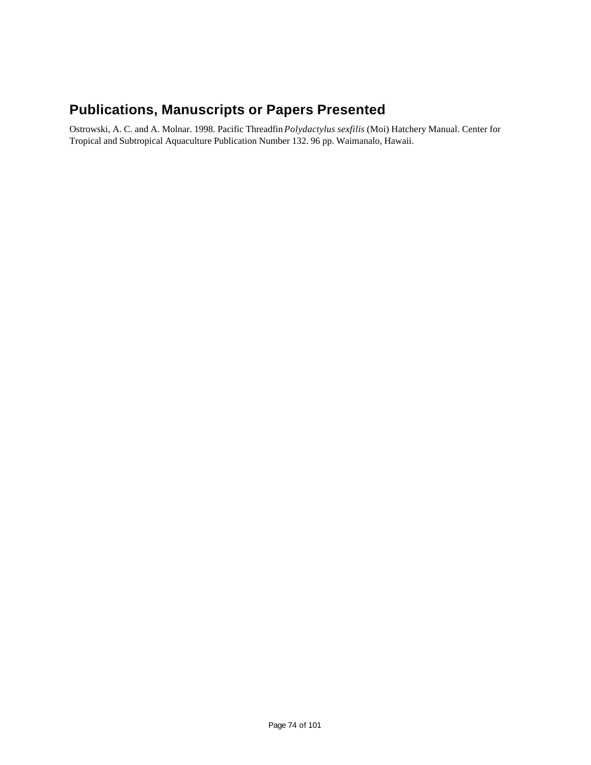## **Publications, Manuscripts or Papers Presented**

Ostrowski, A. C. and A. Molnar. 1998. Pacific Threadfin *Polydactylus sexfilis* (Moi) Hatchery Manual. Center for Tropical and Subtropical Aquaculture Publication Number 132. 96 pp. Waimanalo, Hawaii.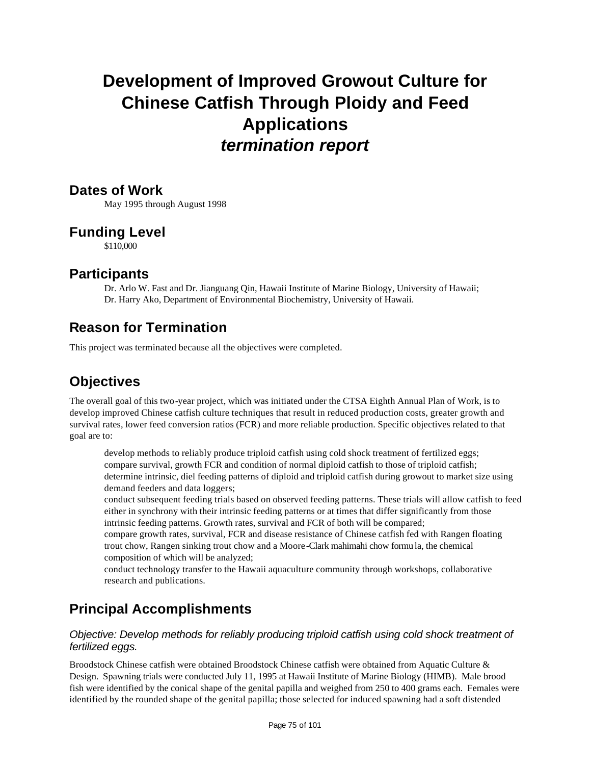# **Development of Improved Growout Culture for Chinese Catfish Through Ploidy and Feed Applications** *termination report*

#### **Dates of Work**

May 1995 through August 1998

### **Funding Level**

\$110,000

#### **Participants**

Dr. Arlo W. Fast and Dr. Jianguang Qin, Hawaii Institute of Marine Biology, University of Hawaii; Dr. Harry Ako, Department of Environmental Biochemistry, University of Hawaii.

### **Reason for Termination**

This project was terminated because all the objectives were completed.

## **Objectives**

The overall goal of this two-year project, which was initiated under the CTSA Eighth Annual Plan of Work, is to develop improved Chinese catfish culture techniques that result in reduced production costs, greater growth and survival rates, lower feed conversion ratios (FCR) and more reliable production. Specific objectives related to that goal are to:

develop methods to reliably produce triploid catfish using cold shock treatment of fertilized eggs; compare survival, growth FCR and condition of normal diploid catfish to those of triploid catfish; determine intrinsic, diel feeding patterns of diploid and triploid catfish during growout to market size using demand feeders and data loggers;

conduct subsequent feeding trials based on observed feeding patterns. These trials will allow catfish to feed either in synchrony with their intrinsic feeding patterns or at times that differ significantly from those intrinsic feeding patterns. Growth rates, survival and FCR of both will be compared;

compare growth rates, survival, FCR and disease resistance of Chinese catfish fed with Rangen floating trout chow, Rangen sinking trout chow and a Moore-Clark mahimahi chow formu la, the chemical composition of which will be analyzed;

conduct technology transfer to the Hawaii aquaculture community through workshops, collaborative research and publications.

## **Principal Accomplishments**

#### *Objective: Develop methods for reliably producing triploid catfish using cold shock treatment of fertilized eggs.*

Broodstock Chinese catfish were obtained Broodstock Chinese catfish were obtained from Aquatic Culture & Design. Spawning trials were conducted July 11, 1995 at Hawaii Institute of Marine Biology (HIMB). Male brood fish were identified by the conical shape of the genital papilla and weighed from 250 to 400 grams each. Females were identified by the rounded shape of the genital papilla; those selected for induced spawning had a soft distended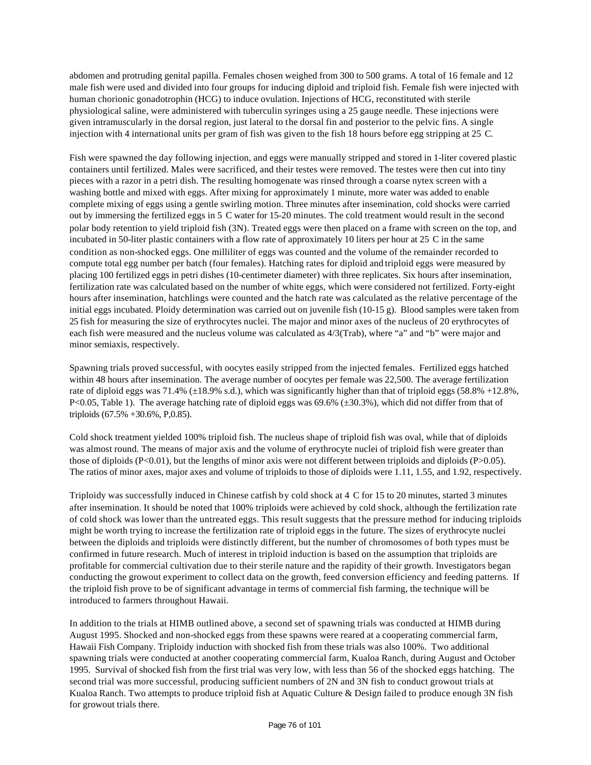abdomen and protruding genital papilla. Females chosen weighed from 300 to 500 grams. A total of 16 female and 12 male fish were used and divided into four groups for inducing diploid and triploid fish. Female fish were injected with human chorionic gonadotrophin (HCG) to induce ovulation. Injections of HCG, reconstituted with sterile physiological saline, were administered with tuberculin syringes using a 25 gauge needle. These injections were given intramuscularly in the dorsal region, just lateral to the dorsal fin and posterior to the pelvic fins. A single injection with 4 international units per gram of fish was given to the fish 18 hours before egg stripping at 25 C.

Fish were spawned the day following injection, and eggs were manually stripped and stored in 1-liter covered plastic containers until fertilized. Males were sacrificed, and their testes were removed. The testes were then cut into tiny pieces with a razor in a petri dish. The resulting homogenate was rinsed through a coarse nytex screen with a washing bottle and mixed with eggs. After mixing for approximately 1 minute, more water was added to enable complete mixing of eggs using a gentle swirling motion. Three minutes after insemination, cold shocks were carried out by immersing the fertilized eggs in 5 C water for 15-20 minutes. The cold treatment would result in the second polar body retention to yield triploid fish (3N). Treated eggs were then placed on a frame with screen on the top, and incubated in 50-liter plastic containers with a flow rate of approximately 10 liters per hour at 25 C in the same condition as non-shocked eggs. One milliliter of eggs was counted and the volume of the remainder recorded to compute total egg number per batch (four females). Hatching rates for diploid and triploid eggs were measured by placing 100 fertilized eggs in petri dishes (10-centimeter diameter) with three replicates. Six hours after insemination, fertilization rate was calculated based on the number of white eggs, which were considered not fertilized. Forty-eight hours after insemination, hatchlings were counted and the hatch rate was calculated as the relative percentage of the initial eggs incubated. Ploidy determination was carried out on juvenile fish (10-15 g). Blood samples were taken from 25 fish for measuring the size of erythrocytes nuclei. The major and minor axes of the nucleus of 20 erythrocytes of each fish were measured and the nucleus volume was calculated as 4/3(Trab), where "a" and "b" were major and minor semiaxis, respectively.

Spawning trials proved successful, with oocytes easily stripped from the injected females. Fertilized eggs hatched within 48 hours after insemination. The average number of oocytes per female was 22,500. The average fertilization rate of diploid eggs was 71.4% ( $\pm$ 18.9% s.d.), which was significantly higher than that of triploid eggs (58.8% +12.8%, P<0.05, Table 1). The average hatching rate of diploid eggs was 69.6% ( $\pm$ 30.3%), which did not differ from that of triploids (67.5% +30.6%, P,0.85).

Cold shock treatment yielded 100% triploid fish. The nucleus shape of triploid fish was oval, while that of diploids was almost round. The means of major axis and the volume of erythrocyte nuclei of triploid fish were greater than those of diploids  $(P<0.01)$ , but the lengths of minor axis were not different between triploids and diploids  $(P>0.05)$ . The ratios of minor axes, major axes and volume of triploids to those of diploids were 1.11, 1.55, and 1.92, respectively.

Triploidy was successfully induced in Chinese catfish by cold shock at 4 C for 15 to 20 minutes, started 3 minutes after insemination. It should be noted that 100% triploids were achieved by cold shock, although the fertilization rate of cold shock was lower than the untreated eggs. This result suggests that the pressure method for inducing triploids might be worth trying to increase the fertilization rate of triploid eggs in the future. The sizes of erythrocyte nuclei between the diploids and triploids were distinctly different, but the number of chromosomes of both types must be confirmed in future research. Much of interest in triploid induction is based on the assumption that triploids are profitable for commercial cultivation due to their sterile nature and the rapidity of their growth. Investigators began conducting the growout experiment to collect data on the growth, feed conversion efficiency and feeding patterns. If the triploid fish prove to be of significant advantage in terms of commercial fish farming, the technique will be introduced to farmers throughout Hawaii.

In addition to the trials at HIMB outlined above, a second set of spawning trials was conducted at HIMB during August 1995. Shocked and non-shocked eggs from these spawns were reared at a cooperating commercial farm, Hawaii Fish Company. Triploidy induction with shocked fish from these trials was also 100%. Two additional spawning trials were conducted at another cooperating commercial farm, Kualoa Ranch, during August and October 1995. Survival of shocked fish from the first trial was very low, with less than 56 of the shocked eggs hatching. The second trial was more successful, producing sufficient numbers of 2N and 3N fish to conduct growout trials at Kualoa Ranch. Two attempts to produce triploid fish at Aquatic Culture & Design failed to produce enough 3N fish for growout trials there.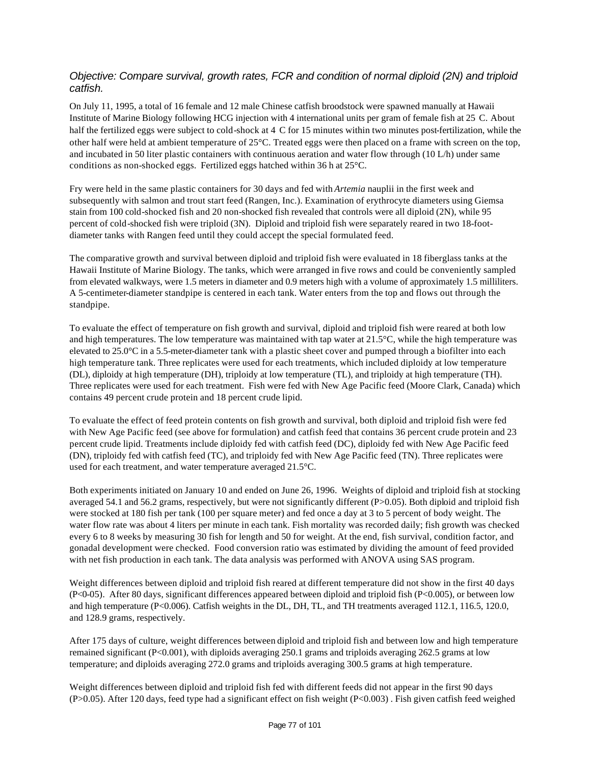#### *Objective: Compare survival, growth rates, FCR and condition of normal diploid (2N) and triploid catfish.*

On July 11, 1995, a total of 16 female and 12 male Chinese catfish broodstock were spawned manually at Hawaii Institute of Marine Biology following HCG injection with 4 international units per gram of female fish at 25 C. About half the fertilized eggs were subject to cold-shock at 4 C for 15 minutes within two minutes post-fertilization, while the other half were held at ambient temperature of 25°C. Treated eggs were then placed on a frame with screen on the top, and incubated in 50 liter plastic containers with continuous aeration and water flow through (10 L/h) under same conditions as non-shocked eggs. Fertilized eggs hatched within 36 h at 25°C.

Fry were held in the same plastic containers for 30 days and fed with *Artemia* nauplii in the first week and subsequently with salmon and trout start feed (Rangen, Inc.). Examination of erythrocyte diameters using Giemsa stain from 100 cold-shocked fish and 20 non-shocked fish revealed that controls were all diploid (2N), while 95 percent of cold-shocked fish were triploid (3N). Diploid and triploid fish were separately reared in two 18-footdiameter tanks with Rangen feed until they could accept the special formulated feed.

The comparative growth and survival between diploid and triploid fish were evaluated in 18 fiberglass tanks at the Hawaii Institute of Marine Biology. The tanks, which were arranged in five rows and could be conveniently sampled from elevated walkways, were 1.5 meters in diameter and 0.9 meters high with a volume of approximately 1.5 milliliters. A 5-centimeter-diameter standpipe is centered in each tank. Water enters from the top and flows out through the standpipe.

To evaluate the effect of temperature on fish growth and survival, diploid and triploid fish were reared at both low and high temperatures. The low temperature was maintained with tap water at  $21.5^{\circ}$ C, while the high temperature was elevated to 25.0°C in a 5.5-meter-diameter tank with a plastic sheet cover and pumped through a biofilter into each high temperature tank. Three replicates were used for each treatments, which included diploidy at low temperature (DL), diploidy at high temperature (DH), triploidy at low temperature (TL), and triploidy at high temperature (TH). Three replicates were used for each treatment. Fish were fed with New Age Pacific feed (Moore Clark, Canada) which contains 49 percent crude protein and 18 percent crude lipid.

To evaluate the effect of feed protein contents on fish growth and survival, both diploid and triploid fish were fed with New Age Pacific feed (see above for formulation) and catfish feed that contains 36 percent crude protein and 23 percent crude lipid. Treatments include diploidy fed with catfish feed (DC), diploidy fed with New Age Pacific feed (DN), triploidy fed with catfish feed (TC), and triploidy fed with New Age Pacific feed (TN). Three replicates were used for each treatment, and water temperature averaged 21.5°C.

Both experiments initiated on January 10 and ended on June 26, 1996. Weights of diploid and triploid fish at stocking averaged 54.1 and 56.2 grams, respectively, but were not significantly different (P>0.05). Both diploid and triploid fish were stocked at 180 fish per tank (100 per square meter) and fed once a day at 3 to 5 percent of body weight. The water flow rate was about 4 liters per minute in each tank. Fish mortality was recorded daily; fish growth was checked every 6 to 8 weeks by measuring 30 fish for length and 50 for weight. At the end, fish survival, condition factor, and gonadal development were checked. Food conversion ratio was estimated by dividing the amount of feed provided with net fish production in each tank. The data analysis was performed with ANOVA using SAS program.

Weight differences between diploid and triploid fish reared at different temperature did not show in the first 40 days (P<0-05). After 80 days, significant differences appeared between diploid and triploid fish (P<0.005), or between low and high temperature (P<0.006). Catfish weights in the DL, DH, TL, and TH treatments averaged 112.1, 116.5, 120.0, and 128.9 grams, respectively.

After 175 days of culture, weight differences between diploid and triploid fish and between low and high temperature remained significant (P<0.001), with diploids averaging 250.1 grams and triploids averaging 262.5 grams at low temperature; and diploids averaging 272.0 grams and triploids averaging 300.5 grams at high temperature.

Weight differences between diploid and triploid fish fed with different feeds did not appear in the first 90 days (P>0.05). After 120 days, feed type had a significant effect on fish weight (P<0.003) . Fish given catfish feed weighed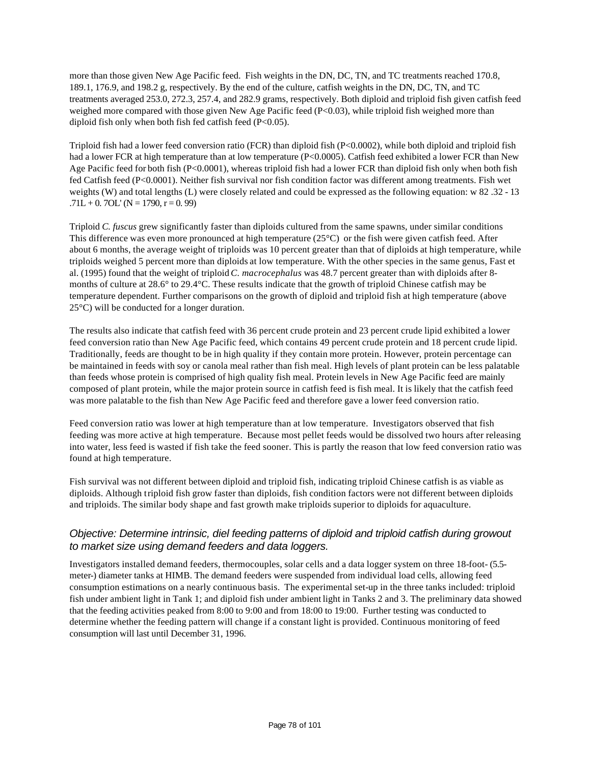more than those given New Age Pacific feed. Fish weights in the DN, DC, TN, and TC treatments reached 170.8, 189.1, 176.9, and 198.2 g, respectively. By the end of the culture, catfish weights in the DN, DC, TN, and TC treatments averaged 253.0, 272.3, 257.4, and 282.9 grams, respectively. Both diploid and triploid fish given catfish feed weighed more compared with those given New Age Pacific feed (P<0.03), while triploid fish weighed more than diploid fish only when both fish fed catfish feed (P<0.05).

Triploid fish had a lower feed conversion ratio (FCR) than diploid fish (P<0.0002), while both diploid and triploid fish had a lower FCR at high temperature than at low temperature (P<0.0005). Catfish feed exhibited a lower FCR than New Age Pacific feed for both fish (P<0.0001), whereas triploid fish had a lower FCR than diploid fish only when both fish fed Catfish feed (P<0.0001). Neither fish survival nor fish condition factor was different among treatments. Fish wet weights (W) and total lengths (L) were closely related and could be expressed as the following equation: w 82 .32 - 13  $.71L + 0.7OL$ ' (N = 1790, r = 0.99)

Triploid *C. fuscus* grew significantly faster than diploids cultured from the same spawns, under similar conditions This difference was even more pronounced at high temperature (25°C) or the fish were given catfish feed. After about 6 months, the average weight of triploids was 10 percent greater than that of diploids at high temperature, while triploids weighed 5 percent more than diploids at low temperature. With the other species in the same genus, Fast et al. (1995) found that the weight of triploid *C. macrocephalus* was 48.7 percent greater than with diploids after 8 months of culture at 28.6° to 29.4°C. These results indicate that the growth of triploid Chinese catfish may be temperature dependent. Further comparisons on the growth of diploid and triploid fish at high temperature (above 25°C) will be conducted for a longer duration.

The results also indicate that catfish feed with 36 percent crude protein and 23 percent crude lipid exhibited a lower feed conversion ratio than New Age Pacific feed, which contains 49 percent crude protein and 18 percent crude lipid. Traditionally, feeds are thought to be in high quality if they contain more protein. However, protein percentage can be maintained in feeds with soy or canola meal rather than fish meal. High levels of plant protein can be less palatable than feeds whose protein is comprised of high quality fish meal. Protein levels in New Age Pacific feed are mainly composed of plant protein, while the major protein source in catfish feed is fish meal. It is likely that the catfish feed was more palatable to the fish than New Age Pacific feed and therefore gave a lower feed conversion ratio.

Feed conversion ratio was lower at high temperature than at low temperature. Investigators observed that fish feeding was more active at high temperature. Because most pellet feeds would be dissolved two hours after releasing into water, less feed is wasted if fish take the feed sooner. This is partly the reason that low feed conversion ratio was found at high temperature.

Fish survival was not different between diploid and triploid fish, indicating triploid Chinese catfish is as viable as diploids. Although triploid fish grow faster than diploids, fish condition factors were not different between diploids and triploids. The similar body shape and fast growth make triploids superior to diploids for aquaculture.

#### *Objective: Determine intrinsic, diel feeding patterns of diploid and triploid catfish during growout to market size using demand feeders and data loggers.*

Investigators installed demand feeders, thermocouples, solar cells and a data logger system on three 18-foot- (5.5 meter-) diameter tanks at HIMB. The demand feeders were suspended from individual load cells, allowing feed consumption estimations on a nearly continuous basis. The experimental set-up in the three tanks included: triploid fish under ambient light in Tank 1; and diploid fish under ambient light in Tanks 2 and 3. The preliminary data showed that the feeding activities peaked from 8:00 to 9:00 and from 18:00 to 19:00. Further testing was conducted to determine whether the feeding pattern will change if a constant light is provided. Continuous monitoring of feed consumption will last until December 31, 1996.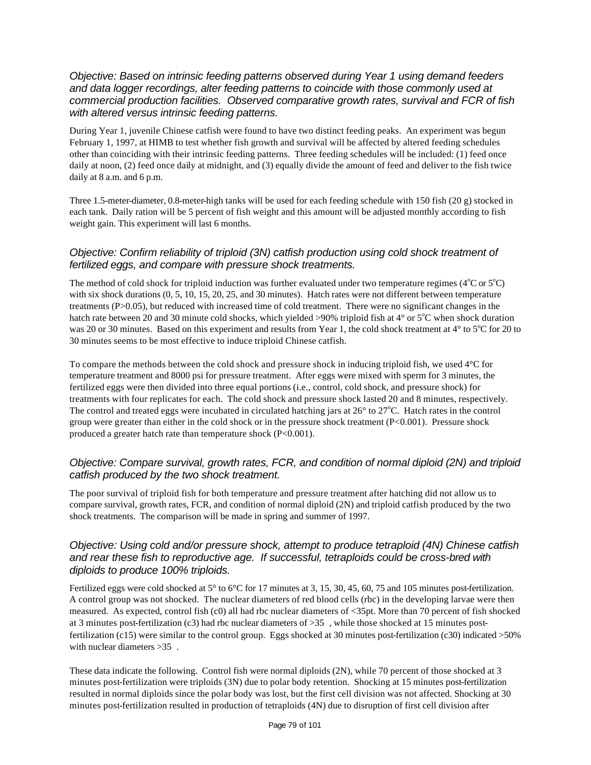#### *Objective: Based on intrinsic feeding patterns observed during Year 1 using demand feeders and data logger recordings, alter feeding patterns to coincide with those commonly used at commercial production facilities. Observed comparative growth rates, survival and FCR of fish with altered versus intrinsic feeding patterns.*

During Year 1, juvenile Chinese catfish were found to have two distinct feeding peaks. An experiment was begun February 1, 1997, at HIMB to test whether fish growth and survival will be affected by altered feeding schedules other than coinciding with their intrinsic feeding patterns. Three feeding schedules will be included: (1) feed once daily at noon, (2) feed once daily at midnight, and (3) equally divide the amount of feed and deliver to the fish twice daily at 8 a.m. and 6 p.m.

Three 1.5-meter-diameter, 0.8-meter-high tanks will be used for each feeding schedule with 150 fish (20 g) stocked in each tank. Daily ration will be 5 percent of fish weight and this amount will be adjusted monthly according to fish weight gain. This experiment will last 6 months.

#### *Objective: Confirm reliability of triploid (3N) catfish production using cold shock treatment of fertilized eggs, and compare with pressure shock treatments.*

The method of cold shock for triploid induction was further evaluated under two temperature regimes ( $4^{\circ}$ C or  $5^{\circ}$ C) with six shock durations  $(0, 5, 10, 15, 20, 25,$  and 30 minutes). Hatch rates were not different between temperature treatments (P>0.05), but reduced with increased time of cold treatment. There were no significant changes in the hatch rate between 20 and 30 minute cold shocks, which yielded >90% triploid fish at  $4^{\circ}$  or  $5^{\circ}$ C when shock duration was 20 or 30 minutes. Based on this experiment and results from Year 1, the cold shock treatment at  $4^\circ$  to  $5^\circ$ C for 20 to 30 minutes seems to be most effective to induce triploid Chinese catfish.

To compare the methods between the cold shock and pressure shock in inducing triploid fish, we used 4°C for temperature treatment and 8000 psi for pressure treatment. After eggs were mixed with sperm for 3 minutes, the fertilized eggs were then divided into three equal portions (i.e., control, cold shock, and pressure shock) for treatments with four replicates for each. The cold shock and pressure shock lasted 20 and 8 minutes, respectively. The control and treated eggs were incubated in circulated hatching jars at  $26^{\circ}$  to  $27^{\circ}$ C. Hatch rates in the control group were greater than either in the cold shock or in the pressure shock treatment (P<0.001). Pressure shock produced a greater hatch rate than temperature shock (P<0.001).

#### *Objective: Compare survival, growth rates, FCR, and condition of normal diploid (2N) and triploid catfish produced by the two shock treatment.*

The poor survival of triploid fish for both temperature and pressure treatment after hatching did not allow us to compare survival, growth rates, FCR, and condition of normal diploid (2N) and triploid catfish produced by the two shock treatments. The comparison will be made in spring and summer of 1997.

#### *Objective: Using cold and/or pressure shock, attempt to produce tetraploid (4N) Chinese catfish and rear these fish to reproductive age. If successful, tetraploids could be cross-bred with diploids to produce 100% triploids.*

Fertilized eggs were cold shocked at 5° to 6°C for 17 minutes at 3, 15, 30, 45, 60, 75 and 105 minutes post-fertilization. A control group was not shocked. The nuclear diameters of red blood cells (rbc) in the developing larvae were then measured. As expected, control fish (c0) all had rbc nuclear diameters of <35pt. More than 70 percent of fish shocked at 3 minutes post-fertilization (c3) had rbc nuclear diameters of >35 , while those shocked at 15 minutes postfertilization (c15) were similar to the control group. Eggs shocked at 30 minutes post-fertilization (c30) indicated >50% with nuclear diameters > 35.

These data indicate the following. Control fish were normal diploids (2N), while 70 percent of those shocked at 3 minutes post-fertilization were triploids (3N) due to polar body retention. Shocking at 15 minutes post-fertilization resulted in normal diploids since the polar body was lost, but the first cell division was not affected. Shocking at 30 minutes post-fertilization resulted in production of tetraploids (4N) due to disruption of first cell division after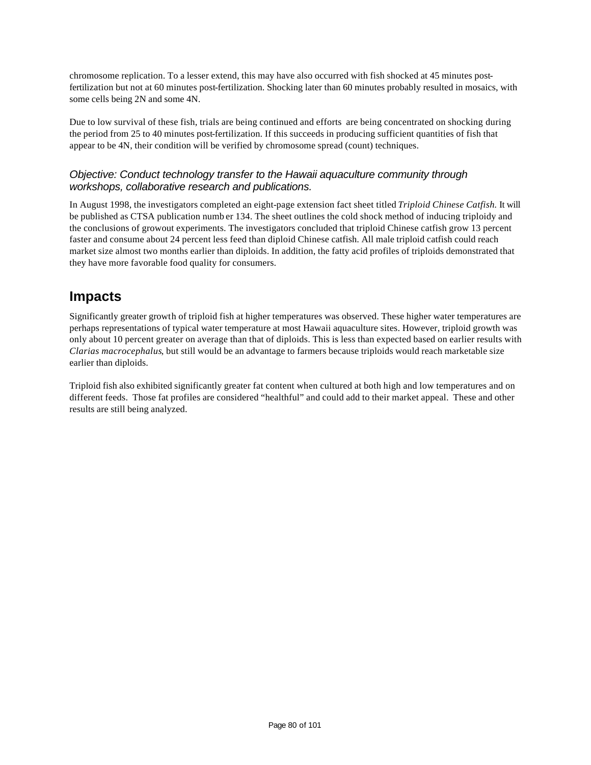chromosome replication. To a lesser extend, this may have also occurred with fish shocked at 45 minutes postfertilization but not at 60 minutes post-fertilization. Shocking later than 60 minutes probably resulted in mosaics, with some cells being 2N and some 4N.

Due to low survival of these fish, trials are being continued and efforts are being concentrated on shocking during the period from 25 to 40 minutes post-fertilization. If this succeeds in producing sufficient quantities of fish that appear to be 4N, their condition will be verified by chromosome spread (count) techniques.

#### *Objective: Conduct technology transfer to the Hawaii aquaculture community through workshops, collaborative research and publications.*

In August 1998, the investigators completed an eight-page extension fact sheet titled *Triploid Chinese Catfish.* It will be published as CTSA publication numb er 134. The sheet outlines the cold shock method of inducing triploidy and the conclusions of growout experiments. The investigators concluded that triploid Chinese catfish grow 13 percent faster and consume about 24 percent less feed than diploid Chinese catfish. All male triploid catfish could reach market size almost two months earlier than diploids. In addition, the fatty acid profiles of triploids demonstrated that they have more favorable food quality for consumers.

### **Impacts**

Significantly greater growth of triploid fish at higher temperatures was observed. These higher water temperatures are perhaps representations of typical water temperature at most Hawaii aquaculture sites. However, triploid growth was only about 10 percent greater on average than that of diploids. This is less than expected based on earlier results with *Clarias macrocephalus*, but still would be an advantage to farmers because triploids would reach marketable size earlier than diploids.

Triploid fish also exhibited significantly greater fat content when cultured at both high and low temperatures and on different feeds. Those fat profiles are considered "healthful" and could add to their market appeal. These and other results are still being analyzed.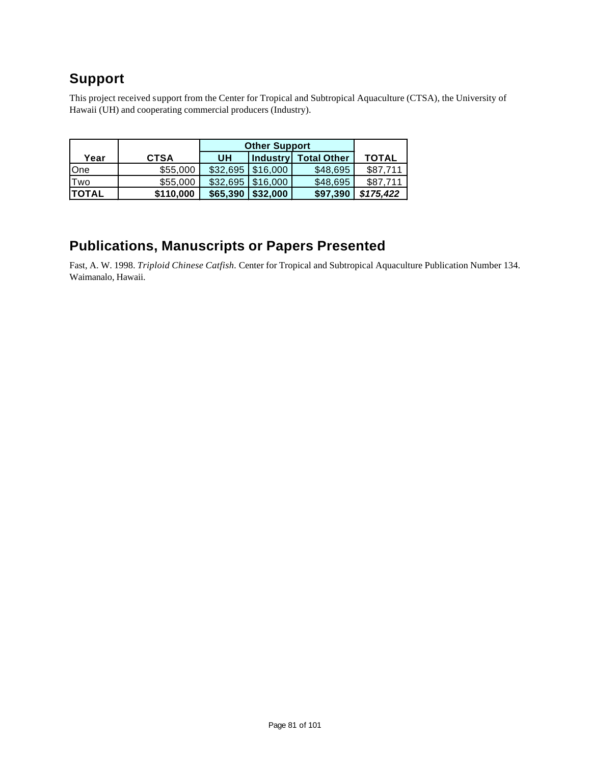## **Support**

This project received support from the Center for Tropical and Subtropical Aquaculture (CTSA), the University of Hawaii (UH) and cooperating commercial producers (Industry).

|               |             | <b>Other Support</b> |          |                      |              |
|---------------|-------------|----------------------|----------|----------------------|--------------|
| Year          | <b>CTSA</b> | <b>UH</b>            |          | Industry Total Other | <b>TOTAL</b> |
| <b>O</b> ne   | \$55,000    | \$32,695             | \$16,000 | \$48,695             | \$87.711     |
| Two           | \$55,000    | \$32,695             | \$16.000 | \$48,695             | \$87.711     |
| <b>ITOTAL</b> | \$110,000   | \$65,390             | \$32,000 | \$97,390             | \$175,422    |

### **Publications, Manuscripts or Papers Presented**

Fast, A. W. 1998. *Triploid Chinese Catfish.* Center for Tropical and Subtropical Aquaculture Publication Number 134. Waimanalo, Hawaii.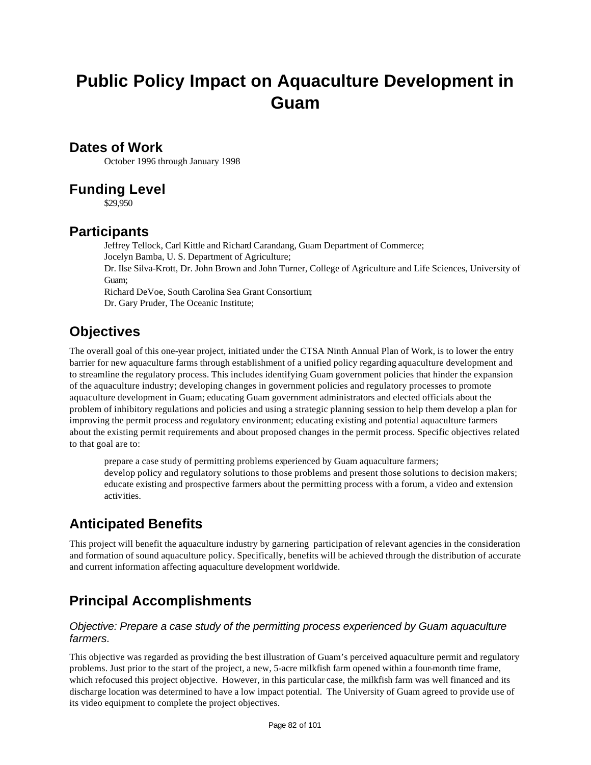# **Public Policy Impact on Aquaculture Development in Guam**

### **Dates of Work**

October 1996 through January 1998

### **Funding Level**

\$29,950

### **Participants**

Jeffrey Tellock, Carl Kittle and Richard Carandang, Guam Department of Commerce; Jocelyn Bamba, U. S. Department of Agriculture; Dr. Ilse Silva-Krott, Dr. John Brown and John Turner, College of Agriculture and Life Sciences, University of Guam; Richard DeVoe, South Carolina Sea Grant Consortium; Dr. Gary Pruder, The Oceanic Institute;

### **Objectives**

The overall goal of this one-year project, initiated under the CTSA Ninth Annual Plan of Work, is to lower the entry barrier for new aquaculture farms through establishment of a unified policy regarding aquaculture development and to streamline the regulatory process. This includes identifying Guam government policies that hinder the expansion of the aquaculture industry; developing changes in government policies and regulatory processes to promote aquaculture development in Guam; educating Guam government administrators and elected officials about the problem of inhibitory regulations and policies and using a strategic planning session to help them develop a plan for improving the permit process and regulatory environment; educating existing and potential aquaculture farmers about the existing permit requirements and about proposed changes in the permit process. Specific objectives related to that goal are to:

prepare a case study of permitting problems experienced by Guam aquaculture farmers; develop policy and regulatory solutions to those problems and present those solutions to decision makers; educate existing and prospective farmers about the permitting process with a forum, a video and extension activities.

## **Anticipated Benefits**

This project will benefit the aquaculture industry by garnering participation of relevant agencies in the consideration and formation of sound aquaculture policy. Specifically, benefits will be achieved through the distribution of accurate and current information affecting aquaculture development worldwide.

## **Principal Accomplishments**

#### *Objective: Prepare a case study of the permitting process experienced by Guam aquaculture farmers.*

This objective was regarded as providing the best illustration of Guam's perceived aquaculture permit and regulatory problems. Just prior to the start of the project, a new, 5-acre milkfish farm opened within a four-month time frame, which refocused this project objective. However, in this particular case, the milkfish farm was well financed and its discharge location was determined to have a low impact potential. The University of Guam agreed to provide use of its video equipment to complete the project objectives.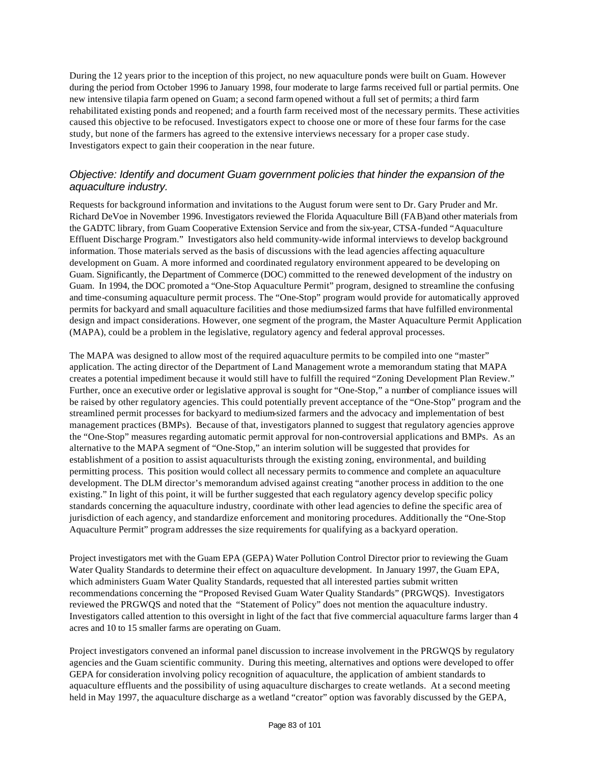During the 12 years prior to the inception of this project, no new aquaculture ponds were built on Guam. However during the period from October 1996 to January 1998, four moderate to large farms received full or partial permits. One new intensive tilapia farm opened on Guam; a second farm opened without a full set of permits; a third farm rehabilitated existing ponds and reopened; and a fourth farm received most of the necessary permits. These activities caused this objective to be refocused. Investigators expect to choose one or more of these four farms for the case study, but none of the farmers has agreed to the extensive interviews necessary for a proper case study. Investigators expect to gain their cooperation in the near future.

#### *Objective: Identify and document Guam government policies that hinder the expansion of the aquaculture industry.*

Requests for background information and invitations to the August forum were sent to Dr. Gary Pruder and Mr. Richard DeVoe in November 1996. Investigators reviewed the Florida Aquaculture Bill (FAB)and other materials from the GADTC library, from Guam Cooperative Extension Service and from the six-year, CTSA-funded "Aquaculture Effluent Discharge Program." Investigators also held community-wide informal interviews to develop background information. Those materials served as the basis of discussions with the lead agencies affecting aquaculture development on Guam. A more informed and coordinated regulatory environment appeared to be developing on Guam. Significantly, the Department of Commerce (DOC) committed to the renewed development of the industry on Guam. In 1994, the DOC promoted a "One-Stop Aquaculture Permit" program, designed to streamline the confusing and time-consuming aquaculture permit process. The "One-Stop" program would provide for automatically approved permits for backyard and small aquaculture facilities and those medium-sized farms that have fulfilled environmental design and impact considerations. However, one segment of the program, the Master Aquaculture Permit Application (MAPA), could be a problem in the legislative, regulatory agency and federal approval processes.

The MAPA was designed to allow most of the required aquaculture permits to be compiled into one "master" application. The acting director of the Department of Land Management wrote a memorandum stating that MAPA creates a potential impediment because it would still have to fulfill the required "Zoning Development Plan Review." Further, once an executive order or legislative approval is sought for "One-Stop," a number of compliance issues will be raised by other regulatory agencies. This could potentially prevent acceptance of the "One-Stop" program and the streamlined permit processes for backyard to medium-sized farmers and the advocacy and implementation of best management practices (BMPs). Because of that, investigators planned to suggest that regulatory agencies approve the "One-Stop" measures regarding automatic permit approval for non-controversial applications and BMPs. As an alternative to the MAPA segment of "One-Stop," an interim solution will be suggested that provides for establishment of a position to assist aquaculturists through the existing zoning, environmental, and building permitting process. This position would collect all necessary permits to commence and complete an aquaculture development. The DLM director's memorandum advised against creating "another process in addition to the one existing." In light of this point, it will be further suggested that each regulatory agency develop specific policy standards concerning the aquaculture industry, coordinate with other lead agencies to define the specific area of jurisdiction of each agency, and standardize enforcement and monitoring procedures. Additionally the "One-Stop Aquaculture Permit" program addresses the size requirements for qualifying as a backyard operation.

Project investigators met with the Guam EPA (GEPA) Water Pollution Control Director prior to reviewing the Guam Water Quality Standards to determine their effect on aquaculture development. In January 1997, the Guam EPA, which administers Guam Water Quality Standards, requested that all interested parties submit written recommendations concerning the "Proposed Revised Guam Water Quality Standards" (PRGWQS). Investigators reviewed the PRGWQS and noted that the "Statement of Policy" does not mention the aquaculture industry. Investigators called attention to this oversight in light of the fact that five commercial aquaculture farms larger than 4 acres and 10 to 15 smaller farms are operating on Guam.

Project investigators convened an informal panel discussion to increase involvement in the PRGWQS by regulatory agencies and the Guam scientific community. During this meeting, alternatives and options were developed to offer GEPA for consideration involving policy recognition of aquaculture, the application of ambient standards to aquaculture effluents and the possibility of using aquaculture discharges to create wetlands. At a second meeting held in May 1997, the aquaculture discharge as a wetland "creator" option was favorably discussed by the GEPA,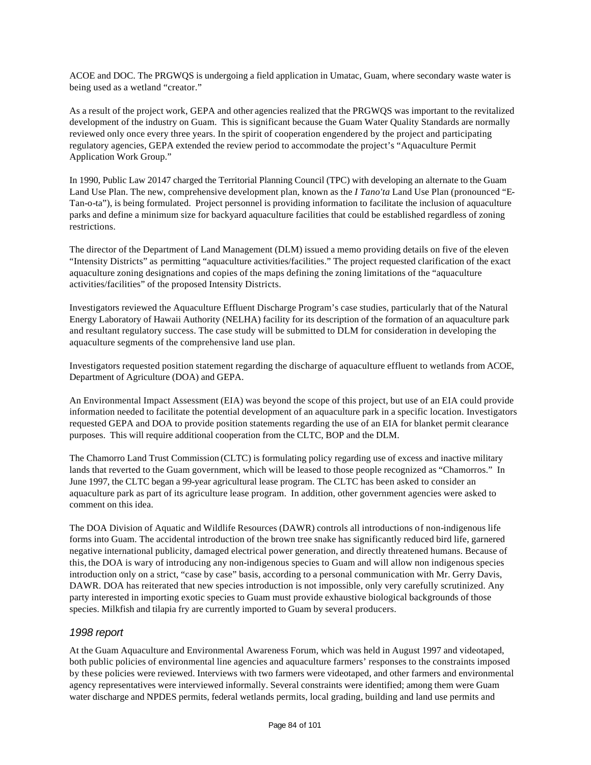ACOE and DOC. The PRGWQS is undergoing a field application in Umatac, Guam, where secondary waste water is being used as a wetland "creator."

As a result of the project work, GEPA and other agencies realized that the PRGWQS was important to the revitalized development of the industry on Guam. This is significant because the Guam Water Quality Standards are normally reviewed only once every three years. In the spirit of cooperation engendered by the project and participating regulatory agencies, GEPA extended the review period to accommodate the project's "Aquaculture Permit Application Work Group."

In 1990, Public Law 20147 charged the Territorial Planning Council (TPC) with developing an alternate to the Guam Land Use Plan. The new, comprehensive development plan, known as the *I Tano'ta* Land Use Plan (pronounced "E-Tan-o-ta"), is being formulated. Project personnel is providing information to facilitate the inclusion of aquaculture parks and define a minimum size for backyard aquaculture facilities that could be established regardless of zoning restrictions.

The director of the Department of Land Management (DLM) issued a memo providing details on five of the eleven "Intensity Districts" as permitting "aquaculture activities/facilities." The project requested clarification of the exact aquaculture zoning designations and copies of the maps defining the zoning limitations of the "aquaculture activities/facilities" of the proposed Intensity Districts.

Investigators reviewed the Aquaculture Effluent Discharge Program's case studies, particularly that of the Natural Energy Laboratory of Hawaii Authority (NELHA) facility for its description of the formation of an aquaculture park and resultant regulatory success. The case study will be submitted to DLM for consideration in developing the aquaculture segments of the comprehensive land use plan.

Investigators requested position statement regarding the discharge of aquaculture effluent to wetlands from ACOE, Department of Agriculture (DOA) and GEPA.

An Environmental Impact Assessment (EIA) was beyond the scope of this project, but use of an EIA could provide information needed to facilitate the potential development of an aquaculture park in a specific location. Investigators requested GEPA and DOA to provide position statements regarding the use of an EIA for blanket permit clearance purposes. This will require additional cooperation from the CLTC, BOP and the DLM.

The Chamorro Land Trust Commission (CLTC) is formulating policy regarding use of excess and inactive military lands that reverted to the Guam government, which will be leased to those people recognized as "Chamorros." In June 1997, the CLTC began a 99-year agricultural lease program. The CLTC has been asked to consider an aquaculture park as part of its agriculture lease program. In addition, other government agencies were asked to comment on this idea.

The DOA Division of Aquatic and Wildlife Resources (DAWR) controls all introductions of non-indigenous life forms into Guam. The accidental introduction of the brown tree snake has significantly reduced bird life, garnered negative international publicity, damaged electrical power generation, and directly threatened humans. Because of this, the DOA is wary of introducing any non-indigenous species to Guam and will allow non indigenous species introduction only on a strict, "case by case" basis, according to a personal communication with Mr. Gerry Davis, DAWR. DOA has reiterated that new species introduction is not impossible, only very carefully scrutinized. Any party interested in importing exotic species to Guam must provide exhaustive biological backgrounds of those species. Milkfish and tilapia fry are currently imported to Guam by several producers.

#### *1998 report*

At the Guam Aquaculture and Environmental Awareness Forum, which was held in August 1997 and videotaped, both public policies of environmental line agencies and aquaculture farmers' responses to the constraints imposed by these policies were reviewed. Interviews with two farmers were videotaped, and other farmers and environmental agency representatives were interviewed informally. Several constraints were identified; among them were Guam water discharge and NPDES permits, federal wetlands permits, local grading, building and land use permits and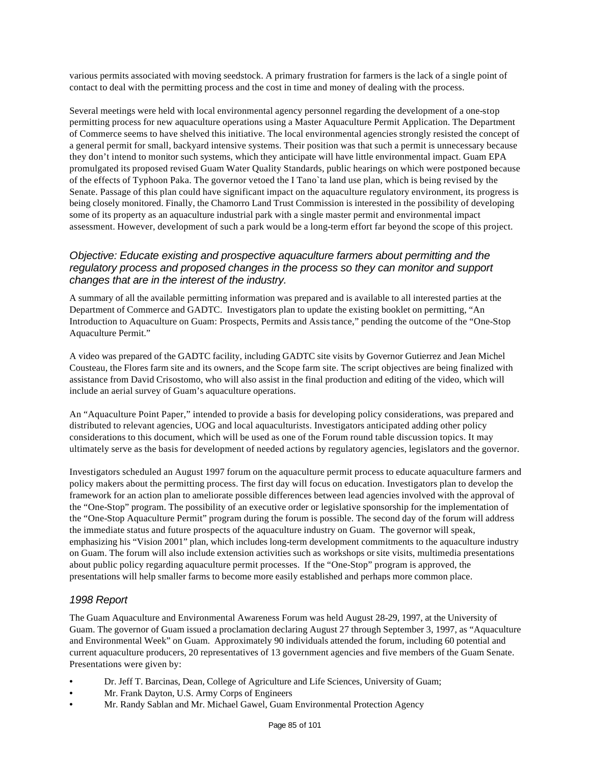various permits associated with moving seedstock. A primary frustration for farmers is the lack of a single point of contact to deal with the permitting process and the cost in time and money of dealing with the process.

Several meetings were held with local environmental agency personnel regarding the development of a one-stop permitting process for new aquaculture operations using a Master Aquaculture Permit Application. The Department of Commerce seems to have shelved this initiative. The local environmental agencies strongly resisted the concept of a general permit for small, backyard intensive systems. Their position was that such a permit is unnecessary because they don't intend to monitor such systems, which they anticipate will have little environmental impact. Guam EPA promulgated its proposed revised Guam Water Quality Standards, public hearings on which were postponed because of the effects of Typhoon Paka. The governor vetoed the I Tano`ta land use plan, which is being revised by the Senate. Passage of this plan could have significant impact on the aquaculture regulatory environment, its progress is being closely monitored. Finally, the Chamorro Land Trust Commission is interested in the possibility of developing some of its property as an aquaculture industrial park with a single master permit and environmental impact assessment. However, development of such a park would be a long-term effort far beyond the scope of this project.

#### *Objective: Educate existing and prospective aquaculture farmers about permitting and the regulatory process and proposed changes in the process so they can monitor and support changes that are in the interest of the industry.*

A summary of all the available permitting information was prepared and is available to all interested parties at the Department of Commerce and GADTC. Investigators plan to update the existing booklet on permitting, "An Introduction to Aquaculture on Guam: Prospects, Permits and Assistance," pending the outcome of the "One-Stop Aquaculture Permit."

A video was prepared of the GADTC facility, including GADTC site visits by Governor Gutierrez and Jean Michel Cousteau, the Flores farm site and its owners, and the Scope farm site. The script objectives are being finalized with assistance from David Crisostomo, who will also assist in the final production and editing of the video, which will include an aerial survey of Guam's aquaculture operations.

An "Aquaculture Point Paper," intended to provide a basis for developing policy considerations, was prepared and distributed to relevant agencies, UOG and local aquaculturists. Investigators anticipated adding other policy considerations to this document, which will be used as one of the Forum round table discussion topics. It may ultimately serve as the basis for development of needed actions by regulatory agencies, legislators and the governor.

Investigators scheduled an August 1997 forum on the aquaculture permit process to educate aquaculture farmers and policy makers about the permitting process. The first day will focus on education. Investigators plan to develop the framework for an action plan to ameliorate possible differences between lead agencies involved with the approval of the "One-Stop" program. The possibility of an executive order or legislative sponsorship for the implementation of the "One-Stop Aquaculture Permit" program during the forum is possible. The second day of the forum will address the immediate status and future prospects of the aquaculture industry on Guam. The governor will speak, emphasizing his "Vision 2001" plan, which includes long-term development commitments to the aquaculture industry on Guam. The forum will also include extension activities such as workshops or site visits, multimedia presentations about public policy regarding aquaculture permit processes. If the "One-Stop" program is approved, the presentations will help smaller farms to become more easily established and perhaps more common place.

#### *1998 Report*

The Guam Aquaculture and Environmental Awareness Forum was held August 28-29, 1997, at the University of Guam. The governor of Guam issued a proclamation declaring August 27 through September 3, 1997, as "Aquaculture and Environmental Week" on Guam. Approximately 90 individuals attended the forum, including 60 potential and current aquaculture producers, 20 representatives of 13 government agencies and five members of the Guam Senate. Presentations were given by:

- Dr. Jeff T. Barcinas, Dean, College of Agriculture and Life Sciences, University of Guam;
- Mr. Frank Dayton, U.S. Army Corps of Engineers
- Mr. Randy Sablan and Mr. Michael Gawel, Guam Environmental Protection Agency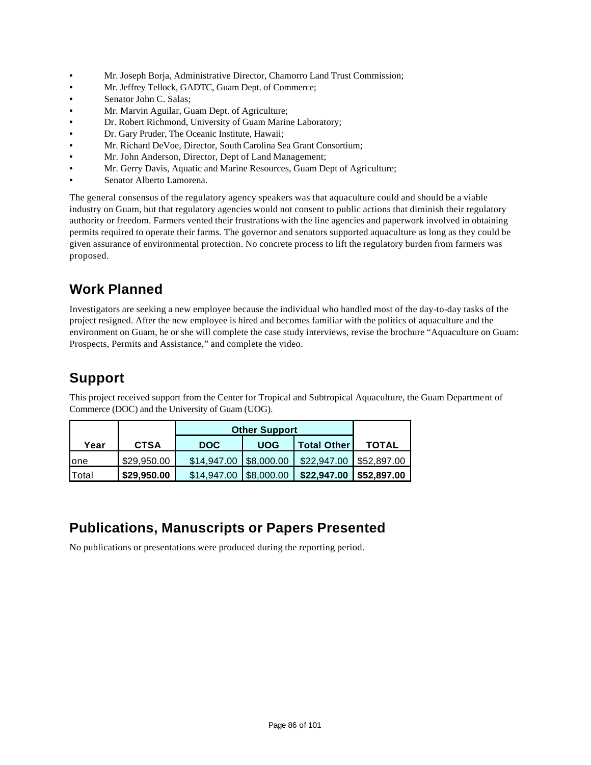- Mr. Joseph Borja, Administrative Director, Chamorro Land Trust Commission;
- Mr. Jeffrey Tellock, GADTC, Guam Dept. of Commerce;
- Senator John C. Salas;
- Mr. Marvin Aguilar, Guam Dept. of Agriculture;
- Dr. Robert Richmond, University of Guam Marine Laboratory;
- Dr. Gary Pruder, The Oceanic Institute, Hawaii;
- Mr. Richard DeVoe, Director, South Carolina Sea Grant Consortium;
- Mr. John Anderson, Director, Dept of Land Management;
- Mr. Gerry Davis, Aquatic and Marine Resources, Guam Dept of Agriculture;
- Senator Alberto Lamorena.

The general consensus of the regulatory agency speakers was that aquaculture could and should be a viable industry on Guam, but that regulatory agencies would not consent to public actions that diminish their regulatory authority or freedom. Farmers vented their frustrations with the line agencies and paperwork involved in obtaining permits required to operate their farms. The governor and senators supported aquaculture as long as they could be given assurance of environmental protection. No concrete process to lift the regulatory burden from farmers was proposed.

## **Work Planned**

Investigators are seeking a new employee because the individual who handled most of the day-to-day tasks of the project resigned. After the new employee is hired and becomes familiar with the politics of aquaculture and the environment on Guam, he or she will complete the case study interviews, revise the brochure "Aquaculture on Guam: Prospects, Permits and Assistance," and complete the video.

## **Support**

This project received support from the Center for Tropical and Subtropical Aquaculture, the Guam Department of Commerce (DOC) and the University of Guam (UOG).

|                     |             | <b>Other Support</b> |                |                    |                         |
|---------------------|-------------|----------------------|----------------|--------------------|-------------------------|
| <b>CTSA</b><br>Year |             | <b>DOC</b>           | <b>UOG</b>     | <b>Total Other</b> | <b>TOTAL</b>            |
| lone                | \$29.950.00 | \$14,947.00          | $ $ \$8,000.00 | \$22,947,00        | $\parallel$ \$52,897.00 |
| Total               | \$29,950.00 | \$14,947,00          | $ $ \$8,000.00 | \$22,947.00        | \$52,897.00             |

### **Publications, Manuscripts or Papers Presented**

No publications or presentations were produced during the reporting period.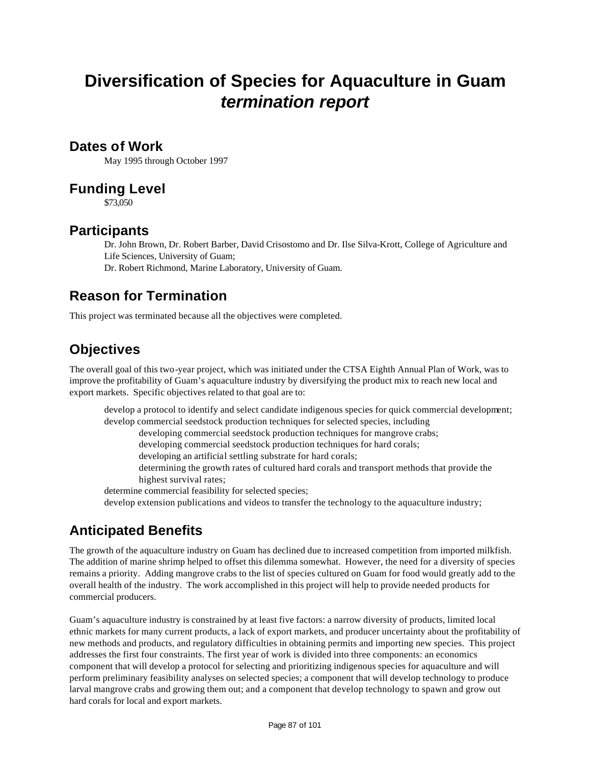# **Diversification of Species for Aquaculture in Guam** *termination report*

#### **Dates of Work**

May 1995 through October 1997

### **Funding Level**

\$73,050

### **Participants**

Dr. John Brown, Dr. Robert Barber, David Crisostomo and Dr. Ilse Silva-Krott, College of Agriculture and Life Sciences, University of Guam;

Dr. Robert Richmond, Marine Laboratory, University of Guam.

## **Reason for Termination**

This project was terminated because all the objectives were completed.

## **Objectives**

The overall goal of this two-year project, which was initiated under the CTSA Eighth Annual Plan of Work, was to improve the profitability of Guam's aquaculture industry by diversifying the product mix to reach new local and export markets. Specific objectives related to that goal are to:

develop a protocol to identify and select candidate indigenous species for quick commercial development; develop commercial seedstock production techniques for selected species, including

developing commercial seedstock production techniques for mangrove crabs;

developing commercial seedstock production techniques for hard corals;

developing an artificial settling substrate for hard corals;

determining the growth rates of cultured hard corals and transport methods that provide the highest survival rates;

determine commercial feasibility for selected species;

develop extension publications and videos to transfer the technology to the aquaculture industry;

## **Anticipated Benefits**

The growth of the aquaculture industry on Guam has declined due to increased competition from imported milkfish. The addition of marine shrimp helped to offset this dilemma somewhat. However, the need for a diversity of species remains a priority. Adding mangrove crabs to the list of species cultured on Guam for food would greatly add to the overall health of the industry. The work accomplished in this project will help to provide needed products for commercial producers.

Guam's aquaculture industry is constrained by at least five factors: a narrow diversity of products, limited local ethnic markets for many current products, a lack of export markets, and producer uncertainty about the profitability of new methods and products, and regulatory difficulties in obtaining permits and importing new species. This project addresses the first four constraints. The first year of work is divided into three components: an economics component that will develop a protocol for selecting and prioritizing indigenous species for aquaculture and will perform preliminary feasibility analyses on selected species; a component that will develop technology to produce larval mangrove crabs and growing them out; and a component that develop technology to spawn and grow out hard corals for local and export markets.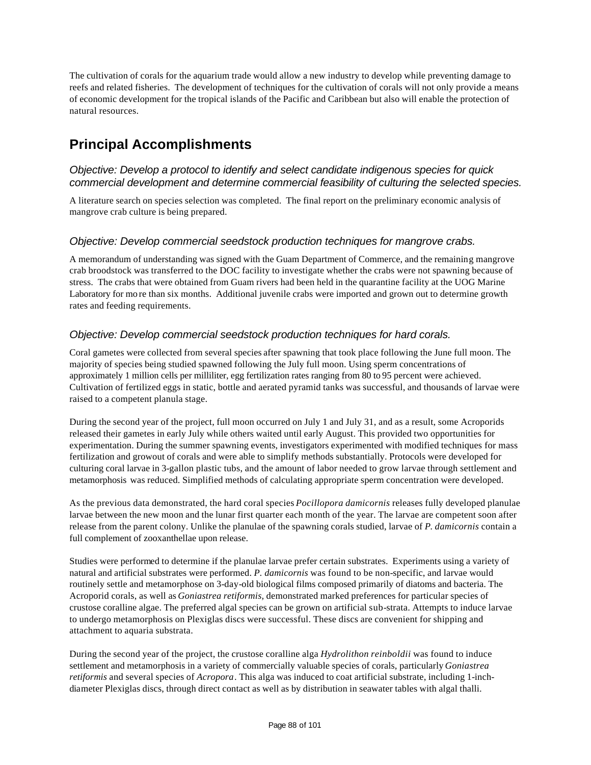The cultivation of corals for the aquarium trade would allow a new industry to develop while preventing damage to reefs and related fisheries. The development of techniques for the cultivation of corals will not only provide a means of economic development for the tropical islands of the Pacific and Caribbean but also will enable the protection of natural resources.

### **Principal Accomplishments**

#### *Objective: Develop a protocol to identify and select candidate indigenous species for quick commercial development and determine commercial feasibility of culturing the selected species.*

A literature search on species selection was completed. The final report on the preliminary economic analysis of mangrove crab culture is being prepared.

#### *Objective: Develop commercial seedstock production techniques for mangrove crabs.*

A memorandum of understanding was signed with the Guam Department of Commerce, and the remaining mangrove crab broodstock was transferred to the DOC facility to investigate whether the crabs were not spawning because of stress. The crabs that were obtained from Guam rivers had been held in the quarantine facility at the UOG Marine Laboratory for mo re than six months. Additional juvenile crabs were imported and grown out to determine growth rates and feeding requirements.

#### *Objective: Develop commercial seedstock production techniques for hard corals.*

Coral gametes were collected from several species after spawning that took place following the June full moon. The majority of species being studied spawned following the July full moon. Using sperm concentrations of approximately 1 million cells per milliliter, egg fertilization rates ranging from 80 to 95 percent were achieved. Cultivation of fertilized eggs in static, bottle and aerated pyramid tanks was successful, and thousands of larvae were raised to a competent planula stage.

During the second year of the project, full moon occurred on July 1 and July 31, and as a result, some Acroporids released their gametes in early July while others waited until early August. This provided two opportunities for experimentation. During the summer spawning events, investigators experimented with modified techniques for mass fertilization and growout of corals and were able to simplify methods substantially. Protocols were developed for culturing coral larvae in 3-gallon plastic tubs, and the amount of labor needed to grow larvae through settlement and metamorphosis was reduced. Simplified methods of calculating appropriate sperm concentration were developed.

As the previous data demonstrated, the hard coral species *Pocillopora damicornis* releases fully developed planulae larvae between the new moon and the lunar first quarter each month of the year. The larvae are competent soon after release from the parent colony. Unlike the planulae of the spawning corals studied, larvae of *P. damicornis* contain a full complement of zooxanthellae upon release.

Studies were performed to determine if the planulae larvae prefer certain substrates. Experiments using a variety of natural and artificial substrates were performed. *P. damicornis* was found to be non-specific, and larvae would routinely settle and metamorphose on 3-day-old biological films composed primarily of diatoms and bacteria. The Acroporid corals, as well as *Goniastrea retiformis,* demonstrated marked preferences for particular species of crustose coralline algae. The preferred algal species can be grown on artificial sub-strata. Attempts to induce larvae to undergo metamorphosis on Plexiglas discs were successful. These discs are convenient for shipping and attachment to aquaria substrata.

During the second year of the project, the crustose coralline alga *Hydrolithon reinboldii* was found to induce settlement and metamorphosis in a variety of commercially valuable species of corals, particularly *Goniastrea retiformis* and several species of *Acropora*. This alga was induced to coat artificial substrate, including 1-inchdiameter Plexiglas discs, through direct contact as well as by distribution in seawater tables with algal thalli.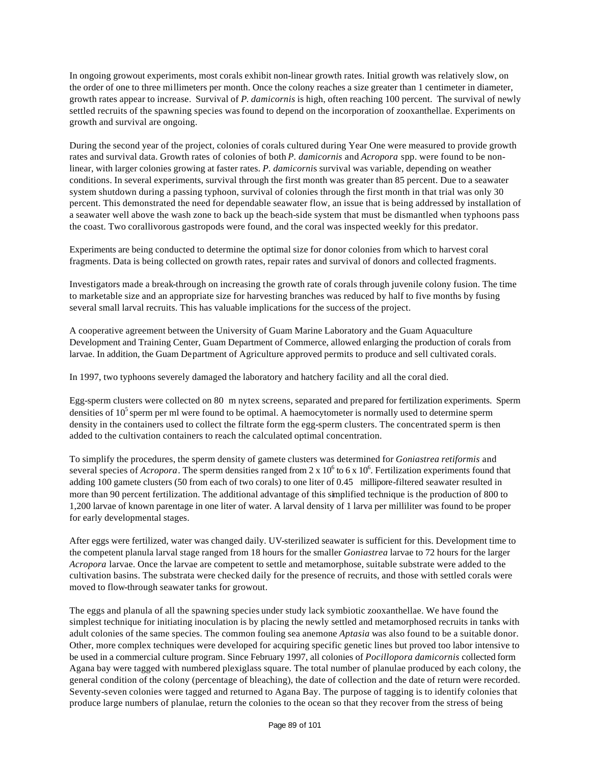In ongoing growout experiments, most corals exhibit non-linear growth rates. Initial growth was relatively slow, on the order of one to three millimeters per month. Once the colony reaches a size greater than 1 centimeter in diameter, growth rates appear to increase. Survival of *P. damicornis* is high, often reaching 100 percent. The survival of newly settled recruits of the spawning species was found to depend on the incorporation of zooxanthellae. Experiments on growth and survival are ongoing.

During the second year of the project, colonies of corals cultured during Year One were measured to provide growth rates and survival data. Growth rates of colonies of both *P. damicornis* and *Acropora* spp. were found to be nonlinear, with larger colonies growing at faster rates. *P. damicorni*s survival was variable, depending on weather conditions. In several experiments, survival through the first month was greater than 85 percent. Due to a seawater system shutdown during a passing typhoon, survival of colonies through the first month in that trial was only 30 percent. This demonstrated the need for dependable seawater flow, an issue that is being addressed by installation of a seawater well above the wash zone to back up the beach-side system that must be dismantled when typhoons pass the coast. Two corallivorous gastropods were found, and the coral was inspected weekly for this predator.

Experiments are being conducted to determine the optimal size for donor colonies from which to harvest coral fragments. Data is being collected on growth rates, repair rates and survival of donors and collected fragments.

Investigators made a break-through on increasing the growth rate of corals through juvenile colony fusion. The time to marketable size and an appropriate size for harvesting branches was reduced by half to five months by fusing several small larval recruits. This has valuable implications for the success of the project.

A cooperative agreement between the University of Guam Marine Laboratory and the Guam Aquaculture Development and Training Center, Guam Department of Commerce, allowed enlarging the production of corals from larvae. In addition, the Guam Department of Agriculture approved permits to produce and sell cultivated corals.

In 1997, two typhoons severely damaged the laboratory and hatchery facility and all the coral died.

Egg-sperm clusters were collected on 80 m nytex screens, separated and prepared for fertilization experiments. Sperm densities of  $10<sup>5</sup>$  sperm per ml were found to be optimal. A haemocytometer is normally used to determine sperm density in the containers used to collect the filtrate form the egg-sperm clusters. The concentrated sperm is then added to the cultivation containers to reach the calculated optimal concentration.

To simplify the procedures, the sperm density of gamete clusters was determined for *Goniastrea retiformis* and several species of  $Acropora$ . The sperm densities ranged from  $2 \times 10^6$  to 6 x  $10^6$ . Fertilization experiments found that adding 100 gamete clusters (50 from each of two corals) to one liter of 0.45 millipore-filtered seawater resulted in more than 90 percent fertilization. The additional advantage of this simplified technique is the production of 800 to 1,200 larvae of known parentage in one liter of water. A larval density of 1 larva per milliliter was found to be proper for early developmental stages.

After eggs were fertilized, water was changed daily. UV-sterilized seawater is sufficient for this. Development time to the competent planula larval stage ranged from 18 hours for the smaller *Goniastrea* larvae to 72 hours for the larger *Acropora* larvae. Once the larvae are competent to settle and metamorphose, suitable substrate were added to the cultivation basins. The substrata were checked daily for the presence of recruits, and those with settled corals were moved to flow-through seawater tanks for growout.

The eggs and planula of all the spawning species under study lack symbiotic zooxanthellae. We have found the simplest technique for initiating inoculation is by placing the newly settled and metamorphosed recruits in tanks with adult colonies of the same species. The common fouling sea anemone *Aptasia* was also found to be a suitable donor. Other, more complex techniques were developed for acquiring specific genetic lines but proved too labor intensive to be used in a commercial culture program. Since February 1997, all colonies of *Pocillopora damicornis* collected form Agana bay were tagged with numbered plexiglass square. The total number of planulae produced by each colony, the general condition of the colony (percentage of bleaching), the date of collection and the date of return were recorded. Seventy-seven colonies were tagged and returned to Agana Bay. The purpose of tagging is to identify colonies that produce large numbers of planulae, return the colonies to the ocean so that they recover from the stress of being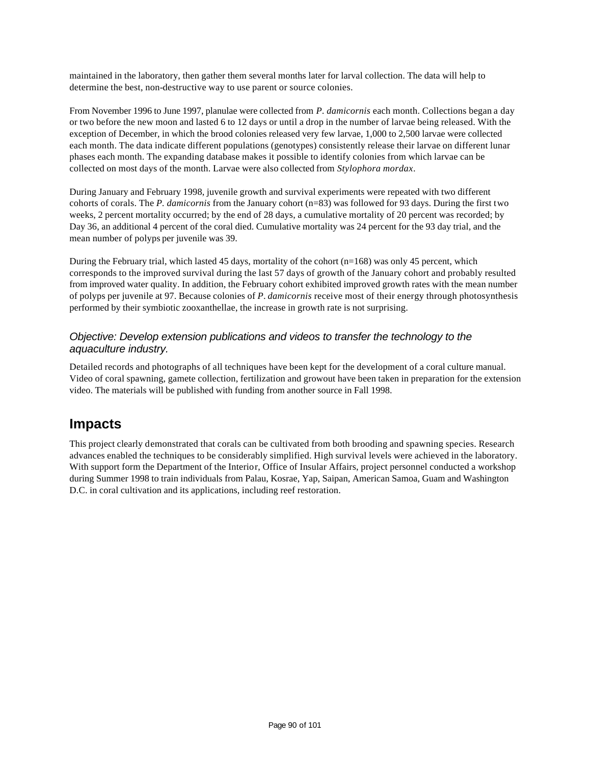maintained in the laboratory, then gather them several months later for larval collection. The data will help to determine the best, non-destructive way to use parent or source colonies.

From November 1996 to June 1997, planulae were collected from *P. damicornis* each month. Collections began a day or two before the new moon and lasted 6 to 12 days or until a drop in the number of larvae being released. With the exception of December, in which the brood colonies released very few larvae, 1,000 to 2,500 larvae were collected each month. The data indicate different populations (genotypes) consistently release their larvae on different lunar phases each month. The expanding database makes it possible to identify colonies from which larvae can be collected on most days of the month. Larvae were also collected from *Stylophora mordax*.

During January and February 1998, juvenile growth and survival experiments were repeated with two different cohorts of corals. The *P. damicornis* from the January cohort (n=83) was followed for 93 days. During the first two weeks, 2 percent mortality occurred; by the end of 28 days, a cumulative mortality of 20 percent was recorded; by Day 36, an additional 4 percent of the coral died. Cumulative mortality was 24 percent for the 93 day trial, and the mean number of polyps per juvenile was 39.

During the February trial, which lasted 45 days, mortality of the cohort ( $n=168$ ) was only 45 percent, which corresponds to the improved survival during the last 57 days of growth of the January cohort and probably resulted from improved water quality. In addition, the February cohort exhibited improved growth rates with the mean number of polyps per juvenile at 97. Because colonies of *P*. *damicornis* receive most of their energy through photosynthesis performed by their symbiotic zooxanthellae, the increase in growth rate is not surprising.

#### *Objective: Develop extension publications and videos to transfer the technology to the aquaculture industry.*

Detailed records and photographs of all techniques have been kept for the development of a coral culture manual. Video of coral spawning, gamete collection, fertilization and growout have been taken in preparation for the extension video. The materials will be published with funding from another source in Fall 1998.

### **Impacts**

This project clearly demonstrated that corals can be cultivated from both brooding and spawning species. Research advances enabled the techniques to be considerably simplified. High survival levels were achieved in the laboratory. With support form the Department of the Interior, Office of Insular Affairs, project personnel conducted a workshop during Summer 1998 to train individuals from Palau, Kosrae, Yap, Saipan, American Samoa, Guam and Washington D.C. in coral cultivation and its applications, including reef restoration.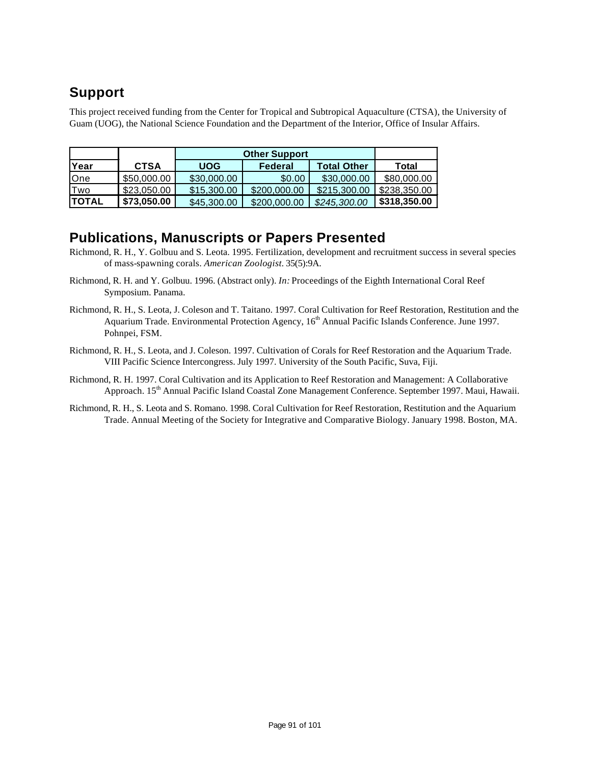## **Support**

This project received funding from the Center for Tropical and Subtropical Aquaculture (CTSA), the University of Guam (UOG), the National Science Foundation and the Department of the Interior, Office of Insular Affairs.

|               |             | <b>Other Support</b> |              |                    |              |
|---------------|-------------|----------------------|--------------|--------------------|--------------|
| Year          | <b>CTSA</b> | <b>UOG</b>           | Federal      | <b>Total Other</b> | Total        |
| One           | \$50,000.00 | \$30,000.00          | \$0.00       | \$30,000,00        | \$80,000.00  |
| Two           | \$23,050.00 | \$15,300.00          | \$200,000.00 | \$215,300,00       | \$238,350.00 |
| <b>ITOTAL</b> | \$73,050.00 | \$45,300,00          | \$200,000,00 | \$245,300,00       | \$318,350.00 |

### **Publications, Manuscripts or Papers Presented**

- Richmond, R. H., Y. Golbuu and S. Leota. 1995. Fertilization, development and recruitment success in several species of mass-spawning corals. *American Zoologist.* 35(5):9A.
- Richmond, R. H. and Y. Golbuu. 1996. (Abstract only). *In:* Proceedings of the Eighth International Coral Reef Symposium. Panama.
- Richmond, R. H., S. Leota, J. Coleson and T. Taitano. 1997. Coral Cultivation for Reef Restoration, Restitution and the Aquarium Trade. Environmental Protection Agency, 16<sup>th</sup> Annual Pacific Islands Conference. June 1997. Pohnpei, FSM.
- Richmond, R. H., S. Leota, and J. Coleson. 1997. Cultivation of Corals for Reef Restoration and the Aquarium Trade. VIII Pacific Science Intercongress. July 1997. University of the South Pacific, Suva, Fiji.
- Richmond, R. H. 1997. Coral Cultivation and its Application to Reef Restoration and Management: A Collaborative Approach. 15<sup>th</sup> Annual Pacific Island Coastal Zone Management Conference. September 1997. Maui, Hawaii.
- Richmond, R. H., S. Leota and S. Romano. 1998. Coral Cultivation for Reef Restoration, Restitution and the Aquarium Trade. Annual Meeting of the Society for Integrative and Comparative Biology. January 1998. Boston, MA.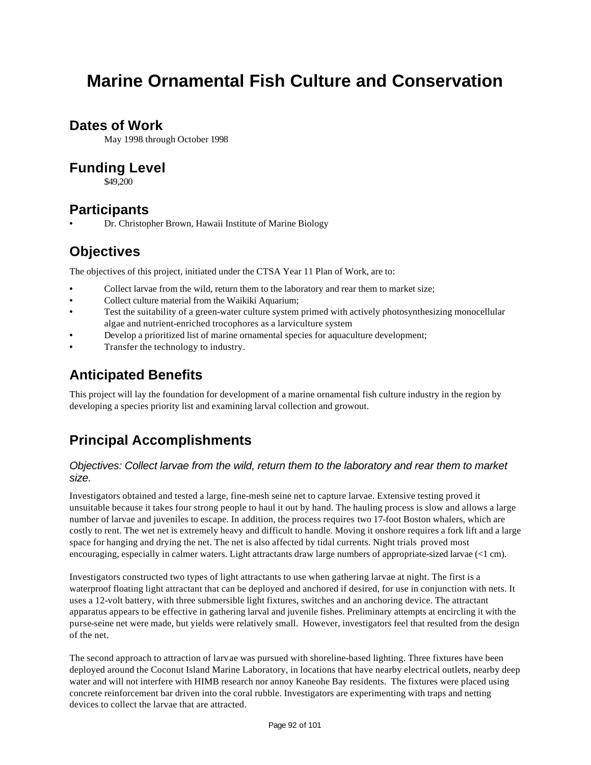# **Marine Ornamental Fish Culture and Conservation**

### **Dates of Work**

May 1998 through October 1998

### **Funding Level**

\$49,200

### **Participants**

• Dr. Christopher Brown, Hawaii Institute of Marine Biology

### **Objectives**

The objectives of this project, initiated under the CTSA Year 11 Plan of Work, are to:

- Collect larvae from the wild, return them to the laboratory and rear them to market size;
- Collect culture material from the Waikiki Aquarium;
- Test the suitability of a green-water culture system primed with actively photosynthesizing monocellular algae and nutrient-enriched trocophores as a larviculture system
- Develop a prioritized list of marine ornamental species for aquaculture development;
- Transfer the technology to industry.

### **Anticipated Benefits**

This project will lay the foundation for development of a marine ornamental fish culture industry in the region by developing a species priority list and examining larval collection and growout.

## **Principal Accomplishments**

#### *Objectives: Collect larvae from the wild, return them to the laboratory and rear them to market size.*

Investigators obtained and tested a large, fine-mesh seine net to capture larvae. Extensive testing proved it unsuitable because it takes four strong people to haul it out by hand. The hauling process is slow and allows a large number of larvae and juveniles to escape. In addition, the process requires two 17-foot Boston whalers, which are costly to rent. The wet net is extremely heavy and difficult to handle. Moving it onshore requires a fork lift and a large space for hanging and drying the net. The net is also affected by tidal currents. Night trials proved most encouraging, especially in calmer waters. Light attractants draw large numbers of appropriate-sized larvae (<1 cm).

Investigators constructed two types of light attractants to use when gathering larvae at night. The first is a waterproof floating light attractant that can be deployed and anchored if desired, for use in conjunction with nets. It uses a 12-volt battery, with three submersible light fixtures, switches and an anchoring device. The attractant apparatus appears to be effective in gathering larval and juvenile fishes. Preliminary attempts at encircling it with the purse-seine net were made, but yields were relatively small. However, investigators feel that resulted from the design of the net.

The second approach to attraction of larvae was pursued with shoreline-based lighting. Three fixtures have been deployed around the Coconut Island Marine Laboratory, in locations that have nearby electrical outlets, nearby deep water and will not interfere with HIMB research nor annoy Kaneohe Bay residents. The fixtures were placed using concrete reinforcement bar driven into the coral rubble. Investigators are experimenting with traps and netting devices to collect the larvae that are attracted.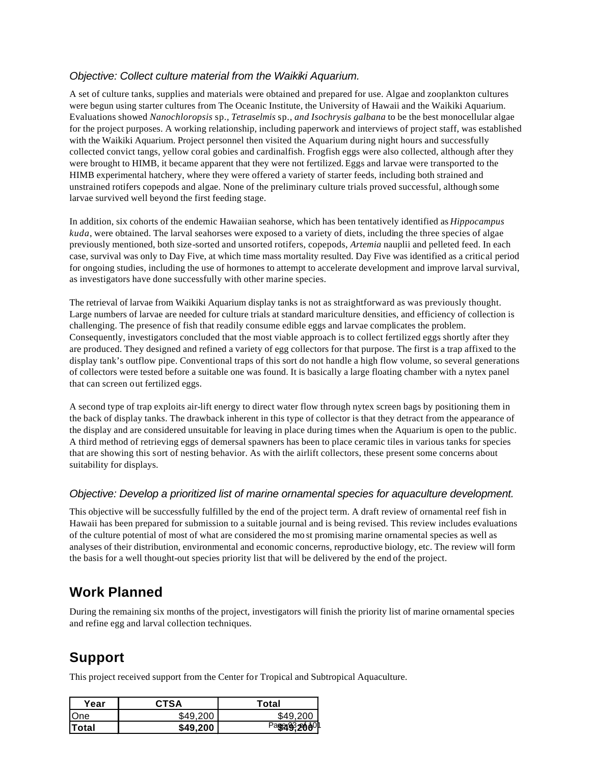#### *Objective: Collect culture material from the Waikiki Aquarium.*

A set of culture tanks, supplies and materials were obtained and prepared for use. Algae and zooplankton cultures were begun using starter cultures from The Oceanic Institute, the University of Hawaii and the Waikiki Aquarium. Evaluations showed *Nanochloropsis* sp*., Tetraselmis* sp*., and Isochrysis galbana* to be the best monocellular algae for the project purposes. A working relationship, including paperwork and interviews of project staff, was established with the Waikiki Aquarium. Project personnel then visited the Aquarium during night hours and successfully collected convict tangs, yellow coral gobies and cardinalfish. Frogfish eggs were also collected, although after they were brought to HIMB, it became apparent that they were not fertilized. Eggs and larvae were transported to the HIMB experimental hatchery, where they were offered a variety of starter feeds, including both strained and unstrained rotifers copepods and algae. None of the preliminary culture trials proved successful, although some larvae survived well beyond the first feeding stage.

In addition, six cohorts of the endemic Hawaiian seahorse, which has been tentatively identified as *Hippocampus kuda*, were obtained. The larval seahorses were exposed to a variety of diets, including the three species of algae previously mentioned, both size-sorted and unsorted rotifers, copepods, *Artemia* nauplii and pelleted feed. In each case, survival was only to Day Five, at which time mass mortality resulted. Day Five was identified as a critical period for ongoing studies, including the use of hormones to attempt to accelerate development and improve larval survival, as investigators have done successfully with other marine species.

The retrieval of larvae from Waikiki Aquarium display tanks is not as straightforward as was previously thought. Large numbers of larvae are needed for culture trials at standard mariculture densities, and efficiency of collection is challenging. The presence of fish that readily consume edible eggs and larvae complicates the problem. Consequently, investigators concluded that the most viable approach is to collect fertilized eggs shortly after they are produced. They designed and refined a variety of egg collectors for that purpose. The first is a trap affixed to the display tank's outflow pipe. Conventional traps of this sort do not handle a high flow volume, so several generations of collectors were tested before a suitable one was found. It is basically a large floating chamber with a nytex panel that can screen out fertilized eggs.

A second type of trap exploits air-lift energy to direct water flow through nytex screen bags by positioning them in the back of display tanks. The drawback inherent in this type of collector is that they detract from the appearance of the display and are considered unsuitable for leaving in place during times when the Aquarium is open to the public. A third method of retrieving eggs of demersal spawners has been to place ceramic tiles in various tanks for species that are showing this sort of nesting behavior. As with the airlift collectors, these present some concerns about suitability for displays.

#### *Objective: Develop a prioritized list of marine ornamental species for aquaculture development.*

This objective will be successfully fulfilled by the end of the project term. A draft review of ornamental reef fish in Hawaii has been prepared for submission to a suitable journal and is being revised. This review includes evaluations of the culture potential of most of what are considered the mo st promising marine ornamental species as well as analyses of their distribution, environmental and economic concerns, reproductive biology, etc. The review will form the basis for a well thought-out species priority list that will be delivered by the end of the project.

## **Work Planned**

During the remaining six months of the project, investigators will finish the priority list of marine ornamental species and refine egg and larval collection techniques.

## **Support**

This project received support from the Center for Tropical and Subtropical Aquaculture.

| Year       | <b>CTSA</b> | Total    |  |
|------------|-------------|----------|--|
| <b>One</b> | \$49.200    | \$49.200 |  |
| lTotal     | \$49,200    | 1932000  |  |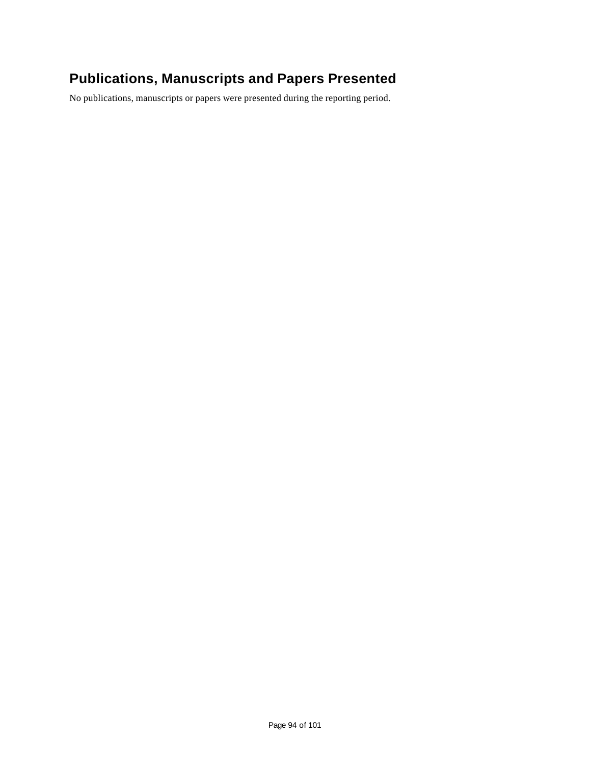## **Publications, Manuscripts and Papers Presented**

No publications, manuscripts or papers were presented during the reporting period.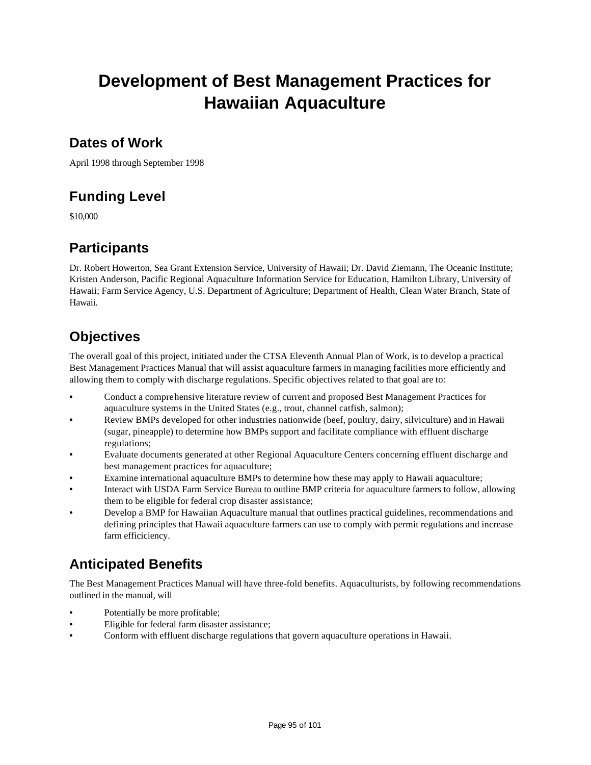# **Development of Best Management Practices for Hawaiian Aquaculture**

### **Dates of Work**

April 1998 through September 1998

## **Funding Level**

\$10,000

## **Participants**

Dr. Robert Howerton, Sea Grant Extension Service, University of Hawaii; Dr. David Ziemann, The Oceanic Institute; Kristen Anderson, Pacific Regional Aquaculture Information Service for Education, Hamilton Library, University of Hawaii; Farm Service Agency, U.S. Department of Agriculture; Department of Health, Clean Water Branch, State of Hawaii.

## **Objectives**

The overall goal of this project, initiated under the CTSA Eleventh Annual Plan of Work, is to develop a practical Best Management Practices Manual that will assist aquaculture farmers in managing facilities more efficiently and allowing them to comply with discharge regulations. Specific objectives related to that goal are to:

- Conduct a comprehensive literature review of current and proposed Best Management Practices for aquaculture systems in the United States (e.g., trout, channel catfish, salmon);
- Review BMPs developed for other industries nationwide (beef, poultry, dairy, silviculture) and in Hawaii (sugar, pineapple) to determine how BMPs support and facilitate compliance with effluent discharge regulations;
- Evaluate documents generated at other Regional Aquaculture Centers concerning effluent discharge and best management practices for aquaculture;
- Examine international aquaculture BMPs to determine how these may apply to Hawaii aquaculture;
- Interact with USDA Farm Service Bureau to outline BMP criteria for aquaculture farmers to follow, allowing them to be eligible for federal crop disaster assistance;
- Develop a BMP for Hawaiian Aquaculture manual that outlines practical guidelines, recommendations and defining principles that Hawaii aquaculture farmers can use to comply with permit regulations and increase farm efficiciency.

## **Anticipated Benefits**

The Best Management Practices Manual will have three-fold benefits. Aquaculturists, by following recommendations outlined in the manual, will

- Potentially be more profitable;
- Eligible for federal farm disaster assistance;
- Conform with effluent discharge regulations that govern aquaculture operations in Hawaii.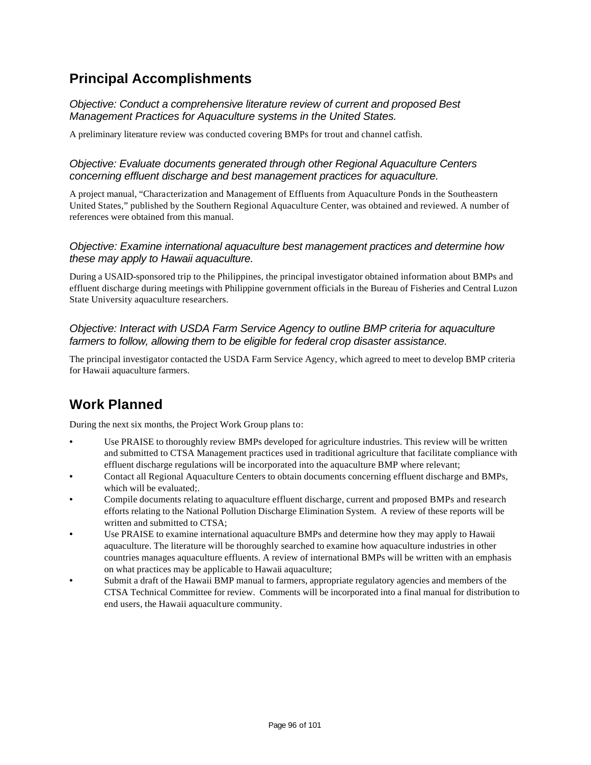### **Principal Accomplishments**

*Objective: Conduct a comprehensive literature review of current and proposed Best Management Practices for Aquaculture systems in the United States.*

A preliminary literature review was conducted covering BMPs for trout and channel catfish.

#### *Objective: Evaluate documents generated through other Regional Aquaculture Centers concerning effluent discharge and best management practices for aquaculture.*

A project manual, "Characterization and Management of Effluents from Aquaculture Ponds in the Southeastern United States," published by the Southern Regional Aquaculture Center, was obtained and reviewed. A number of references were obtained from this manual.

#### *Objective: Examine international aquaculture best management practices and determine how these may apply to Hawaii aquaculture.*

During a USAID-sponsored trip to the Philippines, the principal investigator obtained information about BMPs and effluent discharge during meetings with Philippine government officials in the Bureau of Fisheries and Central Luzon State University aquaculture researchers.

#### *Objective: Interact with USDA Farm Service Agency to outline BMP criteria for aquaculture farmers to follow, allowing them to be eligible for federal crop disaster assistance.*

The principal investigator contacted the USDA Farm Service Agency, which agreed to meet to develop BMP criteria for Hawaii aquaculture farmers.

## **Work Planned**

During the next six months, the Project Work Group plans to:

- Use PRAISE to thoroughly review BMPs developed for agriculture industries. This review will be written and submitted to CTSA Management practices used in traditional agriculture that facilitate compliance with effluent discharge regulations will be incorporated into the aquaculture BMP where relevant;
- Contact all Regional Aquaculture Centers to obtain documents concerning effluent discharge and BMPs, which will be evaluated;.
- Compile documents relating to aquaculture effluent discharge, current and proposed BMPs and research efforts relating to the National Pollution Discharge Elimination System. A review of these reports will be written and submitted to CTSA;
- Use PRAISE to examine international aquaculture BMPs and determine how they may apply to Hawaii aquaculture. The literature will be thoroughly searched to examine how aquaculture industries in other countries manages aquaculture effluents. A review of international BMPs will be written with an emphasis on what practices may be applicable to Hawaii aquaculture;
- Submit a draft of the Hawaii BMP manual to farmers, appropriate regulatory agencies and members of the CTSA Technical Committee for review. Comments will be incorporated into a final manual for distribution to end users, the Hawaii aquaculture community.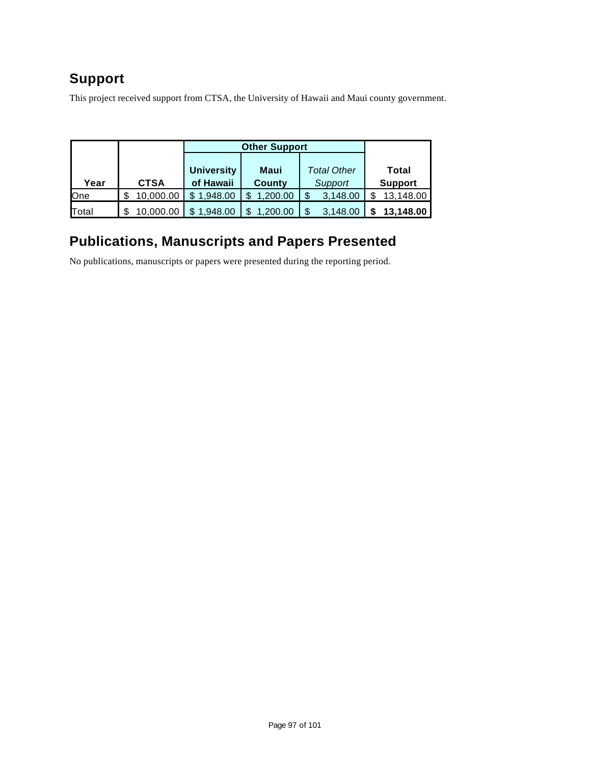## **Support**

This project received support from CTSA, the University of Hawaii and Maui county government.

|            |             | <b>Other Support</b> |          |                    |                |
|------------|-------------|----------------------|----------|--------------------|----------------|
|            |             |                      |          |                    |                |
|            |             | <b>University</b>    | Maui     | <b>Total Other</b> | Total          |
| Year       | <b>CTSA</b> | of Hawaii            | County   | Support            | <b>Support</b> |
| <b>One</b> | 10.000.00   | \$1.948.00           | 1.200.00 | 3,148.00           | 13.148.00      |
| Total      | 10.000.00   | 1,948.00             | .200.00  | 3.148.00           | 13.148.00      |

## **Publications, Manuscripts and Papers Presented**

No publications, manuscripts or papers were presented during the reporting period.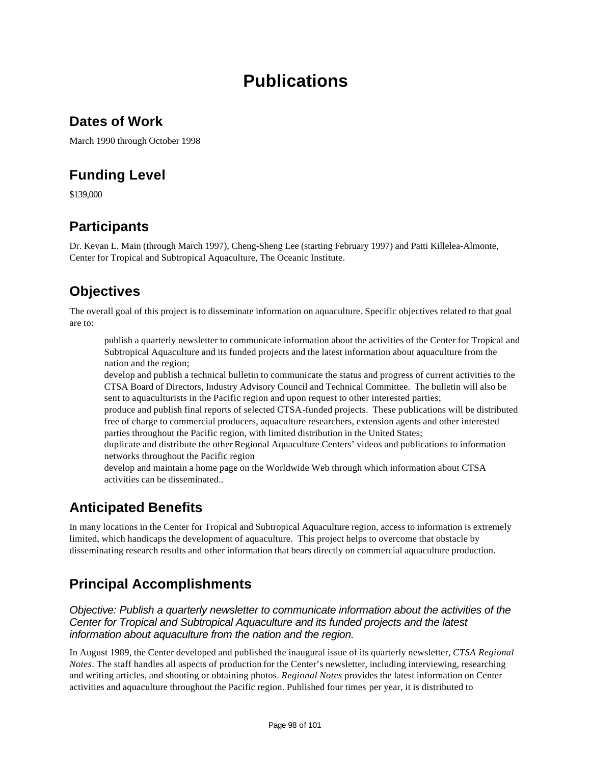# **Publications**

### **Dates of Work**

March 1990 through October 1998

## **Funding Level**

\$139,000

### **Participants**

Dr. Kevan L. Main (through March 1997), Cheng-Sheng Lee (starting February 1997) and Patti Killelea-Almonte, Center for Tropical and Subtropical Aquaculture, The Oceanic Institute.

## **Objectives**

The overall goal of this project is to disseminate information on aquaculture. Specific objectives related to that goal are to:

publish a quarterly newsletter to communicate information about the activities of the Center for Tropical and Subtropical Aquaculture and its funded projects and the latest information about aquaculture from the nation and the region;

develop and publish a technical bulletin to communicate the status and progress of current activities to the CTSA Board of Directors, Industry Advisory Council and Technical Committee. The bulletin will also be sent to aquaculturists in the Pacific region and upon request to other interested parties;

produce and publish final reports of selected CTSA-funded projects. These publications will be distributed free of charge to commercial producers, aquaculture researchers, extension agents and other interested parties throughout the Pacific region, with limited distribution in the United States;

duplicate and distribute the other Regional Aquaculture Centers' videos and publications to information networks throughout the Pacific region

develop and maintain a home page on the Worldwide Web through which information about CTSA activities can be disseminated..

### **Anticipated Benefits**

In many locations in the Center for Tropical and Subtropical Aquaculture region, access to information is extremely limited, which handicaps the development of aquaculture. This project helps to overcome that obstacle by disseminating research results and other information that bears directly on commercial aquaculture production.

## **Principal Accomplishments**

*Objective: Publish a quarterly newsletter to communicate information about the activities of the Center for Tropical and Subtropical Aquaculture and its funded projects and the latest information about aquaculture from the nation and the region.*

In August 1989, the Center developed and published the inaugural issue of its quarterly newsletter, *CTSA Regional Notes*. The staff handles all aspects of production for the Center's newsletter, including interviewing, researching and writing articles, and shooting or obtaining photos. *Regional Notes* provides the latest information on Center activities and aquaculture throughout the Pacific region. Published four times per year, it is distributed to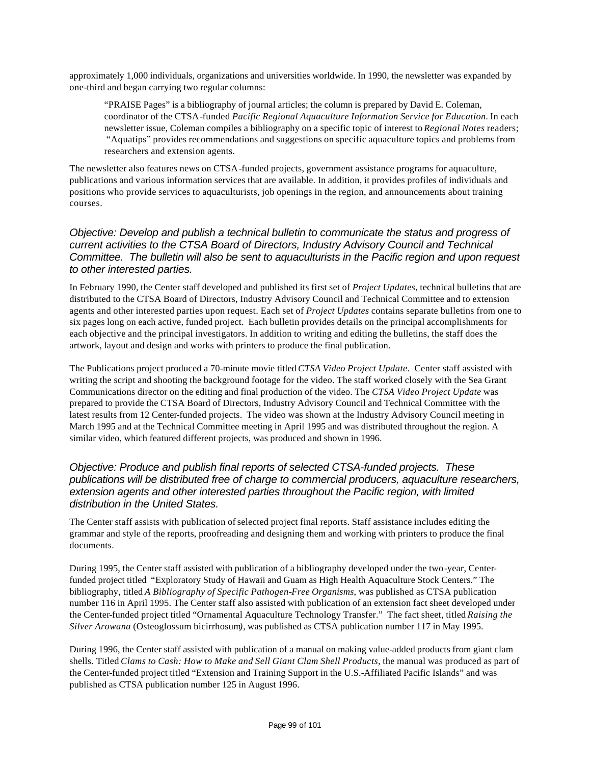approximately 1,000 individuals, organizations and universities worldwide. In 1990, the newsletter was expanded by one-third and began carrying two regular columns:

"PRAISE Pages" is a bibliography of journal articles; the column is prepared by David E. Coleman, coordinator of the CTSA-funded *Pacific Regional Aquaculture Information Service for Education.* In each newsletter issue, Coleman compiles a bibliography on a specific topic of interest to *Regional Notes* readers; "Aquatips" provides recommendations and suggestions on specific aquaculture topics and problems from researchers and extension agents.

The newsletter also features news on CTSA-funded projects, government assistance programs for aquaculture, publications and various information services that are available. In addition, it provides profiles of individuals and positions who provide services to aquaculturists, job openings in the region, and announcements about training courses.

#### *Objective: Develop and publish a technical bulletin to communicate the status and progress of current activities to the CTSA Board of Directors, Industry Advisory Council and Technical Committee. The bulletin will also be sent to aquaculturists in the Pacific region and upon request to other interested parties.*

In February 1990, the Center staff developed and published its first set of *Project Updates*, technical bulletins that are distributed to the CTSA Board of Directors, Industry Advisory Council and Technical Committee and to extension agents and other interested parties upon request. Each set of *Project Updates* contains separate bulletins from one to six pages long on each active, funded project. Each bulletin provides details on the principal accomplishments for each objective and the principal investigators. In addition to writing and editing the bulletins, the staff does the artwork, layout and design and works with printers to produce the final publication.

The Publications project produced a 70-minute movie titled *CTSA Video Project Update*. Center staff assisted with writing the script and shooting the background footage for the video. The staff worked closely with the Sea Grant Communications director on the editing and final production of the video. The *CTSA Video Project Update* was prepared to provide the CTSA Board of Directors, Industry Advisory Council and Technical Committee with the latest results from 12 Center-funded projects. The video was shown at the Industry Advisory Council meeting in March 1995 and at the Technical Committee meeting in April 1995 and was distributed throughout the region. A similar video, which featured different projects, was produced and shown in 1996.

#### *Objective: Produce and publish final reports of selected CTSA-funded projects. These publications will be distributed free of charge to commercial producers, aquaculture researchers, extension agents and other interested parties throughout the Pacific region, with limited distribution in the United States.*

The Center staff assists with publication of selected project final reports. Staff assistance includes editing the grammar and style of the reports, proofreading and designing them and working with printers to produce the final documents.

During 1995, the Center staff assisted with publication of a bibliography developed under the two-year, Centerfunded project titled "Exploratory Study of Hawaii and Guam as High Health Aquaculture Stock Centers." The bibliography, titled *A Bibliography of Specific Pathogen-Free Organisms*, was published as CTSA publication number 116 in April 1995. The Center staff also assisted with publication of an extension fact sheet developed under the Center-funded project titled "Ornamental Aquaculture Technology Transfer." The fact sheet, titled *Raising the Silver Arowana* (Osteoglossum bicirrhosum*)*, was published as CTSA publication number 117 in May 1995.

During 1996, the Center staff assisted with publication of a manual on making value-added products from giant clam shells. Titled *Clams to Cash: How to Make and Sell Giant Clam Shell Products,* the manual was produced as part of the Center-funded project titled "Extension and Training Support in the U.S.-Affiliated Pacific Islands" and was published as CTSA publication number 125 in August 1996.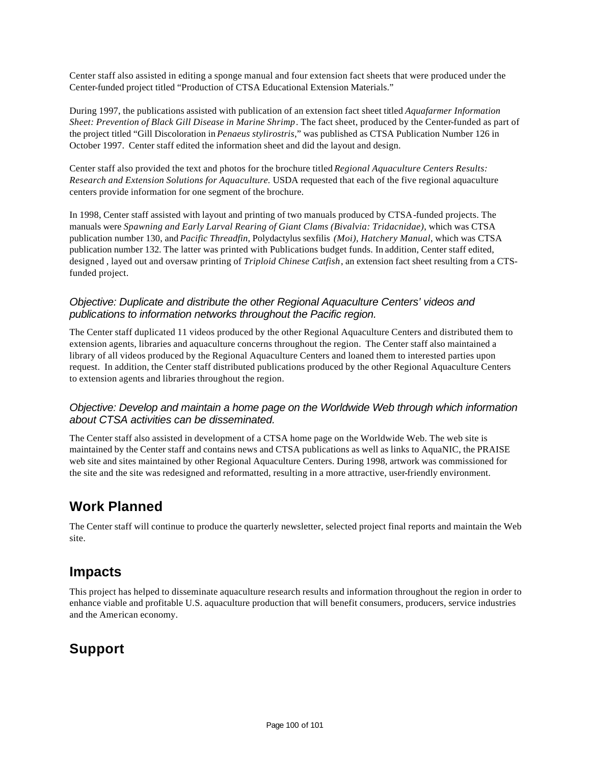Center staff also assisted in editing a sponge manual and four extension fact sheets that were produced under the Center-funded project titled "Production of CTSA Educational Extension Materials."

During 1997, the publications assisted with publication of an extension fact sheet titled *Aquafarmer Information Sheet: Prevention of Black Gill Disease in Marine Shrimp*. The fact sheet, produced by the Center-funded as part of the project titled "Gill Discoloration in *Penaeus stylirostris*," was published as CTSA Publication Number 126 in October 1997. Center staff edited the information sheet and did the layout and design.

Center staff also provided the text and photos for the brochure titled *Regional Aquaculture Centers Results: Research and Extension Solutions for Aquaculture.* USDA requested that each of the five regional aquaculture centers provide information for one segment of the brochure.

In 1998, Center staff assisted with layout and printing of two manuals produced by CTSA-funded projects. The manuals were *Spawning and Early Larval Rearing of Giant Clams (Bivalvia: Tridacnidae)*, which was CTSA publication number 130, and *Pacific Threadfin,* Polydactylus sexfilis *(Moi), Hatchery Manual*, which was CTSA publication number 132*.* The latter was printed with Publications budget funds. In addition, Center staff edited, designed , layed out and oversaw printing of *Triploid Chinese Catfish*, an extension fact sheet resulting from a CTSfunded project.

#### *Objective: Duplicate and distribute the other Regional Aquaculture Centers' videos and publications to information networks throughout the Pacific region.*

The Center staff duplicated 11 videos produced by the other Regional Aquaculture Centers and distributed them to extension agents, libraries and aquaculture concerns throughout the region. The Center staff also maintained a library of all videos produced by the Regional Aquaculture Centers and loaned them to interested parties upon request. In addition, the Center staff distributed publications produced by the other Regional Aquaculture Centers to extension agents and libraries throughout the region.

#### *Objective: Develop and maintain a home page on the Worldwide Web through which information about CTSA activities can be disseminated.*

The Center staff also assisted in development of a CTSA home page on the Worldwide Web. The web site is maintained by the Center staff and contains news and CTSA publications as well as links to AquaNIC, the PRAISE web site and sites maintained by other Regional Aquaculture Centers. During 1998, artwork was commissioned for the site and the site was redesigned and reformatted, resulting in a more attractive, user-friendly environment.

### **Work Planned**

The Center staff will continue to produce the quarterly newsletter, selected project final reports and maintain the Web site.

### **Impacts**

This project has helped to disseminate aquaculture research results and information throughout the region in order to enhance viable and profitable U.S. aquaculture production that will benefit consumers, producers, service industries and the American economy.

### **Support**